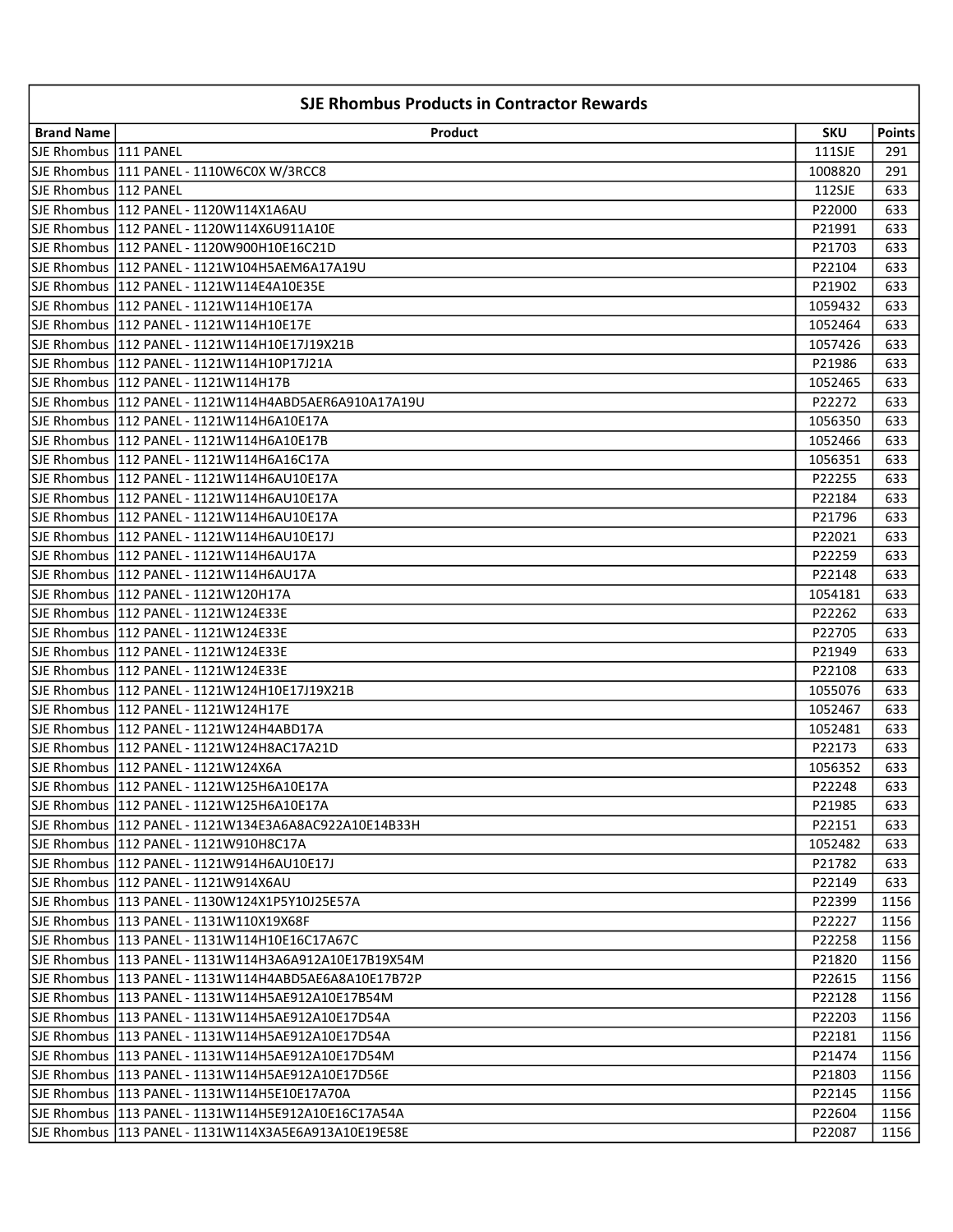| <b>SJE Rhombus Products in Contractor Rewards</b> |                                                         |                   |               |
|---------------------------------------------------|---------------------------------------------------------|-------------------|---------------|
| <b>Brand Name</b>                                 | Product                                                 | <b>SKU</b>        | <b>Points</b> |
| SJE Rhombus  111 PANEL                            |                                                         | 111SJE            | 291           |
|                                                   | SJE Rhombus   111 PANEL - 1110W6C0X W/3RCC8             | 1008820           | 291           |
| SJE Rhombus   112 PANEL                           |                                                         | 112SJE            | 633           |
|                                                   | SJE Rhombus  112 PANEL - 1120W114X1A6AU                 | P22000            | 633           |
|                                                   |                                                         | P21991            | 633           |
|                                                   |                                                         | P21703            | 633           |
|                                                   |                                                         | P22104            | 633           |
|                                                   |                                                         | P21902            | 633           |
|                                                   | SJE Rhombus   112 PANEL - 1121W114H10E17A               | 1059432           | 633           |
|                                                   |                                                         | 1052464           | 633           |
|                                                   |                                                         | 1057426           | 633           |
|                                                   | SJE Rhombus   112 PANEL - 1121W114H10P17J21A            | P21986            | 633           |
|                                                   | SJE Rhombus   112 PANEL - 1121W114H17B                  | 1052465           | 633           |
|                                                   | SJE Rhombus   112 PANEL - 1121W114H4ABD5AER6A910A17A19U | P22272            | 633           |
|                                                   | SJE Rhombus   112 PANEL - 1121W114H6A10E17A             | 1056350           | 633           |
|                                                   | SJE Rhombus   112 PANEL - 1121W114H6A10E17B             | 1052466           | 633           |
|                                                   | SJE Rhombus   112 PANEL - 1121W114H6A16C17A             | 1056351           | 633           |
|                                                   | SJE Rhombus   112 PANEL - 1121W114H6AU10E17A            | P22255            | 633           |
|                                                   | SJE Rhombus   112 PANEL - 1121W114H6AU10E17A            | P22184            | 633           |
|                                                   | SJE Rhombus  112 PANEL - 1121W114H6AU10E17A             | P21796            | 633           |
|                                                   |                                                         | P22021            | 633           |
|                                                   | SJE Rhombus  112 PANEL - 1121W114H6AU17A                | P22259            | 633           |
|                                                   | SJE Rhombus  112 PANEL - 1121W114H6AU17A                | P22148            | 633           |
|                                                   | SJE Rhombus   112 PANEL - 1121W120H17A                  | 1054181           | 633           |
|                                                   | SJE Rhombus  112 PANEL - 1121W124E33E                   | P22262            | 633           |
|                                                   | SJE Rhombus  112 PANEL - 1121W124E33E                   | P22705            | 633           |
|                                                   | SJE Rhombus  112 PANEL - 1121W124E33E                   | P21949            | 633           |
|                                                   | SJE Rhombus   112 PANEL - 1121W124E33E                  | P22108            | 633           |
|                                                   | SJE Rhombus   112 PANEL - 1121W124H10E17J19X21B         | 1055076           | 633           |
|                                                   | SJE Rhombus 1112 PANEL - 1121W124H17E                   | 1052467           | 633           |
|                                                   | SJE Rhombus 1112 PANEL - 1121W124H4ABD17A               |                   | 633           |
|                                                   | SJE Rhombus   112 PANEL - 1121W124H8AC17A21D            | 1052481<br>P22173 | 633           |
|                                                   | SJE Rhombus   112 PANEL - 1121W124X6A                   |                   | 633           |
|                                                   | SJE Rhombus 112 PANEL - 1121W125H6A10E17A               | 1056352<br>P22248 | 633           |
|                                                   |                                                         |                   |               |
|                                                   | SJE Rhombus   112 PANEL - 1121W134E3A6A8AC922A10E14B33H | P21985            | 633           |
|                                                   |                                                         | P22151            | 633           |
|                                                   | SJE Rhombus   112 PANEL - 1121W910H8C17A                | 1052482           | 633           |
|                                                   | SJE Rhombus   112 PANEL - 1121W914H6AU10E17J            | P21782            | 633           |
|                                                   | SJE Rhombus   112 PANEL - 1121W914X6AU                  | P22149            | 633           |
|                                                   | SJE Rhombus   113 PANEL - 1130W124X1P5Y10J25E57A        | P22399            | 1156          |
|                                                   | SJE Rhombus   113 PANEL - 1131W110X19X68F               | P22227            | 1156          |
|                                                   | SJE Rhombus   113 PANEL - 1131W114H10E16C17A67C         | P22258            | 1156          |
|                                                   |                                                         | P21820            | 1156          |
|                                                   | SJE Rhombus  113 PANEL - 1131W114H4ABD5AE6A8A10E17B72P  | P22615            | 1156          |
|                                                   | SJE Rhombus   113 PANEL - 1131W114H5AE912A10E17B54M     | P22128            | 1156          |
|                                                   | SJE Rhombus   113 PANEL - 1131W114H5AE912A10E17D54A     | P22203            | 1156          |
|                                                   | SJE Rhombus   113 PANEL - 1131W114H5AE912A10E17D54A     | P22181            | 1156          |
|                                                   | SJE Rhombus   113 PANEL - 1131W114H5AE912A10E17D54M     | P21474            | 1156          |
|                                                   | SJE Rhombus   113 PANEL - 1131W114H5AE912A10E17D56E     | P21803            | 1156          |
|                                                   | SJE Rhombus   113 PANEL - 1131W114H5E10E17A70A          | P22145            | 1156          |
|                                                   | SJE Rhombus   113 PANEL - 1131W114H5E912A10E16C17A54A   | P22604            | 1156          |
|                                                   | SJE Rhombus   113 PANEL - 1131W114X3A5E6A913A10E19E58E  | P22087            | 1156          |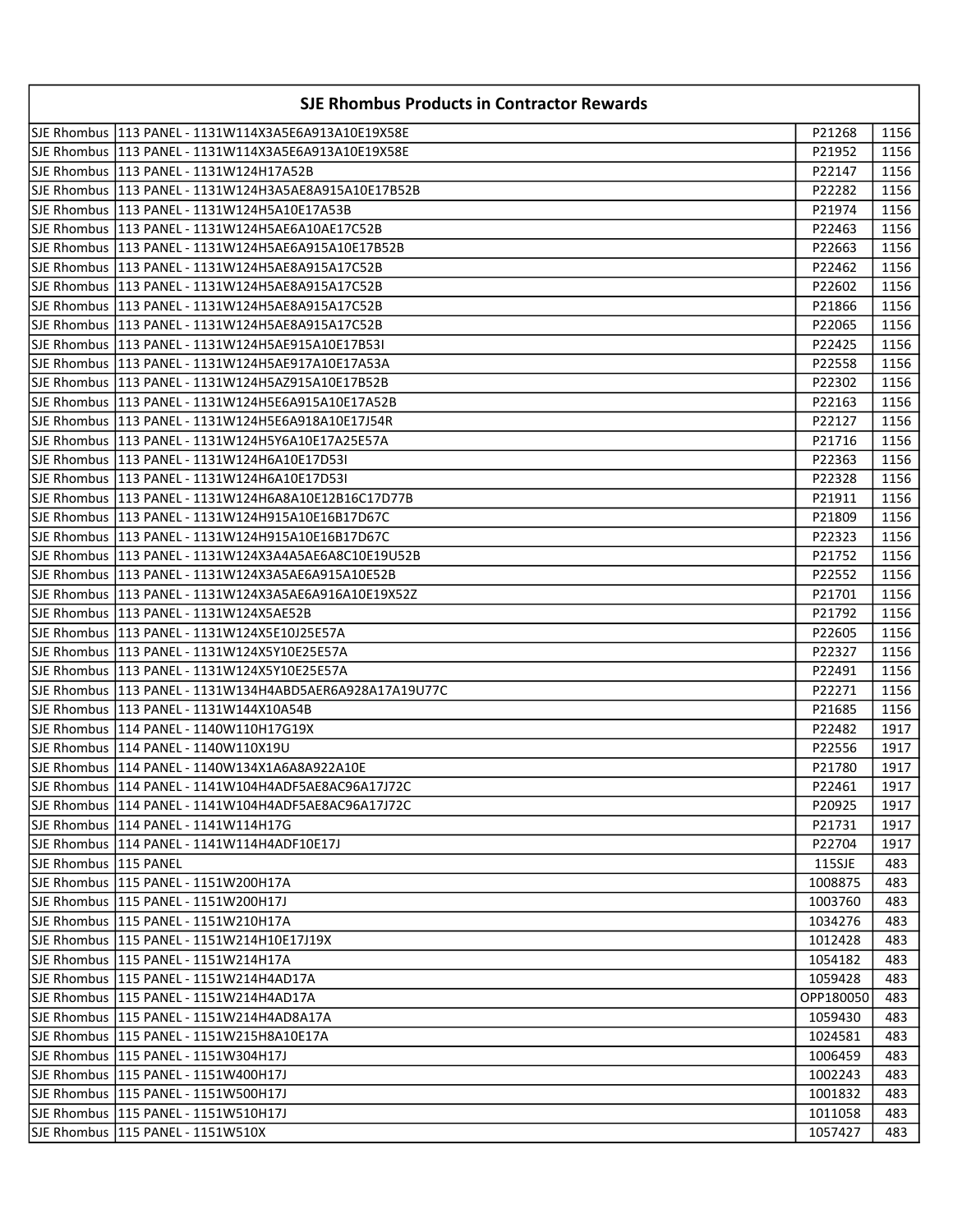|                         | <b>SJE Rhombus Products in Contractor Rewards</b>         |           |              |
|-------------------------|-----------------------------------------------------------|-----------|--------------|
|                         |                                                           | P21268    | 1156         |
|                         |                                                           | P21952    | 1156         |
|                         |                                                           | P22147    | 1156         |
|                         |                                                           | P22282    | 1156         |
|                         | SJE Rhombus  113 PANEL - 1131W124H5A10E17A53B             | P21974    | 1156         |
|                         | SJE Rhombus   113 PANEL - 1131W124H5AE6A10AE17C52B        | P22463    | 1156         |
|                         |                                                           | P22663    | 1156         |
|                         |                                                           | P22462    | 1156         |
|                         |                                                           | P22602    | 1156         |
|                         |                                                           | P21866    | 1156         |
|                         |                                                           | P22065    | 1156         |
|                         | SJE Rhombus   113 PANEL - 1131W124H5AE915A10E17B53I       | P22425    | 1156         |
|                         |                                                           | P22558    | 1156         |
|                         |                                                           | P22302    | 1156         |
|                         | SJE Rhombus   113 PANEL - 1131W124H5E6A915A10E17A52B      | P22163    | 1156         |
|                         |                                                           | P22127    | 1156         |
|                         |                                                           | P21716    | 1156         |
|                         |                                                           | P22363    | 1156         |
|                         |                                                           | P22328    | 1156         |
|                         |                                                           | P21911    | 1156         |
|                         |                                                           | P21809    | 1156         |
|                         |                                                           | P22323    | 1156         |
|                         | SJE Rhombus  113 PANEL - 1131W124X3A4A5AE6A8C10E19U52B    | P21752    | 1156         |
|                         |                                                           | P22552    | 1156         |
|                         |                                                           | P21701    | 1156         |
|                         | SJE Rhombus  113 PANEL - 1131W124X5AE52B                  | P21792    | 1156         |
|                         | SJE Rhombus   113 PANEL - 1131W124X5E10J25E57A            | P22605    | 1156         |
|                         |                                                           | P22327    | 1156         |
|                         |                                                           | P22491    | 1156         |
|                         | SJE Rhombus  113 PANEL - 1131W134H4ABD5AER6A928A17A19U77C | P22271    | 1156         |
|                         | SJE Rhombus   113 PANEL - 1131W144X10A54B                 | P21685    | 1156         |
|                         | SJE Rhombus  114 PANEL - 1140W110H17G19X                  | P22482    | 1917         |
|                         | SJE Rhombus   114 PANEL - 1140W110X19U                    | P22556    | 1917         |
|                         | SJE Rhombus   114 PANEL - 1140W134X1A6A8A922A10E          | P21780    | 1917         |
|                         | SJE Rhombus   114 PANEL - 1141W104H4ADF5AE8AC96A17J72C    | P22461    | $\vert$ 1917 |
|                         |                                                           | P20925    | 1917         |
|                         | SJE Rhombus   114 PANEL - 1141W114H17G                    | P21731    | 1917         |
|                         | SJE Rhombus   114 PANEL - 1141W114H4ADF10E17J             | P22704    | 1917         |
| SJE Rhombus   115 PANEL |                                                           | 115SJE    | 483          |
|                         | SJE Rhombus   115 PANEL - 1151W200H17A                    | 1008875   | 483          |
|                         | SJE Rhombus   115 PANEL - 1151W200H17J                    | 1003760   | 483          |
|                         | SJE Rhombus  115 PANEL - 1151W210H17A                     | 1034276   | 483          |
|                         | SJE Rhombus   115 PANEL - 1151W214H10E17J19X              | 1012428   | 483          |
|                         | SJE Rhombus   115 PANEL - 1151W214H17A                    | 1054182   | 483          |
|                         | SJE Rhombus   115 PANEL - 1151W214H4AD17A                 | 1059428   | 483          |
|                         | SJE Rhombus   115 PANEL - 1151W214H4AD17A                 | OPP180050 | 483          |
|                         | SJE Rhombus   115 PANEL - 1151W214H4AD8A17A               | 1059430   | 483          |
|                         | SJE Rhombus   115 PANEL - 1151W215H8A10E17A               | 1024581   | 483          |
|                         | SJE Rhombus   115 PANEL - 1151W304H17J                    | 1006459   | 483          |
|                         | SJE Rhombus   115 PANEL - 1151W400H17J                    | 1002243   | 483          |
|                         | SJE Rhombus   115 PANEL - 1151W500H17J                    | 1001832   | 483          |
|                         | SJE Rhombus   115 PANEL - 1151W510H17J                    | 1011058   | 483          |
|                         | SJE Rhombus   115 PANEL - 1151W510X                       | 1057427   | 483          |
|                         |                                                           |           |              |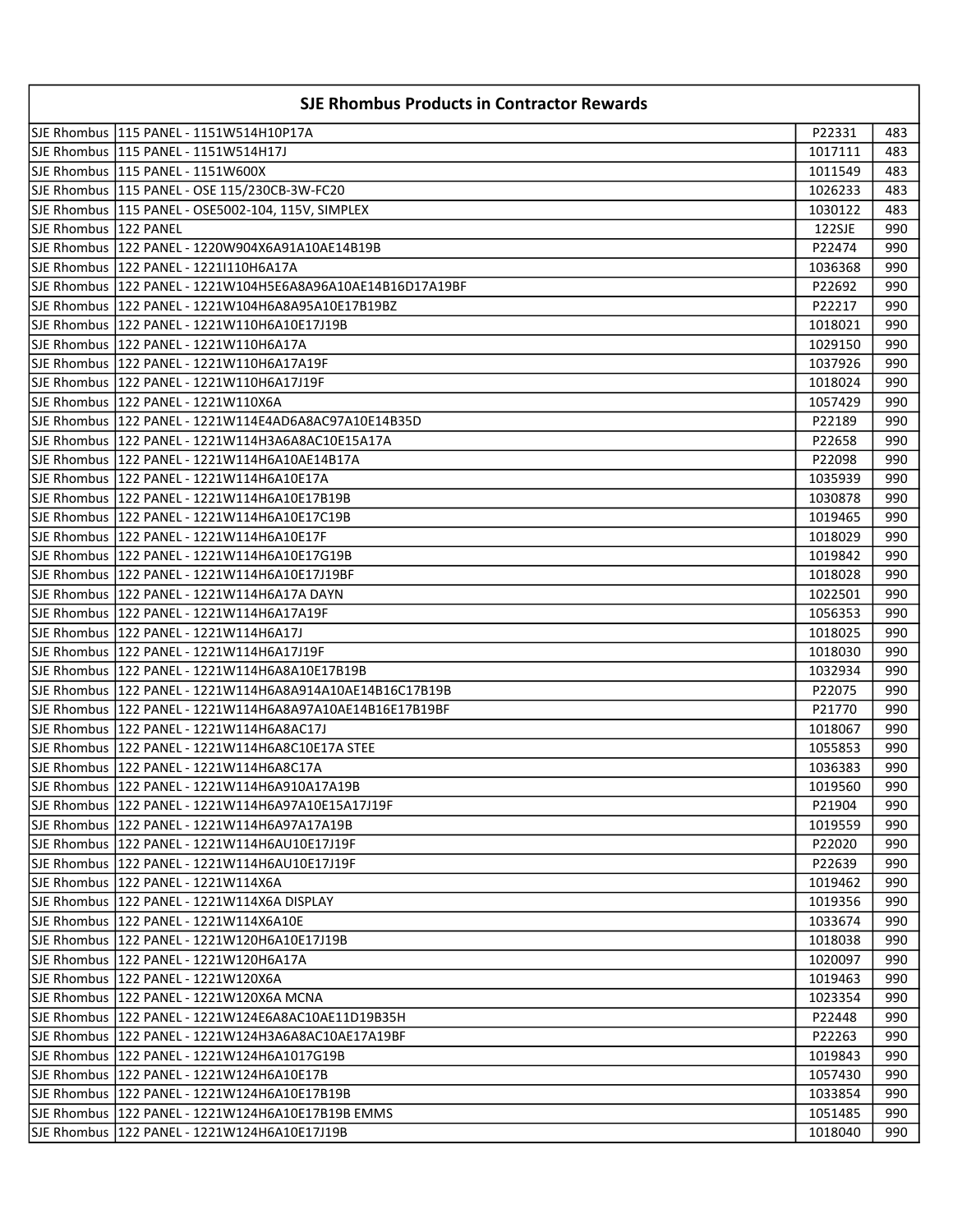| <b>SJE Rhombus Products in Contractor Rewards</b> |                                                             |         |     |
|---------------------------------------------------|-------------------------------------------------------------|---------|-----|
|                                                   | SJE Rhombus   115 PANEL - 1151W514H10P17A                   | P22331  | 483 |
|                                                   | SJE Rhombus   115 PANEL - 1151W514H17J                      | 1017111 | 483 |
|                                                   | SJE Rhombus   115 PANEL - 1151W600X                         | 1011549 | 483 |
|                                                   | SJE Rhombus   115 PANEL - OSE 115/230CB-3W-FC20             | 1026233 | 483 |
|                                                   | SJE Rhombus  115 PANEL - OSE5002-104, 115V, SIMPLEX         | 1030122 | 483 |
| SJE Rhombus   122 PANEL                           |                                                             | 122SJE  | 990 |
|                                                   |                                                             | P22474  | 990 |
|                                                   | SJE Rhombus  122 PANEL - 1221 110H6A17A                     | 1036368 | 990 |
|                                                   |                                                             | P22692  | 990 |
|                                                   |                                                             | P22217  | 990 |
|                                                   | SJE Rhombus   122 PANEL - 1221W110H6A10E17J19B              | 1018021 | 990 |
|                                                   | SJE Rhombus   122 PANEL - 1221W110H6A17A                    | 1029150 | 990 |
|                                                   | SJE Rhombus   122 PANEL - 1221W110H6A17A19F                 | 1037926 | 990 |
|                                                   | SJE Rhombus   122 PANEL - 1221W110H6A17J19F                 | 1018024 | 990 |
|                                                   | SJE Rhombus   122 PANEL - 1221W110X6A                       | 1057429 | 990 |
|                                                   | SJE Rhombus   122 PANEL - 1221W114E4AD6A8AC97A10E14B35D     | P22189  | 990 |
|                                                   | SJE Rhombus   122 PANEL - 1221W114H3A6A8AC10E15A17A         | P22658  | 990 |
|                                                   | SJE Rhombus   122 PANEL - 1221W114H6A10AE14B17A             | P22098  | 990 |
|                                                   | SJE Rhombus   122 PANEL - 1221W114H6A10E17A                 | 1035939 | 990 |
|                                                   |                                                             | 1030878 | 990 |
|                                                   | SJE Rhombus   122 PANEL - 1221W114H6A10E17C19B              | 1019465 | 990 |
|                                                   |                                                             | 1018029 | 990 |
|                                                   |                                                             | 1019842 | 990 |
|                                                   | SJE Rhombus  122 PANEL - 1221W114H6A10E17J19BF              | 1018028 | 990 |
|                                                   | SJE Rhombus  122 PANEL - 1221W114H6A17A DAYN                | 1022501 | 990 |
|                                                   |                                                             | 1056353 | 990 |
|                                                   |                                                             | 1018025 | 990 |
|                                                   | SJE Rhombus   122 PANEL - 1221W114H6A17J19F                 | 1018030 | 990 |
|                                                   | SJE Rhombus   122 PANEL - 1221W114H6A8A10E17B19B            | 1032934 | 990 |
|                                                   | SJE Rhombus   122 PANEL - 1221W114H6A8A914A10AE14B16C17B19B | P22075  | 990 |
|                                                   | SJE Rhombus   122 PANEL - 1221W114H6A8A97A10AE14B16E17B19BF | P21770  | 990 |
|                                                   | SJE Rhombus   122 PANEL - 1221W114H6A8AC17J                 | 1018067 | 990 |
|                                                   | SJE Rhombus   122 PANEL - 1221W114H6A8C10E17A STEE          | 1055853 | 990 |
|                                                   | SJE Rhombus   122 PANEL - 1221W114H6A8C17A                  | 1036383 | 990 |
|                                                   | SJE Rhombus   122 PANEL - 1221W114H6A910A17A19B             | 1019560 | 990 |
|                                                   | SJE Rhombus   122 PANEL - 1221W114H6A97A10E15A17J19F        | P21904  | 990 |
|                                                   | SJE Rhombus   122 PANEL - 1221W114H6A97A17A19B              | 1019559 | 990 |
|                                                   | SJE Rhombus   122 PANEL - 1221W114H6AU10E17J19F             | P22020  | 990 |
|                                                   | SJE Rhombus   122 PANEL - 1221W114H6AU10E17J19F             | P22639  | 990 |
|                                                   | SJE Rhombus   122 PANEL - 1221W114X6A                       | 1019462 | 990 |
|                                                   | SJE Rhombus   122 PANEL - 1221W114X6A DISPLAY               | 1019356 | 990 |
|                                                   | SJE Rhombus   122 PANEL - 1221W114X6A10E                    | 1033674 | 990 |
|                                                   | SJE Rhombus  122 PANEL - 1221W120H6A10E17J19B               | 1018038 | 990 |
|                                                   | SJE Rhombus   122 PANEL - 1221W120H6A17A                    | 1020097 | 990 |
|                                                   | SJE Rhombus   122 PANEL - 1221W120X6A                       | 1019463 | 990 |
|                                                   | SJE Rhombus   122 PANEL - 1221W120X6A MCNA                  | 1023354 | 990 |
|                                                   | SJE Rhombus   122 PANEL - 1221W124E6A8AC10AE11D19B35H       | P22448  | 990 |
|                                                   | SJE Rhombus   122 PANEL - 1221W124H3A6A8AC10AE17A19BF       | P22263  | 990 |
|                                                   | SJE Rhombus   122 PANEL - 1221W124H6A1017G19B               | 1019843 | 990 |
|                                                   | SJE Rhombus   122 PANEL - 1221W124H6A10E17B                 | 1057430 | 990 |
|                                                   | SJE Rhombus   122 PANEL - 1221W124H6A10E17B19B              | 1033854 | 990 |
|                                                   | SJE Rhombus   122 PANEL - 1221W124H6A10E17B19B EMMS         | 1051485 | 990 |
|                                                   |                                                             | 1018040 | 990 |
|                                                   |                                                             |         |     |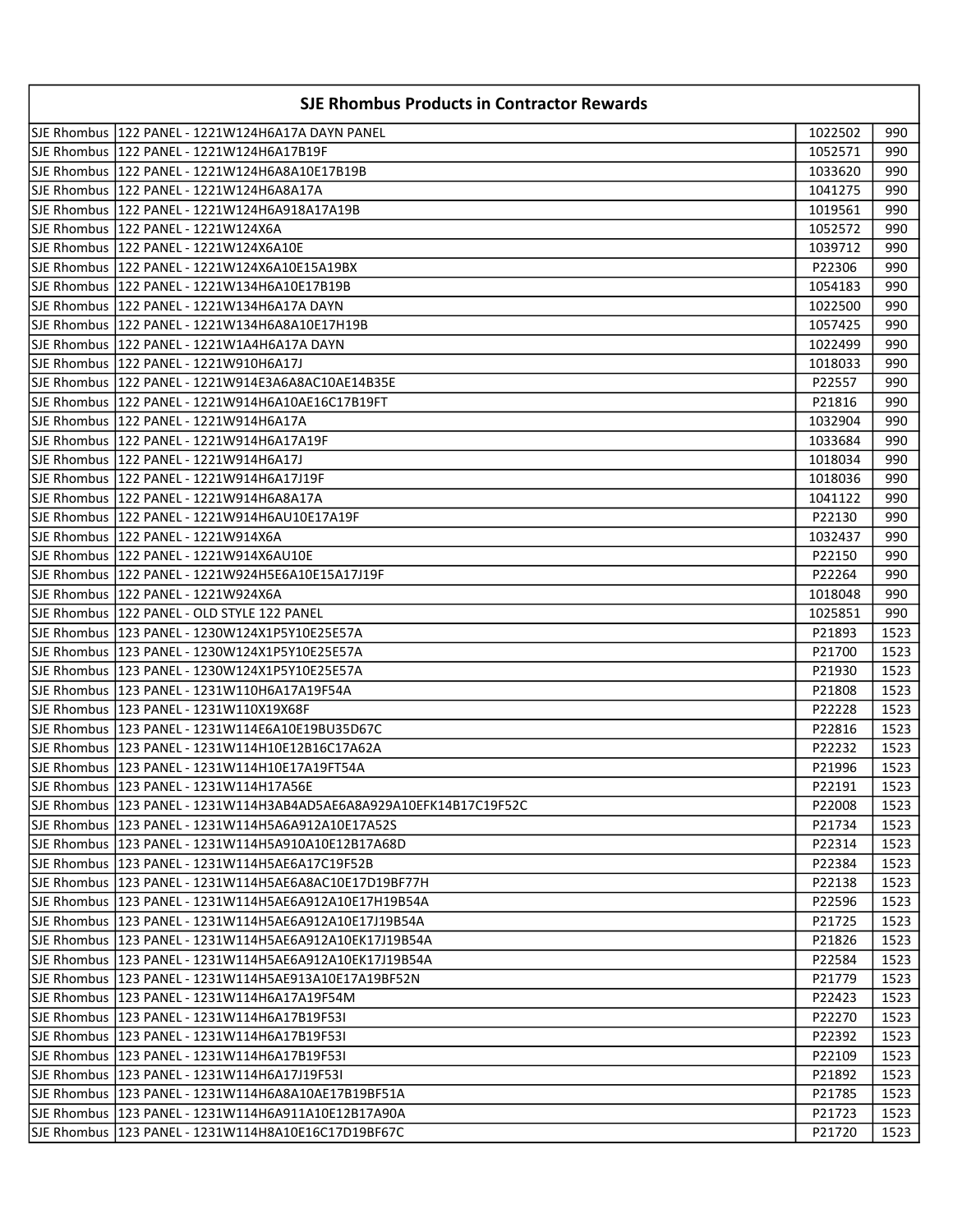| <b>SJE Rhombus Products in Contractor Rewards</b> |                                                           |         |      |
|---------------------------------------------------|-----------------------------------------------------------|---------|------|
|                                                   | ISJE Rhombus  122 PANEL - 1221W124H6A17A DAYN PANEL       | 1022502 | 990  |
|                                                   | SJE Rhombus   122 PANEL - 1221W124H6A17B19F               | 1052571 | 990  |
|                                                   |                                                           | 1033620 | 990  |
|                                                   | SJE Rhombus  122 PANEL - 1221W124H6A8A17A                 | 1041275 | 990  |
|                                                   |                                                           | 1019561 | 990  |
|                                                   | SJE Rhombus  122 PANEL - 1221W124X6A                      | 1052572 | 990  |
|                                                   |                                                           | 1039712 | 990  |
|                                                   | SJE Rhombus  122 PANEL - 1221W124X6A10E15A19BX            | P22306  | 990  |
|                                                   |                                                           | 1054183 | 990  |
|                                                   | SJE Rhombus  122 PANEL - 1221W134H6A17A DAYN              | 1022500 | 990  |
|                                                   | SJE Rhombus   122 PANEL - 1221W134H6A8A10E17H19B          | 1057425 | 990  |
|                                                   | SJE Rhombus   122 PANEL - 1221W1A4H6A17A DAYN             | 1022499 | 990  |
|                                                   | SJE Rhombus   122 PANEL - 1221W910H6A17J                  | 1018033 | 990  |
|                                                   | SJE Rhombus   122 PANEL - 1221W914E3A6A8AC10AE14B35E      | P22557  | 990  |
|                                                   | SJE Rhombus   122 PANEL - 1221W914H6A10AE16C17B19FT       | P21816  | 990  |
|                                                   | SJE Rhombus   122 PANEL - 1221W914H6A17A                  | 1032904 | 990  |
|                                                   | SJE Rhombus   122 PANEL - 1221W914H6A17A19F               | 1033684 | 990  |
|                                                   | SJE Rhombus   122 PANEL - 1221W914H6A17J                  | 1018034 | 990  |
|                                                   | SJE Rhombus   122 PANEL - 1221W914H6A17J19F               | 1018036 | 990  |
|                                                   | SJE Rhombus  122 PANEL - 1221W914H6A8A17A                 | 1041122 | 990  |
|                                                   | SJE Rhombus   122 PANEL - 1221W914H6AU10E17A19F           | P22130  | 990  |
|                                                   | SJE Rhombus  122 PANEL - 1221W914X6A                      | 1032437 | 990  |
|                                                   |                                                           | P22150  | 990  |
|                                                   |                                                           | P22264  | 990  |
|                                                   | SJE Rhombus  122 PANEL - 1221W924X6A                      | 1018048 | 990  |
|                                                   | SJE Rhombus  122 PANEL - OLD STYLE 122 PANEL              | 1025851 | 990  |
|                                                   | SJE Rhombus  123 PANEL - 1230W124X1P5Y10E25E57A           | P21893  | 1523 |
|                                                   | SJE Rhombus   123 PANEL - 1230W124X1P5Y10E25E57A          | P21700  | 1523 |
|                                                   | SJE Rhombus   123 PANEL - 1230W124X1P5Y10E25E57A          | P21930  | 1523 |
|                                                   | SJE Rhombus   123 PANEL - 1231W110H6A17A19F54A            | P21808  | 1523 |
|                                                   | SJE Rhombus   123 PANEL - 1231W110X19X68F                 | P22228  | 1523 |
|                                                   | SJE Rhombus   123 PANEL - 1231W114E6A10E19BU35D67C        | P22816  | 1523 |
|                                                   | SJE Rhombus   123 PANEL - 1231W114H10E12B16C17A62A        | P22232  | 1523 |
|                                                   | SJE Rhombus   123 PANEL - 1231W114H10E17A19FT54A          | P21996  | 1523 |
|                                                   | SJE Rhombus 123 PANEL - 1231W114H17A56E                   | P22191  | 1523 |
|                                                   |                                                           | P22008  | 1523 |
|                                                   | SJE Rhombus   123 PANEL - 1231W114H5A6A912A10E17A52S      | P21734  | 1523 |
|                                                   | SJE Rhombus   123 PANEL - 1231W114H5A910A10E12B17A68D     | P22314  | 1523 |
|                                                   | SJE Rhombus   123 PANEL - 1231W114H5AE6A17C19F52B         | P22384  | 1523 |
|                                                   | SJE Rhombus   123 PANEL - 1231W114H5AE6A8AC10E17D19BF77H  | P22138  | 1523 |
|                                                   | SJE Rhombus   123 PANEL - 1231W114H5AE6A912A10E17H19B54A  | P22596  | 1523 |
|                                                   | SJE Rhombus   123 PANEL - 1231W114H5AE6A912A10E17J19B54A  | P21725  | 1523 |
|                                                   | SJE Rhombus  123 PANEL - 1231W114H5AE6A912A10EK17J19B54A  | P21826  | 1523 |
|                                                   | SJE Rhombus   123 PANEL - 1231W114H5AE6A912A10EK17J19B54A | P22584  | 1523 |
|                                                   | SJE Rhombus   123 PANEL - 1231W114H5AE913A10E17A19BF52N   | P21779  | 1523 |
|                                                   | SJE Rhombus   123 PANEL - 1231W114H6A17A19F54M            | P22423  | 1523 |
|                                                   | SJE Rhombus   123 PANEL - 1231W114H6A17B19F53I            | P22270  | 1523 |
|                                                   | SJE Rhombus   123 PANEL - 1231W114H6A17B19F53I            | P22392  | 1523 |
|                                                   | SJE Rhombus   123 PANEL - 1231W114H6A17B19F53I            | P22109  | 1523 |
|                                                   | SJE Rhombus   123 PANEL - 1231W114H6A17J19F53I            | P21892  | 1523 |
|                                                   | SJE Rhombus   123 PANEL - 1231W114H6A8A10AE17B19BF51A     | P21785  | 1523 |
|                                                   | SJE Rhombus   123 PANEL - 1231W114H6A911A10E12B17A90A     | P21723  | 1523 |
|                                                   | SJE Rhombus   123 PANEL - 1231W114H8A10E16C17D19BF67C     | P21720  | 1523 |
|                                                   |                                                           |         |      |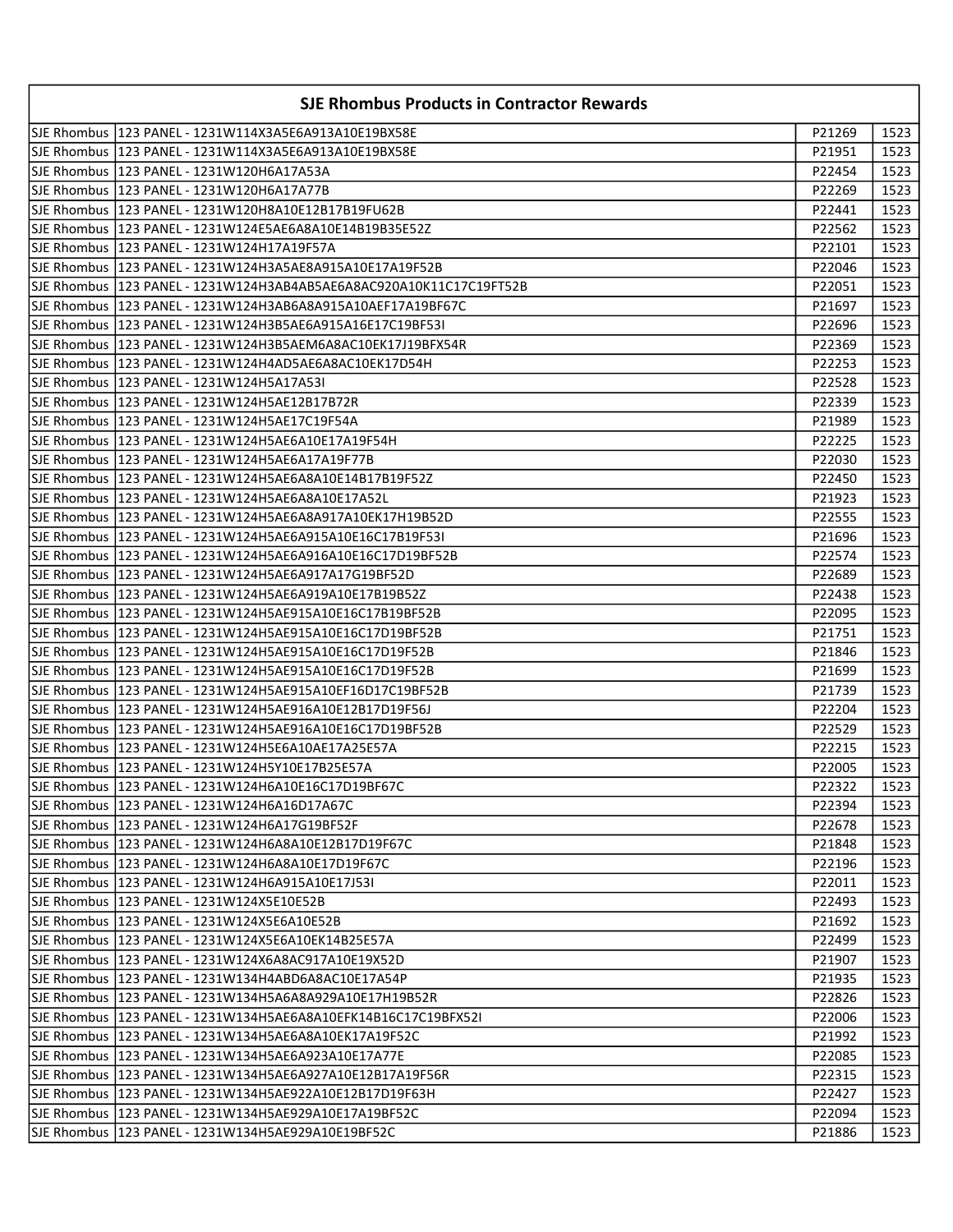| <b>SJE Rhombus Products in Contractor Rewards</b> |                                                                  |        |      |
|---------------------------------------------------|------------------------------------------------------------------|--------|------|
|                                                   |                                                                  | P21269 | 1523 |
|                                                   |                                                                  | P21951 | 1523 |
|                                                   |                                                                  | P22454 | 1523 |
|                                                   |                                                                  | P22269 | 1523 |
|                                                   |                                                                  | P22441 | 1523 |
|                                                   |                                                                  | P22562 | 1523 |
|                                                   | SJE Rhombus   123 PANEL - 1231W124H17A19F57A                     | P22101 | 1523 |
|                                                   | SJE Rhombus   123 PANEL - 1231W124H3A5AE8A915A10E17A19F52B       | P22046 | 1523 |
|                                                   |                                                                  | P22051 | 1523 |
|                                                   |                                                                  | P21697 | 1523 |
|                                                   |                                                                  | P22696 | 1523 |
|                                                   |                                                                  | P22369 | 1523 |
|                                                   |                                                                  | P22253 | 1523 |
|                                                   | ISJE Rhombus 1123 PANEL - 1231W124H5A17A53I                      | P22528 | 1523 |
|                                                   | SJE Rhombus   123 PANEL - 1231W124H5AE12B17B72R                  | P22339 | 1523 |
|                                                   |                                                                  | P21989 | 1523 |
|                                                   |                                                                  | P22225 | 1523 |
|                                                   |                                                                  | P22030 | 1523 |
|                                                   |                                                                  | P22450 | 1523 |
|                                                   | SJE Rhombus  123 PANEL - 1231W124H5AE6A8A10E17A52L               | P21923 | 1523 |
|                                                   |                                                                  | P22555 | 1523 |
|                                                   |                                                                  | P21696 | 1523 |
|                                                   |                                                                  | P22574 | 1523 |
|                                                   |                                                                  | P22689 | 1523 |
|                                                   | SJE Rhombus   123 PANEL - 1231W124H5AE6A919A10E17B19B52Z         | P22438 | 1523 |
|                                                   |                                                                  | P22095 | 1523 |
|                                                   |                                                                  | P21751 | 1523 |
|                                                   |                                                                  | P21846 | 1523 |
|                                                   |                                                                  | P21699 | 1523 |
|                                                   |                                                                  | P21739 | 1523 |
|                                                   |                                                                  | P22204 | 1523 |
|                                                   |                                                                  | P22529 | 1523 |
|                                                   |                                                                  | P22215 | 1523 |
|                                                   | SJE Rhombus   123 PANEL - 1231W124H5Y10E17B25E57A                | P22005 | 1523 |
|                                                   | SJE Rhombus   123 PANEL - 1231W124H6A10E16C17D19BF67C            | P22322 | 1523 |
|                                                   | SJE Rhombus 1123 PANEL - 1231W124H6A16D17A67C                    | P22394 | 1523 |
|                                                   | SJE Rhombus  123 PANEL - 1231W124H6A17G19BF52F                   | P22678 | 1523 |
|                                                   | SJE Rhombus  123 PANEL - 1231W124H6A8A10E12B17D19F67C            | P21848 | 1523 |
|                                                   |                                                                  | P22196 | 1523 |
|                                                   |                                                                  | P22011 | 1523 |
|                                                   | SJE Rhombus  123 PANEL - 1231W124X5E10E52B                       | P22493 | 1523 |
|                                                   | SJE Rhombus   123 PANEL - 1231W124X5E6A10E52B                    | P21692 | 1523 |
|                                                   | SJE Rhombus  123 PANEL - 1231W124X5E6A10EK14B25E57A              | P22499 | 1523 |
|                                                   | SJE Rhombus  123 PANEL - 1231W124X6A8AC917A10E19X52D             | P21907 | 1523 |
|                                                   | SJE Rhombus  123 PANEL - 1231W134H4ABD6A8AC10E17A54P             | P21935 | 1523 |
|                                                   |                                                                  | P22826 | 1523 |
|                                                   | SJE Rhombus   123 PANEL - 1231W134H5AE6A8A10EFK14B16C17C19BFX52I | P22006 | 1523 |
|                                                   | SJE Rhombus   123 PANEL - 1231W134H5AE6A8A10EK17A19F52C          | P21992 | 1523 |
|                                                   | SJE Rhombus   123 PANEL - 1231W134H5AE6A923A10E17A77E            | P22085 | 1523 |
|                                                   | SJE Rhombus   123 PANEL - 1231W134H5AE6A927A10E12B17A19F56R      | P22315 | 1523 |
|                                                   | SJE Rhombus   123 PANEL - 1231W134H5AE922A10E12B17D19F63H        | P22427 | 1523 |
|                                                   | SJE Rhombus  123 PANEL - 1231W134H5AE929A10E17A19BF52C           | P22094 | 1523 |
|                                                   |                                                                  | P21886 | 1523 |
|                                                   |                                                                  |        |      |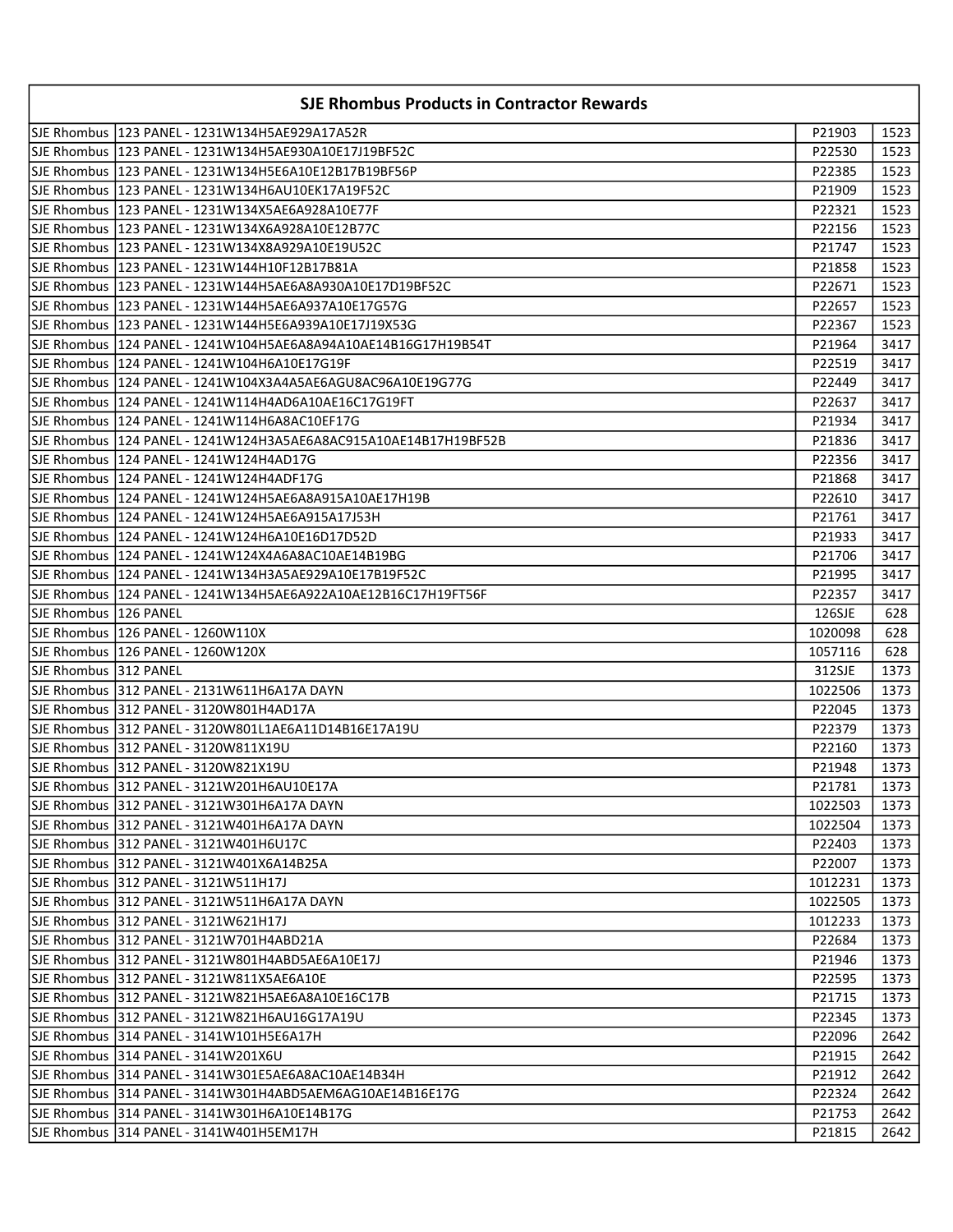| <b>SJE Rhombus Products in Contractor Rewards</b> |                                                                    |         |      |
|---------------------------------------------------|--------------------------------------------------------------------|---------|------|
|                                                   | SJE Rhombus  123 PANEL - 1231W134H5AE929A17A52R                    | P21903  | 1523 |
|                                                   | SJE Rhombus  123 PANEL - 1231W134H5AE930A10E17J19BF52C             | P22530  | 1523 |
|                                                   |                                                                    | P22385  | 1523 |
|                                                   | SJE Rhombus   123 PANEL - 1231W134H6AU10EK17A19F52C                | P21909  | 1523 |
|                                                   | SJE Rhombus   123 PANEL - 1231W134X5AE6A928A10E77F                 | P22321  | 1523 |
|                                                   | SJE Rhombus  123 PANEL - 1231W134X6A928A10E12B77C                  | P22156  | 1523 |
|                                                   | SJE Rhombus  123 PANEL - 1231W134X8A929A10E19U52C                  | P21747  | 1523 |
|                                                   | SJE Rhombus  123 PANEL - 1231W144H10F12B17B81A                     | P21858  | 1523 |
|                                                   |                                                                    | P22671  | 1523 |
|                                                   | SJE Rhombus  123 PANEL - 1231W144H5AE6A937A10E17G57G               | P22657  | 1523 |
|                                                   |                                                                    | P22367  | 1523 |
|                                                   | SJE Rhombus   124 PANEL - 1241W104H5AE6A8A94A10AE14B16G17H19B54T   | P21964  | 3417 |
|                                                   | SJE Rhombus   124 PANEL - 1241W104H6A10E17G19F                     | P22519  | 3417 |
|                                                   | SJE Rhombus   124 PANEL - 1241W104X3A4A5AE6AGU8AC96A10E19G77G      | P22449  | 3417 |
|                                                   | SJE Rhombus   124 PANEL - 1241W114H4AD6A10AE16C17G19FT             | P22637  | 3417 |
|                                                   | SJE Rhombus   124 PANEL - 1241W114H6A8AC10EF17G                    | P21934  | 3417 |
|                                                   | SJE Rhombus   124 PANEL - 1241W124H3A5AE6A8AC915A10AE14B17H19BF52B | P21836  | 3417 |
|                                                   | SJE Rhombus   124 PANEL - 1241W124H4AD17G                          | P22356  | 3417 |
|                                                   | SJE Rhombus   124 PANEL - 1241W124H4ADF17G                         | P21868  | 3417 |
|                                                   |                                                                    | P22610  | 3417 |
|                                                   | SJE Rhombus   124 PANEL - 1241W124H5AE6A915A17J53H                 | P21761  | 3417 |
|                                                   | SJE Rhombus  124 PANEL - 1241W124H6A10E16D17D52D                   | P21933  | 3417 |
|                                                   | SJE Rhombus  124 PANEL - 1241W124X4A6A8AC10AE14B19BG               | P21706  | 3417 |
|                                                   |                                                                    | P21995  | 3417 |
|                                                   |                                                                    | P22357  | 3417 |
| SJE Rhombus  126 PANEL                            |                                                                    | 126SJE  | 628  |
|                                                   | SJE Rhombus 126 PANEL - 1260W110X                                  | 1020098 | 628  |
|                                                   | SJE Rhombus   126 PANEL - 1260W120X                                | 1057116 | 628  |
| SJE Rhombus 312 PANEL                             |                                                                    | 312SJE  | 1373 |
|                                                   | SJE Rhombus 312 PANEL - 2131W611H6A17A DAYN                        | 1022506 | 1373 |
|                                                   | SJE Rhombus 312 PANEL - 3120W801H4AD17A                            | P22045  | 1373 |
|                                                   | SJE Rhombus 312 PANEL - 3120W801L1AE6A11D14B16E17A19U              | P22379  | 1373 |
|                                                   | SJE Rhombus 312 PANEL - 3120W811X19U                               | P22160  | 1373 |
|                                                   | SJE Rhombus 312 PANEL - 3120W821X19U                               | P21948  | 1373 |
|                                                   | SJE Rhombus 312 PANEL - 3121W201H6AU10E17A                         | P21781  | 1373 |
|                                                   | SJE Rhombus 312 PANEL - 3121W301H6A17A DAYN                        | 1022503 | 1373 |
|                                                   | SJE Rhombus 312 PANEL - 3121W401H6A17A DAYN                        | 1022504 | 1373 |
|                                                   | SJE Rhombus 312 PANEL - 3121W401H6U17C                             | P22403  | 1373 |
|                                                   | SJE Rhombus   312 PANEL - 3121W401X6A14B25A                        | P22007  | 1373 |
|                                                   | SJE Rhombus 312 PANEL - 3121W511H17J                               | 1012231 | 1373 |
|                                                   | SJE Rhombus 312 PANEL - 3121W511H6A17A DAYN                        | 1022505 | 1373 |
|                                                   | SJE Rhombus   312 PANEL - 3121W621H17J                             | 1012233 | 1373 |
|                                                   | SJE Rhombus   312 PANEL - 3121W701H4ABD21A                         | P22684  | 1373 |
|                                                   | SJE Rhombus 312 PANEL - 3121W801H4ABD5AE6A10E17J                   | P21946  | 1373 |
|                                                   | SJE Rhombus 312 PANEL - 3121W811X5AE6A10E                          | P22595  | 1373 |
|                                                   | SJE Rhombus 312 PANEL - 3121W821H5AE6A8A10E16C17B                  | P21715  | 1373 |
|                                                   | SJE Rhombus 312 PANEL - 3121W821H6AU16G17A19U                      | P22345  | 1373 |
|                                                   | SJE Rhombus 314 PANEL - 3141W101H5E6A17H                           | P22096  | 2642 |
|                                                   | SJE Rhombus 314 PANEL - 3141W201X6U                                | P21915  | 2642 |
|                                                   | SJE Rhombus 314 PANEL - 3141W301E5AE6A8AC10AE14B34H                | P21912  | 2642 |
|                                                   | SJE Rhombus 314 PANEL - 3141W301H4ABD5AEM6AG10AE14B16E17G          | P22324  | 2642 |
|                                                   | SJE Rhombus 314 PANEL - 3141W301H6A10E14B17G                       | P21753  | 2642 |
|                                                   | SJE Rhombus 314 PANEL - 3141W401H5EM17H                            | P21815  | 2642 |
|                                                   |                                                                    |         |      |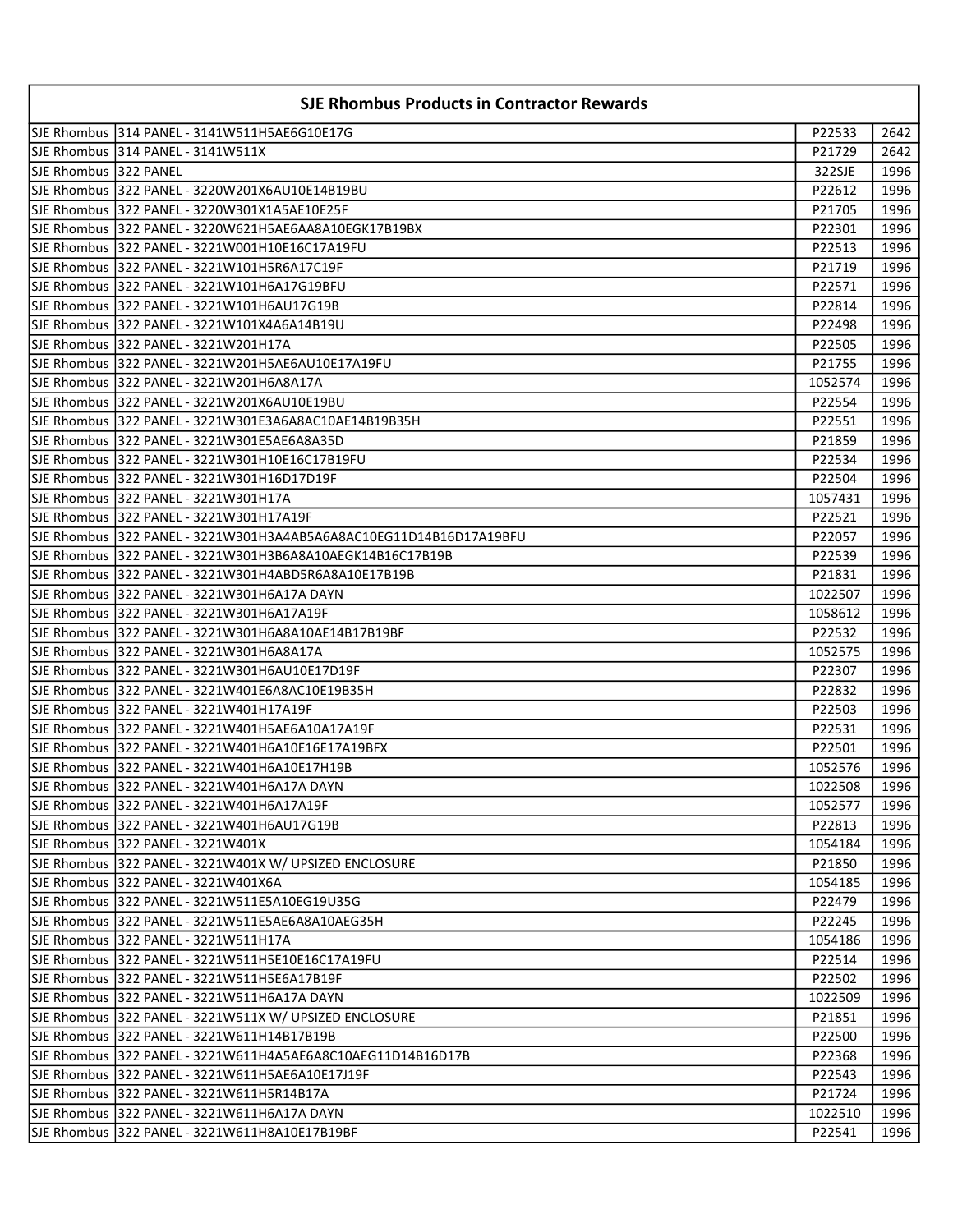| <b>SJE Rhombus Products in Contractor Rewards</b> |                                                                     |                    |              |
|---------------------------------------------------|---------------------------------------------------------------------|--------------------|--------------|
|                                                   |                                                                     | P22533             | 2642         |
|                                                   | SJE Rhombus 314 PANEL - 3141W511X                                   | P21729             | 2642         |
| SJE Rhombus 322 PANEL                             |                                                                     | 322SJE             | 1996         |
|                                                   | SJE Rhombus 322 PANEL - 3220W201X6AU10E14B19BU                      | P22612             | 1996         |
|                                                   | SJE Rhombus 322 PANEL - 3220W301X1A5AE10E25F                        | P21705             | 1996         |
|                                                   | SJE Rhombus  322 PANEL - 3220W621H5AE6AA8A10EGK17B19BX              | P22301             | 1996         |
|                                                   | SJE Rhombus   322 PANEL - 3221W001H10E16C17A19FU                    | P22513             | 1996         |
|                                                   | SJE Rhombus   322 PANEL - 3221W101H5R6A17C19F                       | P21719             | 1996         |
|                                                   | SJE Rhombus 322 PANEL - 3221W101H6A17G19BFU                         | P22571             | 1996         |
|                                                   |                                                                     | P22814             | 1996         |
|                                                   | SJE Rhombus 322 PANEL - 3221W101X4A6A14B19U                         | P22498             | 1996         |
|                                                   |                                                                     | P22505             | 1996         |
|                                                   |                                                                     | P21755             | 1996         |
|                                                   | SJE Rhombus  322 PANEL - 3221W201H6A8A17A                           | 1052574            | 1996         |
|                                                   |                                                                     | P22554             | 1996         |
|                                                   |                                                                     | P22551             | 1996         |
|                                                   |                                                                     | P21859             | 1996         |
|                                                   |                                                                     | P22534             | 1996         |
|                                                   | SJE Rhombus 322 PANEL - 3221W301H16D17D19F                          | P22504             | 1996         |
|                                                   | SJE Rhombus 322 PANEL - 3221W301H17A                                | 1057431            | 1996         |
|                                                   | SJE Rhombus 322 PANEL - 3221W301H17A19F                             | P22521             | 1996         |
|                                                   | SJE Rhombus  322 PANEL - 3221W301H3A4AB5A6A8AC10EG11D14B16D17A19BFU | P22057             | 1996         |
|                                                   | SJE Rhombus 322 PANEL - 3221W301H3B6A8A10AEGK14B16C17B19B           | P22539             | 1996         |
|                                                   | SJE Rhombus 322 PANEL - 3221W301H4ABD5R6A8A10E17B19B                | P21831             | 1996         |
|                                                   | SJE Rhombus 322 PANEL - 3221W301H6A17A DAYN                         | 1022507            | 1996         |
|                                                   | SJE Rhombus 322 PANEL - 3221W301H6A17A19F                           | 1058612            | 1996         |
|                                                   |                                                                     | P22532             | 1996         |
|                                                   |                                                                     | 1052575            | 1996         |
|                                                   |                                                                     | P22307             | 1996         |
|                                                   |                                                                     | P22832             | 1996         |
|                                                   | SJE Rhombus  322 PANEL - 3221W401H17A19F                            | P22503             | 1996         |
|                                                   |                                                                     | P22531             | 1996         |
|                                                   |                                                                     | P22501             | 1996         |
|                                                   | SJE Rhombus 322 PANEL - 3221W401H6A10E17H19B                        |                    | 1996         |
|                                                   | SJE Rhombus 322 PANEL - 3221W401H6A17A DAYN                         | 1052576<br>1022508 | 1996         |
|                                                   | SJE Rhombus 322 PANEL - 3221W401H6A17A19F                           | 1052577            | 1996         |
|                                                   | SJE Rhombus 322 PANEL - 3221W401H6AU17G19B                          | P22813             | 1996         |
|                                                   | SJE Rhombus 322 PANEL - 3221W401X                                   | 1054184            | 1996         |
|                                                   | SJE Rhombus 322 PANEL - 3221W401X W/ UPSIZED ENCLOSURE              | P21850             | 1996         |
|                                                   | SJE Rhombus 322 PANEL - 3221W401X6A                                 | 1054185            | 1996         |
|                                                   | SJE Rhombus 322 PANEL - 3221W511E5A10EG19U35G                       | P22479             | 1996         |
|                                                   | SJE Rhombus 322 PANEL - 3221W511E5AE6A8A10AEG35H                    | P22245             | 1996         |
|                                                   | SJE Rhombus 322 PANEL - 3221W511H17A                                |                    |              |
|                                                   | SJE Rhombus   322 PANEL - 3221W511H5E10E16C17A19FU                  | 1054186            | 1996         |
|                                                   |                                                                     | P22514<br>P22502   | 1996<br>1996 |
|                                                   | SJE Rhombus   322 PANEL - 3221W511H6A17A DAYN                       | 1022509            | 1996         |
|                                                   |                                                                     |                    |              |
|                                                   | SJE Rhombus   322 PANEL - 3221W511X W/ UPSIZED ENCLOSURE            | P21851             | 1996         |
|                                                   | SJE Rhombus  322 PANEL - 3221W611H14B17B19B                         | P22500             | 1996         |
|                                                   | SJE Rhombus   322 PANEL - 3221W611H4A5AE6A8C10AEG11D14B16D17B       | P22368             | 1996         |
|                                                   | SJE Rhombus 322 PANEL - 3221W611H5AE6A10E17J19F                     | P22543             | 1996         |
|                                                   | SJE Rhombus 322 PANEL - 3221W611H5R14B17A                           | P21724             | 1996         |
|                                                   | SJE Rhombus 322 PANEL - 3221W611H6A17A DAYN                         | 1022510            | 1996         |
|                                                   | SJE Rhombus   322 PANEL - 3221W611H8A10E17B19BF                     | P22541             | 1996         |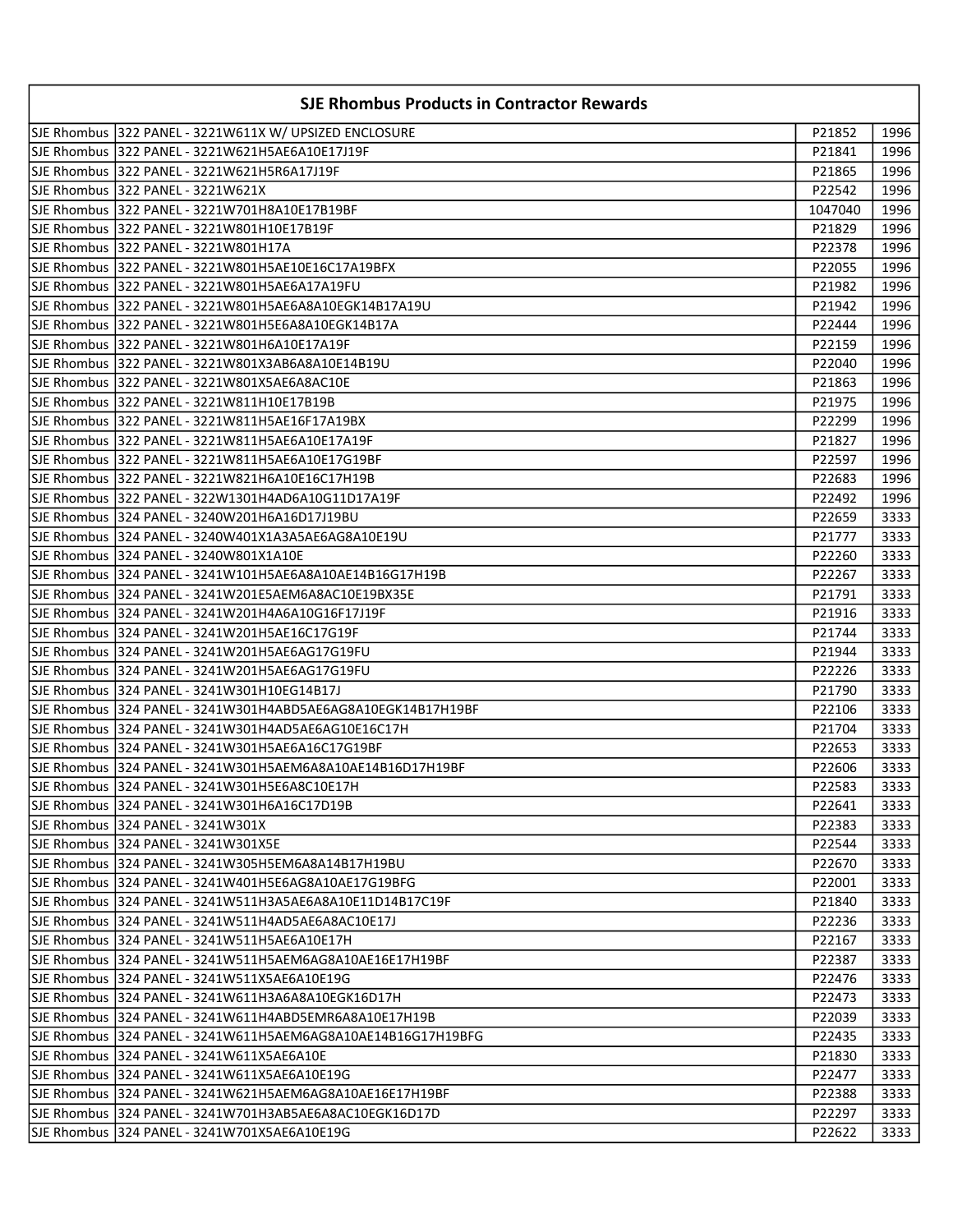| <b>SJE Rhombus Products in Contractor Rewards</b> |                                                                |         |      |
|---------------------------------------------------|----------------------------------------------------------------|---------|------|
|                                                   | SJE Rhombus 322 PANEL - 3221W611X W/ UPSIZED ENCLOSURE         | P21852  | 1996 |
|                                                   | SJE Rhombus   322 PANEL - 3221W621H5AE6A10E17J19F              | P21841  | 1996 |
|                                                   | SJE Rhombus 1322 PANEL - 3221W621H5R6A17J19F                   | P21865  | 1996 |
|                                                   | SJE Rhombus 1322 PANEL - 3221W621X                             | P22542  | 1996 |
|                                                   |                                                                | 1047040 | 1996 |
|                                                   |                                                                | P21829  | 1996 |
|                                                   | SJE Rhombus 322 PANEL - 3221W801H17A                           | P22378  | 1996 |
|                                                   | SJE Rhombus   322 PANEL - 3221W801H5AE10E16C17A19BFX           | P22055  | 1996 |
|                                                   | SJE Rhombus 1322 PANEL - 3221W801H5AE6A17A19FU                 | P21982  | 1996 |
|                                                   |                                                                | P21942  | 1996 |
|                                                   |                                                                | P22444  | 1996 |
|                                                   |                                                                | P22159  | 1996 |
|                                                   |                                                                | P22040  | 1996 |
|                                                   | SJE Rhombus   322 PANEL - 3221W801X5AE6A8AC10E                 | P21863  | 1996 |
|                                                   |                                                                | P21975  | 1996 |
|                                                   |                                                                | P22299  | 1996 |
|                                                   |                                                                | P21827  | 1996 |
|                                                   |                                                                | P22597  | 1996 |
|                                                   |                                                                | P22683  | 1996 |
|                                                   |                                                                | P22492  | 1996 |
|                                                   |                                                                | P22659  | 3333 |
|                                                   |                                                                | P21777  | 3333 |
|                                                   | SJE Rhombus 1324 PANEL - 3240W801X1A10E                        | P22260  | 3333 |
|                                                   | SJE Rhombus   324 PANEL - 3241W101H5AE6A8A10AE14B16G17H19B     | P22267  | 3333 |
|                                                   | SJE Rhombus   324 PANEL - 3241W201E5AEM6A8AC10E19BX35E         | P21791  | 3333 |
|                                                   |                                                                | P21916  | 3333 |
|                                                   |                                                                | P21744  | 3333 |
|                                                   | SJE Rhombus  324 PANEL - 3241W201H5AE6AG17G19FU                | P21944  | 3333 |
|                                                   | SJE Rhombus  324 PANEL - 3241W201H5AE6AG17G19FU                | P22226  | 3333 |
|                                                   |                                                                | P21790  | 3333 |
|                                                   | SJE Rhombus   324 PANEL - 3241W301H4ABD5AE6AG8A10EGK14B17H19BF | P22106  | 3333 |
|                                                   |                                                                | P21704  | 3333 |
|                                                   | SJE Rhombus 324 PANEL - 3241W301H5AE6A16C17G19BF               | P22653  | 3333 |
|                                                   | SJE Rhombus 324 PANEL - 3241W301H5AEM6A8A10AE14B16D17H19BF     | P22606  | 3333 |
|                                                   | SJE Rhombus 324 PANEL - 3241W301H5E6A8C10E17H                  | P22583  | 3333 |
|                                                   |                                                                | P22641  | 3333 |
|                                                   | SJE Rhombus   324 PANEL - 3241W301X                            | P22383  | 3333 |
|                                                   | SJE Rhombus 324 PANEL - 3241W301X5E                            | P22544  | 3333 |
|                                                   | SJE Rhombus 1324 PANEL - 3241W305H5EM6A8A14B17H19BU            | P22670  | 3333 |
|                                                   | SJE Rhombus 1324 PANEL - 3241W401H5E6AG8A10AE17G19BFG          | P22001  | 3333 |
|                                                   | SJE Rhombus   324 PANEL - 3241W511H3A5AE6A8A10E11D14B17C19F    | P21840  | 3333 |
|                                                   |                                                                | P22236  | 3333 |
|                                                   |                                                                | P22167  | 3333 |
|                                                   | SJE Rhombus 1324 PANEL - 3241W511H5AEM6AG8A10AE16E17H19BF      | P22387  | 3333 |
|                                                   | SJE Rhombus   324 PANEL - 3241W511X5AE6A10E19G                 | P22476  | 3333 |
|                                                   |                                                                | P22473  | 3333 |
|                                                   | SJE Rhombus   324 PANEL - 3241W611H4ABD5EMR6A8A10E17H19B       | P22039  | 3333 |
|                                                   | SJE Rhombus   324 PANEL - 3241W611H5AEM6AG8A10AE14B16G17H19BFG | P22435  | 3333 |
|                                                   | SJE Rhombus   324 PANEL - 3241W611X5AE6A10E                    | P21830  | 3333 |
|                                                   | SJE Rhombus   324 PANEL - 3241W611X5AE6A10E19G                 | P22477  | 3333 |
|                                                   | SJE Rhombus   324 PANEL - 3241W621H5AEM6AG8A10AE16E17H19BF     | P22388  | 3333 |
|                                                   | SJE Rhombus   324 PANEL - 3241W701H3AB5AE6A8AC10EGK16D17D      | P22297  | 3333 |
|                                                   |                                                                | P22622  | 3333 |
|                                                   |                                                                |         |      |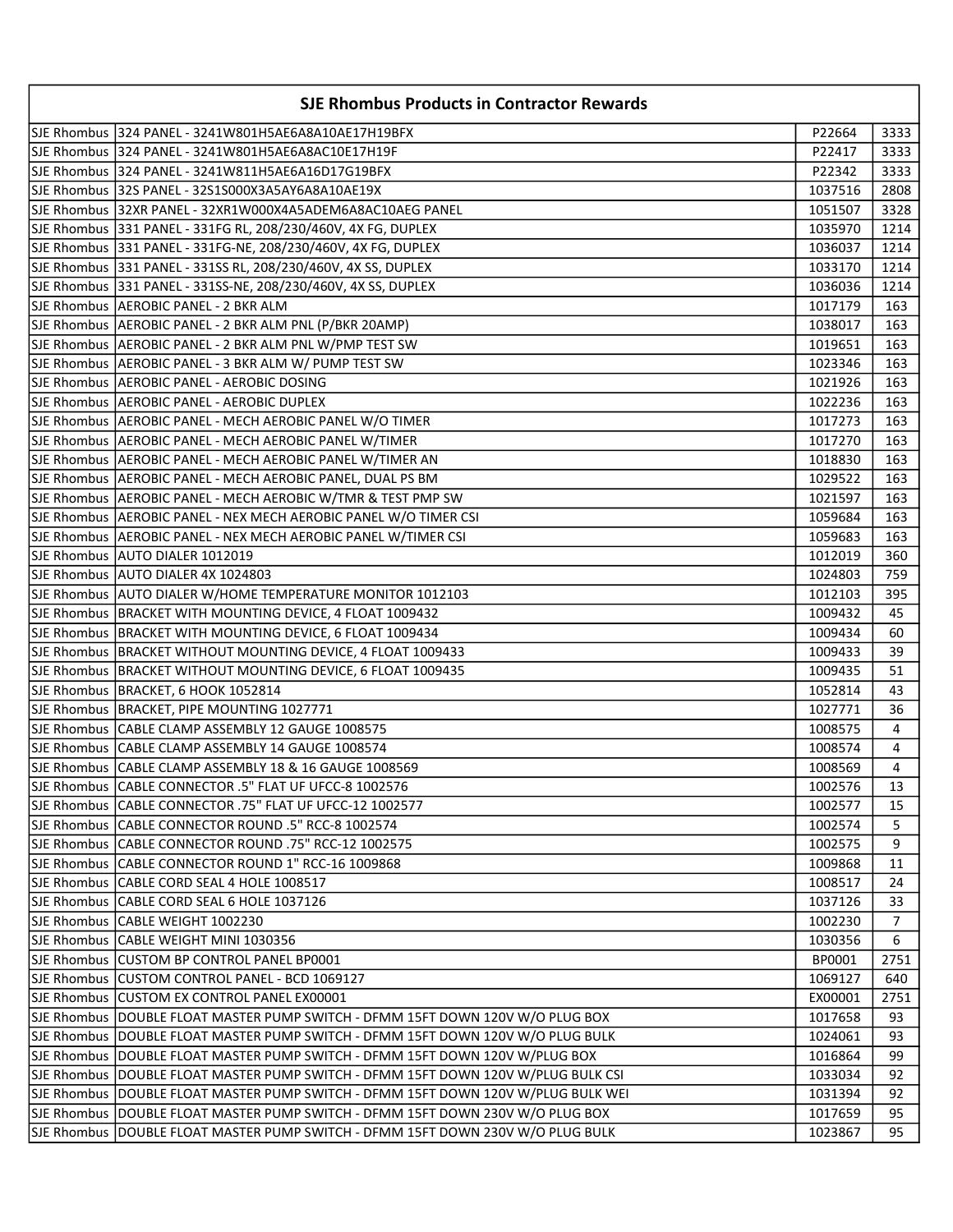| SJE Rhombus 324 PANEL - 3241W801H5AE6A8A10AE17H19BFX<br>P22664<br>3333<br>SJE Rhombus 324 PANEL - 3241W801H5AE6A8AC10E17H19F<br>3333<br>P22417<br>SJE Rhombus  324 PANEL - 3241W811H5AE6A16D17G19BFX<br>P22342<br>3333<br>SJE Rhombus 32S PANEL - 32S1S000X3A5AY6A8A10AE19X<br>1037516<br>2808<br>SJE Rhombus  32XR PANEL - 32XR1W000X4A5ADEM6A8AC10AEG PANEL<br>1051507<br>3328<br>1035970<br>1214<br>SJE Rhombus  331 PANEL - 331FG-NE, 208/230/460V, 4X FG, DUPLEX<br>1036037<br>1214<br>SJE Rhombus 331 PANEL - 331SS RL, 208/230/460V, 4X SS, DUPLEX<br>1214<br>1033170<br>SJE Rhombus 331 PANEL - 331SS-NE, 208/230/460V, 4X SS, DUPLEX<br>1036036<br>1214<br>SJE Rhombus AEROBIC PANEL - 2 BKR ALM<br>1017179<br>163<br>SJE Rhombus   AEROBIC PANEL - 2 BKR ALM PNL (P/BKR 20AMP)<br>1038017<br>163<br>SJE Rhombus AEROBIC PANEL - 2 BKR ALM PNL W/PMP TEST SW<br>1019651<br>163<br>SJE Rhombus AEROBIC PANEL - 3 BKR ALM W/ PUMP TEST SW<br>1023346<br>163<br>SJE Rhombus   AEROBIC PANEL - AEROBIC DOSING<br>1021926<br>163<br>SJE Rhombus   AEROBIC PANEL - AEROBIC DUPLEX<br>163<br>1022236<br>SJE Rhombus   AEROBIC PANEL - MECH AEROBIC PANEL W/O TIMER<br>1017273<br>163<br>SJE Rhombus AEROBIC PANEL - MECH AEROBIC PANEL W/TIMER<br>1017270<br>163<br>SJE Rhombus AEROBIC PANEL - MECH AEROBIC PANEL W/TIMER AN<br>1018830<br>163<br>SJE Rhombus AEROBIC PANEL - MECH AEROBIC PANEL, DUAL PS BM<br>163<br>1029522<br>SJE Rhombus  AEROBIC PANEL - MECH AEROBIC W/TMR & TEST PMP SW<br>1021597<br>163<br>SJE Rhombus AEROBIC PANEL - NEX MECH AEROBIC PANEL W/O TIMER CSI<br>1059684<br>163<br>SJE Rhombus   AEROBIC PANEL - NEX MECH AEROBIC PANEL W/TIMER CSI<br>1059683<br>163<br>SJE Rhombus  AUTO DIALER 1012019<br>1012019<br>360<br>SJE Rhombus AUTO DIALER 4X 1024803<br>1024803<br>759<br>SJE Rhombus AUTO DIALER W/HOME TEMPERATURE MONITOR 1012103<br>395<br>1012103<br>SJE Rhombus   BRACKET WITH MOUNTING DEVICE, 4 FLOAT 1009432<br>1009432<br>45<br>SJE Rhombus   BRACKET WITH MOUNTING DEVICE, 6 FLOAT 1009434<br>1009434<br>60<br>SJE Rhombus   BRACKET WITHOUT MOUNTING DEVICE, 4 FLOAT 1009433<br>1009433<br>39<br>SJE Rhombus   BRACKET WITHOUT MOUNTING DEVICE, 6 FLOAT 1009435<br>1009435<br>51<br>SJE Rhombus BRACKET, 6 HOOK 1052814<br>1052814<br>43<br>SJE Rhombus   BRACKET, PIPE MOUNTING 1027771<br>36<br>1027771<br>SJE Rhombus CABLE CLAMP ASSEMBLY 12 GAUGE 1008575<br>1008575<br>4<br>SJE Rhombus CABLE CLAMP ASSEMBLY 14 GAUGE 1008574<br>1008574<br>4<br>SJE Rhombus CABLE CLAMP ASSEMBLY 18 & 16 GAUGE 1008569<br>1008569<br>4<br>SJE Rhombus CABLE CONNECTOR .5" FLAT UF UFCC-8 1002576<br>13<br>1002576<br>SJE Rhombus CABLE CONNECTOR .75" FLAT UF UFCC-12 1002577<br>1002577<br>15<br>SJE Rhombus CABLE CONNECTOR ROUND .5" RCC-8 1002574<br>1002574<br>5<br>SJE Rhombus CABLE CONNECTOR ROUND .75" RCC-12 1002575<br>1002575<br>9<br>SJE Rhombus   CABLE CONNECTOR ROUND 1" RCC-16 1009868<br>1009868<br>11<br>SJE Rhombus   CABLE CORD SEAL 4 HOLE 1008517<br>1008517<br>24<br>SJE Rhombus   CABLE CORD SEAL 6 HOLE 1037126<br>1037126<br>33<br>SJE Rhombus CABLE WEIGHT 1002230<br>1002230<br>$\overline{7}$<br>SJE Rhombus CABLE WEIGHT MINI 1030356<br>1030356<br>6<br>SJE Rhombus CUSTOM BP CONTROL PANEL BP0001<br>BP0001<br>2751<br>SJE Rhombus CUSTOM CONTROL PANEL - BCD 1069127<br>1069127<br>640<br>SJE Rhombus CUSTOM EX CONTROL PANEL EX00001<br>EX00001<br>2751<br>SJE Rhombus DOUBLE FLOAT MASTER PUMP SWITCH - DFMM 15FT DOWN 120V W/O PLUG BOX<br>1017658<br>93<br>SJE Rhombus DOUBLE FLOAT MASTER PUMP SWITCH - DFMM 15FT DOWN 120V W/O PLUG BULK<br>93<br>1024061<br>SJE Rhombus DOUBLE FLOAT MASTER PUMP SWITCH - DFMM 15FT DOWN 120V W/PLUG BOX<br>1016864<br>99<br>SJE Rhombus DOUBLE FLOAT MASTER PUMP SWITCH - DFMM 15FT DOWN 120V W/PLUG BULK CSI<br>1033034<br>92<br>SJE Rhombus DOUBLE FLOAT MASTER PUMP SWITCH - DFMM 15FT DOWN 120V W/PLUG BULK WEI<br>1031394<br>92<br>SJE Rhombus DOUBLE FLOAT MASTER PUMP SWITCH - DFMM 15FT DOWN 230V W/O PLUG BOX<br>1017659<br>95<br>SJE Rhombus DOUBLE FLOAT MASTER PUMP SWITCH - DFMM 15FT DOWN 230V W/O PLUG BULK<br>95<br>1023867 | <b>SJE Rhombus Products in Contractor Rewards</b> |  |
|------------------------------------------------------------------------------------------------------------------------------------------------------------------------------------------------------------------------------------------------------------------------------------------------------------------------------------------------------------------------------------------------------------------------------------------------------------------------------------------------------------------------------------------------------------------------------------------------------------------------------------------------------------------------------------------------------------------------------------------------------------------------------------------------------------------------------------------------------------------------------------------------------------------------------------------------------------------------------------------------------------------------------------------------------------------------------------------------------------------------------------------------------------------------------------------------------------------------------------------------------------------------------------------------------------------------------------------------------------------------------------------------------------------------------------------------------------------------------------------------------------------------------------------------------------------------------------------------------------------------------------------------------------------------------------------------------------------------------------------------------------------------------------------------------------------------------------------------------------------------------------------------------------------------------------------------------------------------------------------------------------------------------------------------------------------------------------------------------------------------------------------------------------------------------------------------------------------------------------------------------------------------------------------------------------------------------------------------------------------------------------------------------------------------------------------------------------------------------------------------------------------------------------------------------------------------------------------------------------------------------------------------------------------------------------------------------------------------------------------------------------------------------------------------------------------------------------------------------------------------------------------------------------------------------------------------------------------------------------------------------------------------------------------------------------------------------------------------------------------------------------------------------------------------------------------------------------------------------------------------------------------------------------------------------------------------------------------------------------------------------------------------------------------------------------------------------------------------------------------------------------------------------------------------------------------------------------------------------------------------------------------------------------------------------------------------------------------------------------------------------------------------------------------------------------------------------------------------------------------------------------------------------------------------------------------------------------------------------------------------------------------------------------------------------------------------------------------------------------------------------------------------------------------|---------------------------------------------------|--|
|                                                                                                                                                                                                                                                                                                                                                                                                                                                                                                                                                                                                                                                                                                                                                                                                                                                                                                                                                                                                                                                                                                                                                                                                                                                                                                                                                                                                                                                                                                                                                                                                                                                                                                                                                                                                                                                                                                                                                                                                                                                                                                                                                                                                                                                                                                                                                                                                                                                                                                                                                                                                                                                                                                                                                                                                                                                                                                                                                                                                                                                                                                                                                                                                                                                                                                                                                                                                                                                                                                                                                                                                                                                                                                                                                                                                                                                                                                                                                                                                                                                                                                                                                                  |                                                   |  |
|                                                                                                                                                                                                                                                                                                                                                                                                                                                                                                                                                                                                                                                                                                                                                                                                                                                                                                                                                                                                                                                                                                                                                                                                                                                                                                                                                                                                                                                                                                                                                                                                                                                                                                                                                                                                                                                                                                                                                                                                                                                                                                                                                                                                                                                                                                                                                                                                                                                                                                                                                                                                                                                                                                                                                                                                                                                                                                                                                                                                                                                                                                                                                                                                                                                                                                                                                                                                                                                                                                                                                                                                                                                                                                                                                                                                                                                                                                                                                                                                                                                                                                                                                                  |                                                   |  |
|                                                                                                                                                                                                                                                                                                                                                                                                                                                                                                                                                                                                                                                                                                                                                                                                                                                                                                                                                                                                                                                                                                                                                                                                                                                                                                                                                                                                                                                                                                                                                                                                                                                                                                                                                                                                                                                                                                                                                                                                                                                                                                                                                                                                                                                                                                                                                                                                                                                                                                                                                                                                                                                                                                                                                                                                                                                                                                                                                                                                                                                                                                                                                                                                                                                                                                                                                                                                                                                                                                                                                                                                                                                                                                                                                                                                                                                                                                                                                                                                                                                                                                                                                                  |                                                   |  |
|                                                                                                                                                                                                                                                                                                                                                                                                                                                                                                                                                                                                                                                                                                                                                                                                                                                                                                                                                                                                                                                                                                                                                                                                                                                                                                                                                                                                                                                                                                                                                                                                                                                                                                                                                                                                                                                                                                                                                                                                                                                                                                                                                                                                                                                                                                                                                                                                                                                                                                                                                                                                                                                                                                                                                                                                                                                                                                                                                                                                                                                                                                                                                                                                                                                                                                                                                                                                                                                                                                                                                                                                                                                                                                                                                                                                                                                                                                                                                                                                                                                                                                                                                                  |                                                   |  |
|                                                                                                                                                                                                                                                                                                                                                                                                                                                                                                                                                                                                                                                                                                                                                                                                                                                                                                                                                                                                                                                                                                                                                                                                                                                                                                                                                                                                                                                                                                                                                                                                                                                                                                                                                                                                                                                                                                                                                                                                                                                                                                                                                                                                                                                                                                                                                                                                                                                                                                                                                                                                                                                                                                                                                                                                                                                                                                                                                                                                                                                                                                                                                                                                                                                                                                                                                                                                                                                                                                                                                                                                                                                                                                                                                                                                                                                                                                                                                                                                                                                                                                                                                                  |                                                   |  |
|                                                                                                                                                                                                                                                                                                                                                                                                                                                                                                                                                                                                                                                                                                                                                                                                                                                                                                                                                                                                                                                                                                                                                                                                                                                                                                                                                                                                                                                                                                                                                                                                                                                                                                                                                                                                                                                                                                                                                                                                                                                                                                                                                                                                                                                                                                                                                                                                                                                                                                                                                                                                                                                                                                                                                                                                                                                                                                                                                                                                                                                                                                                                                                                                                                                                                                                                                                                                                                                                                                                                                                                                                                                                                                                                                                                                                                                                                                                                                                                                                                                                                                                                                                  |                                                   |  |
|                                                                                                                                                                                                                                                                                                                                                                                                                                                                                                                                                                                                                                                                                                                                                                                                                                                                                                                                                                                                                                                                                                                                                                                                                                                                                                                                                                                                                                                                                                                                                                                                                                                                                                                                                                                                                                                                                                                                                                                                                                                                                                                                                                                                                                                                                                                                                                                                                                                                                                                                                                                                                                                                                                                                                                                                                                                                                                                                                                                                                                                                                                                                                                                                                                                                                                                                                                                                                                                                                                                                                                                                                                                                                                                                                                                                                                                                                                                                                                                                                                                                                                                                                                  |                                                   |  |
|                                                                                                                                                                                                                                                                                                                                                                                                                                                                                                                                                                                                                                                                                                                                                                                                                                                                                                                                                                                                                                                                                                                                                                                                                                                                                                                                                                                                                                                                                                                                                                                                                                                                                                                                                                                                                                                                                                                                                                                                                                                                                                                                                                                                                                                                                                                                                                                                                                                                                                                                                                                                                                                                                                                                                                                                                                                                                                                                                                                                                                                                                                                                                                                                                                                                                                                                                                                                                                                                                                                                                                                                                                                                                                                                                                                                                                                                                                                                                                                                                                                                                                                                                                  |                                                   |  |
|                                                                                                                                                                                                                                                                                                                                                                                                                                                                                                                                                                                                                                                                                                                                                                                                                                                                                                                                                                                                                                                                                                                                                                                                                                                                                                                                                                                                                                                                                                                                                                                                                                                                                                                                                                                                                                                                                                                                                                                                                                                                                                                                                                                                                                                                                                                                                                                                                                                                                                                                                                                                                                                                                                                                                                                                                                                                                                                                                                                                                                                                                                                                                                                                                                                                                                                                                                                                                                                                                                                                                                                                                                                                                                                                                                                                                                                                                                                                                                                                                                                                                                                                                                  |                                                   |  |
|                                                                                                                                                                                                                                                                                                                                                                                                                                                                                                                                                                                                                                                                                                                                                                                                                                                                                                                                                                                                                                                                                                                                                                                                                                                                                                                                                                                                                                                                                                                                                                                                                                                                                                                                                                                                                                                                                                                                                                                                                                                                                                                                                                                                                                                                                                                                                                                                                                                                                                                                                                                                                                                                                                                                                                                                                                                                                                                                                                                                                                                                                                                                                                                                                                                                                                                                                                                                                                                                                                                                                                                                                                                                                                                                                                                                                                                                                                                                                                                                                                                                                                                                                                  |                                                   |  |
|                                                                                                                                                                                                                                                                                                                                                                                                                                                                                                                                                                                                                                                                                                                                                                                                                                                                                                                                                                                                                                                                                                                                                                                                                                                                                                                                                                                                                                                                                                                                                                                                                                                                                                                                                                                                                                                                                                                                                                                                                                                                                                                                                                                                                                                                                                                                                                                                                                                                                                                                                                                                                                                                                                                                                                                                                                                                                                                                                                                                                                                                                                                                                                                                                                                                                                                                                                                                                                                                                                                                                                                                                                                                                                                                                                                                                                                                                                                                                                                                                                                                                                                                                                  |                                                   |  |
|                                                                                                                                                                                                                                                                                                                                                                                                                                                                                                                                                                                                                                                                                                                                                                                                                                                                                                                                                                                                                                                                                                                                                                                                                                                                                                                                                                                                                                                                                                                                                                                                                                                                                                                                                                                                                                                                                                                                                                                                                                                                                                                                                                                                                                                                                                                                                                                                                                                                                                                                                                                                                                                                                                                                                                                                                                                                                                                                                                                                                                                                                                                                                                                                                                                                                                                                                                                                                                                                                                                                                                                                                                                                                                                                                                                                                                                                                                                                                                                                                                                                                                                                                                  |                                                   |  |
|                                                                                                                                                                                                                                                                                                                                                                                                                                                                                                                                                                                                                                                                                                                                                                                                                                                                                                                                                                                                                                                                                                                                                                                                                                                                                                                                                                                                                                                                                                                                                                                                                                                                                                                                                                                                                                                                                                                                                                                                                                                                                                                                                                                                                                                                                                                                                                                                                                                                                                                                                                                                                                                                                                                                                                                                                                                                                                                                                                                                                                                                                                                                                                                                                                                                                                                                                                                                                                                                                                                                                                                                                                                                                                                                                                                                                                                                                                                                                                                                                                                                                                                                                                  |                                                   |  |
|                                                                                                                                                                                                                                                                                                                                                                                                                                                                                                                                                                                                                                                                                                                                                                                                                                                                                                                                                                                                                                                                                                                                                                                                                                                                                                                                                                                                                                                                                                                                                                                                                                                                                                                                                                                                                                                                                                                                                                                                                                                                                                                                                                                                                                                                                                                                                                                                                                                                                                                                                                                                                                                                                                                                                                                                                                                                                                                                                                                                                                                                                                                                                                                                                                                                                                                                                                                                                                                                                                                                                                                                                                                                                                                                                                                                                                                                                                                                                                                                                                                                                                                                                                  |                                                   |  |
|                                                                                                                                                                                                                                                                                                                                                                                                                                                                                                                                                                                                                                                                                                                                                                                                                                                                                                                                                                                                                                                                                                                                                                                                                                                                                                                                                                                                                                                                                                                                                                                                                                                                                                                                                                                                                                                                                                                                                                                                                                                                                                                                                                                                                                                                                                                                                                                                                                                                                                                                                                                                                                                                                                                                                                                                                                                                                                                                                                                                                                                                                                                                                                                                                                                                                                                                                                                                                                                                                                                                                                                                                                                                                                                                                                                                                                                                                                                                                                                                                                                                                                                                                                  |                                                   |  |
|                                                                                                                                                                                                                                                                                                                                                                                                                                                                                                                                                                                                                                                                                                                                                                                                                                                                                                                                                                                                                                                                                                                                                                                                                                                                                                                                                                                                                                                                                                                                                                                                                                                                                                                                                                                                                                                                                                                                                                                                                                                                                                                                                                                                                                                                                                                                                                                                                                                                                                                                                                                                                                                                                                                                                                                                                                                                                                                                                                                                                                                                                                                                                                                                                                                                                                                                                                                                                                                                                                                                                                                                                                                                                                                                                                                                                                                                                                                                                                                                                                                                                                                                                                  |                                                   |  |
|                                                                                                                                                                                                                                                                                                                                                                                                                                                                                                                                                                                                                                                                                                                                                                                                                                                                                                                                                                                                                                                                                                                                                                                                                                                                                                                                                                                                                                                                                                                                                                                                                                                                                                                                                                                                                                                                                                                                                                                                                                                                                                                                                                                                                                                                                                                                                                                                                                                                                                                                                                                                                                                                                                                                                                                                                                                                                                                                                                                                                                                                                                                                                                                                                                                                                                                                                                                                                                                                                                                                                                                                                                                                                                                                                                                                                                                                                                                                                                                                                                                                                                                                                                  |                                                   |  |
|                                                                                                                                                                                                                                                                                                                                                                                                                                                                                                                                                                                                                                                                                                                                                                                                                                                                                                                                                                                                                                                                                                                                                                                                                                                                                                                                                                                                                                                                                                                                                                                                                                                                                                                                                                                                                                                                                                                                                                                                                                                                                                                                                                                                                                                                                                                                                                                                                                                                                                                                                                                                                                                                                                                                                                                                                                                                                                                                                                                                                                                                                                                                                                                                                                                                                                                                                                                                                                                                                                                                                                                                                                                                                                                                                                                                                                                                                                                                                                                                                                                                                                                                                                  |                                                   |  |
|                                                                                                                                                                                                                                                                                                                                                                                                                                                                                                                                                                                                                                                                                                                                                                                                                                                                                                                                                                                                                                                                                                                                                                                                                                                                                                                                                                                                                                                                                                                                                                                                                                                                                                                                                                                                                                                                                                                                                                                                                                                                                                                                                                                                                                                                                                                                                                                                                                                                                                                                                                                                                                                                                                                                                                                                                                                                                                                                                                                                                                                                                                                                                                                                                                                                                                                                                                                                                                                                                                                                                                                                                                                                                                                                                                                                                                                                                                                                                                                                                                                                                                                                                                  |                                                   |  |
|                                                                                                                                                                                                                                                                                                                                                                                                                                                                                                                                                                                                                                                                                                                                                                                                                                                                                                                                                                                                                                                                                                                                                                                                                                                                                                                                                                                                                                                                                                                                                                                                                                                                                                                                                                                                                                                                                                                                                                                                                                                                                                                                                                                                                                                                                                                                                                                                                                                                                                                                                                                                                                                                                                                                                                                                                                                                                                                                                                                                                                                                                                                                                                                                                                                                                                                                                                                                                                                                                                                                                                                                                                                                                                                                                                                                                                                                                                                                                                                                                                                                                                                                                                  |                                                   |  |
|                                                                                                                                                                                                                                                                                                                                                                                                                                                                                                                                                                                                                                                                                                                                                                                                                                                                                                                                                                                                                                                                                                                                                                                                                                                                                                                                                                                                                                                                                                                                                                                                                                                                                                                                                                                                                                                                                                                                                                                                                                                                                                                                                                                                                                                                                                                                                                                                                                                                                                                                                                                                                                                                                                                                                                                                                                                                                                                                                                                                                                                                                                                                                                                                                                                                                                                                                                                                                                                                                                                                                                                                                                                                                                                                                                                                                                                                                                                                                                                                                                                                                                                                                                  |                                                   |  |
|                                                                                                                                                                                                                                                                                                                                                                                                                                                                                                                                                                                                                                                                                                                                                                                                                                                                                                                                                                                                                                                                                                                                                                                                                                                                                                                                                                                                                                                                                                                                                                                                                                                                                                                                                                                                                                                                                                                                                                                                                                                                                                                                                                                                                                                                                                                                                                                                                                                                                                                                                                                                                                                                                                                                                                                                                                                                                                                                                                                                                                                                                                                                                                                                                                                                                                                                                                                                                                                                                                                                                                                                                                                                                                                                                                                                                                                                                                                                                                                                                                                                                                                                                                  |                                                   |  |
|                                                                                                                                                                                                                                                                                                                                                                                                                                                                                                                                                                                                                                                                                                                                                                                                                                                                                                                                                                                                                                                                                                                                                                                                                                                                                                                                                                                                                                                                                                                                                                                                                                                                                                                                                                                                                                                                                                                                                                                                                                                                                                                                                                                                                                                                                                                                                                                                                                                                                                                                                                                                                                                                                                                                                                                                                                                                                                                                                                                                                                                                                                                                                                                                                                                                                                                                                                                                                                                                                                                                                                                                                                                                                                                                                                                                                                                                                                                                                                                                                                                                                                                                                                  |                                                   |  |
|                                                                                                                                                                                                                                                                                                                                                                                                                                                                                                                                                                                                                                                                                                                                                                                                                                                                                                                                                                                                                                                                                                                                                                                                                                                                                                                                                                                                                                                                                                                                                                                                                                                                                                                                                                                                                                                                                                                                                                                                                                                                                                                                                                                                                                                                                                                                                                                                                                                                                                                                                                                                                                                                                                                                                                                                                                                                                                                                                                                                                                                                                                                                                                                                                                                                                                                                                                                                                                                                                                                                                                                                                                                                                                                                                                                                                                                                                                                                                                                                                                                                                                                                                                  |                                                   |  |
|                                                                                                                                                                                                                                                                                                                                                                                                                                                                                                                                                                                                                                                                                                                                                                                                                                                                                                                                                                                                                                                                                                                                                                                                                                                                                                                                                                                                                                                                                                                                                                                                                                                                                                                                                                                                                                                                                                                                                                                                                                                                                                                                                                                                                                                                                                                                                                                                                                                                                                                                                                                                                                                                                                                                                                                                                                                                                                                                                                                                                                                                                                                                                                                                                                                                                                                                                                                                                                                                                                                                                                                                                                                                                                                                                                                                                                                                                                                                                                                                                                                                                                                                                                  |                                                   |  |
|                                                                                                                                                                                                                                                                                                                                                                                                                                                                                                                                                                                                                                                                                                                                                                                                                                                                                                                                                                                                                                                                                                                                                                                                                                                                                                                                                                                                                                                                                                                                                                                                                                                                                                                                                                                                                                                                                                                                                                                                                                                                                                                                                                                                                                                                                                                                                                                                                                                                                                                                                                                                                                                                                                                                                                                                                                                                                                                                                                                                                                                                                                                                                                                                                                                                                                                                                                                                                                                                                                                                                                                                                                                                                                                                                                                                                                                                                                                                                                                                                                                                                                                                                                  |                                                   |  |
|                                                                                                                                                                                                                                                                                                                                                                                                                                                                                                                                                                                                                                                                                                                                                                                                                                                                                                                                                                                                                                                                                                                                                                                                                                                                                                                                                                                                                                                                                                                                                                                                                                                                                                                                                                                                                                                                                                                                                                                                                                                                                                                                                                                                                                                                                                                                                                                                                                                                                                                                                                                                                                                                                                                                                                                                                                                                                                                                                                                                                                                                                                                                                                                                                                                                                                                                                                                                                                                                                                                                                                                                                                                                                                                                                                                                                                                                                                                                                                                                                                                                                                                                                                  |                                                   |  |
|                                                                                                                                                                                                                                                                                                                                                                                                                                                                                                                                                                                                                                                                                                                                                                                                                                                                                                                                                                                                                                                                                                                                                                                                                                                                                                                                                                                                                                                                                                                                                                                                                                                                                                                                                                                                                                                                                                                                                                                                                                                                                                                                                                                                                                                                                                                                                                                                                                                                                                                                                                                                                                                                                                                                                                                                                                                                                                                                                                                                                                                                                                                                                                                                                                                                                                                                                                                                                                                                                                                                                                                                                                                                                                                                                                                                                                                                                                                                                                                                                                                                                                                                                                  |                                                   |  |
|                                                                                                                                                                                                                                                                                                                                                                                                                                                                                                                                                                                                                                                                                                                                                                                                                                                                                                                                                                                                                                                                                                                                                                                                                                                                                                                                                                                                                                                                                                                                                                                                                                                                                                                                                                                                                                                                                                                                                                                                                                                                                                                                                                                                                                                                                                                                                                                                                                                                                                                                                                                                                                                                                                                                                                                                                                                                                                                                                                                                                                                                                                                                                                                                                                                                                                                                                                                                                                                                                                                                                                                                                                                                                                                                                                                                                                                                                                                                                                                                                                                                                                                                                                  |                                                   |  |
|                                                                                                                                                                                                                                                                                                                                                                                                                                                                                                                                                                                                                                                                                                                                                                                                                                                                                                                                                                                                                                                                                                                                                                                                                                                                                                                                                                                                                                                                                                                                                                                                                                                                                                                                                                                                                                                                                                                                                                                                                                                                                                                                                                                                                                                                                                                                                                                                                                                                                                                                                                                                                                                                                                                                                                                                                                                                                                                                                                                                                                                                                                                                                                                                                                                                                                                                                                                                                                                                                                                                                                                                                                                                                                                                                                                                                                                                                                                                                                                                                                                                                                                                                                  |                                                   |  |
|                                                                                                                                                                                                                                                                                                                                                                                                                                                                                                                                                                                                                                                                                                                                                                                                                                                                                                                                                                                                                                                                                                                                                                                                                                                                                                                                                                                                                                                                                                                                                                                                                                                                                                                                                                                                                                                                                                                                                                                                                                                                                                                                                                                                                                                                                                                                                                                                                                                                                                                                                                                                                                                                                                                                                                                                                                                                                                                                                                                                                                                                                                                                                                                                                                                                                                                                                                                                                                                                                                                                                                                                                                                                                                                                                                                                                                                                                                                                                                                                                                                                                                                                                                  |                                                   |  |
|                                                                                                                                                                                                                                                                                                                                                                                                                                                                                                                                                                                                                                                                                                                                                                                                                                                                                                                                                                                                                                                                                                                                                                                                                                                                                                                                                                                                                                                                                                                                                                                                                                                                                                                                                                                                                                                                                                                                                                                                                                                                                                                                                                                                                                                                                                                                                                                                                                                                                                                                                                                                                                                                                                                                                                                                                                                                                                                                                                                                                                                                                                                                                                                                                                                                                                                                                                                                                                                                                                                                                                                                                                                                                                                                                                                                                                                                                                                                                                                                                                                                                                                                                                  |                                                   |  |
|                                                                                                                                                                                                                                                                                                                                                                                                                                                                                                                                                                                                                                                                                                                                                                                                                                                                                                                                                                                                                                                                                                                                                                                                                                                                                                                                                                                                                                                                                                                                                                                                                                                                                                                                                                                                                                                                                                                                                                                                                                                                                                                                                                                                                                                                                                                                                                                                                                                                                                                                                                                                                                                                                                                                                                                                                                                                                                                                                                                                                                                                                                                                                                                                                                                                                                                                                                                                                                                                                                                                                                                                                                                                                                                                                                                                                                                                                                                                                                                                                                                                                                                                                                  |                                                   |  |
|                                                                                                                                                                                                                                                                                                                                                                                                                                                                                                                                                                                                                                                                                                                                                                                                                                                                                                                                                                                                                                                                                                                                                                                                                                                                                                                                                                                                                                                                                                                                                                                                                                                                                                                                                                                                                                                                                                                                                                                                                                                                                                                                                                                                                                                                                                                                                                                                                                                                                                                                                                                                                                                                                                                                                                                                                                                                                                                                                                                                                                                                                                                                                                                                                                                                                                                                                                                                                                                                                                                                                                                                                                                                                                                                                                                                                                                                                                                                                                                                                                                                                                                                                                  |                                                   |  |
|                                                                                                                                                                                                                                                                                                                                                                                                                                                                                                                                                                                                                                                                                                                                                                                                                                                                                                                                                                                                                                                                                                                                                                                                                                                                                                                                                                                                                                                                                                                                                                                                                                                                                                                                                                                                                                                                                                                                                                                                                                                                                                                                                                                                                                                                                                                                                                                                                                                                                                                                                                                                                                                                                                                                                                                                                                                                                                                                                                                                                                                                                                                                                                                                                                                                                                                                                                                                                                                                                                                                                                                                                                                                                                                                                                                                                                                                                                                                                                                                                                                                                                                                                                  |                                                   |  |
|                                                                                                                                                                                                                                                                                                                                                                                                                                                                                                                                                                                                                                                                                                                                                                                                                                                                                                                                                                                                                                                                                                                                                                                                                                                                                                                                                                                                                                                                                                                                                                                                                                                                                                                                                                                                                                                                                                                                                                                                                                                                                                                                                                                                                                                                                                                                                                                                                                                                                                                                                                                                                                                                                                                                                                                                                                                                                                                                                                                                                                                                                                                                                                                                                                                                                                                                                                                                                                                                                                                                                                                                                                                                                                                                                                                                                                                                                                                                                                                                                                                                                                                                                                  |                                                   |  |
|                                                                                                                                                                                                                                                                                                                                                                                                                                                                                                                                                                                                                                                                                                                                                                                                                                                                                                                                                                                                                                                                                                                                                                                                                                                                                                                                                                                                                                                                                                                                                                                                                                                                                                                                                                                                                                                                                                                                                                                                                                                                                                                                                                                                                                                                                                                                                                                                                                                                                                                                                                                                                                                                                                                                                                                                                                                                                                                                                                                                                                                                                                                                                                                                                                                                                                                                                                                                                                                                                                                                                                                                                                                                                                                                                                                                                                                                                                                                                                                                                                                                                                                                                                  |                                                   |  |
|                                                                                                                                                                                                                                                                                                                                                                                                                                                                                                                                                                                                                                                                                                                                                                                                                                                                                                                                                                                                                                                                                                                                                                                                                                                                                                                                                                                                                                                                                                                                                                                                                                                                                                                                                                                                                                                                                                                                                                                                                                                                                                                                                                                                                                                                                                                                                                                                                                                                                                                                                                                                                                                                                                                                                                                                                                                                                                                                                                                                                                                                                                                                                                                                                                                                                                                                                                                                                                                                                                                                                                                                                                                                                                                                                                                                                                                                                                                                                                                                                                                                                                                                                                  |                                                   |  |
|                                                                                                                                                                                                                                                                                                                                                                                                                                                                                                                                                                                                                                                                                                                                                                                                                                                                                                                                                                                                                                                                                                                                                                                                                                                                                                                                                                                                                                                                                                                                                                                                                                                                                                                                                                                                                                                                                                                                                                                                                                                                                                                                                                                                                                                                                                                                                                                                                                                                                                                                                                                                                                                                                                                                                                                                                                                                                                                                                                                                                                                                                                                                                                                                                                                                                                                                                                                                                                                                                                                                                                                                                                                                                                                                                                                                                                                                                                                                                                                                                                                                                                                                                                  |                                                   |  |
|                                                                                                                                                                                                                                                                                                                                                                                                                                                                                                                                                                                                                                                                                                                                                                                                                                                                                                                                                                                                                                                                                                                                                                                                                                                                                                                                                                                                                                                                                                                                                                                                                                                                                                                                                                                                                                                                                                                                                                                                                                                                                                                                                                                                                                                                                                                                                                                                                                                                                                                                                                                                                                                                                                                                                                                                                                                                                                                                                                                                                                                                                                                                                                                                                                                                                                                                                                                                                                                                                                                                                                                                                                                                                                                                                                                                                                                                                                                                                                                                                                                                                                                                                                  |                                                   |  |
|                                                                                                                                                                                                                                                                                                                                                                                                                                                                                                                                                                                                                                                                                                                                                                                                                                                                                                                                                                                                                                                                                                                                                                                                                                                                                                                                                                                                                                                                                                                                                                                                                                                                                                                                                                                                                                                                                                                                                                                                                                                                                                                                                                                                                                                                                                                                                                                                                                                                                                                                                                                                                                                                                                                                                                                                                                                                                                                                                                                                                                                                                                                                                                                                                                                                                                                                                                                                                                                                                                                                                                                                                                                                                                                                                                                                                                                                                                                                                                                                                                                                                                                                                                  |                                                   |  |
|                                                                                                                                                                                                                                                                                                                                                                                                                                                                                                                                                                                                                                                                                                                                                                                                                                                                                                                                                                                                                                                                                                                                                                                                                                                                                                                                                                                                                                                                                                                                                                                                                                                                                                                                                                                                                                                                                                                                                                                                                                                                                                                                                                                                                                                                                                                                                                                                                                                                                                                                                                                                                                                                                                                                                                                                                                                                                                                                                                                                                                                                                                                                                                                                                                                                                                                                                                                                                                                                                                                                                                                                                                                                                                                                                                                                                                                                                                                                                                                                                                                                                                                                                                  |                                                   |  |
|                                                                                                                                                                                                                                                                                                                                                                                                                                                                                                                                                                                                                                                                                                                                                                                                                                                                                                                                                                                                                                                                                                                                                                                                                                                                                                                                                                                                                                                                                                                                                                                                                                                                                                                                                                                                                                                                                                                                                                                                                                                                                                                                                                                                                                                                                                                                                                                                                                                                                                                                                                                                                                                                                                                                                                                                                                                                                                                                                                                                                                                                                                                                                                                                                                                                                                                                                                                                                                                                                                                                                                                                                                                                                                                                                                                                                                                                                                                                                                                                                                                                                                                                                                  |                                                   |  |
|                                                                                                                                                                                                                                                                                                                                                                                                                                                                                                                                                                                                                                                                                                                                                                                                                                                                                                                                                                                                                                                                                                                                                                                                                                                                                                                                                                                                                                                                                                                                                                                                                                                                                                                                                                                                                                                                                                                                                                                                                                                                                                                                                                                                                                                                                                                                                                                                                                                                                                                                                                                                                                                                                                                                                                                                                                                                                                                                                                                                                                                                                                                                                                                                                                                                                                                                                                                                                                                                                                                                                                                                                                                                                                                                                                                                                                                                                                                                                                                                                                                                                                                                                                  |                                                   |  |
|                                                                                                                                                                                                                                                                                                                                                                                                                                                                                                                                                                                                                                                                                                                                                                                                                                                                                                                                                                                                                                                                                                                                                                                                                                                                                                                                                                                                                                                                                                                                                                                                                                                                                                                                                                                                                                                                                                                                                                                                                                                                                                                                                                                                                                                                                                                                                                                                                                                                                                                                                                                                                                                                                                                                                                                                                                                                                                                                                                                                                                                                                                                                                                                                                                                                                                                                                                                                                                                                                                                                                                                                                                                                                                                                                                                                                                                                                                                                                                                                                                                                                                                                                                  |                                                   |  |
|                                                                                                                                                                                                                                                                                                                                                                                                                                                                                                                                                                                                                                                                                                                                                                                                                                                                                                                                                                                                                                                                                                                                                                                                                                                                                                                                                                                                                                                                                                                                                                                                                                                                                                                                                                                                                                                                                                                                                                                                                                                                                                                                                                                                                                                                                                                                                                                                                                                                                                                                                                                                                                                                                                                                                                                                                                                                                                                                                                                                                                                                                                                                                                                                                                                                                                                                                                                                                                                                                                                                                                                                                                                                                                                                                                                                                                                                                                                                                                                                                                                                                                                                                                  |                                                   |  |
|                                                                                                                                                                                                                                                                                                                                                                                                                                                                                                                                                                                                                                                                                                                                                                                                                                                                                                                                                                                                                                                                                                                                                                                                                                                                                                                                                                                                                                                                                                                                                                                                                                                                                                                                                                                                                                                                                                                                                                                                                                                                                                                                                                                                                                                                                                                                                                                                                                                                                                                                                                                                                                                                                                                                                                                                                                                                                                                                                                                                                                                                                                                                                                                                                                                                                                                                                                                                                                                                                                                                                                                                                                                                                                                                                                                                                                                                                                                                                                                                                                                                                                                                                                  |                                                   |  |
|                                                                                                                                                                                                                                                                                                                                                                                                                                                                                                                                                                                                                                                                                                                                                                                                                                                                                                                                                                                                                                                                                                                                                                                                                                                                                                                                                                                                                                                                                                                                                                                                                                                                                                                                                                                                                                                                                                                                                                                                                                                                                                                                                                                                                                                                                                                                                                                                                                                                                                                                                                                                                                                                                                                                                                                                                                                                                                                                                                                                                                                                                                                                                                                                                                                                                                                                                                                                                                                                                                                                                                                                                                                                                                                                                                                                                                                                                                                                                                                                                                                                                                                                                                  |                                                   |  |
|                                                                                                                                                                                                                                                                                                                                                                                                                                                                                                                                                                                                                                                                                                                                                                                                                                                                                                                                                                                                                                                                                                                                                                                                                                                                                                                                                                                                                                                                                                                                                                                                                                                                                                                                                                                                                                                                                                                                                                                                                                                                                                                                                                                                                                                                                                                                                                                                                                                                                                                                                                                                                                                                                                                                                                                                                                                                                                                                                                                                                                                                                                                                                                                                                                                                                                                                                                                                                                                                                                                                                                                                                                                                                                                                                                                                                                                                                                                                                                                                                                                                                                                                                                  |                                                   |  |
|                                                                                                                                                                                                                                                                                                                                                                                                                                                                                                                                                                                                                                                                                                                                                                                                                                                                                                                                                                                                                                                                                                                                                                                                                                                                                                                                                                                                                                                                                                                                                                                                                                                                                                                                                                                                                                                                                                                                                                                                                                                                                                                                                                                                                                                                                                                                                                                                                                                                                                                                                                                                                                                                                                                                                                                                                                                                                                                                                                                                                                                                                                                                                                                                                                                                                                                                                                                                                                                                                                                                                                                                                                                                                                                                                                                                                                                                                                                                                                                                                                                                                                                                                                  |                                                   |  |
|                                                                                                                                                                                                                                                                                                                                                                                                                                                                                                                                                                                                                                                                                                                                                                                                                                                                                                                                                                                                                                                                                                                                                                                                                                                                                                                                                                                                                                                                                                                                                                                                                                                                                                                                                                                                                                                                                                                                                                                                                                                                                                                                                                                                                                                                                                                                                                                                                                                                                                                                                                                                                                                                                                                                                                                                                                                                                                                                                                                                                                                                                                                                                                                                                                                                                                                                                                                                                                                                                                                                                                                                                                                                                                                                                                                                                                                                                                                                                                                                                                                                                                                                                                  |                                                   |  |
|                                                                                                                                                                                                                                                                                                                                                                                                                                                                                                                                                                                                                                                                                                                                                                                                                                                                                                                                                                                                                                                                                                                                                                                                                                                                                                                                                                                                                                                                                                                                                                                                                                                                                                                                                                                                                                                                                                                                                                                                                                                                                                                                                                                                                                                                                                                                                                                                                                                                                                                                                                                                                                                                                                                                                                                                                                                                                                                                                                                                                                                                                                                                                                                                                                                                                                                                                                                                                                                                                                                                                                                                                                                                                                                                                                                                                                                                                                                                                                                                                                                                                                                                                                  |                                                   |  |
|                                                                                                                                                                                                                                                                                                                                                                                                                                                                                                                                                                                                                                                                                                                                                                                                                                                                                                                                                                                                                                                                                                                                                                                                                                                                                                                                                                                                                                                                                                                                                                                                                                                                                                                                                                                                                                                                                                                                                                                                                                                                                                                                                                                                                                                                                                                                                                                                                                                                                                                                                                                                                                                                                                                                                                                                                                                                                                                                                                                                                                                                                                                                                                                                                                                                                                                                                                                                                                                                                                                                                                                                                                                                                                                                                                                                                                                                                                                                                                                                                                                                                                                                                                  |                                                   |  |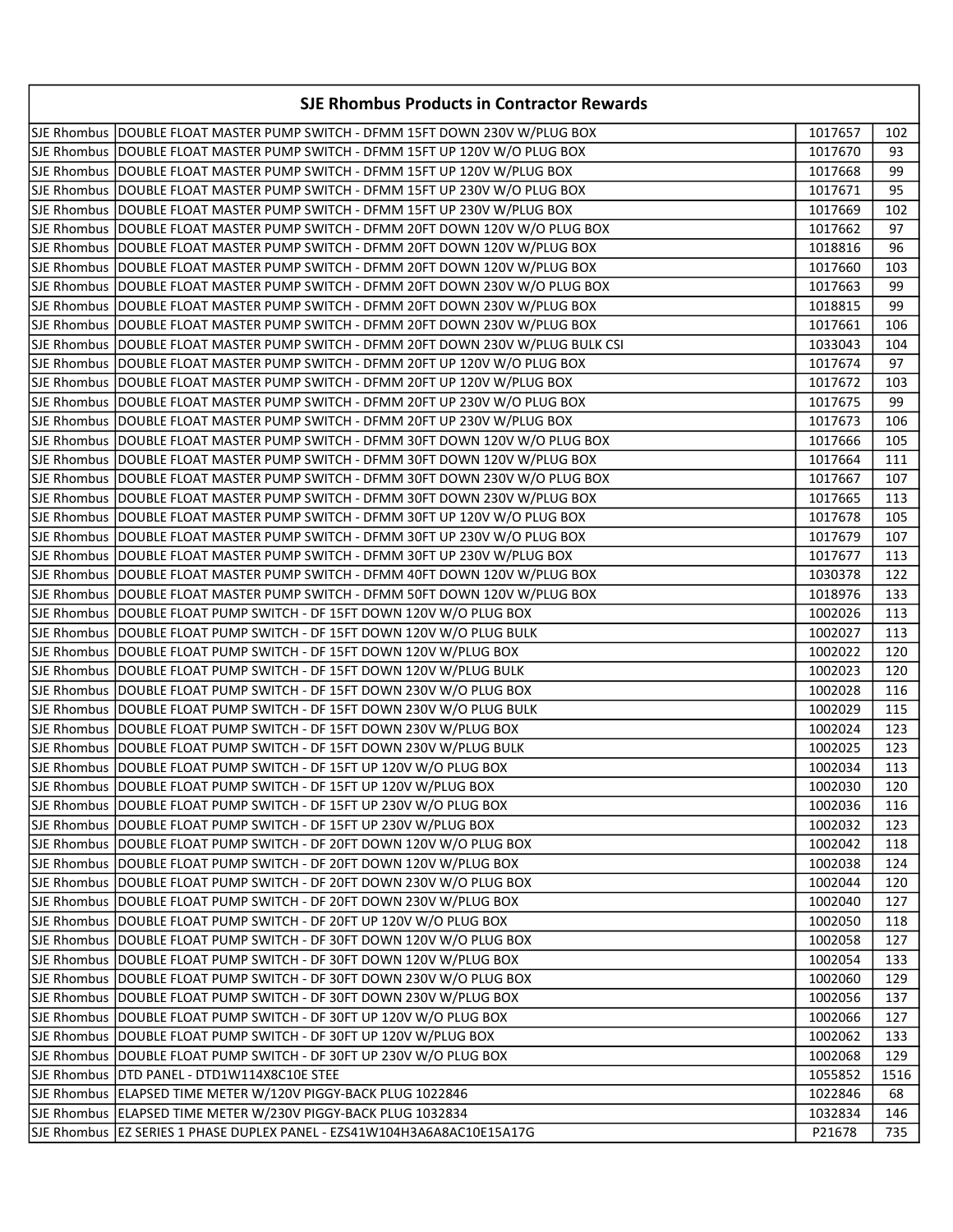| <b>SJE Rhombus Products in Contractor Rewards</b>                                 |         |      |
|-----------------------------------------------------------------------------------|---------|------|
| SJE Rhombus  DOUBLE FLOAT MASTER PUMP SWITCH - DFMM 15FT DOWN 230V W/PLUG BOX     | 1017657 | 102  |
| SJE Rhombus  DOUBLE FLOAT MASTER PUMP SWITCH - DFMM 15FT UP 120V W/O PLUG BOX     | 1017670 | 93   |
| SJE Rhombus  DOUBLE FLOAT MASTER PUMP SWITCH - DFMM 15FT UP 120V W/PLUG BOX       | 1017668 | 99   |
| SJE Rhombus  DOUBLE FLOAT MASTER PUMP SWITCH - DFMM 15FT UP 230V W/O PLUG BOX     | 1017671 | 95   |
| SJE Rhombus  DOUBLE FLOAT MASTER PUMP SWITCH - DFMM 15FT UP 230V W/PLUG BOX       | 1017669 | 102  |
| SJE Rhombus  DOUBLE FLOAT MASTER PUMP SWITCH - DFMM 20FT DOWN 120V W/O PLUG BOX   | 1017662 | 97   |
| SJE Rhombus DOUBLE FLOAT MASTER PUMP SWITCH - DFMM 20FT DOWN 120V W/PLUG BOX      | 1018816 | 96   |
| SJE Rhombus DOUBLE FLOAT MASTER PUMP SWITCH - DFMM 20FT DOWN 120V W/PLUG BOX      | 1017660 | 103  |
| SJE Rhombus DOUBLE FLOAT MASTER PUMP SWITCH - DFMM 20FT DOWN 230V W/O PLUG BOX    | 1017663 | 99   |
| SJE Rhombus DOUBLE FLOAT MASTER PUMP SWITCH - DFMM 20FT DOWN 230V W/PLUG BOX      | 1018815 | 99   |
| SJE Rhombus DOUBLE FLOAT MASTER PUMP SWITCH - DFMM 20FT DOWN 230V W/PLUG BOX      | 1017661 | 106  |
| SJE Rhombus DOUBLE FLOAT MASTER PUMP SWITCH - DFMM 20FT DOWN 230V W/PLUG BULK CSI | 1033043 | 104  |
| SJE Rhombus DOUBLE FLOAT MASTER PUMP SWITCH - DFMM 20FT UP 120V W/O PLUG BOX      | 1017674 | 97   |
| SJE Rhombus DOUBLE FLOAT MASTER PUMP SWITCH - DFMM 20FT UP 120V W/PLUG BOX        | 1017672 | 103  |
| SJE Rhombus DOUBLE FLOAT MASTER PUMP SWITCH - DFMM 20FT UP 230V W/O PLUG BOX      | 1017675 | 99   |
| SJE Rhombus DOUBLE FLOAT MASTER PUMP SWITCH - DFMM 20FT UP 230V W/PLUG BOX        | 1017673 | 106  |
| SJE Rhombus  DOUBLE FLOAT MASTER PUMP SWITCH - DFMM 30FT DOWN 120V W/O PLUG BOX   | 1017666 | 105  |
| SJE Rhombus  DOUBLE FLOAT MASTER PUMP SWITCH - DFMM 30FT DOWN 120V W/PLUG BOX     | 1017664 | 111  |
| SJE Rhombus  DOUBLE FLOAT MASTER PUMP SWITCH - DFMM 30FT DOWN 230V W/O PLUG BOX   | 1017667 | 107  |
| SJE Rhombus  DOUBLE FLOAT MASTER PUMP SWITCH - DFMM 30FT DOWN 230V W/PLUG BOX     | 1017665 | 113  |
| SJE Rhombus  DOUBLE FLOAT MASTER PUMP SWITCH - DFMM 30FT UP 120V W/O PLUG BOX     | 1017678 | 105  |
| SJE Rhombus DOUBLE FLOAT MASTER PUMP SWITCH - DFMM 30FT UP 230V W/O PLUG BOX      | 1017679 | 107  |
| SJE Rhombus DOUBLE FLOAT MASTER PUMP SWITCH - DFMM 30FT UP 230V W/PLUG BOX        | 1017677 | 113  |
| SJE Rhombus DOUBLE FLOAT MASTER PUMP SWITCH - DFMM 40FT DOWN 120V W/PLUG BOX      | 1030378 | 122  |
| SJE Rhombus DOUBLE FLOAT MASTER PUMP SWITCH - DFMM 50FT DOWN 120V W/PLUG BOX      | 1018976 | 133  |
| SJE Rhombus DOUBLE FLOAT PUMP SWITCH - DF 15FT DOWN 120V W/O PLUG BOX             | 1002026 | 113  |
| SJE Rhombus DOUBLE FLOAT PUMP SWITCH - DF 15FT DOWN 120V W/O PLUG BULK            | 1002027 | 113  |
| SJE Rhombus DOUBLE FLOAT PUMP SWITCH - DF 15FT DOWN 120V W/PLUG BOX               | 1002022 | 120  |
| SJE Rhombus DOUBLE FLOAT PUMP SWITCH - DF 15FT DOWN 120V W/PLUG BULK              | 1002023 | 120  |
| SJE Rhombus DOUBLE FLOAT PUMP SWITCH - DF 15FT DOWN 230V W/O PLUG BOX             | 1002028 | 116  |
| SJE Rhombus DOUBLE FLOAT PUMP SWITCH - DF 15FT DOWN 230V W/O PLUG BULK            | 1002029 | 115  |
| SJE Rhombus DOUBLE FLOAT PUMP SWITCH - DF 15FT DOWN 230V W/PLUG BOX               | 1002024 | 123  |
| SJE Rhombus  DOUBLE FLOAT PUMP SWITCH - DF 15FT DOWN 230V W/PLUG BULK             | 1002025 | 123  |
| SJE Rhombus   DOUBLE FLOAT PUMP SWITCH - DF 15FT UP 120V W/O PLUG BOX             | 1002034 | 113  |
| SJE Rhombus DOUBLE FLOAT PUMP SWITCH - DF 15FT UP 120V W/PLUG BOX                 | 1002030 | 120  |
| SJE Rhombus   DOUBLE FLOAT PUMP SWITCH - DF 15FT UP 230V W/O PLUG BOX             | 1002036 | 116  |
| SJE Rhombus   DOUBLE FLOAT PUMP SWITCH - DF 15FT UP 230V W/PLUG BOX               | 1002032 | 123  |
| SJE Rhombus   DOUBLE FLOAT PUMP SWITCH - DF 20FT DOWN 120V W/O PLUG BOX           | 1002042 | 118  |
| SJE Rhombus DOUBLE FLOAT PUMP SWITCH - DF 20FT DOWN 120V W/PLUG BOX               | 1002038 | 124  |
| SJE Rhombus   DOUBLE FLOAT PUMP SWITCH - DF 20FT DOWN 230V W/O PLUG BOX           | 1002044 | 120  |
| SJE Rhombus DOUBLE FLOAT PUMP SWITCH - DF 20FT DOWN 230V W/PLUG BOX               | 1002040 | 127  |
| SJE Rhombus DOUBLE FLOAT PUMP SWITCH - DF 20FT UP 120V W/O PLUG BOX               | 1002050 | 118  |
| SJE Rhombus DOUBLE FLOAT PUMP SWITCH - DF 30FT DOWN 120V W/O PLUG BOX             | 1002058 | 127  |
| SJE Rhombus   DOUBLE FLOAT PUMP SWITCH - DF 30FT DOWN 120V W/PLUG BOX             | 1002054 | 133  |
| SJE Rhombus   DOUBLE FLOAT PUMP SWITCH - DF 30FT DOWN 230V W/O PLUG BOX           | 1002060 | 129  |
| SJE Rhombus   DOUBLE FLOAT PUMP SWITCH - DF 30FT DOWN 230V W/PLUG BOX             | 1002056 | 137  |
| SJE Rhombus DOUBLE FLOAT PUMP SWITCH - DF 30FT UP 120V W/O PLUG BOX               | 1002066 | 127  |
| SJE Rhombus DOUBLE FLOAT PUMP SWITCH - DF 30FT UP 120V W/PLUG BOX                 | 1002062 | 133  |
| SJE Rhombus  DOUBLE FLOAT PUMP SWITCH - DF 30FT UP 230V W/O PLUG BOX              | 1002068 | 129  |
| SJE Rhombus DTD PANEL - DTD1W114X8C10E STEE                                       | 1055852 | 1516 |
| SJE Rhombus   ELAPSED TIME METER W/120V PIGGY-BACK PLUG 1022846                   | 1022846 | 68   |
| SJE Rhombus  ELAPSED TIME METER W/230V PIGGY-BACK PLUG 1032834                    | 1032834 | 146  |
| SJE Rhombus  EZ SERIES 1 PHASE DUPLEX PANEL - EZS41W104H3A6A8AC10E15A17G          | P21678  | 735  |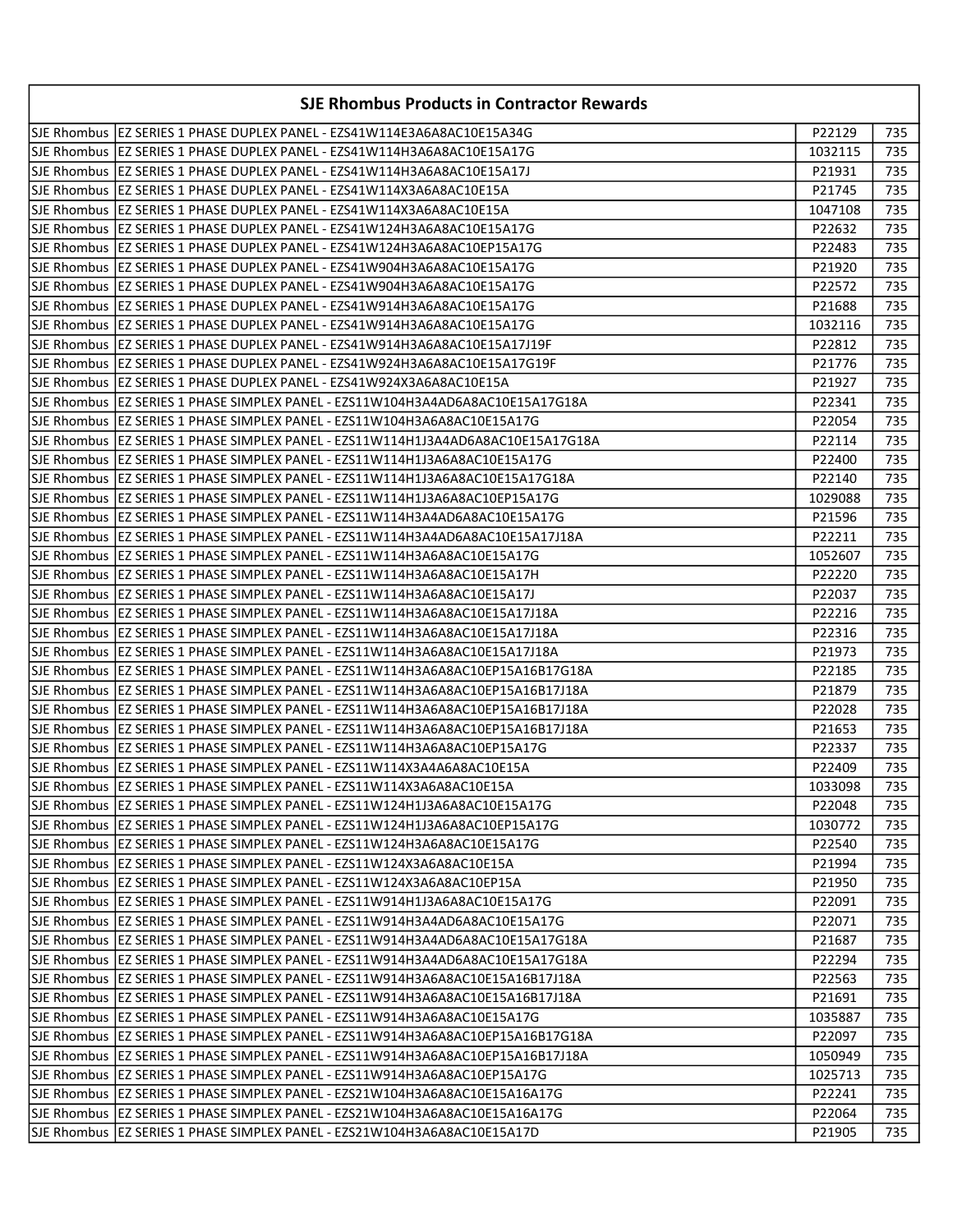| <b>SJE Rhombus Products in Contractor Rewards</b>                                 |         |     |
|-----------------------------------------------------------------------------------|---------|-----|
| SJE Rhombus  EZ SERIES 1 PHASE DUPLEX PANEL - EZS41W114E3A6A8AC10E15A34G          | P22129  | 735 |
| SJE Rhombus  EZ SERIES 1 PHASE DUPLEX PANEL - EZS41W114H3A6A8AC10E15A17G          | 1032115 | 735 |
| SJE Rhombus  EZ SERIES 1 PHASE DUPLEX PANEL - EZS41W114H3A6A8AC10E15A17J          | P21931  | 735 |
| SJE Rhombus  EZ SERIES 1 PHASE DUPLEX PANEL - EZS41W114X3A6A8AC10E15A             | P21745  | 735 |
| SJE Rhombus  EZ SERIES 1 PHASE DUPLEX PANEL - EZS41W114X3A6A8AC10E15A             | 1047108 | 735 |
| SJE Rhombus  EZ SERIES 1 PHASE DUPLEX PANEL - EZS41W124H3A6A8AC10E15A17G          | P22632  | 735 |
| SJE Rhombus  EZ SERIES 1 PHASE DUPLEX PANEL - EZS41W124H3A6A8AC10EP15A17G         | P22483  | 735 |
| SJE Rhombus  EZ SERIES 1 PHASE DUPLEX PANEL - EZS41W904H3A6A8AC10E15A17G          | P21920  | 735 |
| lSJE Rhombus  EZ SERIES 1 PHASE DUPLEX PANEL - EZS41W904H3A6A8AC10E15A17G         | P22572  | 735 |
| SJE Rhombus  EZ SERIES 1 PHASE DUPLEX PANEL - EZS41W914H3A6A8AC10E15A17G          | P21688  | 735 |
| SJE Rhombus  EZ SERIES 1 PHASE DUPLEX PANEL - EZS41W914H3A6A8AC10E15A17G          | 1032116 | 735 |
| SJE Rhombus   EZ SERIES 1 PHASE DUPLEX PANEL - EZS41W914H3A6A8AC10E15A17J19F      | P22812  | 735 |
| SJE Rhombus  EZ SERIES 1 PHASE DUPLEX PANEL - EZS41W924H3A6A8AC10E15A17G19F       | P21776  | 735 |
| SJE Rhombus  EZ SERIES 1 PHASE DUPLEX PANEL - EZS41W924X3A6A8AC10E15A             | P21927  | 735 |
| SJE Rhombus  EZ SERIES 1 PHASE SIMPLEX PANEL - EZS11W104H3A4AD6A8AC10E15A17G18A   | P22341  | 735 |
| SJE Rhombus  EZ SERIES 1 PHASE SIMPLEX PANEL - EZS11W104H3A6A8AC10E15A17G         | P22054  | 735 |
| SJE Rhombus  EZ SERIES 1 PHASE SIMPLEX PANEL - EZS11W114H1J3A4AD6A8AC10E15A17G18A | P22114  | 735 |
| SJE Rhombus  EZ SERIES 1 PHASE SIMPLEX PANEL - EZS11W114H1J3A6A8AC10E15A17G       | P22400  | 735 |
| SJE Rhombus  EZ SERIES 1 PHASE SIMPLEX PANEL - EZS11W114H1J3A6A8AC10E15A17G18A    | P22140  | 735 |
| SJE Rhombus  EZ SERIES 1 PHASE SIMPLEX PANEL - EZS11W114H1J3A6A8AC10EP15A17G      | 1029088 | 735 |
| SJE Rhombus  EZ SERIES 1 PHASE SIMPLEX PANEL - EZS11W114H3A4AD6A8AC10E15A17G      | P21596  | 735 |
| SJE Rhombus  EZ SERIES 1 PHASE SIMPLEX PANEL - EZS11W114H3A4AD6A8AC10E15A17J18A   | P22211  | 735 |
| SJE Rhombus  EZ SERIES 1 PHASE SIMPLEX PANEL - EZS11W114H3A6A8AC10E15A17G         | 1052607 | 735 |
| SJE Rhombus  EZ SERIES 1 PHASE SIMPLEX PANEL - EZS11W114H3A6A8AC10E15A17H         | P22220  | 735 |
| SJE Rhombus  EZ SERIES 1 PHASE SIMPLEX PANEL - EZS11W114H3A6A8AC10E15A17J         | P22037  | 735 |
| SJE Rhombus  EZ SERIES 1 PHASE SIMPLEX PANEL - EZS11W114H3A6A8AC10E15A17J18A      | P22216  | 735 |
| SJE Rhombus  EZ SERIES 1 PHASE SIMPLEX PANEL - EZS11W114H3A6A8AC10E15A17J18A      | P22316  | 735 |
| SJE Rhombus  EZ SERIES 1 PHASE SIMPLEX PANEL - EZS11W114H3A6A8AC10E15A17J18A      | P21973  | 735 |
| SJE Rhombus   EZ SERIES 1 PHASE SIMPLEX PANEL - EZS11W114H3A6A8AC10EP15A16B17G18A | P22185  | 735 |
| SJE Rhombus  EZ SERIES 1 PHASE SIMPLEX PANEL - EZS11W114H3A6A8AC10EP15A16B17J18A  | P21879  | 735 |
| SJE Rhombus  EZ SERIES 1 PHASE SIMPLEX PANEL - EZS11W114H3A6A8AC10EP15A16B17J18A  | P22028  | 735 |
| SJE Rhombus  EZ SERIES 1 PHASE SIMPLEX PANEL - EZS11W114H3A6A8AC10EP15A16B17J18A  | P21653  | 735 |
| SJE Rhombus   EZ SERIES 1 PHASE SIMPLEX PANEL - EZS11W114H3A6A8AC10EP15A17G       | P22337  | 735 |
| SJE Rhombus   EZ SERIES 1 PHASE SIMPLEX PANEL - EZS11W114X3A4A6A8AC10E15A         | P22409  | 735 |
| SJE Rhombus   EZ SERIES 1 PHASE SIMPLEX PANEL - EZS11W114X3A6A8AC10E15A           | 1033098 | 735 |
| SJE Rhombus  EZ SERIES 1 PHASE SIMPLEX PANEL - EZS11W124H1J3A6A8AC10E15A17G       | P22048  | 735 |
| SJE Rhombus  EZ SERIES 1 PHASE SIMPLEX PANEL - EZS11W124H1J3A6A8AC10EP15A17G      | 1030772 | 735 |
| SJE Rhombus   EZ SERIES 1 PHASE SIMPLEX PANEL - EZS11W124H3A6A8AC10E15A17G        | P22540  | 735 |
| SJE Rhombus   EZ SERIES 1 PHASE SIMPLEX PANEL - EZS11W124X3A6A8AC10E15A           | P21994  | 735 |
| SJE Rhombus   EZ SERIES 1 PHASE SIMPLEX PANEL - EZS11W124X3A6A8AC10EP15A          | P21950  | 735 |
| lSJE Rhombus  EZ SERIES 1 PHASE SIMPLEX PANEL - EZS11W914H1J3A6A8AC10E15A17G      | P22091  | 735 |
| SJE Rhombus   EZ SERIES 1 PHASE SIMPLEX PANEL - EZS11W914H3A4AD6A8AC10E15A17G     | P22071  | 735 |
| SJE Rhombus   EZ SERIES 1 PHASE SIMPLEX PANEL - EZS11W914H3A4AD6A8AC10E15A17G18A  | P21687  | 735 |
| SJE Rhombus  EZ SERIES 1 PHASE SIMPLEX PANEL - EZS11W914H3A4AD6A8AC10E15A17G18A   | P22294  | 735 |
| SJE Rhombus   EZ SERIES 1 PHASE SIMPLEX PANEL - EZS11W914H3A6A8AC10E15A16B17J18A  | P22563  | 735 |
| SJE Rhombus   EZ SERIES 1 PHASE SIMPLEX PANEL - EZS11W914H3A6A8AC10E15A16B17J18A  | P21691  | 735 |
| SJE Rhombus  EZ SERIES 1 PHASE SIMPLEX PANEL - EZS11W914H3A6A8AC10E15A17G         | 1035887 | 735 |
| SJE Rhombus   EZ SERIES 1 PHASE SIMPLEX PANEL - EZS11W914H3A6A8AC10EP15A16B17G18A | P22097  | 735 |
| SJE Rhombus  EZ SERIES 1 PHASE SIMPLEX PANEL - EZS11W914H3A6A8AC10EP15A16B17J18A  | 1050949 | 735 |
| SJE Rhombus   EZ SERIES 1 PHASE SIMPLEX PANEL - EZS11W914H3A6A8AC10EP15A17G       | 1025713 | 735 |
| SJE Rhombus   EZ SERIES 1 PHASE SIMPLEX PANEL - EZS21W104H3A6A8AC10E15A16A17G     | P22241  | 735 |
| SJE Rhombus  EZ SERIES 1 PHASE SIMPLEX PANEL - EZS21W104H3A6A8AC10E15A16A17G      | P22064  | 735 |
| SJE Rhombus   EZ SERIES 1 PHASE SIMPLEX PANEL - EZS21W104H3A6A8AC10E15A17D        | P21905  | 735 |
|                                                                                   |         |     |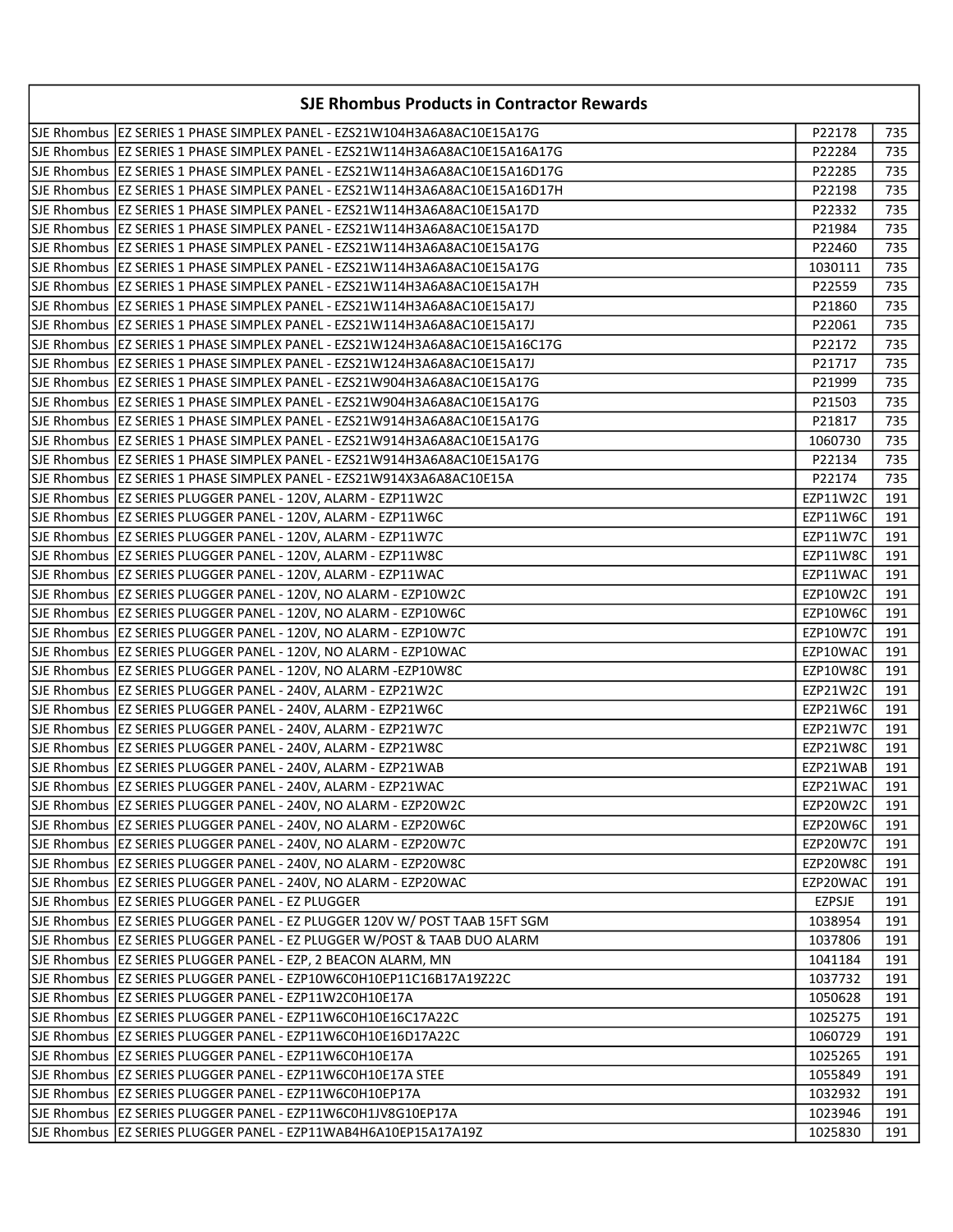| <b>SJE Rhombus Products in Contractor Rewards</b>                             |               |     |
|-------------------------------------------------------------------------------|---------------|-----|
| SJE Rhombus  EZ SERIES 1 PHASE SIMPLEX PANEL - EZS21W104H3A6A8AC10E15A17G     | P22178        | 735 |
| SJE Rhombus  EZ SERIES 1 PHASE SIMPLEX PANEL - EZS21W114H3A6A8AC10E15A16A17G  | P22284        | 735 |
| SJE Rhombus  EZ SERIES 1 PHASE SIMPLEX PANEL - EZS21W114H3A6A8AC10E15A16D17G  | P22285        | 735 |
| SJE Rhombus  EZ SERIES 1 PHASE SIMPLEX PANEL - EZS21W114H3A6A8AC10E15A16D17H  | P22198        | 735 |
| SJE Rhombus   EZ SERIES 1 PHASE SIMPLEX PANEL - EZS21W114H3A6A8AC10E15A17D    | P22332        | 735 |
| SJE Rhombus   EZ SERIES 1 PHASE SIMPLEX PANEL - EZS21W114H3A6A8AC10E15A17D    | P21984        | 735 |
| SJE Rhombus  EZ SERIES 1 PHASE SIMPLEX PANEL - EZS21W114H3A6A8AC10E15A17G     | P22460        | 735 |
| SJE Rhombus  EZ SERIES 1 PHASE SIMPLEX PANEL - EZS21W114H3A6A8AC10E15A17G     | 1030111       | 735 |
| SJE Rhombus  EZ SERIES 1 PHASE SIMPLEX PANEL - EZS21W114H3A6A8AC10E15A17H     | P22559        | 735 |
| SJE Rhombus  EZ SERIES 1 PHASE SIMPLEX PANEL - EZS21W114H3A6A8AC10E15A17J     | P21860        | 735 |
| SJE Rhombus   EZ SERIES 1 PHASE SIMPLEX PANEL - EZS21W114H3A6A8AC10E15A17J    | P22061        | 735 |
| SJE Rhombus   EZ SERIES 1 PHASE SIMPLEX PANEL - EZS21W124H3A6A8AC10E15A16C17G | P22172        | 735 |
| SJE Rhombus   EZ SERIES 1 PHASE SIMPLEX PANEL - EZS21W124H3A6A8AC10E15A17J    | P21717        | 735 |
| SJE Rhombus  EZ SERIES 1 PHASE SIMPLEX PANEL - EZS21W904H3A6A8AC10E15A17G     | P21999        | 735 |
| SJE Rhombus  EZ SERIES 1 PHASE SIMPLEX PANEL - EZS21W904H3A6A8AC10E15A17G     | P21503        | 735 |
| SJE Rhombus  EZ SERIES 1 PHASE SIMPLEX PANEL - EZS21W914H3A6A8AC10E15A17G     | P21817        | 735 |
| SJE Rhombus   EZ SERIES 1 PHASE SIMPLEX PANEL - EZS21W914H3A6A8AC10E15A17G    | 1060730       | 735 |
| SJE Rhombus   EZ SERIES 1 PHASE SIMPLEX PANEL - EZS21W914H3A6A8AC10E15A17G    | P22134        | 735 |
| SJE Rhombus  EZ SERIES 1 PHASE SIMPLEX PANEL - EZS21W914X3A6A8AC10E15A        | P22174        | 735 |
| SJE Rhombus  EZ SERIES PLUGGER PANEL - 120V, ALARM - EZP11W2C                 | EZP11W2C      | 191 |
| SJE Rhombus   EZ SERIES PLUGGER PANEL - 120V, ALARM - EZP11W6C                | EZP11W6C      | 191 |
| SJE Rhombus   EZ SERIES PLUGGER PANEL - 120V, ALARM - EZP11W7C                | EZP11W7C      | 191 |
| SJE Rhombus   EZ SERIES PLUGGER PANEL - 120V, ALARM - EZP11W8C                | EZP11W8C      | 191 |
| SJE Rhombus   EZ SERIES PLUGGER PANEL - 120V, ALARM - EZP11WAC                | EZP11WAC      | 191 |
| SJE Rhombus   EZ SERIES PLUGGER PANEL - 120V, NO ALARM - EZP10W2C             | EZP10W2C      | 191 |
| SJE Rhombus   EZ SERIES PLUGGER PANEL - 120V, NO ALARM - EZP10W6C             | EZP10W6C      | 191 |
| SJE Rhombus   EZ SERIES PLUGGER PANEL - 120V, NO ALARM - EZP10W7C             | EZP10W7C      | 191 |
| SJE Rhombus   EZ SERIES PLUGGER PANEL - 120V, NO ALARM - EZP10WAC             | EZP10WAC      | 191 |
| SJE Rhombus   EZ SERIES PLUGGER PANEL - 120V, NO ALARM -EZP10W8C              | EZP10W8C      | 191 |
| SJE Rhombus   EZ SERIES PLUGGER PANEL - 240V, ALARM - EZP21W2C                | EZP21W2C      | 191 |
| SJE Rhombus   EZ SERIES PLUGGER PANEL - 240V, ALARM - EZP21W6C                | EZP21W6C      | 191 |
| SJE Rhombus   EZ SERIES PLUGGER PANEL - 240V, ALARM - EZP21W7C                | EZP21W7C      | 191 |
| SJE Rhombus   EZ SERIES PLUGGER PANEL - 240V, ALARM - EZP21W8C                | EZP21W8C      | 191 |
| SJE Rhombus   EZ SERIES PLUGGER PANEL - 240V, ALARM - EZP21WAB                | EZP21WAB      | 191 |
| SJE Rhombus EZ SERIES PLUGGER PANEL - 240V, ALARM - EZP21WAC                  | EZP21WAC      | 191 |
| SJE Rhombus   EZ SERIES PLUGGER PANEL - 240V, NO ALARM - EZP20W2C             | EZP20W2C      | 191 |
| SJE Rhombus   EZ SERIES PLUGGER PANEL - 240V, NO ALARM - EZP20W6C             | EZP20W6C      | 191 |
| SJE Rhombus   EZ SERIES PLUGGER PANEL - 240V, NO ALARM - EZP20W7C             | EZP20W7C      | 191 |
| SJE Rhombus   EZ SERIES PLUGGER PANEL - 240V, NO ALARM - EZP20W8C             | EZP20W8C      | 191 |
| SJE Rhombus   EZ SERIES PLUGGER PANEL - 240V, NO ALARM - EZP20WAC             | EZP20WAC      | 191 |
| SJE Rhombus   EZ SERIES PLUGGER PANEL - EZ PLUGGER                            | <b>EZPSJE</b> | 191 |
| SJE Rhombus  EZ SERIES PLUGGER PANEL - EZ PLUGGER 120V W/ POST TAAB 15FT SGM  | 1038954       | 191 |
| SJE Rhombus   EZ SERIES PLUGGER PANEL - EZ PLUGGER W/POST & TAAB DUO ALARM    | 1037806       | 191 |
| SJE Rhombus   EZ SERIES PLUGGER PANEL - EZP, 2 BEACON ALARM, MN               | 1041184       | 191 |
| SJE Rhombus   EZ SERIES PLUGGER PANEL - EZP10W6C0H10EP11C16B17A19Z22C         | 1037732       | 191 |
| SJE Rhombus   EZ SERIES PLUGGER PANEL - EZP11W2C0H10E17A                      | 1050628       | 191 |
| SJE Rhombus   EZ SERIES PLUGGER PANEL - EZP11W6C0H10E16C17A22C                | 1025275       | 191 |
| SJE Rhombus   EZ SERIES PLUGGER PANEL - EZP11W6C0H10E16D17A22C                | 1060729       | 191 |
| SJE Rhombus   EZ SERIES PLUGGER PANEL - EZP11W6C0H10E17A                      | 1025265       | 191 |
| SJE Rhombus   EZ SERIES PLUGGER PANEL - EZP11W6C0H10E17A STEE                 | 1055849       | 191 |
| SJE Rhombus   EZ SERIES PLUGGER PANEL - EZP11W6C0H10EP17A                     | 1032932       | 191 |
| SJE Rhombus   EZ SERIES PLUGGER PANEL - EZP11W6C0H1JV8G10EP17A                | 1023946       | 191 |
| SJE Rhombus   EZ SERIES PLUGGER PANEL - EZP11WAB4H6A10EP15A17A19Z             | 1025830       | 191 |
|                                                                               |               |     |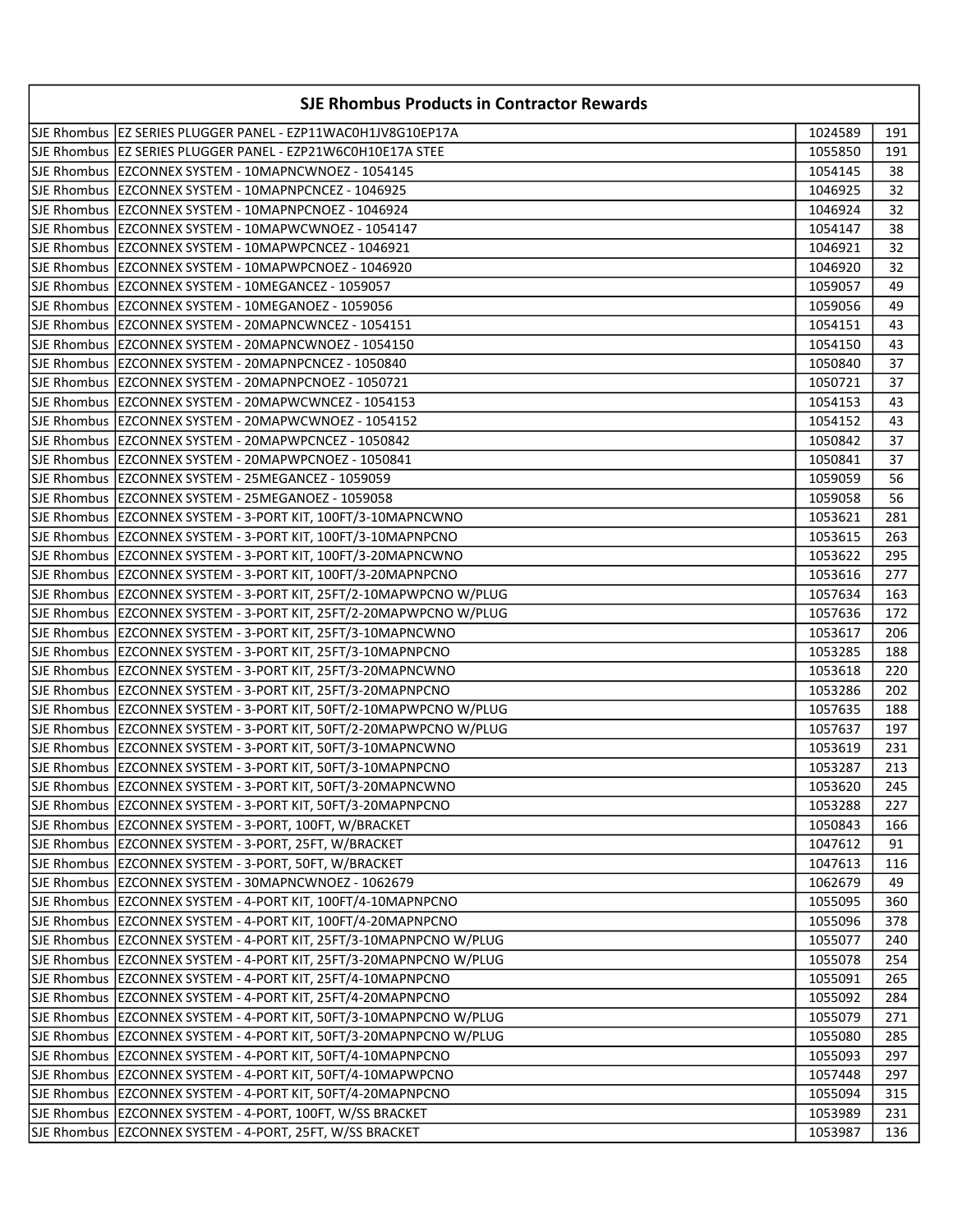| <b>SJE Rhombus Products in Contractor Rewards</b>                    |         |     |
|----------------------------------------------------------------------|---------|-----|
| SJE Rhombus   EZ SERIES PLUGGER PANEL - EZP11WAC0H1JV8G10EP17A       | 1024589 | 191 |
| SJE Rhombus   EZ SERIES PLUGGER PANEL - EZP21W6C0H10E17A STEE        | 1055850 | 191 |
| SJE Rhombus   EZCONNEX SYSTEM - 10MAPNCWNOEZ - 1054145               | 1054145 | 38  |
| SJE Rhombus   EZCONNEX SYSTEM - 10MAPNPCNCEZ - 1046925               | 1046925 | 32  |
| SJE Rhombus   EZCONNEX SYSTEM - 10MAPNPCNOEZ - 1046924               | 1046924 | 32  |
| SJE Rhombus   EZCONNEX SYSTEM - 10MAPWCWNOEZ - 1054147               | 1054147 | 38  |
| SJE Rhombus   EZCONNEX SYSTEM - 10MAPWPCNCEZ - 1046921               | 1046921 | 32  |
| SJE Rhombus   EZCONNEX SYSTEM - 10MAPWPCNOEZ - 1046920               | 1046920 | 32  |
| SJE Rhombus   EZCONNEX SYSTEM - 10MEGANCEZ - 1059057                 | 1059057 | 49  |
| SJE Rhombus   EZCONNEX SYSTEM - 10MEGANOEZ - 1059056                 | 1059056 | 49  |
| SJE Rhombus   EZCONNEX SYSTEM - 20MAPNCWNCEZ - 1054151               | 1054151 | 43  |
| SJE Rhombus   EZCONNEX SYSTEM - 20MAPNCWNOEZ - 1054150               | 1054150 | 43  |
| SJE Rhombus   EZCONNEX SYSTEM - 20MAPNPCNCEZ - 1050840               | 1050840 | 37  |
| SJE Rhombus   EZCONNEX SYSTEM - 20MAPNPCNOEZ - 1050721               | 1050721 | 37  |
| SJE Rhombus   EZCONNEX SYSTEM - 20MAPWCWNCEZ - 1054153               | 1054153 | 43  |
| SJE Rhombus   EZCONNEX SYSTEM - 20MAPWCWNOEZ - 1054152               | 1054152 | 43  |
| SJE Rhombus   EZCONNEX SYSTEM - 20MAPWPCNCEZ - 1050842               | 1050842 | 37  |
| ISJE Rhombus IEZCONNEX SYSTEM - 20MAPWPCNOEZ - 1050841               | 1050841 | 37  |
| SJE Rhombus   EZCONNEX SYSTEM - 25MEGANCEZ - 1059059                 | 1059059 | 56  |
| SJE Rhombus   EZCONNEX SYSTEM - 25MEGANOEZ - 1059058                 | 1059058 | 56  |
| SJE Rhombus   EZCONNEX SYSTEM - 3-PORT KIT, 100FT/3-10MAPNCWNO       | 1053621 | 281 |
| SJE Rhombus   EZCONNEX SYSTEM - 3-PORT KIT, 100FT/3-10MAPNPCNO       | 1053615 | 263 |
| SJE Rhombus   EZCONNEX SYSTEM - 3-PORT KIT, 100FT/3-20MAPNCWNO       | 1053622 | 295 |
| SJE Rhombus  EZCONNEX SYSTEM - 3-PORT KIT, 100FT/3-20MAPNPCNO        | 1053616 | 277 |
| SJE Rhombus   EZCONNEX SYSTEM - 3-PORT KIT, 25FT/2-10MAPWPCNO W/PLUG | 1057634 | 163 |
| SJE Rhombus  EZCONNEX SYSTEM - 3-PORT KIT, 25FT/2-20MAPWPCNO W/PLUG  | 1057636 | 172 |
| SJE Rhombus   EZCONNEX SYSTEM - 3-PORT KIT, 25FT/3-10MAPNCWNO        | 1053617 | 206 |
| SJE Rhombus   EZCONNEX SYSTEM - 3-PORT KIT, 25FT/3-10MAPNPCNO        | 1053285 | 188 |
| SJE Rhombus   EZCONNEX SYSTEM - 3-PORT KIT, 25FT/3-20MAPNCWNO        | 1053618 | 220 |
| SJE Rhombus   EZCONNEX SYSTEM - 3-PORT KIT, 25FT/3-20MAPNPCNO        | 1053286 | 202 |
| SJE Rhombus   EZCONNEX SYSTEM - 3-PORT KIT, 50FT/2-10MAPWPCNO W/PLUG | 1057635 | 188 |
| SJE Rhombus   EZCONNEX SYSTEM - 3-PORT KIT, 50FT/2-20MAPWPCNO W/PLUG | 1057637 | 197 |
| SJE Rhombus   EZCONNEX SYSTEM - 3-PORT KIT, 50FT/3-10MAPNCWNO        | 1053619 | 231 |
| SJE Rhombus   EZCONNEX SYSTEM - 3-PORT KIT, 50FT/3-10MAPNPCNO        | 1053287 | 213 |
| SJE Rhombus EZCONNEX SYSTEM - 3-PORT KIT, 50FT/3-20MAPNCWNO          | 1053620 | 245 |
| SJE Rhombus  EZCONNEX SYSTEM - 3-PORT KIT, 50FT/3-20MAPNPCNO         | 1053288 | 227 |
| SJE Rhombus   EZCONNEX SYSTEM - 3-PORT, 100FT, W/BRACKET             | 1050843 | 166 |
| SJE Rhombus   EZCONNEX SYSTEM - 3-PORT, 25FT, W/BRACKET              | 1047612 | 91  |
| SJE Rhombus   EZCONNEX SYSTEM - 3-PORT, 50FT, W/BRACKET              | 1047613 | 116 |
| SJE Rhombus   EZCONNEX SYSTEM - 30MAPNCWNOEZ - 1062679               | 1062679 | 49  |
| SJE Rhombus   EZCONNEX SYSTEM - 4-PORT KIT, 100FT/4-10MAPNPCNO       | 1055095 | 360 |
| SJE Rhombus   EZCONNEX SYSTEM - 4-PORT KIT, 100FT/4-20MAPNPCNO       | 1055096 | 378 |
| SJE Rhombus  EZCONNEX SYSTEM - 4-PORT KIT, 25FT/3-10MAPNPCNO W/PLUG  | 1055077 | 240 |
| SJE Rhombus   EZCONNEX SYSTEM - 4-PORT KIT, 25FT/3-20MAPNPCNO W/PLUG | 1055078 | 254 |
| SJE Rhombus   EZCONNEX SYSTEM - 4-PORT KIT, 25FT/4-10MAPNPCNO        | 1055091 | 265 |
| SJE Rhombus   EZCONNEX SYSTEM - 4-PORT KIT, 25FT/4-20MAPNPCNO        | 1055092 | 284 |
| SJE Rhombus   EZCONNEX SYSTEM - 4-PORT KIT, 50FT/3-10MAPNPCNO W/PLUG | 1055079 | 271 |
| SJE Rhombus   EZCONNEX SYSTEM - 4-PORT KIT, 50FT/3-20MAPNPCNO W/PLUG | 1055080 | 285 |
| SJE Rhombus   EZCONNEX SYSTEM - 4-PORT KIT, 50FT/4-10MAPNPCNO        | 1055093 | 297 |
| SJE Rhombus   EZCONNEX SYSTEM - 4-PORT KIT, 50FT/4-10MAPWPCNO        | 1057448 | 297 |
| SJE Rhombus   EZCONNEX SYSTEM - 4-PORT KIT, 50FT/4-20MAPNPCNO        | 1055094 | 315 |
| SJE Rhombus   EZCONNEX SYSTEM - 4-PORT, 100FT, W/SS BRACKET          | 1053989 | 231 |
| SJE Rhombus   EZCONNEX SYSTEM - 4-PORT, 25FT, W/SS BRACKET           | 1053987 | 136 |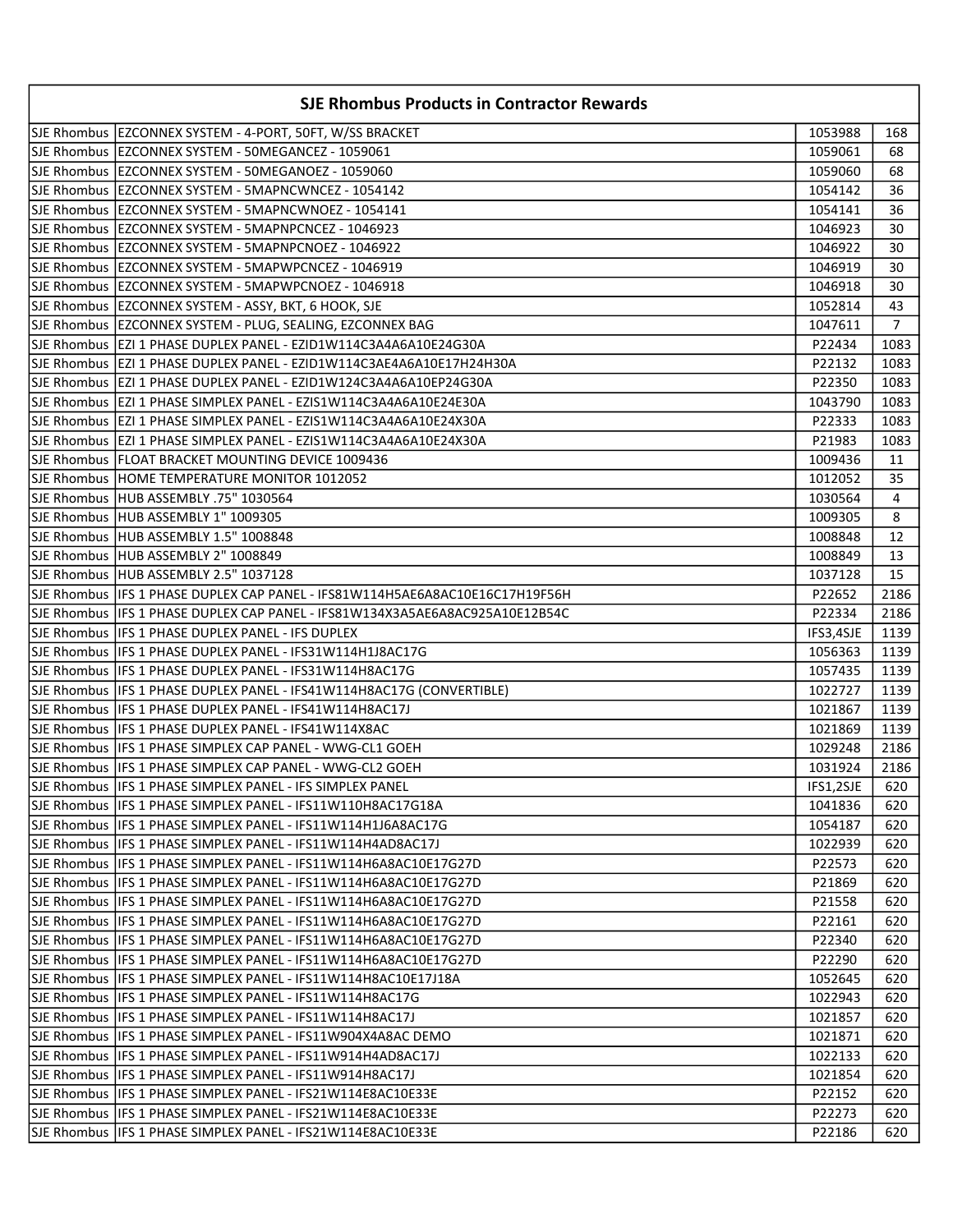| <b>SJE Rhombus Products in Contractor Rewards</b>                             |           |                |
|-------------------------------------------------------------------------------|-----------|----------------|
| SJE Rhombus   EZCONNEX SYSTEM - 4-PORT, 50FT, W/SS BRACKET                    | 1053988   | 168            |
| SJE Rhombus   EZCONNEX SYSTEM - 50MEGANCEZ - 1059061                          | 1059061   | 68             |
| SJE Rhombus   EZCONNEX SYSTEM - 50MEGANOEZ - 1059060                          | 1059060   | 68             |
| SJE Rhombus   EZCONNEX SYSTEM - 5MAPNCWNCEZ - 1054142                         | 1054142   | 36             |
| SJE Rhombus  EZCONNEX SYSTEM - 5MAPNCWNOEZ - 1054141                          | 1054141   | 36             |
| SJE Rhombus  EZCONNEX SYSTEM - 5MAPNPCNCEZ - 1046923                          | 1046923   | 30             |
| SJE Rhombus   EZCONNEX SYSTEM - 5MAPNPCNOEZ - 1046922                         | 1046922   | 30             |
| SJE Rhombus  EZCONNEX SYSTEM - 5MAPWPCNCEZ - 1046919                          | 1046919   | 30             |
| SJE Rhombus   EZCONNEX SYSTEM - 5MAPWPCNOEZ - 1046918                         | 1046918   | 30             |
| SJE Rhombus   EZCONNEX SYSTEM - ASSY, BKT, 6 HOOK, SJE                        | 1052814   | 43             |
| SJE Rhombus  EZCONNEX SYSTEM - PLUG, SEALING, EZCONNEX BAG                    | 1047611   | $\overline{7}$ |
| SJE Rhombus  EZI 1 PHASE DUPLEX PANEL - EZID1W114C3A4A6A10E24G30A             | P22434    | 1083           |
| SJE Rhombus  EZI 1 PHASE DUPLEX PANEL - EZID1W114C3AE4A6A10E17H24H30A         | P22132    | 1083           |
| SJE Rhombus   EZI 1 PHASE DUPLEX PANEL - EZID1W124C3A4A6A10EP24G30A           | P22350    | 1083           |
| SJE Rhombus   EZI 1 PHASE SIMPLEX PANEL - EZIS1W114C3A4A6A10E24E30A           | 1043790   | 1083           |
| SJE Rhombus   EZI 1 PHASE SIMPLEX PANEL - EZIS1W114C3A4A6A10E24X30A           | P22333    | 1083           |
| SJE Rhombus   EZI 1 PHASE SIMPLEX PANEL - EZIS1W114C3A4A6A10E24X30A           | P21983    | 1083           |
| SJE Rhombus   FLOAT BRACKET MOUNTING DEVICE 1009436                           | 1009436   | 11             |
| SJE Rhombus HOME TEMPERATURE MONITOR 1012052                                  | 1012052   | 35             |
| SJE Rhombus HUB ASSEMBLY .75" 1030564                                         | 1030564   | 4              |
| SJE Rhombus HUB ASSEMBLY 1" 1009305                                           | 1009305   | 8              |
| SJE Rhombus HUB ASSEMBLY 1.5" 1008848                                         | 1008848   | 12             |
| SJE Rhombus  HUB ASSEMBLY 2" 1008849                                          | 1008849   | 13             |
| SJE Rhombus HUB ASSEMBLY 2.5" 1037128                                         | 1037128   | 15             |
| SJE Rhombus  IFS 1 PHASE DUPLEX CAP PANEL - IFS81W114H5AE6A8AC10E16C17H19F56H | P22652    | 2186           |
| SJE Rhombus  IFS 1 PHASE DUPLEX CAP PANEL - IFS81W134X3A5AE6A8AC925A10E12B54C | P22334    | 2186           |
| SJE Rhombus  IFS 1 PHASE DUPLEX PANEL - IFS DUPLEX                            | IFS3,4SJE | 1139           |
| SJE Rhombus  IFS 1 PHASE DUPLEX PANEL - IFS31W114H1J8AC17G                    | 1056363   | 1139           |
| SJE Rhombus  IFS 1 PHASE DUPLEX PANEL - IFS31W114H8AC17G                      | 1057435   | 1139           |
| SJE Rhombus  IFS 1 PHASE DUPLEX PANEL - IFS41W114H8AC17G (CONVERTIBLE)        | 1022727   | 1139           |
| SJE Rhombus   IFS 1 PHASE DUPLEX PANEL - IFS41W114H8AC17J                     | 1021867   | 1139           |
| SJE Rhombus   IFS 1 PHASE DUPLEX PANEL - IFS41W114X8AC                        | 1021869   | 1139           |
| SJE Rhombus   IFS 1 PHASE SIMPLEX CAP PANEL - WWG-CL1 GOEH                    | 1029248   | 2186           |
| SJE Rhombus   IFS 1 PHASE SIMPLEX CAP PANEL - WWG-CL2 GOEH                    | 1031924   | 2186           |
| SJE Rhombus   IFS 1 PHASE SIMPLEX PANEL - IFS SIMPLEX PANEL                   | IFS1,2SJE | 620            |
| SJE Rhombus   IFS 1 PHASE SIMPLEX PANEL - IFS11W110H8AC17G18A                 | 1041836   | 620            |
| SJE Rhombus   IFS 1 PHASE SIMPLEX PANEL - IFS11W114H1J6A8AC17G                | 1054187   | 620            |
| SJE Rhombus   IFS 1 PHASE SIMPLEX PANEL - IFS11W114H4AD8AC17J                 | 1022939   | 620            |
| SJE Rhombus   IFS 1 PHASE SIMPLEX PANEL - IFS11W114H6A8AC10E17G27D            | P22573    | 620            |
| SJE Rhombus   IFS 1 PHASE SIMPLEX PANEL - IFS11W114H6A8AC10E17G27D            | P21869    | 620            |
| SJE Rhombus   IFS 1 PHASE SIMPLEX PANEL - IFS11W114H6A8AC10E17G27D            | P21558    | 620            |
| SJE Rhombus   IFS 1 PHASE SIMPLEX PANEL - IFS11W114H6A8AC10E17G27D            | P22161    | 620            |
| SJE Rhombus   IFS 1 PHASE SIMPLEX PANEL - IFS11W114H6A8AC10E17G27D            | P22340    | 620            |
| SJE Rhombus   IFS 1 PHASE SIMPLEX PANEL - IFS11W114H6A8AC10E17G27D            | P22290    | 620            |
| SJE Rhombus   IFS 1 PHASE SIMPLEX PANEL - IFS11W114H8AC10E17J18A              | 1052645   | 620            |
| SJE Rhombus   IFS 1 PHASE SIMPLEX PANEL - IFS11W114H8AC17G                    | 1022943   | 620            |
| SJE Rhombus   IFS 1 PHASE SIMPLEX PANEL - IFS11W114H8AC17J                    | 1021857   | 620            |
| SJE Rhombus   IFS 1 PHASE SIMPLEX PANEL - IFS11W904X4A8AC DEMO                | 1021871   | 620            |
| SJE Rhombus   IFS 1 PHASE SIMPLEX PANEL - IFS11W914H4AD8AC17J                 | 1022133   | 620            |
| SJE Rhombus IIFS 1 PHASE SIMPLEX PANEL - IFS11W914H8AC17J                     | 1021854   | 620            |
| SJE Rhombus   IFS 1 PHASE SIMPLEX PANEL - IFS21W114E8AC10E33E                 | P22152    | 620            |
| SJE Rhombus   IFS 1 PHASE SIMPLEX PANEL - IFS21W114E8AC10E33E                 | P22273    | 620            |
| SJE Rhombus   IFS 1 PHASE SIMPLEX PANEL - IFS21W114E8AC10E33E                 | P22186    | 620            |
|                                                                               |           |                |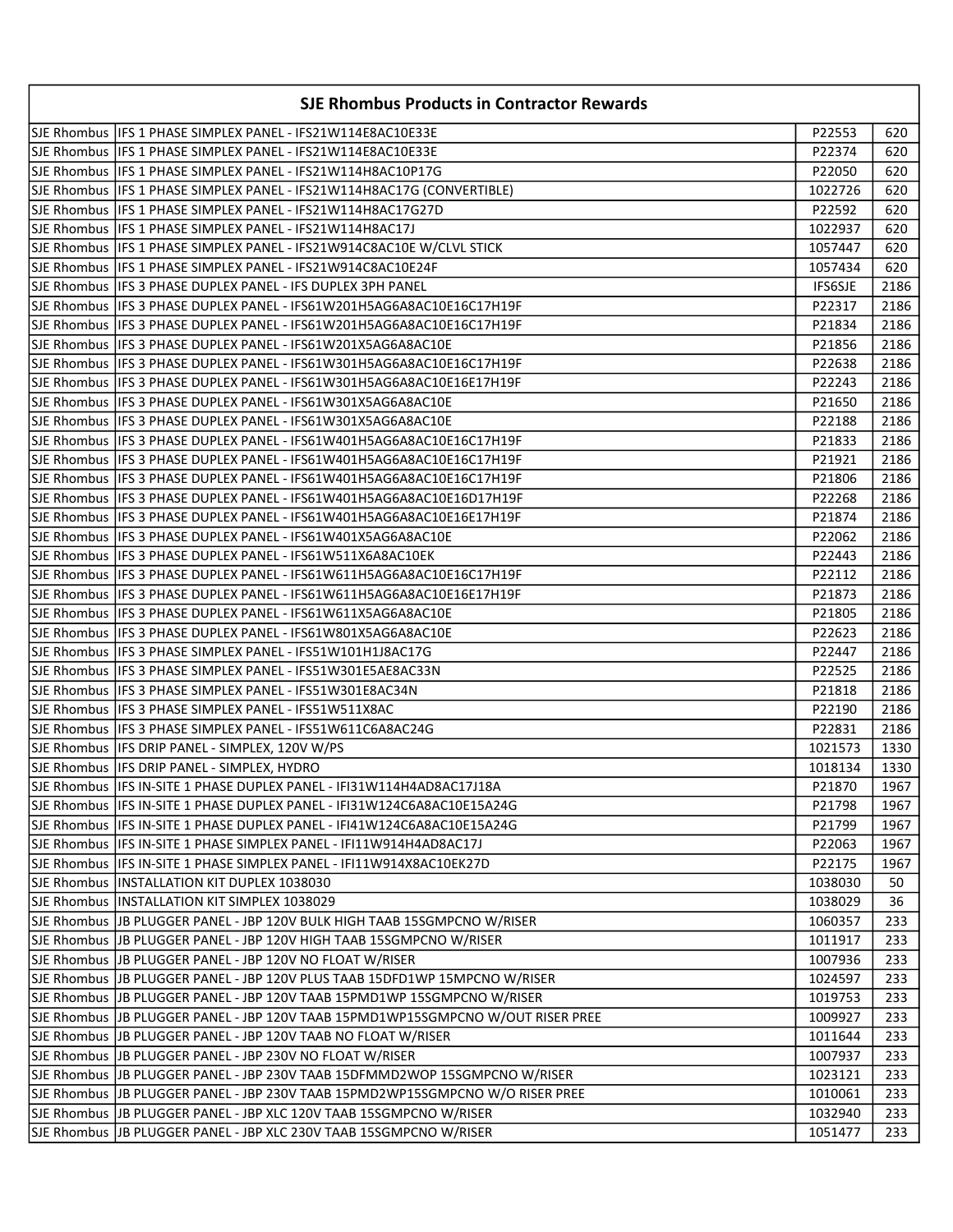| <b>SJE Rhombus Products in Contractor Rewards</b>                                |                |      |
|----------------------------------------------------------------------------------|----------------|------|
| SJE Rhombus   IFS 1 PHASE SIMPLEX PANEL - IFS21W114E8AC10E33E                    | P22553         | 620  |
| SJE Rhombus   IFS 1 PHASE SIMPLEX PANEL - IFS21W114E8AC10E33E                    | P22374         | 620  |
| SJE Rhombus  IFS 1 PHASE SIMPLEX PANEL - IFS21W114H8AC10P17G                     | P22050         | 620  |
| SJE Rhombus  IFS 1 PHASE SIMPLEX PANEL - IFS21W114H8AC17G (CONVERTIBLE)          | 1022726        | 620  |
| SJE Rhombus  IFS 1 PHASE SIMPLEX PANEL - IFS21W114H8AC17G27D                     | P22592         | 620  |
| SJE Rhombus  IFS 1 PHASE SIMPLEX PANEL - IFS21W114H8AC17J                        | 1022937        | 620  |
| SJE Rhombus   IFS 1 PHASE SIMPLEX PANEL - IFS21W914C8AC10E W/CLVL STICK          | 1057447        | 620  |
| SJE Rhombus   IFS 1 PHASE SIMPLEX PANEL - IFS21W914C8AC10E24F                    | 1057434        | 620  |
| SJE Rhombus IIFS 3 PHASE DUPLEX PANEL - IFS DUPLEX 3PH PANEL                     | <b>IFS6SJE</b> | 2186 |
| SJE Rhombus  IFS 3 PHASE DUPLEX PANEL - IFS61W201H5AG6A8AC10E16C17H19F           | P22317         | 2186 |
| SJE Rhombus IIFS 3 PHASE DUPLEX PANEL - IFS61W201H5AG6A8AC10E16C17H19F           | P21834         | 2186 |
| SJE Rhombus   IFS 3 PHASE DUPLEX PANEL - IFS61W201X5AG6A8AC10E                   | P21856         | 2186 |
| SJE Rhombus IIFS 3 PHASE DUPLEX PANEL - IFS61W301H5AG6A8AC10E16C17H19F           | P22638         | 2186 |
| SJE Rhombus IIFS 3 PHASE DUPLEX PANEL - IFS61W301H5AG6A8AC10E16E17H19F           | P22243         | 2186 |
| SJE Rhombus   IFS 3 PHASE DUPLEX PANEL - IFS61W301X5AG6A8AC10E                   | P21650         | 2186 |
| SJE Rhombus IIFS 3 PHASE DUPLEX PANEL - IFS61W301X5AG6A8AC10E                    | P22188         | 2186 |
| SJE Rhombus IIFS 3 PHASE DUPLEX PANEL - IFS61W401H5AG6A8AC10E16C17H19F           | P21833         | 2186 |
| SJE Rhombus IIFS 3 PHASE DUPLEX PANEL - IFS61W401H5AG6A8AC10E16C17H19F           | P21921         | 2186 |
| SJE Rhombus IIFS 3 PHASE DUPLEX PANEL - IFS61W401H5AG6A8AC10E16C17H19F           | P21806         | 2186 |
| SJE Rhombus  IFS 3 PHASE DUPLEX PANEL - IFS61W401H5AG6A8AC10E16D17H19F           | P22268         | 2186 |
| SJE Rhombus  IFS 3 PHASE DUPLEX PANEL - IFS61W401H5AG6A8AC10E16E17H19F           | P21874         | 2186 |
| SJE Rhombus  IFS 3 PHASE DUPLEX PANEL - IFS61W401X5AG6A8AC10E                    | P22062         | 2186 |
| SJE Rhombus  IFS 3 PHASE DUPLEX PANEL - IFS61W511X6A8AC10EK                      | P22443         | 2186 |
|                                                                                  | P22112         | 2186 |
| SJE Rhombus  IFS 3 PHASE DUPLEX PANEL - IFS61W611H5AG6A8AC10E16E17H19F           | P21873         | 2186 |
| SJE Rhombus  IFS 3 PHASE DUPLEX PANEL - IFS61W611X5AG6A8AC10E                    | P21805         | 2186 |
| SJE Rhombus  IFS 3 PHASE DUPLEX PANEL - IFS61W801X5AG6A8AC10E                    | P22623         | 2186 |
| SJE Rhombus   IFS 3 PHASE SIMPLEX PANEL - IFS51W101H1J8AC17G                     | P22447         | 2186 |
| SJE Rhombus   IFS 3 PHASE SIMPLEX PANEL - IFS51W301E5AE8AC33N                    | P22525         | 2186 |
| SJE Rhombus   IFS 3 PHASE SIMPLEX PANEL - IFS51W301E8AC34N                       | P21818         | 2186 |
| SJE Rhombus   IFS 3 PHASE SIMPLEX PANEL - IFS51W511X8AC                          | P22190         | 2186 |
| SJE Rhombus   IFS 3 PHASE SIMPLEX PANEL - IFS51W611C6A8AC24G                     | P22831         | 2186 |
| SJE Rhombus   IFS DRIP PANEL - SIMPLEX, 120V W/PS                                | 1021573        | 1330 |
| SJE Rhombus  IFS DRIP PANEL - SIMPLEX, HYDRO                                     | 1018134        | 1330 |
| SJE Rhombus   IFS IN-SITE 1 PHASE DUPLEX PANEL - IFI31W114H4AD8AC17J18A          | P21870         | 1967 |
| SJE Rhombus  IFS IN-SITE 1 PHASE DUPLEX PANEL - IFI31W124C6A8AC10E15A24G         | P21798         | 1967 |
| SJE Rhombus   IFS IN-SITE 1 PHASE DUPLEX PANEL - IFI41W124C6A8AC10E15A24G        | P21799         | 1967 |
| SJE Rhombus   IFS IN-SITE 1 PHASE SIMPLEX PANEL - IFI11W914H4AD8AC17J            | P22063         | 1967 |
| SJE Rhombus  IFS IN-SITE 1 PHASE SIMPLEX PANEL - IFI11W914X8AC10EK27D            | P22175         | 1967 |
| SJE Rhombus  INSTALLATION KIT DUPLEX 1038030                                     | 1038030        | 50   |
| SJE Rhombus  INSTALLATION KIT SIMPLEX 1038029                                    | 1038029        | 36   |
| SJE Rhombus   JB PLUGGER PANEL - JBP 120V BULK HIGH TAAB 15SGMPCNO W/RISER       | 1060357        | 233  |
| SJE Rhombus JJB PLUGGER PANEL - JBP 120V HIGH TAAB 15SGMPCNO W/RISER             | 1011917        | 233  |
| SJE Rhombus JJB PLUGGER PANEL - JBP 120V NO FLOAT W/RISER                        | 1007936        | 233  |
| SJE Rhombus JJB PLUGGER PANEL - JBP 120V PLUS TAAB 15DFD1WP 15MPCNO W/RISER      | 1024597        | 233  |
| SJE Rhombus JJB PLUGGER PANEL - JBP 120V TAAB 15PMD1WP 15SGMPCNO W/RISER         | 1019753        | 233  |
| SJE Rhombus JJB PLUGGER PANEL - JBP 120V TAAB 15PMD1WP15SGMPCNO W/OUT RISER PREE | 1009927        | 233  |
| SJE Rhombus   JB PLUGGER PANEL - JBP 120V TAAB NO FLOAT W/RISER                  | 1011644        | 233  |
| SJE Rhombus  JB PLUGGER PANEL - JBP 230V NO FLOAT W/RISER                        | 1007937        | 233  |
| SJE Rhombus  JB PLUGGER PANEL - JBP 230V TAAB 15DFMMD2WOP 15SGMPCNO W/RISER      | 1023121        | 233  |
| SJE Rhombus JJB PLUGGER PANEL - JBP 230V TAAB 15PMD2WP15SGMPCNO W/O RISER PREE   | 1010061        | 233  |
| SJE Rhombus   JB PLUGGER PANEL - JBP XLC 120V TAAB 15SGMPCNO W/RISER             | 1032940        | 233  |
| SJE Rhombus JJB PLUGGER PANEL - JBP XLC 230V TAAB 15SGMPCNO W/RISER              | 1051477        | 233  |
|                                                                                  |                |      |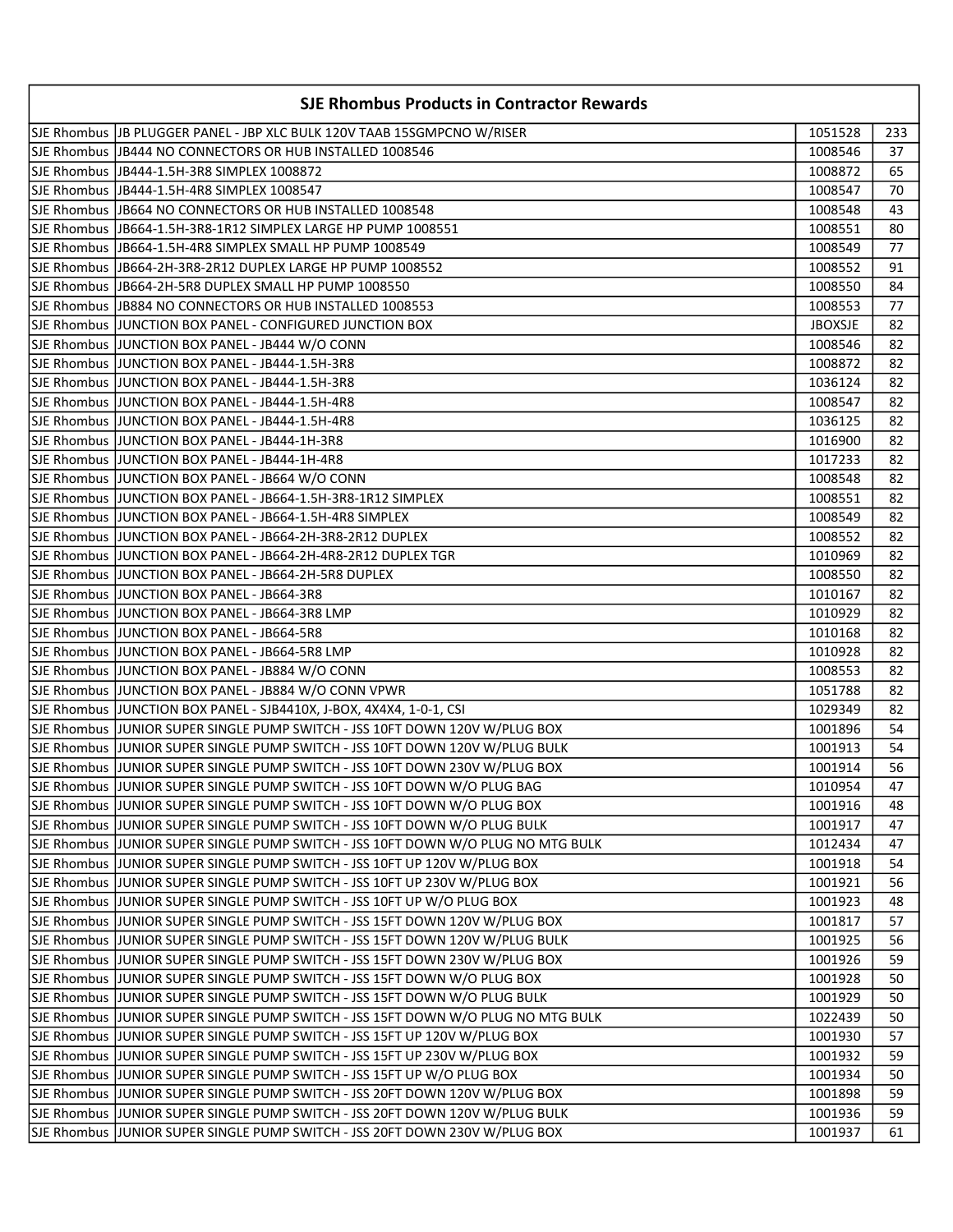| <b>SJE Rhombus Products in Contractor Rewards</b>                                 |                |     |
|-----------------------------------------------------------------------------------|----------------|-----|
| SJE Rhombus   JB PLUGGER PANEL - JBP XLC BULK 120V TAAB 15SGMPCNO W/RISER         | 1051528        | 233 |
| SJE Rhombus   JB444 NO CONNECTORS OR HUB INSTALLED 1008546                        | 1008546        | 37  |
| SJE Rhombus   JB444-1.5H-3R8 SIMPLEX 1008872                                      | 1008872        | 65  |
| SJE Rhombus  JB444-1.5H-4R8 SIMPLEX 1008547                                       | 1008547        | 70  |
| SJE Rhombus  JB664 NO CONNECTORS OR HUB INSTALLED 1008548                         | 1008548        | 43  |
|                                                                                   | 1008551        | 80  |
| SJE Rhombus  JB664-1.5H-4R8 SIMPLEX SMALL HP PUMP 1008549                         | 1008549        | 77  |
| SJE Rhombus  JB664-2H-3R8-2R12 DUPLEX LARGE HP PUMP 1008552                       | 1008552        | 91  |
| SJE Rhombus  JB664-2H-5R8 DUPLEX SMALL HP PUMP 1008550                            | 1008550        | 84  |
| SJE Rhombus IJB884 NO CONNECTORS OR HUB INSTALLED 1008553                         | 1008553        | 77  |
| SJE Rhombus  JUNCTION BOX PANEL - CONFIGURED JUNCTION BOX                         | <b>JBOXSJE</b> | 82  |
| SJE Rhombus  JUNCTION BOX PANEL - JB444 W/O CONN                                  | 1008546        | 82  |
| SJE Rhombus  JUNCTION BOX PANEL - JB444-1.5H-3R8                                  | 1008872        | 82  |
| SJE Rhombus JJUNCTION BOX PANEL - JB444-1.5H-3R8                                  | 1036124        | 82  |
| SJE Rhombus JJUNCTION BOX PANEL - JB444-1.5H-4R8                                  | 1008547        | 82  |
| SJE Rhombus  JUNCTION BOX PANEL - JB444-1.5H-4R8                                  | 1036125        | 82  |
| SJE Rhombus  JUNCTION BOX PANEL - JB444-1H-3R8                                    | 1016900        | 82  |
| SJE Rhombus JJUNCTION BOX PANEL - JB444-1H-4R8                                    | 1017233        | 82  |
| SJE Rhombus  JUNCTION BOX PANEL - JB664 W/O CONN                                  | 1008548        | 82  |
| SJE Rhombus JJUNCTION BOX PANEL - JB664-1.5H-3R8-1R12 SIMPLEX                     | 1008551        | 82  |
| SJE Rhombus JJUNCTION BOX PANEL - JB664-1.5H-4R8 SIMPLEX                          | 1008549        | 82  |
| SJE Rhombus  JUNCTION BOX PANEL - JB664-2H-3R8-2R12 DUPLEX                        | 1008552        | 82  |
| SJE Rhombus  JUNCTION BOX PANEL - JB664-2H-4R8-2R12 DUPLEX TGR                    | 1010969        | 82  |
| SJE Rhombus  JUNCTION BOX PANEL - JB664-2H-5R8 DUPLEX                             | 1008550        | 82  |
| SJE Rhombus  JUNCTION BOX PANEL - JB664-3R8                                       | 1010167        | 82  |
| SJE Rhombus JUNCTION BOX PANEL - JB664-3R8 LMP                                    | 1010929        | 82  |
| SJE Rhombus  JUNCTION BOX PANEL - JB664-5R8                                       | 1010168        | 82  |
| SJE Rhombus  JUNCTION BOX PANEL - JB664-5R8 LMP                                   | 1010928        | 82  |
| SJE Rhombus  JUNCTION BOX PANEL - JB884 W/O CONN                                  | 1008553        | 82  |
| SJE Rhombus  JUNCTION BOX PANEL - JB884 W/O CONN VPWR                             | 1051788        | 82  |
| SJE Rhombus JJUNCTION BOX PANEL - SJB4410X, J-BOX, 4X4X4, 1-0-1, CSI              | 1029349        | 82  |
| SJE Rhombus  JUNIOR SUPER SINGLE PUMP SWITCH - JSS 10FT DOWN 120V W/PLUG BOX      | 1001896        | 54  |
| SJE Rhombus  JUNIOR SUPER SINGLE PUMP SWITCH - JSS 10FT DOWN 120V W/PLUG BULK     | 1001913        | 54  |
| SJE Rhombus JJUNIOR SUPER SINGLE PUMP SWITCH - JSS 10FT DOWN 230V W/PLUG BOX      | 1001914        | 56  |
| SJE Rhombus JJUNIOR SUPER SINGLE PUMP SWITCH - JSS 10FT DOWN W/O PLUG BAG         | 1010954        | 47  |
| SJE Rhombus  JUNIOR SUPER SINGLE PUMP SWITCH - JSS 10FT DOWN W/O PLUG BOX         | 1001916        | 48  |
| SJE Rhombus JJUNIOR SUPER SINGLE PUMP SWITCH - JSS 10FT DOWN W/O PLUG BULK        | 1001917        | 47  |
| SJE Rhombus  JUNIOR SUPER SINGLE PUMP SWITCH - JSS 10FT DOWN W/O PLUG NO MTG BULK | 1012434        | 47  |
| SJE Rhombus  JUNIOR SUPER SINGLE PUMP SWITCH - JSS 10FT UP 120V W/PLUG BOX        | 1001918        | 54  |
| SJE Rhombus  JUNIOR SUPER SINGLE PUMP SWITCH - JSS 10FT UP 230V W/PLUG BOX        | 1001921        | 56  |
| SJE Rhombus  JUNIOR SUPER SINGLE PUMP SWITCH - JSS 10FT UP W/O PLUG BOX           | 1001923        | 48  |
| SJE Rhombus JJUNIOR SUPER SINGLE PUMP SWITCH - JSS 15FT DOWN 120V W/PLUG BOX      | 1001817        | 57  |
| SJE Rhombus  JUNIOR SUPER SINGLE PUMP SWITCH - JSS 15FT DOWN 120V W/PLUG BULK     | 1001925        | 56  |
| SJE Rhombus  JUNIOR SUPER SINGLE PUMP SWITCH - JSS 15FT DOWN 230V W/PLUG BOX      | 1001926        | 59  |
| SJE Rhombus  JUNIOR SUPER SINGLE PUMP SWITCH - JSS 15FT DOWN W/O PLUG BOX         | 1001928        | 50  |
| SJE Rhombus  JUNIOR SUPER SINGLE PUMP SWITCH - JSS 15FT DOWN W/O PLUG BULK        | 1001929        | 50  |
| SJE Rhombus  JUNIOR SUPER SINGLE PUMP SWITCH - JSS 15FT DOWN W/O PLUG NO MTG BULK | 1022439        | 50  |
| SJE Rhombus  JUNIOR SUPER SINGLE PUMP SWITCH - JSS 15FT UP 120V W/PLUG BOX        | 1001930        | 57  |
| SJE Rhombus  JUNIOR SUPER SINGLE PUMP SWITCH - JSS 15FT UP 230V W/PLUG BOX        | 1001932        | 59  |
| SJE Rhombus  JUNIOR SUPER SINGLE PUMP SWITCH - JSS 15FT UP W/O PLUG BOX           | 1001934        | 50  |
| SJE Rhombus  JUNIOR SUPER SINGLE PUMP SWITCH - JSS 20FT DOWN 120V W/PLUG BOX      | 1001898        | 59  |
| SJE Rhombus  JUNIOR SUPER SINGLE PUMP SWITCH - JSS 20FT DOWN 120V W/PLUG BULK     | 1001936        | 59  |
| SJE Rhombus JJUNIOR SUPER SINGLE PUMP SWITCH - JSS 20FT DOWN 230V W/PLUG BOX      | 1001937        | 61  |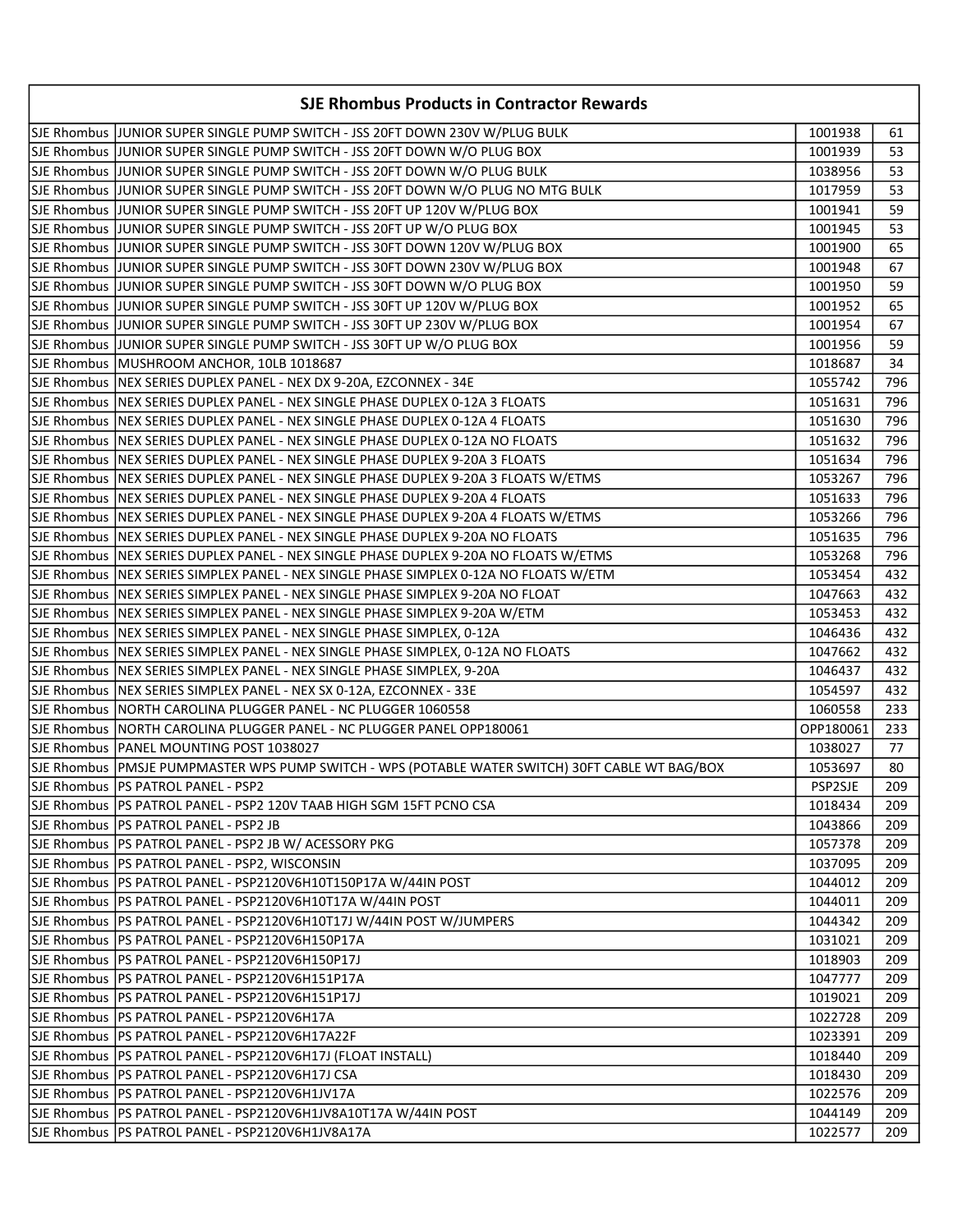| <b>SJE Rhombus Products in Contractor Rewards</b>                                                |           |     |
|--------------------------------------------------------------------------------------------------|-----------|-----|
| SJE Rhombus JJUNIOR SUPER SINGLE PUMP SWITCH - JSS 20FT DOWN 230V W/PLUG BULK                    | 1001938   | 61  |
| SJE Rhombus JJUNIOR SUPER SINGLE PUMP SWITCH - JSS 20FT DOWN W/O PLUG BOX                        | 1001939   | 53  |
| SJE Rhombus JJUNIOR SUPER SINGLE PUMP SWITCH - JSS 20FT DOWN W/O PLUG BULK                       | 1038956   | 53  |
| SJE Rhombus JJUNIOR SUPER SINGLE PUMP SWITCH - JSS 20FT DOWN W/O PLUG NO MTG BULK                | 1017959   | 53  |
| SJE Rhombus JJUNIOR SUPER SINGLE PUMP SWITCH - JSS 20FT UP 120V W/PLUG BOX                       | 1001941   | 59  |
| SJE Rhombus  JUNIOR SUPER SINGLE PUMP SWITCH - JSS 20FT UP W/O PLUG BOX                          | 1001945   | 53  |
| SJE Rhombus  JUNIOR SUPER SINGLE PUMP SWITCH - JSS 30FT DOWN 120V W/PLUG BOX                     | 1001900   | 65  |
| SJE Rhombus JJUNIOR SUPER SINGLE PUMP SWITCH - JSS 30FT DOWN 230V W/PLUG BOX                     | 1001948   | 67  |
| SJE Rhombus JJUNIOR SUPER SINGLE PUMP SWITCH - JSS 30FT DOWN W/O PLUG BOX                        | 1001950   | 59  |
| SJE Rhombus JJUNIOR SUPER SINGLE PUMP SWITCH - JSS 30FT UP 120V W/PLUG BOX                       | 1001952   | 65  |
| SJE Rhombus JJUNIOR SUPER SINGLE PUMP SWITCH - JSS 30FT UP 230V W/PLUG BOX                       | 1001954   | 67  |
| SJE Rhombus JJUNIOR SUPER SINGLE PUMP SWITCH - JSS 30FT UP W/O PLUG BOX                          | 1001956   | 59  |
| SJE Rhombus MUSHROOM ANCHOR, 10LB 1018687                                                        | 1018687   | 34  |
| SJE Rhombus NEX SERIES DUPLEX PANEL - NEX DX 9-20A, EZCONNEX - 34E                               | 1055742   | 796 |
| SJE Rhombus   NEX SERIES DUPLEX PANEL - NEX SINGLE PHASE DUPLEX 0-12A 3 FLOATS                   | 1051631   | 796 |
| SJE Rhombus   NEX SERIES DUPLEX PANEL - NEX SINGLE PHASE DUPLEX 0-12A 4 FLOATS                   | 1051630   | 796 |
| SJE Rhombus NEX SERIES DUPLEX PANEL - NEX SINGLE PHASE DUPLEX 0-12A NO FLOATS                    | 1051632   | 796 |
| SJE Rhombus  NEX SERIES DUPLEX PANEL - NEX SINGLE PHASE DUPLEX 9-20A 3 FLOATS                    | 1051634   | 796 |
| SJE Rhombus  NEX SERIES DUPLEX PANEL - NEX SINGLE PHASE DUPLEX 9-20A 3 FLOATS W/ETMS             | 1053267   | 796 |
| SJE Rhombus  NEX SERIES DUPLEX PANEL - NEX SINGLE PHASE DUPLEX 9-20A 4 FLOATS                    | 1051633   | 796 |
| SJE Rhombus  NEX SERIES DUPLEX PANEL - NEX SINGLE PHASE DUPLEX 9-20A 4 FLOATS W/ETMS             | 1053266   | 796 |
| SJE Rhombus  NEX SERIES DUPLEX PANEL - NEX SINGLE PHASE DUPLEX 9-20A NO FLOATS                   | 1051635   | 796 |
| SJE Rhombus NEX SERIES DUPLEX PANEL - NEX SINGLE PHASE DUPLEX 9-20A NO FLOATS W/ETMS             | 1053268   | 796 |
| SJE Rhombus  NEX SERIES SIMPLEX PANEL - NEX SINGLE PHASE SIMPLEX 0-12A NO FLOATS W/ETM           | 1053454   | 432 |
| SJE Rhombus   NEX SERIES SIMPLEX PANEL - NEX SINGLE PHASE SIMPLEX 9-20A NO FLOAT                 | 1047663   | 432 |
| SJE Rhombus  NEX SERIES SIMPLEX PANEL - NEX SINGLE PHASE SIMPLEX 9-20A W/ETM                     | 1053453   | 432 |
| SJE Rhombus NEX SERIES SIMPLEX PANEL - NEX SINGLE PHASE SIMPLEX, 0-12A                           | 1046436   | 432 |
| SJE Rhombus   NEX SERIES SIMPLEX PANEL - NEX SINGLE PHASE SIMPLEX, 0-12A NO FLOATS               | 1047662   | 432 |
| SJE Rhombus NEX SERIES SIMPLEX PANEL - NEX SINGLE PHASE SIMPLEX, 9-20A                           | 1046437   | 432 |
| SJE Rhombus   NEX SERIES SIMPLEX PANEL - NEX SX 0-12A, EZCONNEX - 33E                            | 1054597   | 432 |
| SJE Rhombus NORTH CAROLINA PLUGGER PANEL - NC PLUGGER 1060558                                    | 1060558   | 233 |
| SJE Rhombus NORTH CAROLINA PLUGGER PANEL - NC PLUGGER PANEL OPP180061                            | OPP180061 | 233 |
| SJE Rhombus   PANEL MOUNTING POST 1038027                                                        | 1038027   | 77  |
| SJE Rhombus  PMSJE PUMPMASTER WPS PUMP SWITCH - WPS (POTABLE WATER SWITCH) 30FT CABLE WT BAG/BOX | 1053697   | 80  |
| SJE Rhombus PS PATROL PANEL - PSP2                                                               | PSP2SJE   | 209 |
| SJE Rhombus  PS PATROL PANEL - PSP2 120V TAAB HIGH SGM 15FT PCNO CSA                             | 1018434   | 209 |
| SJE Rhombus   PS PATROL PANEL - PSP2 JB                                                          | 1043866   | 209 |
| SJE Rhombus   PS PATROL PANEL - PSP2 JB W/ ACESSORY PKG                                          | 1057378   | 209 |
| SJE Rhombus   PS PATROL PANEL - PSP2, WISCONSIN                                                  | 1037095   | 209 |
| SJE Rhombus   PS PATROL PANEL - PSP2120V6H10T150P17A W/44IN POST                                 | 1044012   | 209 |
| SJE Rhombus   PS PATROL PANEL - PSP2120V6H10T17A W/44IN POST                                     | 1044011   | 209 |
| SJE Rhombus   PS PATROL PANEL - PSP2120V6H10T17J W/44IN POST W/JUMPERS                           | 1044342   | 209 |
| SJE Rhombus   PS PATROL PANEL - PSP2120V6H150P17A                                                | 1031021   | 209 |
| SJE Rhombus   PS PATROL PANEL - PSP2120V6H150P17J                                                | 1018903   | 209 |
| SJE Rhombus   PS PATROL PANEL - PSP2120V6H151P17A                                                | 1047777   | 209 |
| SJE Rhombus   PS PATROL PANEL - PSP2120V6H151P17J                                                | 1019021   | 209 |
| SJE Rhombus   PS PATROL PANEL - PSP2120V6H17A                                                    | 1022728   | 209 |
| SJE Rhombus   PS PATROL PANEL - PSP2120V6H17A22F                                                 | 1023391   | 209 |
| SJE Rhombus   PS PATROL PANEL - PSP2120V6H17J (FLOAT INSTALL)                                    | 1018440   | 209 |
| SJE Rhombus   PS PATROL PANEL - PSP2120V6H17J CSA                                                | 1018430   | 209 |
| SJE Rhombus   PS PATROL PANEL - PSP2120V6H1JV17A                                                 | 1022576   | 209 |
| SJE Rhombus   PS PATROL PANEL - PSP2120V6H1JV8A10T17A W/44IN POST                                | 1044149   | 209 |
| SJE Rhombus   PS PATROL PANEL - PSP2120V6H1JV8A17A                                               | 1022577   | 209 |
|                                                                                                  |           |     |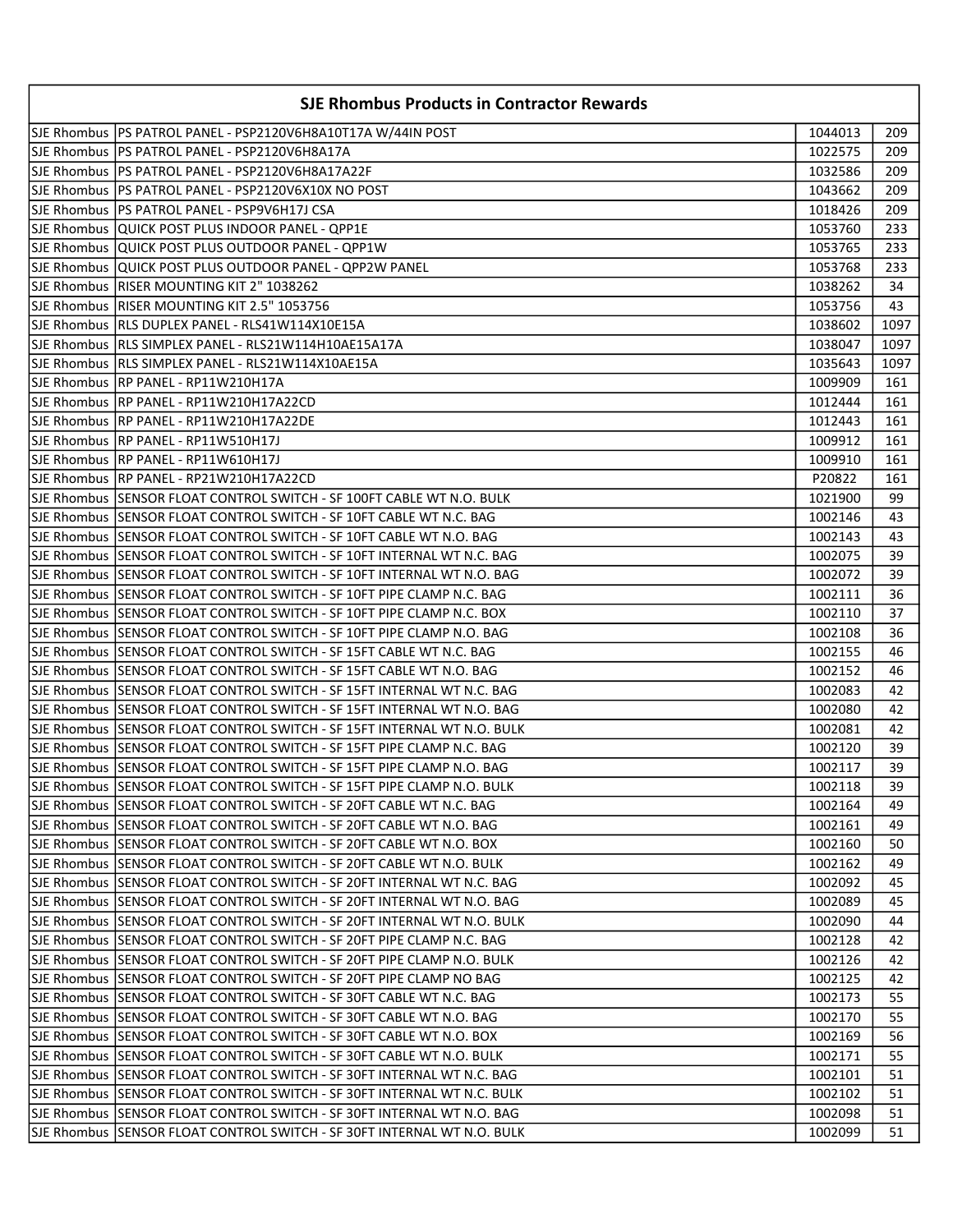| <b>SJE Rhombus Products in Contractor Rewards</b>                        |         |      |
|--------------------------------------------------------------------------|---------|------|
| SJE Rhombus  PS PATROL PANEL - PSP2120V6H8A10T17A W/44IN POST            | 1044013 | 209  |
| ISJE Rhombus IPS PATROL PANEL - PSP2120V6H8A17A                          | 1022575 | 209  |
| SJE Rhombus  PS PATROL PANEL - PSP2120V6H8A17A22F                        | 1032586 | 209  |
| SJE Rhombus  PS PATROL PANEL - PSP2120V6X10X NO POST                     | 1043662 | 209  |
| SJE Rhombus  PS PATROL PANEL - PSP9V6H17J CSA                            | 1018426 | 209  |
| SJE Rhombus  QUICK POST PLUS INDOOR PANEL - QPP1E                        | 1053760 | 233  |
| SJE Rhombus  QUICK POST PLUS OUTDOOR PANEL - QPP1W                       | 1053765 | 233  |
| SJE Rhombus  QUICK POST PLUS OUTDOOR PANEL - QPP2W PANEL                 | 1053768 | 233  |
| SJE Rhombus  RISER MOUNTING KIT 2" 1038262                               | 1038262 | 34   |
| SJE Rhombus  RISER MOUNTING KIT 2.5" 1053756                             | 1053756 | 43   |
| SJE Rhombus  RLS DUPLEX PANEL - RLS41W114X10E15A                         | 1038602 | 1097 |
| SJE Rhombus  RLS SIMPLEX PANEL - RLS21W114H10AE15A17A                    | 1038047 | 1097 |
| SJE Rhombus  RLS SIMPLEX PANEL - RLS21W114X10AE15A                       | 1035643 | 1097 |
| SJE Rhombus  RP PANEL - RP11W210H17A                                     | 1009909 | 161  |
| SJE Rhombus  RP PANEL - RP11W210H17A22CD                                 | 1012444 | 161  |
| SJE Rhombus  RP PANEL - RP11W210H17A22DE                                 | 1012443 | 161  |
| SJE Rhombus  RP PANEL - RP11W510H17J                                     | 1009912 | 161  |
| SJE Rhombus  RP PANEL - RP11W610H17J                                     | 1009910 | 161  |
| SJE Rhombus RP PANEL - RP21W210H17A22CD                                  | P20822  | 161  |
|                                                                          | 1021900 | 99   |
|                                                                          | 1002146 | 43   |
|                                                                          | 1002143 | 43   |
| SJE Rhombus SENSOR FLOAT CONTROL SWITCH - SF 10FT INTERNAL WT N.C. BAG   | 1002075 | 39   |
| SJE Rhombus  SENSOR FLOAT CONTROL SWITCH - SF 10FT INTERNAL WT N.O. BAG  | 1002072 | 39   |
| SJE Rhombus  SENSOR FLOAT CONTROL SWITCH - SF 10FT PIPE CLAMP N.C. BAG   | 1002111 | 36   |
|                                                                          | 1002110 | 37   |
| SJE Rhombus  SENSOR FLOAT CONTROL SWITCH - SF 10FT PIPE CLAMP N.O. BAG   | 1002108 | 36   |
|                                                                          | 1002155 | 46   |
|                                                                          | 1002152 | 46   |
|                                                                          | 1002083 | 42   |
| lSJE Rhombus  SENSOR FLOAT CONTROL SWITCH - SF 15FT INTERNAL WT N.O. BAG | 1002080 | 42   |
| SJE Rhombus  SENSOR FLOAT CONTROL SWITCH - SF 15FT INTERNAL WT N.O. BULK | 1002081 | 42   |
| SJE Rhombus  SENSOR FLOAT CONTROL SWITCH - SF 15FT PIPE CLAMP N.C. BAG   | 1002120 | 39   |
|                                                                          | 1002117 | 39   |
| SJE Rhombus SENSOR FLOAT CONTROL SWITCH - SF 15FT PIPE CLAMP N.O. BULK   | 1002118 | 39   |
|                                                                          | 1002164 | 49   |
|                                                                          | 1002161 | 49   |
| SJE Rhombus SENSOR FLOAT CONTROL SWITCH - SF 20FT CABLE WT N.O. BOX      | 1002160 | 50   |
| SJE Rhombus SENSOR FLOAT CONTROL SWITCH - SF 20FT CABLE WT N.O. BULK     | 1002162 | 49   |
|                                                                          | 1002092 | 45   |
| SJE Rhombus SENSOR FLOAT CONTROL SWITCH - SF 20FT INTERNAL WT N.O. BAG   | 1002089 | 45   |
| SJE Rhombus SENSOR FLOAT CONTROL SWITCH - SF 20FT INTERNAL WT N.O. BULK  | 1002090 | 44   |
|                                                                          | 1002128 | 42   |
|                                                                          | 1002126 | 42   |
| SJE Rhombus SENSOR FLOAT CONTROL SWITCH - SF 20FT PIPE CLAMP NO BAG      | 1002125 | 42   |
| SJE Rhombus SENSOR FLOAT CONTROL SWITCH - SF 30FT CABLE WT N.C. BAG      | 1002173 | 55   |
| SJE Rhombus SSENSOR FLOAT CONTROL SWITCH - SF 30FT CABLE WT N.O. BAG     | 1002170 | 55   |
| SJE Rhombus SENSOR FLOAT CONTROL SWITCH - SF 30FT CABLE WT N.O. BOX      | 1002169 | 56   |
|                                                                          | 1002171 | 55   |
| SJE Rhombus  SENSOR FLOAT CONTROL SWITCH - SF 30FT INTERNAL WT N.C. BAG  | 1002101 | 51   |
|                                                                          | 1002102 | 51   |
| SJE Rhombus  SENSOR FLOAT CONTROL SWITCH - SF 30FT INTERNAL WT N.O. BAG  | 1002098 | 51   |
| SJE Rhombus SENSOR FLOAT CONTROL SWITCH - SF 30FT INTERNAL WT N.O. BULK  | 1002099 | 51   |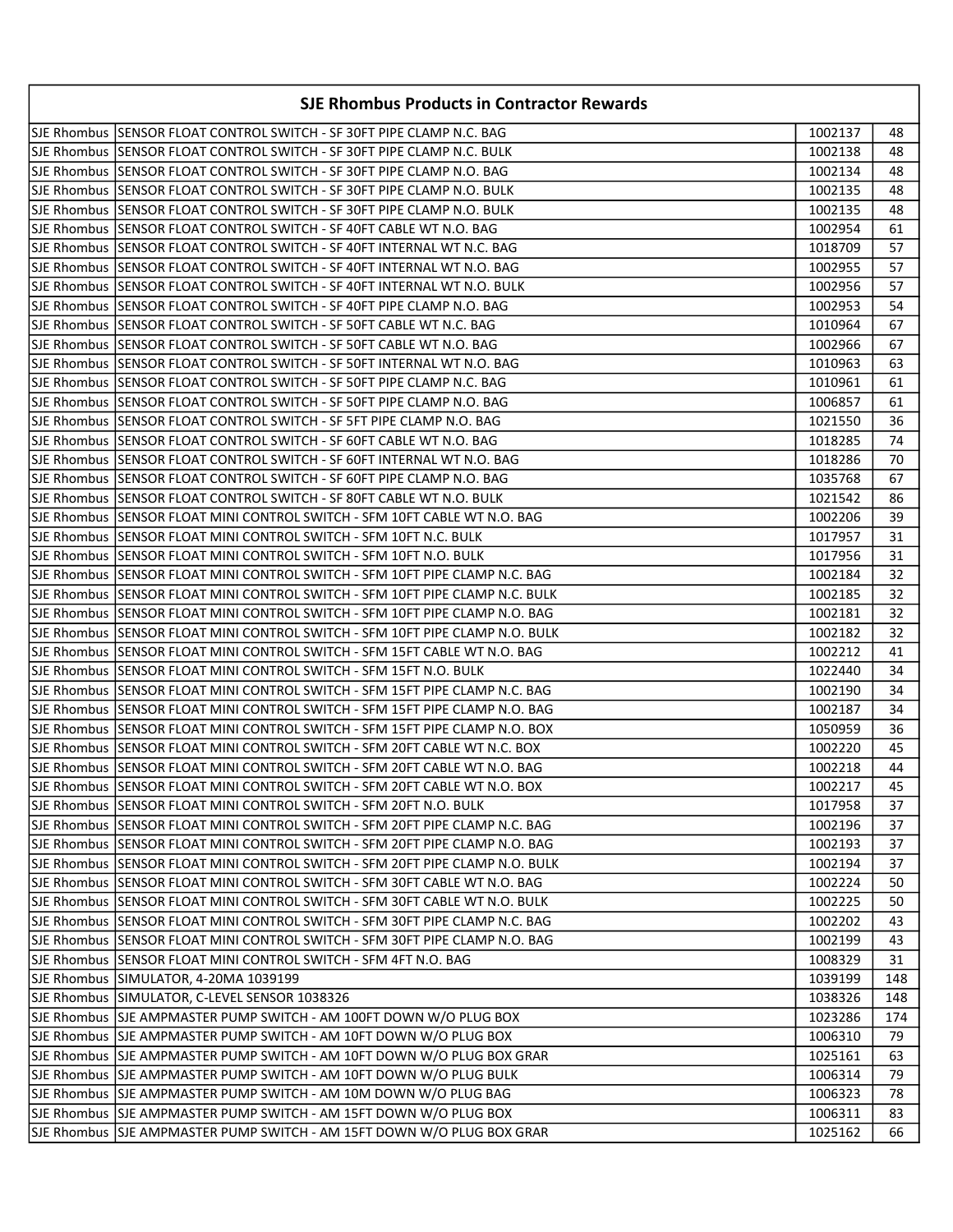| <b>SJE Rhombus Products in Contractor Rewards</b>                             |         |     |
|-------------------------------------------------------------------------------|---------|-----|
| SJE Rhombus SSENSOR FLOAT CONTROL SWITCH - SF 30FT PIPE CLAMP N.C. BAG        | 1002137 | 48  |
|                                                                               | 1002138 | 48  |
| SJE Rhombus ISENSOR FLOAT CONTROL SWITCH - SF 30FT PIPE CLAMP N.O. BAG        | 1002134 | 48  |
|                                                                               | 1002135 | 48  |
|                                                                               | 1002135 | 48  |
| SJE Rhombus SSENSOR FLOAT CONTROL SWITCH - SF 40FT CABLE WT N.O. BAG          | 1002954 | 61  |
|                                                                               | 1018709 | 57  |
| SJE Rhombus ISENSOR FLOAT CONTROL SWITCH - SF 40FT INTERNAL WT N.O. BAG       | 1002955 | 57  |
| SJE Rhombus SENSOR FLOAT CONTROL SWITCH - SF 40FT INTERNAL WT N.O. BULK       | 1002956 | 57  |
| SJE Rhombus (SENSOR FLOAT CONTROL SWITCH - SF 40FT PIPE CLAMP N.O. BAG        | 1002953 | 54  |
| SJE Rhombus (SENSOR FLOAT CONTROL SWITCH - SF 50FT CABLE WT N.C. BAG          | 1010964 | 67  |
| SJE Rhombus ISENSOR FLOAT CONTROL SWITCH - SF 50FT CABLE WT N.O. BAG          | 1002966 | 67  |
| SJE Rhombus   SENSOR FLOAT CONTROL SWITCH - SF 50FT INTERNAL WT N.O. BAG      | 1010963 | 63  |
| SJE Rhombus  SENSOR FLOAT CONTROL SWITCH - SF 50FT PIPE CLAMP N.C. BAG        | 1010961 | 61  |
| SJE Rhombus   SENSOR FLOAT CONTROL SWITCH - SF 50FT PIPE CLAMP N.O. BAG       | 1006857 | 61  |
| SJE Rhombus SSENSOR FLOAT CONTROL SWITCH - SF 5FT PIPE CLAMP N.O. BAG         | 1021550 | 36  |
| SJE Rhombus SSENSOR FLOAT CONTROL SWITCH - SF 60FT CABLE WT N.O. BAG          | 1018285 | 74  |
| SJE Rhombus ISENSOR FLOAT CONTROL SWITCH - SF 60FT INTERNAL WT N.O. BAG       | 1018286 | 70  |
| SJE Rhombus ISENSOR FLOAT CONTROL SWITCH - SF 60FT PIPE CLAMP N.O. BAG        | 1035768 | 67  |
|                                                                               | 1021542 | 86  |
|                                                                               | 1002206 | 39  |
|                                                                               | 1017957 | 31  |
| SJE Rhombus SSENSOR FLOAT MINI CONTROL SWITCH - SFM 10FT N.O. BULK            | 1017956 | 31  |
| SJE Rhombus  SENSOR FLOAT MINI CONTROL SWITCH - SFM 10FT PIPE CLAMP N.C. BAG  | 1002184 | 32  |
| SJE Rhombus  SENSOR FLOAT MINI CONTROL SWITCH - SFM 10FT PIPE CLAMP N.C. BULK | 1002185 | 32  |
| SJE Rhombus SSENSOR FLOAT MINI CONTROL SWITCH - SFM 10FT PIPE CLAMP N.O. BAG  | 1002181 | 32  |
| SJE Rhombus  SENSOR FLOAT MINI CONTROL SWITCH - SFM 10FT PIPE CLAMP N.O. BULK | 1002182 | 32  |
| SJE Rhombus ISENSOR FLOAT MINI CONTROL SWITCH - SFM 15FT CABLE WT N.O. BAG    | 1002212 | 41  |
| SJE Rhombus SSENSOR FLOAT MINI CONTROL SWITCH - SFM 15FT N.O. BULK            | 1022440 | 34  |
| SJE Rhombus  SENSOR FLOAT MINI CONTROL SWITCH - SFM 15FT PIPE CLAMP N.C. BAG  | 1002190 | 34  |
| SJE Rhombus  SENSOR FLOAT MINI CONTROL SWITCH - SFM 15FT PIPE CLAMP N.O. BAG  | 1002187 | 34  |
| SJE Rhombus  SENSOR FLOAT MINI CONTROL SWITCH - SFM 15FT PIPE CLAMP N.O. BOX  | 1050959 | 36  |
| SJE Rhombus  SENSOR FLOAT MINI CONTROL SWITCH - SFM 20FT CABLE WT N.C. BOX    | 1002220 | 45  |
| SJE Rhombus SENSOR FLOAT MINI CONTROL SWITCH - SFM 20FT CABLE WT N.O. BAG     | 1002218 | 44  |
| SJE Rhombus SENSOR FLOAT MINI CONTROL SWITCH - SFM 20FT CABLE WT N.O. BOX     | 1002217 | 45  |
|                                                                               | 1017958 | 37  |
| SJE Rhombus  SENSOR FLOAT MINI CONTROL SWITCH - SFM 20FT PIPE CLAMP N.C. BAG  | 1002196 | 37  |
| SJE Rhombus  SENSOR FLOAT MINI CONTROL SWITCH - SFM 20FT PIPE CLAMP N.O. BAG  | 1002193 | 37  |
| SJE Rhombus  SENSOR FLOAT MINI CONTROL SWITCH - SFM 20FT PIPE CLAMP N.O. BULK | 1002194 | 37  |
| SJE Rhombus SENSOR FLOAT MINI CONTROL SWITCH - SFM 30FT CABLE WT N.O. BAG     | 1002224 | 50  |
| SJE Rhombus  SENSOR FLOAT MINI CONTROL SWITCH - SFM 30FT CABLE WT N.O. BULK   | 1002225 | 50  |
| SJE Rhombus SENSOR FLOAT MINI CONTROL SWITCH - SFM 30FT PIPE CLAMP N.C. BAG   | 1002202 | 43  |
| SJE Rhombus SENSOR FLOAT MINI CONTROL SWITCH - SFM 30FT PIPE CLAMP N.O. BAG   | 1002199 | 43  |
| SJE Rhombus SENSOR FLOAT MINI CONTROL SWITCH - SFM 4FT N.O. BAG               | 1008329 | 31  |
| SJE Rhombus   SIMULATOR, 4-20MA 1039199                                       | 1039199 | 148 |
| SJE Rhombus SIMULATOR, C-LEVEL SENSOR 1038326                                 | 1038326 | 148 |
| SJE Rhombus   SJE AMPMASTER PUMP SWITCH - AM 100FT DOWN W/O PLUG BOX          | 1023286 | 174 |
| SJE Rhombus SJE AMPMASTER PUMP SWITCH - AM 10FT DOWN W/O PLUG BOX             | 1006310 | 79  |
| SJE Rhombus SJE AMPMASTER PUMP SWITCH - AM 10FT DOWN W/O PLUG BOX GRAR        | 1025161 | 63  |
| SJE Rhombus SJE AMPMASTER PUMP SWITCH - AM 10FT DOWN W/O PLUG BULK            | 1006314 | 79  |
| SJE Rhombus   SJE AMPMASTER PUMP SWITCH - AM 10M DOWN W/O PLUG BAG            | 1006323 | 78  |
| SJE Rhombus SJE AMPMASTER PUMP SWITCH - AM 15FT DOWN W/O PLUG BOX             | 1006311 | 83  |
| SJE Rhombus SJE AMPMASTER PUMP SWITCH - AM 15FT DOWN W/O PLUG BOX GRAR        | 1025162 | 66  |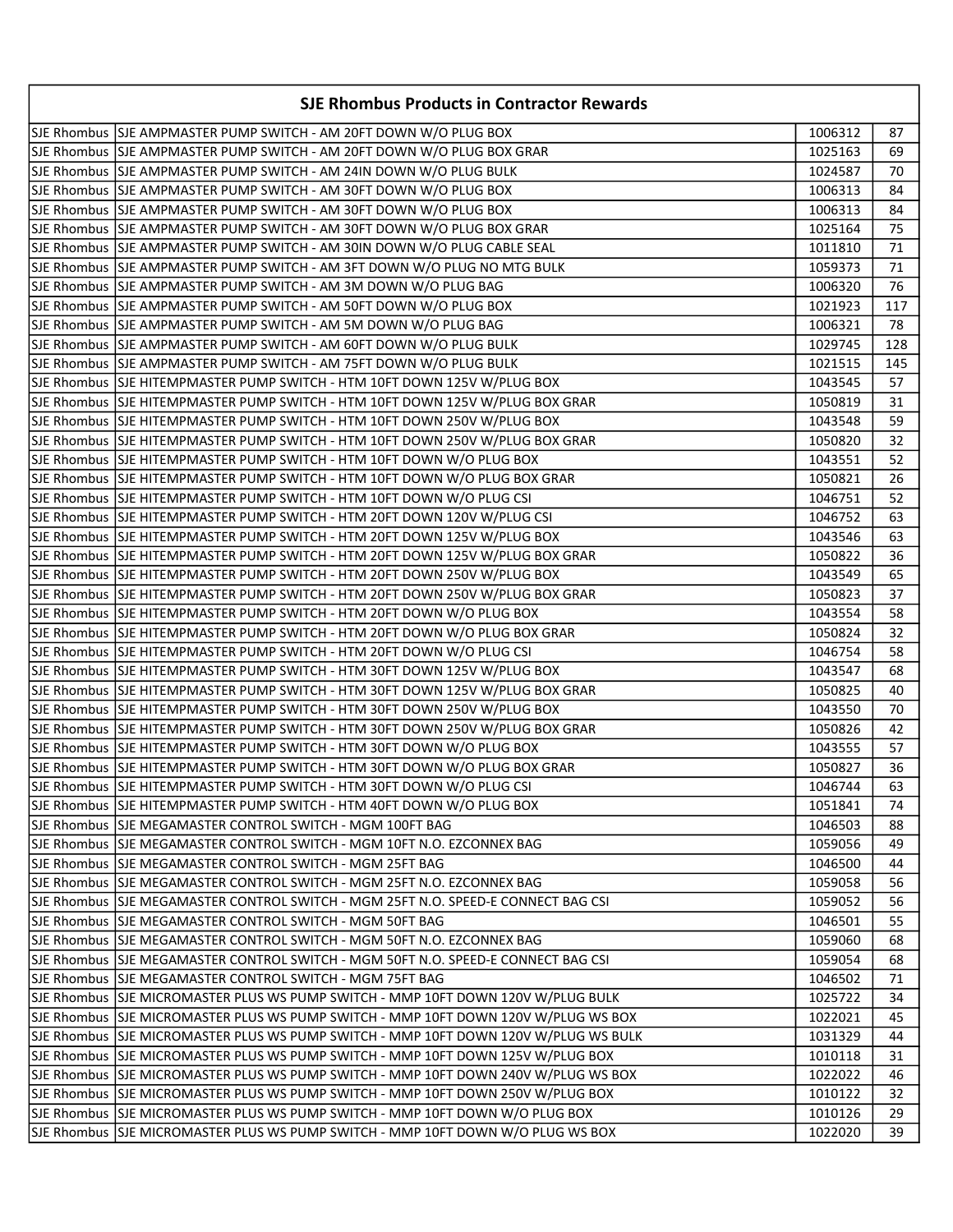| SJE Rhombus SJE AMPMASTER PUMP SWITCH - AM 20FT DOWN W/O PLUG BOX<br>1006312<br>87<br>SJE Rhombus  SJE AMPMASTER PUMP SWITCH - AM 20FT DOWN W/O PLUG BOX GRAR<br>1025163<br>69<br>SJE Rhombus SJE AMPMASTER PUMP SWITCH - AM 24IN DOWN W/O PLUG BULK<br>1024587<br>70<br>SJE Rhombus SJE AMPMASTER PUMP SWITCH - AM 30FT DOWN W/O PLUG BOX<br>1006313<br>84<br>SJE Rhombus SJE AMPMASTER PUMP SWITCH - AM 30FT DOWN W/O PLUG BOX<br>1006313<br>84<br>SJE Rhombus  SJE AMPMASTER PUMP SWITCH - AM 30FT DOWN W/O PLUG BOX GRAR<br>1025164<br>75<br>SJE Rhombus SJE AMPMASTER PUMP SWITCH - AM 30IN DOWN W/O PLUG CABLE SEAL<br>1011810<br>71<br>SJE Rhombus SJE AMPMASTER PUMP SWITCH - AM 3FT DOWN W/O PLUG NO MTG BULK<br>1059373<br>71<br>SJE Rhombus SJE AMPMASTER PUMP SWITCH - AM 3M DOWN W/O PLUG BAG<br>1006320<br>76<br>SJE Rhombus SJE AMPMASTER PUMP SWITCH - AM 50FT DOWN W/O PLUG BOX<br>117<br>1021923<br>78<br>1006321<br>SJE Rhombus SJE AMPMASTER PUMP SWITCH - AM 60FT DOWN W/O PLUG BULK<br>1029745<br>128<br>SJE Rhombus SJE AMPMASTER PUMP SWITCH - AM 75FT DOWN W/O PLUG BULK<br>1021515<br>145<br>SJE Rhombus SJE HITEMPMASTER PUMP SWITCH - HTM 10FT DOWN 125V W/PLUG BOX<br>1043545<br>57<br>SJE Rhombus  SJE HITEMPMASTER PUMP SWITCH - HTM 10FT DOWN 125V W/PLUG BOX GRAR<br>1050819<br>31<br>SJE Rhombus SJE HITEMPMASTER PUMP SWITCH - HTM 10FT DOWN 250V W/PLUG BOX<br>1043548<br>59<br>SJE Rhombus  SJE HITEMPMASTER PUMP SWITCH - HTM 10FT DOWN 250V W/PLUG BOX GRAR<br>32<br>1050820<br>SJE Rhombus SJE HITEMPMASTER PUMP SWITCH - HTM 10FT DOWN W/O PLUG BOX<br>1043551<br>52<br>SJE Rhombus  SJE HITEMPMASTER PUMP SWITCH - HTM 10FT DOWN W/O PLUG BOX GRAR<br>26<br>1050821<br>SJE Rhombus SJE HITEMPMASTER PUMP SWITCH - HTM 10FT DOWN W/O PLUG CSI<br>1046751<br>52<br>SJE Rhombus SJE HITEMPMASTER PUMP SWITCH - HTM 20FT DOWN 120V W/PLUG CSI<br>63<br>1046752<br>SJE Rhombus SJE HITEMPMASTER PUMP SWITCH - HTM 20FT DOWN 125V W/PLUG BOX<br>1043546<br>63<br>SJE Rhombus SJJE HITEMPMASTER PUMP SWITCH - HTM 20FT DOWN 125V W/PLUG BOX GRAR<br>36<br>1050822<br>SJE Rhombus SJE HITEMPMASTER PUMP SWITCH - HTM 20FT DOWN 250V W/PLUG BOX<br>1043549<br>65<br>SJE Rhombus SJJE HITEMPMASTER PUMP SWITCH - HTM 20FT DOWN 250V W/PLUG BOX GRAR<br>37<br>1050823<br>SJE Rhombus SJE HITEMPMASTER PUMP SWITCH - HTM 20FT DOWN W/O PLUG BOX<br>1043554<br>58<br>SJE Rhombus SJE HITEMPMASTER PUMP SWITCH - HTM 20FT DOWN W/O PLUG BOX GRAR<br>1050824<br>32<br>SJE Rhombus SJE HITEMPMASTER PUMP SWITCH - HTM 20FT DOWN W/O PLUG CSI<br>1046754<br>58<br>SJE Rhombus SJE HITEMPMASTER PUMP SWITCH - HTM 30FT DOWN 125V W/PLUG BOX<br>1043547<br>68<br>SJE Rhombus SJJE HITEMPMASTER PUMP SWITCH - HTM 30FT DOWN 125V W/PLUG BOX GRAR<br>1050825<br>40<br>SJE Rhombus SJE HITEMPMASTER PUMP SWITCH - HTM 30FT DOWN 250V W/PLUG BOX<br>1043550<br>70<br>SJE Rhombus  SJE HITEMPMASTER PUMP SWITCH - HTM 30FT DOWN 250V W/PLUG BOX GRAR<br>1050826<br>42<br>SJE Rhombus SJE HITEMPMASTER PUMP SWITCH - HTM 30FT DOWN W/O PLUG BOX<br>1043555<br>57<br>SJE Rhombus  SJE HITEMPMASTER PUMP SWITCH - HTM 30FT DOWN W/O PLUG BOX GRAR<br>1050827<br>36<br>SJE Rhombus SJE HITEMPMASTER PUMP SWITCH - HTM 30FT DOWN W/O PLUG CSI<br>1046744<br>63<br>1051841<br>74<br>SJE Rhombus SJE MEGAMASTER CONTROL SWITCH - MGM 100FT BAG<br>1046503<br>88<br>SJE Rhombus SJE MEGAMASTER CONTROL SWITCH - MGM 10FT N.O. EZCONNEX BAG<br>1059056<br>49<br>SJE Rhombus  SJE MEGAMASTER CONTROL SWITCH - MGM 25FT BAG <br>1046500<br>44<br>SJE Rhombus SJE MEGAMASTER CONTROL SWITCH - MGM 25FT N.O. EZCONNEX BAG<br>1059058<br>56<br>SJE Rhombus SJJE MEGAMASTER CONTROL SWITCH - MGM 25FT N.O. SPEED-E CONNECT BAG CSI<br>1059052<br>56<br>SJE Rhombus SJE MEGAMASTER CONTROL SWITCH - MGM 50FT BAG<br>1046501<br>55<br>SJE Rhombus SJE MEGAMASTER CONTROL SWITCH - MGM 50FT N.O. EZCONNEX BAG<br>1059060<br>68<br>SJE Rhombus SJJE MEGAMASTER CONTROL SWITCH - MGM 50FT N.O. SPEED-E CONNECT BAG CSI<br>1059054<br>68<br>SJE Rhombus   SJE MEGAMASTER CONTROL SWITCH - MGM 75FT BAG<br>1046502<br>71<br>SJE Rhombus SJE MICROMASTER PLUS WS PUMP SWITCH - MMP 10FT DOWN 120V W/PLUG BULK<br>1025722<br>34<br>SJE Rhombus  SJE MICROMASTER PLUS WS PUMP SWITCH - MMP 10FT DOWN 120V W/PLUG WS BOX <br>1022021<br>45<br>SJE Rhombus  SJE MICROMASTER PLUS WS PUMP SWITCH - MMP 10FT DOWN 120V W/PLUG WS BULK<br>1031329<br>44<br>SJE Rhombus SJE MICROMASTER PLUS WS PUMP SWITCH - MMP 10FT DOWN 125V W/PLUG BOX<br>1010118<br>31<br>SJE Rhombus SJE MICROMASTER PLUS WS PUMP SWITCH - MMP 10FT DOWN 240V W/PLUG WS BOX<br>1022022<br>46<br>SJE Rhombus SJE MICROMASTER PLUS WS PUMP SWITCH - MMP 10FT DOWN 250V W/PLUG BOX<br>1010122<br>32<br>SJE Rhombus SJE MICROMASTER PLUS WS PUMP SWITCH - MMP 10FT DOWN W/O PLUG BOX<br>1010126<br>29<br>SJE Rhombus SJE MICROMASTER PLUS WS PUMP SWITCH - MMP 10FT DOWN W/O PLUG WS BOX<br>39<br>1022020 | <b>SJE Rhombus Products in Contractor Rewards</b> |  |  |  |
|-----------------------------------------------------------------------------------------------------------------------------------------------------------------------------------------------------------------------------------------------------------------------------------------------------------------------------------------------------------------------------------------------------------------------------------------------------------------------------------------------------------------------------------------------------------------------------------------------------------------------------------------------------------------------------------------------------------------------------------------------------------------------------------------------------------------------------------------------------------------------------------------------------------------------------------------------------------------------------------------------------------------------------------------------------------------------------------------------------------------------------------------------------------------------------------------------------------------------------------------------------------------------------------------------------------------------------------------------------------------------------------------------------------------------------------------------------------------------------------------------------------------------------------------------------------------------------------------------------------------------------------------------------------------------------------------------------------------------------------------------------------------------------------------------------------------------------------------------------------------------------------------------------------------------------------------------------------------------------------------------------------------------------------------------------------------------------------------------------------------------------------------------------------------------------------------------------------------------------------------------------------------------------------------------------------------------------------------------------------------------------------------------------------------------------------------------------------------------------------------------------------------------------------------------------------------------------------------------------------------------------------------------------------------------------------------------------------------------------------------------------------------------------------------------------------------------------------------------------------------------------------------------------------------------------------------------------------------------------------------------------------------------------------------------------------------------------------------------------------------------------------------------------------------------------------------------------------------------------------------------------------------------------------------------------------------------------------------------------------------------------------------------------------------------------------------------------------------------------------------------------------------------------------------------------------------------------------------------------------------------------------------------------------------------------------------------------------------------------------------------------------------------------------------------------------------------------------------------------------------------------------------------------------------------------------------------------------------------------------------------------------------------------------------------------------------------------------------------------------------------------------------------------------------------------------------------------------------------------------------------------------------------------------------------------------------------------------------------------------------------------------------------------------------------------------------------------------------------------------------------------------------------------------------------------------------------------------------------------------------------------------------------------------------------------------------------------------------------------------------------------------------------------------------------------------------------------------------------------------------------------------------------------------------------------------------------------------------|---------------------------------------------------|--|--|--|
|                                                                                                                                                                                                                                                                                                                                                                                                                                                                                                                                                                                                                                                                                                                                                                                                                                                                                                                                                                                                                                                                                                                                                                                                                                                                                                                                                                                                                                                                                                                                                                                                                                                                                                                                                                                                                                                                                                                                                                                                                                                                                                                                                                                                                                                                                                                                                                                                                                                                                                                                                                                                                                                                                                                                                                                                                                                                                                                                                                                                                                                                                                                                                                                                                                                                                                                                                                                                                                                                                                                                                                                                                                                                                                                                                                                                                                                                                                                                                                                                                                                                                                                                                                                                                                                                                                                                                                                                                                                                                                                                                                                                                                                                                                                                                                                                                                                                                                                                                                 |                                                   |  |  |  |
|                                                                                                                                                                                                                                                                                                                                                                                                                                                                                                                                                                                                                                                                                                                                                                                                                                                                                                                                                                                                                                                                                                                                                                                                                                                                                                                                                                                                                                                                                                                                                                                                                                                                                                                                                                                                                                                                                                                                                                                                                                                                                                                                                                                                                                                                                                                                                                                                                                                                                                                                                                                                                                                                                                                                                                                                                                                                                                                                                                                                                                                                                                                                                                                                                                                                                                                                                                                                                                                                                                                                                                                                                                                                                                                                                                                                                                                                                                                                                                                                                                                                                                                                                                                                                                                                                                                                                                                                                                                                                                                                                                                                                                                                                                                                                                                                                                                                                                                                                                 |                                                   |  |  |  |
|                                                                                                                                                                                                                                                                                                                                                                                                                                                                                                                                                                                                                                                                                                                                                                                                                                                                                                                                                                                                                                                                                                                                                                                                                                                                                                                                                                                                                                                                                                                                                                                                                                                                                                                                                                                                                                                                                                                                                                                                                                                                                                                                                                                                                                                                                                                                                                                                                                                                                                                                                                                                                                                                                                                                                                                                                                                                                                                                                                                                                                                                                                                                                                                                                                                                                                                                                                                                                                                                                                                                                                                                                                                                                                                                                                                                                                                                                                                                                                                                                                                                                                                                                                                                                                                                                                                                                                                                                                                                                                                                                                                                                                                                                                                                                                                                                                                                                                                                                                 |                                                   |  |  |  |
|                                                                                                                                                                                                                                                                                                                                                                                                                                                                                                                                                                                                                                                                                                                                                                                                                                                                                                                                                                                                                                                                                                                                                                                                                                                                                                                                                                                                                                                                                                                                                                                                                                                                                                                                                                                                                                                                                                                                                                                                                                                                                                                                                                                                                                                                                                                                                                                                                                                                                                                                                                                                                                                                                                                                                                                                                                                                                                                                                                                                                                                                                                                                                                                                                                                                                                                                                                                                                                                                                                                                                                                                                                                                                                                                                                                                                                                                                                                                                                                                                                                                                                                                                                                                                                                                                                                                                                                                                                                                                                                                                                                                                                                                                                                                                                                                                                                                                                                                                                 |                                                   |  |  |  |
|                                                                                                                                                                                                                                                                                                                                                                                                                                                                                                                                                                                                                                                                                                                                                                                                                                                                                                                                                                                                                                                                                                                                                                                                                                                                                                                                                                                                                                                                                                                                                                                                                                                                                                                                                                                                                                                                                                                                                                                                                                                                                                                                                                                                                                                                                                                                                                                                                                                                                                                                                                                                                                                                                                                                                                                                                                                                                                                                                                                                                                                                                                                                                                                                                                                                                                                                                                                                                                                                                                                                                                                                                                                                                                                                                                                                                                                                                                                                                                                                                                                                                                                                                                                                                                                                                                                                                                                                                                                                                                                                                                                                                                                                                                                                                                                                                                                                                                                                                                 |                                                   |  |  |  |
|                                                                                                                                                                                                                                                                                                                                                                                                                                                                                                                                                                                                                                                                                                                                                                                                                                                                                                                                                                                                                                                                                                                                                                                                                                                                                                                                                                                                                                                                                                                                                                                                                                                                                                                                                                                                                                                                                                                                                                                                                                                                                                                                                                                                                                                                                                                                                                                                                                                                                                                                                                                                                                                                                                                                                                                                                                                                                                                                                                                                                                                                                                                                                                                                                                                                                                                                                                                                                                                                                                                                                                                                                                                                                                                                                                                                                                                                                                                                                                                                                                                                                                                                                                                                                                                                                                                                                                                                                                                                                                                                                                                                                                                                                                                                                                                                                                                                                                                                                                 |                                                   |  |  |  |
|                                                                                                                                                                                                                                                                                                                                                                                                                                                                                                                                                                                                                                                                                                                                                                                                                                                                                                                                                                                                                                                                                                                                                                                                                                                                                                                                                                                                                                                                                                                                                                                                                                                                                                                                                                                                                                                                                                                                                                                                                                                                                                                                                                                                                                                                                                                                                                                                                                                                                                                                                                                                                                                                                                                                                                                                                                                                                                                                                                                                                                                                                                                                                                                                                                                                                                                                                                                                                                                                                                                                                                                                                                                                                                                                                                                                                                                                                                                                                                                                                                                                                                                                                                                                                                                                                                                                                                                                                                                                                                                                                                                                                                                                                                                                                                                                                                                                                                                                                                 |                                                   |  |  |  |
|                                                                                                                                                                                                                                                                                                                                                                                                                                                                                                                                                                                                                                                                                                                                                                                                                                                                                                                                                                                                                                                                                                                                                                                                                                                                                                                                                                                                                                                                                                                                                                                                                                                                                                                                                                                                                                                                                                                                                                                                                                                                                                                                                                                                                                                                                                                                                                                                                                                                                                                                                                                                                                                                                                                                                                                                                                                                                                                                                                                                                                                                                                                                                                                                                                                                                                                                                                                                                                                                                                                                                                                                                                                                                                                                                                                                                                                                                                                                                                                                                                                                                                                                                                                                                                                                                                                                                                                                                                                                                                                                                                                                                                                                                                                                                                                                                                                                                                                                                                 |                                                   |  |  |  |
|                                                                                                                                                                                                                                                                                                                                                                                                                                                                                                                                                                                                                                                                                                                                                                                                                                                                                                                                                                                                                                                                                                                                                                                                                                                                                                                                                                                                                                                                                                                                                                                                                                                                                                                                                                                                                                                                                                                                                                                                                                                                                                                                                                                                                                                                                                                                                                                                                                                                                                                                                                                                                                                                                                                                                                                                                                                                                                                                                                                                                                                                                                                                                                                                                                                                                                                                                                                                                                                                                                                                                                                                                                                                                                                                                                                                                                                                                                                                                                                                                                                                                                                                                                                                                                                                                                                                                                                                                                                                                                                                                                                                                                                                                                                                                                                                                                                                                                                                                                 |                                                   |  |  |  |
|                                                                                                                                                                                                                                                                                                                                                                                                                                                                                                                                                                                                                                                                                                                                                                                                                                                                                                                                                                                                                                                                                                                                                                                                                                                                                                                                                                                                                                                                                                                                                                                                                                                                                                                                                                                                                                                                                                                                                                                                                                                                                                                                                                                                                                                                                                                                                                                                                                                                                                                                                                                                                                                                                                                                                                                                                                                                                                                                                                                                                                                                                                                                                                                                                                                                                                                                                                                                                                                                                                                                                                                                                                                                                                                                                                                                                                                                                                                                                                                                                                                                                                                                                                                                                                                                                                                                                                                                                                                                                                                                                                                                                                                                                                                                                                                                                                                                                                                                                                 |                                                   |  |  |  |
|                                                                                                                                                                                                                                                                                                                                                                                                                                                                                                                                                                                                                                                                                                                                                                                                                                                                                                                                                                                                                                                                                                                                                                                                                                                                                                                                                                                                                                                                                                                                                                                                                                                                                                                                                                                                                                                                                                                                                                                                                                                                                                                                                                                                                                                                                                                                                                                                                                                                                                                                                                                                                                                                                                                                                                                                                                                                                                                                                                                                                                                                                                                                                                                                                                                                                                                                                                                                                                                                                                                                                                                                                                                                                                                                                                                                                                                                                                                                                                                                                                                                                                                                                                                                                                                                                                                                                                                                                                                                                                                                                                                                                                                                                                                                                                                                                                                                                                                                                                 |                                                   |  |  |  |
|                                                                                                                                                                                                                                                                                                                                                                                                                                                                                                                                                                                                                                                                                                                                                                                                                                                                                                                                                                                                                                                                                                                                                                                                                                                                                                                                                                                                                                                                                                                                                                                                                                                                                                                                                                                                                                                                                                                                                                                                                                                                                                                                                                                                                                                                                                                                                                                                                                                                                                                                                                                                                                                                                                                                                                                                                                                                                                                                                                                                                                                                                                                                                                                                                                                                                                                                                                                                                                                                                                                                                                                                                                                                                                                                                                                                                                                                                                                                                                                                                                                                                                                                                                                                                                                                                                                                                                                                                                                                                                                                                                                                                                                                                                                                                                                                                                                                                                                                                                 |                                                   |  |  |  |
|                                                                                                                                                                                                                                                                                                                                                                                                                                                                                                                                                                                                                                                                                                                                                                                                                                                                                                                                                                                                                                                                                                                                                                                                                                                                                                                                                                                                                                                                                                                                                                                                                                                                                                                                                                                                                                                                                                                                                                                                                                                                                                                                                                                                                                                                                                                                                                                                                                                                                                                                                                                                                                                                                                                                                                                                                                                                                                                                                                                                                                                                                                                                                                                                                                                                                                                                                                                                                                                                                                                                                                                                                                                                                                                                                                                                                                                                                                                                                                                                                                                                                                                                                                                                                                                                                                                                                                                                                                                                                                                                                                                                                                                                                                                                                                                                                                                                                                                                                                 |                                                   |  |  |  |
|                                                                                                                                                                                                                                                                                                                                                                                                                                                                                                                                                                                                                                                                                                                                                                                                                                                                                                                                                                                                                                                                                                                                                                                                                                                                                                                                                                                                                                                                                                                                                                                                                                                                                                                                                                                                                                                                                                                                                                                                                                                                                                                                                                                                                                                                                                                                                                                                                                                                                                                                                                                                                                                                                                                                                                                                                                                                                                                                                                                                                                                                                                                                                                                                                                                                                                                                                                                                                                                                                                                                                                                                                                                                                                                                                                                                                                                                                                                                                                                                                                                                                                                                                                                                                                                                                                                                                                                                                                                                                                                                                                                                                                                                                                                                                                                                                                                                                                                                                                 |                                                   |  |  |  |
|                                                                                                                                                                                                                                                                                                                                                                                                                                                                                                                                                                                                                                                                                                                                                                                                                                                                                                                                                                                                                                                                                                                                                                                                                                                                                                                                                                                                                                                                                                                                                                                                                                                                                                                                                                                                                                                                                                                                                                                                                                                                                                                                                                                                                                                                                                                                                                                                                                                                                                                                                                                                                                                                                                                                                                                                                                                                                                                                                                                                                                                                                                                                                                                                                                                                                                                                                                                                                                                                                                                                                                                                                                                                                                                                                                                                                                                                                                                                                                                                                                                                                                                                                                                                                                                                                                                                                                                                                                                                                                                                                                                                                                                                                                                                                                                                                                                                                                                                                                 |                                                   |  |  |  |
|                                                                                                                                                                                                                                                                                                                                                                                                                                                                                                                                                                                                                                                                                                                                                                                                                                                                                                                                                                                                                                                                                                                                                                                                                                                                                                                                                                                                                                                                                                                                                                                                                                                                                                                                                                                                                                                                                                                                                                                                                                                                                                                                                                                                                                                                                                                                                                                                                                                                                                                                                                                                                                                                                                                                                                                                                                                                                                                                                                                                                                                                                                                                                                                                                                                                                                                                                                                                                                                                                                                                                                                                                                                                                                                                                                                                                                                                                                                                                                                                                                                                                                                                                                                                                                                                                                                                                                                                                                                                                                                                                                                                                                                                                                                                                                                                                                                                                                                                                                 |                                                   |  |  |  |
|                                                                                                                                                                                                                                                                                                                                                                                                                                                                                                                                                                                                                                                                                                                                                                                                                                                                                                                                                                                                                                                                                                                                                                                                                                                                                                                                                                                                                                                                                                                                                                                                                                                                                                                                                                                                                                                                                                                                                                                                                                                                                                                                                                                                                                                                                                                                                                                                                                                                                                                                                                                                                                                                                                                                                                                                                                                                                                                                                                                                                                                                                                                                                                                                                                                                                                                                                                                                                                                                                                                                                                                                                                                                                                                                                                                                                                                                                                                                                                                                                                                                                                                                                                                                                                                                                                                                                                                                                                                                                                                                                                                                                                                                                                                                                                                                                                                                                                                                                                 |                                                   |  |  |  |
|                                                                                                                                                                                                                                                                                                                                                                                                                                                                                                                                                                                                                                                                                                                                                                                                                                                                                                                                                                                                                                                                                                                                                                                                                                                                                                                                                                                                                                                                                                                                                                                                                                                                                                                                                                                                                                                                                                                                                                                                                                                                                                                                                                                                                                                                                                                                                                                                                                                                                                                                                                                                                                                                                                                                                                                                                                                                                                                                                                                                                                                                                                                                                                                                                                                                                                                                                                                                                                                                                                                                                                                                                                                                                                                                                                                                                                                                                                                                                                                                                                                                                                                                                                                                                                                                                                                                                                                                                                                                                                                                                                                                                                                                                                                                                                                                                                                                                                                                                                 |                                                   |  |  |  |
|                                                                                                                                                                                                                                                                                                                                                                                                                                                                                                                                                                                                                                                                                                                                                                                                                                                                                                                                                                                                                                                                                                                                                                                                                                                                                                                                                                                                                                                                                                                                                                                                                                                                                                                                                                                                                                                                                                                                                                                                                                                                                                                                                                                                                                                                                                                                                                                                                                                                                                                                                                                                                                                                                                                                                                                                                                                                                                                                                                                                                                                                                                                                                                                                                                                                                                                                                                                                                                                                                                                                                                                                                                                                                                                                                                                                                                                                                                                                                                                                                                                                                                                                                                                                                                                                                                                                                                                                                                                                                                                                                                                                                                                                                                                                                                                                                                                                                                                                                                 |                                                   |  |  |  |
|                                                                                                                                                                                                                                                                                                                                                                                                                                                                                                                                                                                                                                                                                                                                                                                                                                                                                                                                                                                                                                                                                                                                                                                                                                                                                                                                                                                                                                                                                                                                                                                                                                                                                                                                                                                                                                                                                                                                                                                                                                                                                                                                                                                                                                                                                                                                                                                                                                                                                                                                                                                                                                                                                                                                                                                                                                                                                                                                                                                                                                                                                                                                                                                                                                                                                                                                                                                                                                                                                                                                                                                                                                                                                                                                                                                                                                                                                                                                                                                                                                                                                                                                                                                                                                                                                                                                                                                                                                                                                                                                                                                                                                                                                                                                                                                                                                                                                                                                                                 |                                                   |  |  |  |
|                                                                                                                                                                                                                                                                                                                                                                                                                                                                                                                                                                                                                                                                                                                                                                                                                                                                                                                                                                                                                                                                                                                                                                                                                                                                                                                                                                                                                                                                                                                                                                                                                                                                                                                                                                                                                                                                                                                                                                                                                                                                                                                                                                                                                                                                                                                                                                                                                                                                                                                                                                                                                                                                                                                                                                                                                                                                                                                                                                                                                                                                                                                                                                                                                                                                                                                                                                                                                                                                                                                                                                                                                                                                                                                                                                                                                                                                                                                                                                                                                                                                                                                                                                                                                                                                                                                                                                                                                                                                                                                                                                                                                                                                                                                                                                                                                                                                                                                                                                 |                                                   |  |  |  |
|                                                                                                                                                                                                                                                                                                                                                                                                                                                                                                                                                                                                                                                                                                                                                                                                                                                                                                                                                                                                                                                                                                                                                                                                                                                                                                                                                                                                                                                                                                                                                                                                                                                                                                                                                                                                                                                                                                                                                                                                                                                                                                                                                                                                                                                                                                                                                                                                                                                                                                                                                                                                                                                                                                                                                                                                                                                                                                                                                                                                                                                                                                                                                                                                                                                                                                                                                                                                                                                                                                                                                                                                                                                                                                                                                                                                                                                                                                                                                                                                                                                                                                                                                                                                                                                                                                                                                                                                                                                                                                                                                                                                                                                                                                                                                                                                                                                                                                                                                                 |                                                   |  |  |  |
|                                                                                                                                                                                                                                                                                                                                                                                                                                                                                                                                                                                                                                                                                                                                                                                                                                                                                                                                                                                                                                                                                                                                                                                                                                                                                                                                                                                                                                                                                                                                                                                                                                                                                                                                                                                                                                                                                                                                                                                                                                                                                                                                                                                                                                                                                                                                                                                                                                                                                                                                                                                                                                                                                                                                                                                                                                                                                                                                                                                                                                                                                                                                                                                                                                                                                                                                                                                                                                                                                                                                                                                                                                                                                                                                                                                                                                                                                                                                                                                                                                                                                                                                                                                                                                                                                                                                                                                                                                                                                                                                                                                                                                                                                                                                                                                                                                                                                                                                                                 |                                                   |  |  |  |
|                                                                                                                                                                                                                                                                                                                                                                                                                                                                                                                                                                                                                                                                                                                                                                                                                                                                                                                                                                                                                                                                                                                                                                                                                                                                                                                                                                                                                                                                                                                                                                                                                                                                                                                                                                                                                                                                                                                                                                                                                                                                                                                                                                                                                                                                                                                                                                                                                                                                                                                                                                                                                                                                                                                                                                                                                                                                                                                                                                                                                                                                                                                                                                                                                                                                                                                                                                                                                                                                                                                                                                                                                                                                                                                                                                                                                                                                                                                                                                                                                                                                                                                                                                                                                                                                                                                                                                                                                                                                                                                                                                                                                                                                                                                                                                                                                                                                                                                                                                 |                                                   |  |  |  |
|                                                                                                                                                                                                                                                                                                                                                                                                                                                                                                                                                                                                                                                                                                                                                                                                                                                                                                                                                                                                                                                                                                                                                                                                                                                                                                                                                                                                                                                                                                                                                                                                                                                                                                                                                                                                                                                                                                                                                                                                                                                                                                                                                                                                                                                                                                                                                                                                                                                                                                                                                                                                                                                                                                                                                                                                                                                                                                                                                                                                                                                                                                                                                                                                                                                                                                                                                                                                                                                                                                                                                                                                                                                                                                                                                                                                                                                                                                                                                                                                                                                                                                                                                                                                                                                                                                                                                                                                                                                                                                                                                                                                                                                                                                                                                                                                                                                                                                                                                                 |                                                   |  |  |  |
|                                                                                                                                                                                                                                                                                                                                                                                                                                                                                                                                                                                                                                                                                                                                                                                                                                                                                                                                                                                                                                                                                                                                                                                                                                                                                                                                                                                                                                                                                                                                                                                                                                                                                                                                                                                                                                                                                                                                                                                                                                                                                                                                                                                                                                                                                                                                                                                                                                                                                                                                                                                                                                                                                                                                                                                                                                                                                                                                                                                                                                                                                                                                                                                                                                                                                                                                                                                                                                                                                                                                                                                                                                                                                                                                                                                                                                                                                                                                                                                                                                                                                                                                                                                                                                                                                                                                                                                                                                                                                                                                                                                                                                                                                                                                                                                                                                                                                                                                                                 |                                                   |  |  |  |
|                                                                                                                                                                                                                                                                                                                                                                                                                                                                                                                                                                                                                                                                                                                                                                                                                                                                                                                                                                                                                                                                                                                                                                                                                                                                                                                                                                                                                                                                                                                                                                                                                                                                                                                                                                                                                                                                                                                                                                                                                                                                                                                                                                                                                                                                                                                                                                                                                                                                                                                                                                                                                                                                                                                                                                                                                                                                                                                                                                                                                                                                                                                                                                                                                                                                                                                                                                                                                                                                                                                                                                                                                                                                                                                                                                                                                                                                                                                                                                                                                                                                                                                                                                                                                                                                                                                                                                                                                                                                                                                                                                                                                                                                                                                                                                                                                                                                                                                                                                 |                                                   |  |  |  |
|                                                                                                                                                                                                                                                                                                                                                                                                                                                                                                                                                                                                                                                                                                                                                                                                                                                                                                                                                                                                                                                                                                                                                                                                                                                                                                                                                                                                                                                                                                                                                                                                                                                                                                                                                                                                                                                                                                                                                                                                                                                                                                                                                                                                                                                                                                                                                                                                                                                                                                                                                                                                                                                                                                                                                                                                                                                                                                                                                                                                                                                                                                                                                                                                                                                                                                                                                                                                                                                                                                                                                                                                                                                                                                                                                                                                                                                                                                                                                                                                                                                                                                                                                                                                                                                                                                                                                                                                                                                                                                                                                                                                                                                                                                                                                                                                                                                                                                                                                                 |                                                   |  |  |  |
|                                                                                                                                                                                                                                                                                                                                                                                                                                                                                                                                                                                                                                                                                                                                                                                                                                                                                                                                                                                                                                                                                                                                                                                                                                                                                                                                                                                                                                                                                                                                                                                                                                                                                                                                                                                                                                                                                                                                                                                                                                                                                                                                                                                                                                                                                                                                                                                                                                                                                                                                                                                                                                                                                                                                                                                                                                                                                                                                                                                                                                                                                                                                                                                                                                                                                                                                                                                                                                                                                                                                                                                                                                                                                                                                                                                                                                                                                                                                                                                                                                                                                                                                                                                                                                                                                                                                                                                                                                                                                                                                                                                                                                                                                                                                                                                                                                                                                                                                                                 |                                                   |  |  |  |
|                                                                                                                                                                                                                                                                                                                                                                                                                                                                                                                                                                                                                                                                                                                                                                                                                                                                                                                                                                                                                                                                                                                                                                                                                                                                                                                                                                                                                                                                                                                                                                                                                                                                                                                                                                                                                                                                                                                                                                                                                                                                                                                                                                                                                                                                                                                                                                                                                                                                                                                                                                                                                                                                                                                                                                                                                                                                                                                                                                                                                                                                                                                                                                                                                                                                                                                                                                                                                                                                                                                                                                                                                                                                                                                                                                                                                                                                                                                                                                                                                                                                                                                                                                                                                                                                                                                                                                                                                                                                                                                                                                                                                                                                                                                                                                                                                                                                                                                                                                 |                                                   |  |  |  |
|                                                                                                                                                                                                                                                                                                                                                                                                                                                                                                                                                                                                                                                                                                                                                                                                                                                                                                                                                                                                                                                                                                                                                                                                                                                                                                                                                                                                                                                                                                                                                                                                                                                                                                                                                                                                                                                                                                                                                                                                                                                                                                                                                                                                                                                                                                                                                                                                                                                                                                                                                                                                                                                                                                                                                                                                                                                                                                                                                                                                                                                                                                                                                                                                                                                                                                                                                                                                                                                                                                                                                                                                                                                                                                                                                                                                                                                                                                                                                                                                                                                                                                                                                                                                                                                                                                                                                                                                                                                                                                                                                                                                                                                                                                                                                                                                                                                                                                                                                                 |                                                   |  |  |  |
|                                                                                                                                                                                                                                                                                                                                                                                                                                                                                                                                                                                                                                                                                                                                                                                                                                                                                                                                                                                                                                                                                                                                                                                                                                                                                                                                                                                                                                                                                                                                                                                                                                                                                                                                                                                                                                                                                                                                                                                                                                                                                                                                                                                                                                                                                                                                                                                                                                                                                                                                                                                                                                                                                                                                                                                                                                                                                                                                                                                                                                                                                                                                                                                                                                                                                                                                                                                                                                                                                                                                                                                                                                                                                                                                                                                                                                                                                                                                                                                                                                                                                                                                                                                                                                                                                                                                                                                                                                                                                                                                                                                                                                                                                                                                                                                                                                                                                                                                                                 |                                                   |  |  |  |
|                                                                                                                                                                                                                                                                                                                                                                                                                                                                                                                                                                                                                                                                                                                                                                                                                                                                                                                                                                                                                                                                                                                                                                                                                                                                                                                                                                                                                                                                                                                                                                                                                                                                                                                                                                                                                                                                                                                                                                                                                                                                                                                                                                                                                                                                                                                                                                                                                                                                                                                                                                                                                                                                                                                                                                                                                                                                                                                                                                                                                                                                                                                                                                                                                                                                                                                                                                                                                                                                                                                                                                                                                                                                                                                                                                                                                                                                                                                                                                                                                                                                                                                                                                                                                                                                                                                                                                                                                                                                                                                                                                                                                                                                                                                                                                                                                                                                                                                                                                 |                                                   |  |  |  |
|                                                                                                                                                                                                                                                                                                                                                                                                                                                                                                                                                                                                                                                                                                                                                                                                                                                                                                                                                                                                                                                                                                                                                                                                                                                                                                                                                                                                                                                                                                                                                                                                                                                                                                                                                                                                                                                                                                                                                                                                                                                                                                                                                                                                                                                                                                                                                                                                                                                                                                                                                                                                                                                                                                                                                                                                                                                                                                                                                                                                                                                                                                                                                                                                                                                                                                                                                                                                                                                                                                                                                                                                                                                                                                                                                                                                                                                                                                                                                                                                                                                                                                                                                                                                                                                                                                                                                                                                                                                                                                                                                                                                                                                                                                                                                                                                                                                                                                                                                                 |                                                   |  |  |  |
|                                                                                                                                                                                                                                                                                                                                                                                                                                                                                                                                                                                                                                                                                                                                                                                                                                                                                                                                                                                                                                                                                                                                                                                                                                                                                                                                                                                                                                                                                                                                                                                                                                                                                                                                                                                                                                                                                                                                                                                                                                                                                                                                                                                                                                                                                                                                                                                                                                                                                                                                                                                                                                                                                                                                                                                                                                                                                                                                                                                                                                                                                                                                                                                                                                                                                                                                                                                                                                                                                                                                                                                                                                                                                                                                                                                                                                                                                                                                                                                                                                                                                                                                                                                                                                                                                                                                                                                                                                                                                                                                                                                                                                                                                                                                                                                                                                                                                                                                                                 |                                                   |  |  |  |
|                                                                                                                                                                                                                                                                                                                                                                                                                                                                                                                                                                                                                                                                                                                                                                                                                                                                                                                                                                                                                                                                                                                                                                                                                                                                                                                                                                                                                                                                                                                                                                                                                                                                                                                                                                                                                                                                                                                                                                                                                                                                                                                                                                                                                                                                                                                                                                                                                                                                                                                                                                                                                                                                                                                                                                                                                                                                                                                                                                                                                                                                                                                                                                                                                                                                                                                                                                                                                                                                                                                                                                                                                                                                                                                                                                                                                                                                                                                                                                                                                                                                                                                                                                                                                                                                                                                                                                                                                                                                                                                                                                                                                                                                                                                                                                                                                                                                                                                                                                 |                                                   |  |  |  |
|                                                                                                                                                                                                                                                                                                                                                                                                                                                                                                                                                                                                                                                                                                                                                                                                                                                                                                                                                                                                                                                                                                                                                                                                                                                                                                                                                                                                                                                                                                                                                                                                                                                                                                                                                                                                                                                                                                                                                                                                                                                                                                                                                                                                                                                                                                                                                                                                                                                                                                                                                                                                                                                                                                                                                                                                                                                                                                                                                                                                                                                                                                                                                                                                                                                                                                                                                                                                                                                                                                                                                                                                                                                                                                                                                                                                                                                                                                                                                                                                                                                                                                                                                                                                                                                                                                                                                                                                                                                                                                                                                                                                                                                                                                                                                                                                                                                                                                                                                                 |                                                   |  |  |  |
|                                                                                                                                                                                                                                                                                                                                                                                                                                                                                                                                                                                                                                                                                                                                                                                                                                                                                                                                                                                                                                                                                                                                                                                                                                                                                                                                                                                                                                                                                                                                                                                                                                                                                                                                                                                                                                                                                                                                                                                                                                                                                                                                                                                                                                                                                                                                                                                                                                                                                                                                                                                                                                                                                                                                                                                                                                                                                                                                                                                                                                                                                                                                                                                                                                                                                                                                                                                                                                                                                                                                                                                                                                                                                                                                                                                                                                                                                                                                                                                                                                                                                                                                                                                                                                                                                                                                                                                                                                                                                                                                                                                                                                                                                                                                                                                                                                                                                                                                                                 |                                                   |  |  |  |
|                                                                                                                                                                                                                                                                                                                                                                                                                                                                                                                                                                                                                                                                                                                                                                                                                                                                                                                                                                                                                                                                                                                                                                                                                                                                                                                                                                                                                                                                                                                                                                                                                                                                                                                                                                                                                                                                                                                                                                                                                                                                                                                                                                                                                                                                                                                                                                                                                                                                                                                                                                                                                                                                                                                                                                                                                                                                                                                                                                                                                                                                                                                                                                                                                                                                                                                                                                                                                                                                                                                                                                                                                                                                                                                                                                                                                                                                                                                                                                                                                                                                                                                                                                                                                                                                                                                                                                                                                                                                                                                                                                                                                                                                                                                                                                                                                                                                                                                                                                 |                                                   |  |  |  |
|                                                                                                                                                                                                                                                                                                                                                                                                                                                                                                                                                                                                                                                                                                                                                                                                                                                                                                                                                                                                                                                                                                                                                                                                                                                                                                                                                                                                                                                                                                                                                                                                                                                                                                                                                                                                                                                                                                                                                                                                                                                                                                                                                                                                                                                                                                                                                                                                                                                                                                                                                                                                                                                                                                                                                                                                                                                                                                                                                                                                                                                                                                                                                                                                                                                                                                                                                                                                                                                                                                                                                                                                                                                                                                                                                                                                                                                                                                                                                                                                                                                                                                                                                                                                                                                                                                                                                                                                                                                                                                                                                                                                                                                                                                                                                                                                                                                                                                                                                                 |                                                   |  |  |  |
|                                                                                                                                                                                                                                                                                                                                                                                                                                                                                                                                                                                                                                                                                                                                                                                                                                                                                                                                                                                                                                                                                                                                                                                                                                                                                                                                                                                                                                                                                                                                                                                                                                                                                                                                                                                                                                                                                                                                                                                                                                                                                                                                                                                                                                                                                                                                                                                                                                                                                                                                                                                                                                                                                                                                                                                                                                                                                                                                                                                                                                                                                                                                                                                                                                                                                                                                                                                                                                                                                                                                                                                                                                                                                                                                                                                                                                                                                                                                                                                                                                                                                                                                                                                                                                                                                                                                                                                                                                                                                                                                                                                                                                                                                                                                                                                                                                                                                                                                                                 |                                                   |  |  |  |
|                                                                                                                                                                                                                                                                                                                                                                                                                                                                                                                                                                                                                                                                                                                                                                                                                                                                                                                                                                                                                                                                                                                                                                                                                                                                                                                                                                                                                                                                                                                                                                                                                                                                                                                                                                                                                                                                                                                                                                                                                                                                                                                                                                                                                                                                                                                                                                                                                                                                                                                                                                                                                                                                                                                                                                                                                                                                                                                                                                                                                                                                                                                                                                                                                                                                                                                                                                                                                                                                                                                                                                                                                                                                                                                                                                                                                                                                                                                                                                                                                                                                                                                                                                                                                                                                                                                                                                                                                                                                                                                                                                                                                                                                                                                                                                                                                                                                                                                                                                 |                                                   |  |  |  |
|                                                                                                                                                                                                                                                                                                                                                                                                                                                                                                                                                                                                                                                                                                                                                                                                                                                                                                                                                                                                                                                                                                                                                                                                                                                                                                                                                                                                                                                                                                                                                                                                                                                                                                                                                                                                                                                                                                                                                                                                                                                                                                                                                                                                                                                                                                                                                                                                                                                                                                                                                                                                                                                                                                                                                                                                                                                                                                                                                                                                                                                                                                                                                                                                                                                                                                                                                                                                                                                                                                                                                                                                                                                                                                                                                                                                                                                                                                                                                                                                                                                                                                                                                                                                                                                                                                                                                                                                                                                                                                                                                                                                                                                                                                                                                                                                                                                                                                                                                                 |                                                   |  |  |  |
|                                                                                                                                                                                                                                                                                                                                                                                                                                                                                                                                                                                                                                                                                                                                                                                                                                                                                                                                                                                                                                                                                                                                                                                                                                                                                                                                                                                                                                                                                                                                                                                                                                                                                                                                                                                                                                                                                                                                                                                                                                                                                                                                                                                                                                                                                                                                                                                                                                                                                                                                                                                                                                                                                                                                                                                                                                                                                                                                                                                                                                                                                                                                                                                                                                                                                                                                                                                                                                                                                                                                                                                                                                                                                                                                                                                                                                                                                                                                                                                                                                                                                                                                                                                                                                                                                                                                                                                                                                                                                                                                                                                                                                                                                                                                                                                                                                                                                                                                                                 |                                                   |  |  |  |
|                                                                                                                                                                                                                                                                                                                                                                                                                                                                                                                                                                                                                                                                                                                                                                                                                                                                                                                                                                                                                                                                                                                                                                                                                                                                                                                                                                                                                                                                                                                                                                                                                                                                                                                                                                                                                                                                                                                                                                                                                                                                                                                                                                                                                                                                                                                                                                                                                                                                                                                                                                                                                                                                                                                                                                                                                                                                                                                                                                                                                                                                                                                                                                                                                                                                                                                                                                                                                                                                                                                                                                                                                                                                                                                                                                                                                                                                                                                                                                                                                                                                                                                                                                                                                                                                                                                                                                                                                                                                                                                                                                                                                                                                                                                                                                                                                                                                                                                                                                 |                                                   |  |  |  |
|                                                                                                                                                                                                                                                                                                                                                                                                                                                                                                                                                                                                                                                                                                                                                                                                                                                                                                                                                                                                                                                                                                                                                                                                                                                                                                                                                                                                                                                                                                                                                                                                                                                                                                                                                                                                                                                                                                                                                                                                                                                                                                                                                                                                                                                                                                                                                                                                                                                                                                                                                                                                                                                                                                                                                                                                                                                                                                                                                                                                                                                                                                                                                                                                                                                                                                                                                                                                                                                                                                                                                                                                                                                                                                                                                                                                                                                                                                                                                                                                                                                                                                                                                                                                                                                                                                                                                                                                                                                                                                                                                                                                                                                                                                                                                                                                                                                                                                                                                                 |                                                   |  |  |  |
|                                                                                                                                                                                                                                                                                                                                                                                                                                                                                                                                                                                                                                                                                                                                                                                                                                                                                                                                                                                                                                                                                                                                                                                                                                                                                                                                                                                                                                                                                                                                                                                                                                                                                                                                                                                                                                                                                                                                                                                                                                                                                                                                                                                                                                                                                                                                                                                                                                                                                                                                                                                                                                                                                                                                                                                                                                                                                                                                                                                                                                                                                                                                                                                                                                                                                                                                                                                                                                                                                                                                                                                                                                                                                                                                                                                                                                                                                                                                                                                                                                                                                                                                                                                                                                                                                                                                                                                                                                                                                                                                                                                                                                                                                                                                                                                                                                                                                                                                                                 |                                                   |  |  |  |
|                                                                                                                                                                                                                                                                                                                                                                                                                                                                                                                                                                                                                                                                                                                                                                                                                                                                                                                                                                                                                                                                                                                                                                                                                                                                                                                                                                                                                                                                                                                                                                                                                                                                                                                                                                                                                                                                                                                                                                                                                                                                                                                                                                                                                                                                                                                                                                                                                                                                                                                                                                                                                                                                                                                                                                                                                                                                                                                                                                                                                                                                                                                                                                                                                                                                                                                                                                                                                                                                                                                                                                                                                                                                                                                                                                                                                                                                                                                                                                                                                                                                                                                                                                                                                                                                                                                                                                                                                                                                                                                                                                                                                                                                                                                                                                                                                                                                                                                                                                 |                                                   |  |  |  |
|                                                                                                                                                                                                                                                                                                                                                                                                                                                                                                                                                                                                                                                                                                                                                                                                                                                                                                                                                                                                                                                                                                                                                                                                                                                                                                                                                                                                                                                                                                                                                                                                                                                                                                                                                                                                                                                                                                                                                                                                                                                                                                                                                                                                                                                                                                                                                                                                                                                                                                                                                                                                                                                                                                                                                                                                                                                                                                                                                                                                                                                                                                                                                                                                                                                                                                                                                                                                                                                                                                                                                                                                                                                                                                                                                                                                                                                                                                                                                                                                                                                                                                                                                                                                                                                                                                                                                                                                                                                                                                                                                                                                                                                                                                                                                                                                                                                                                                                                                                 |                                                   |  |  |  |
|                                                                                                                                                                                                                                                                                                                                                                                                                                                                                                                                                                                                                                                                                                                                                                                                                                                                                                                                                                                                                                                                                                                                                                                                                                                                                                                                                                                                                                                                                                                                                                                                                                                                                                                                                                                                                                                                                                                                                                                                                                                                                                                                                                                                                                                                                                                                                                                                                                                                                                                                                                                                                                                                                                                                                                                                                                                                                                                                                                                                                                                                                                                                                                                                                                                                                                                                                                                                                                                                                                                                                                                                                                                                                                                                                                                                                                                                                                                                                                                                                                                                                                                                                                                                                                                                                                                                                                                                                                                                                                                                                                                                                                                                                                                                                                                                                                                                                                                                                                 |                                                   |  |  |  |
|                                                                                                                                                                                                                                                                                                                                                                                                                                                                                                                                                                                                                                                                                                                                                                                                                                                                                                                                                                                                                                                                                                                                                                                                                                                                                                                                                                                                                                                                                                                                                                                                                                                                                                                                                                                                                                                                                                                                                                                                                                                                                                                                                                                                                                                                                                                                                                                                                                                                                                                                                                                                                                                                                                                                                                                                                                                                                                                                                                                                                                                                                                                                                                                                                                                                                                                                                                                                                                                                                                                                                                                                                                                                                                                                                                                                                                                                                                                                                                                                                                                                                                                                                                                                                                                                                                                                                                                                                                                                                                                                                                                                                                                                                                                                                                                                                                                                                                                                                                 |                                                   |  |  |  |
|                                                                                                                                                                                                                                                                                                                                                                                                                                                                                                                                                                                                                                                                                                                                                                                                                                                                                                                                                                                                                                                                                                                                                                                                                                                                                                                                                                                                                                                                                                                                                                                                                                                                                                                                                                                                                                                                                                                                                                                                                                                                                                                                                                                                                                                                                                                                                                                                                                                                                                                                                                                                                                                                                                                                                                                                                                                                                                                                                                                                                                                                                                                                                                                                                                                                                                                                                                                                                                                                                                                                                                                                                                                                                                                                                                                                                                                                                                                                                                                                                                                                                                                                                                                                                                                                                                                                                                                                                                                                                                                                                                                                                                                                                                                                                                                                                                                                                                                                                                 |                                                   |  |  |  |
|                                                                                                                                                                                                                                                                                                                                                                                                                                                                                                                                                                                                                                                                                                                                                                                                                                                                                                                                                                                                                                                                                                                                                                                                                                                                                                                                                                                                                                                                                                                                                                                                                                                                                                                                                                                                                                                                                                                                                                                                                                                                                                                                                                                                                                                                                                                                                                                                                                                                                                                                                                                                                                                                                                                                                                                                                                                                                                                                                                                                                                                                                                                                                                                                                                                                                                                                                                                                                                                                                                                                                                                                                                                                                                                                                                                                                                                                                                                                                                                                                                                                                                                                                                                                                                                                                                                                                                                                                                                                                                                                                                                                                                                                                                                                                                                                                                                                                                                                                                 |                                                   |  |  |  |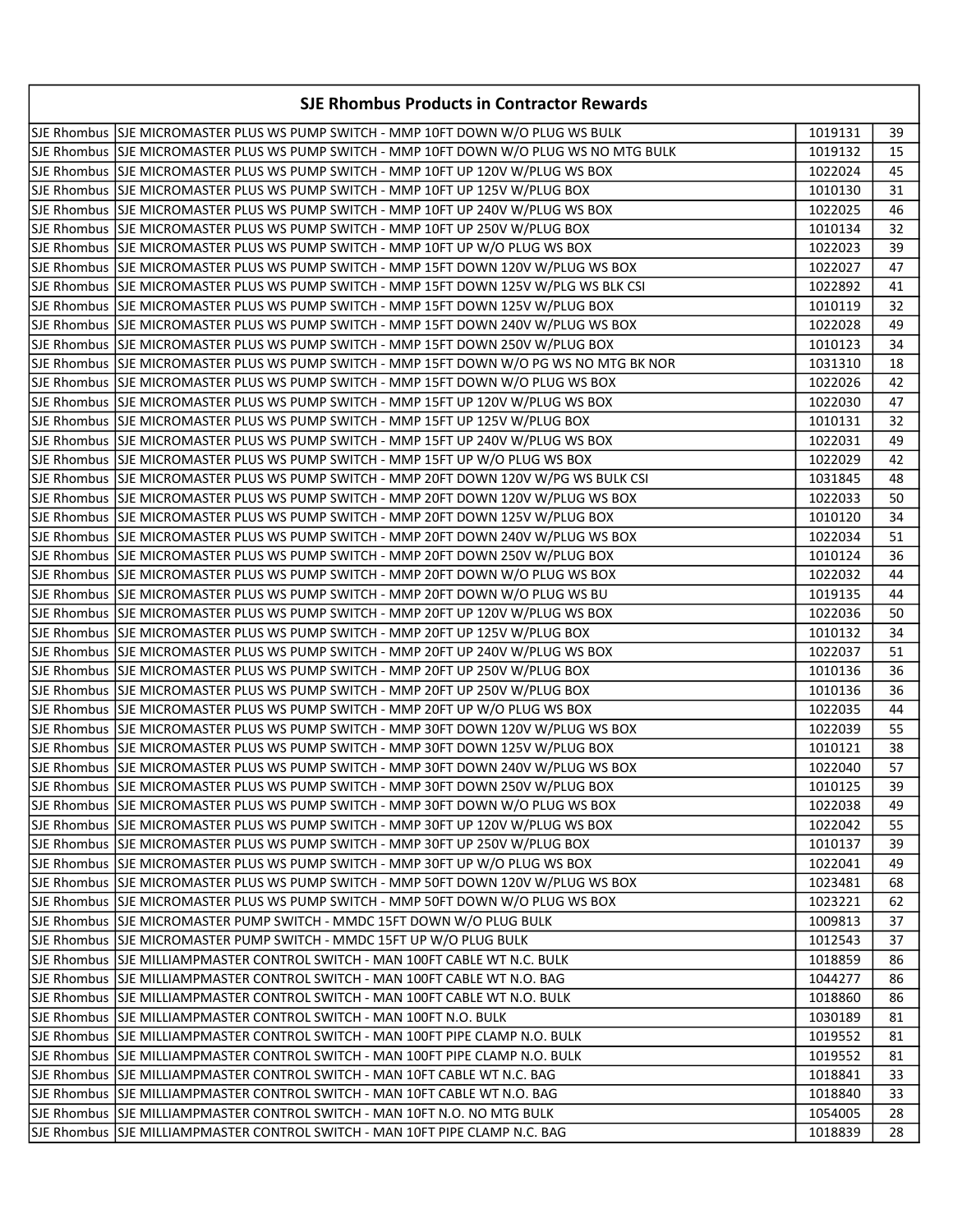| SJE Rhombus SJE MICROMASTER PLUS WS PUMP SWITCH - MMP 10FT DOWN W/O PLUG WS BULK<br>1019131<br>39<br>SJE Rhombus  SJE MICROMASTER PLUS WS PUMP SWITCH - MMP 10FT DOWN W/O PLUG WS NO MTG BULK <br>1019132<br>15<br>SJE Rhombus SJE MICROMASTER PLUS WS PUMP SWITCH - MMP 10FT UP 120V W/PLUG WS BOX<br>1022024<br>45<br>SJE Rhombus SJJE MICROMASTER PLUS WS PUMP SWITCH - MMP 10FT UP 125V W/PLUG BOX<br>31<br>1010130<br>SJE Rhombus SJE MICROMASTER PLUS WS PUMP SWITCH - MMP 10FT UP 240V W/PLUG WS BOX<br>46<br>1022025<br>SJE Rhombus SJE MICROMASTER PLUS WS PUMP SWITCH - MMP 10FT UP 250V W/PLUG BOX<br>1010134<br>32<br>SJE Rhombus SJE MICROMASTER PLUS WS PUMP SWITCH - MMP 10FT UP W/O PLUG WS BOX<br>39<br>1022023<br>SJE Rhombus SJE MICROMASTER PLUS WS PUMP SWITCH - MMP 15FT DOWN 120V W/PLUG WS BOX<br>1022027<br>47<br>SJE Rhombus SJE MICROMASTER PLUS WS PUMP SWITCH - MMP 15FT DOWN 125V W/PLG WS BLK CSI<br>1022892<br>41<br>SJE Rhombus SJE MICROMASTER PLUS WS PUMP SWITCH - MMP 15FT DOWN 125V W/PLUG BOX<br>1010119<br>32<br>SJE Rhombus SJE MICROMASTER PLUS WS PUMP SWITCH - MMP 15FT DOWN 240V W/PLUG WS BOX<br>49<br>1022028<br>SJE Rhombus SJE MICROMASTER PLUS WS PUMP SWITCH - MMP 15FT DOWN 250V W/PLUG BOX<br>34<br>1010123<br>SJE Rhombus SJE MICROMASTER PLUS WS PUMP SWITCH - MMP 15FT DOWN W/O PG WS NO MTG BK NOR<br>1031310<br>18<br>SJE Rhombus SJE MICROMASTER PLUS WS PUMP SWITCH - MMP 15FT DOWN W/O PLUG WS BOX<br>42<br>1022026<br>SJE Rhombus SJE MICROMASTER PLUS WS PUMP SWITCH - MMP 15FT UP 120V W/PLUG WS BOX<br>47<br>1022030<br>SJE Rhombus SJJE MICROMASTER PLUS WS PUMP SWITCH - MMP 15FT UP 125V W/PLUG BOX<br>32<br>1010131<br>SJE Rhombus SJE MICROMASTER PLUS WS PUMP SWITCH - MMP 15FT UP 240V W/PLUG WS BOX<br>1022031<br>49<br>SJE Rhombus SJJE MICROMASTER PLUS WS PUMP SWITCH - MMP 15FT UP W/O PLUG WS BOX<br>1022029<br>42<br>SJE Rhombus SJE MICROMASTER PLUS WS PUMP SWITCH - MMP 20FT DOWN 120V W/PG WS BULK CSI<br>48<br>1031845<br>50<br>SJE Rhombus  SJE MICROMASTER PLUS WS PUMP SWITCH - MMP 20FT DOWN 120V W/PLUG WS BOX <br>1022033<br>SJE Rhombus SJE MICROMASTER PLUS WS PUMP SWITCH - MMP 20FT DOWN 125V W/PLUG BOX<br>34<br>1010120<br>SJE Rhombus SJE MICROMASTER PLUS WS PUMP SWITCH - MMP 20FT DOWN 240V W/PLUG WS BOX<br>1022034<br>51<br>SJE Rhombus SJE MICROMASTER PLUS WS PUMP SWITCH - MMP 20FT DOWN 250V W/PLUG BOX<br>36<br>1010124<br>SJE Rhombus SJE MICROMASTER PLUS WS PUMP SWITCH - MMP 20FT DOWN W/O PLUG WS BOX<br>44<br>1022032<br>SJE Rhombus SJE MICROMASTER PLUS WS PUMP SWITCH - MMP 20FT DOWN W/O PLUG WS BU<br>1019135<br>44<br>SJE Rhombus SJE MICROMASTER PLUS WS PUMP SWITCH - MMP 20FT UP 120V W/PLUG WS BOX<br>1022036<br>50<br>SJE Rhombus SJE MICROMASTER PLUS WS PUMP SWITCH - MMP 20FT UP 125V W/PLUG BOX<br>1010132<br>34<br>SJE Rhombus SJE MICROMASTER PLUS WS PUMP SWITCH - MMP 20FT UP 240V W/PLUG WS BOX<br>1022037<br>51<br>SJE Rhombus SJE MICROMASTER PLUS WS PUMP SWITCH - MMP 20FT UP 250V W/PLUG BOX<br>36<br>1010136<br>SJE Rhombus SJJE MICROMASTER PLUS WS PUMP SWITCH - MMP 20FT UP 250V W/PLUG BOX<br>1010136<br>36<br>SJE Rhombus SJJE MICROMASTER PLUS WS PUMP SWITCH - MMP 20FT UP W/O PLUG WS BOX<br>1022035<br>44<br>SJE Rhombus SJE MICROMASTER PLUS WS PUMP SWITCH - MMP 30FT DOWN 120V W/PLUG WS BOX<br>55<br>1022039<br>SJE Rhombus SJE MICROMASTER PLUS WS PUMP SWITCH - MMP 30FT DOWN 125V W/PLUG BOX<br>1010121<br>38<br>SJE Rhombus SJE MICROMASTER PLUS WS PUMP SWITCH - MMP 30FT DOWN 240V W/PLUG WS BOX<br>1022040<br>57<br>SJE Rhombus SJE MICROMASTER PLUS WS PUMP SWITCH - MMP 30FT DOWN 250V W/PLUG BOX<br>1010125<br>39<br>SJE Rhombus  SJE MICROMASTER PLUS WS PUMP SWITCH - MMP 30FT DOWN W/O PLUG WS BOX<br>1022038<br>49<br>SJE Rhombus  SJE MICROMASTER PLUS WS PUMP SWITCH - MMP 30FT UP 120V W/PLUG WS BOX<br>1022042<br>55<br>SJE Rhombus SJE MICROMASTER PLUS WS PUMP SWITCH - MMP 30FT UP 250V W/PLUG BOX<br>1010137<br>39<br>SJE Rhombus SJE MICROMASTER PLUS WS PUMP SWITCH - MMP 30FT UP W/O PLUG WS BOX<br>1022041<br>49<br>SJE Rhombus SJE MICROMASTER PLUS WS PUMP SWITCH - MMP 50FT DOWN 120V W/PLUG WS BOX<br>68<br>1023481<br>SJE Rhombus SJE MICROMASTER PLUS WS PUMP SWITCH - MMP 50FT DOWN W/O PLUG WS BOX<br>1023221<br>62<br>SJE Rhombus SJE MICROMASTER PUMP SWITCH - MMDC 15FT DOWN W/O PLUG BULK<br>37<br>1009813<br>SJE Rhombus SJE MICROMASTER PUMP SWITCH - MMDC 15FT UP W/O PLUG BULK<br>1012543<br>37<br>SJE Rhombus SJE MILLIAMPMASTER CONTROL SWITCH - MAN 100FT CABLE WT N.C. BULK <br>1018859<br>86<br>SJE Rhombus SJE MILLIAMPMASTER CONTROL SWITCH - MAN 100FT CABLE WT N.O. BAG<br>1044277<br>86 | <b>SJE Rhombus Products in Contractor Rewards</b>                            |         |    |
|-----------------------------------------------------------------------------------------------------------------------------------------------------------------------------------------------------------------------------------------------------------------------------------------------------------------------------------------------------------------------------------------------------------------------------------------------------------------------------------------------------------------------------------------------------------------------------------------------------------------------------------------------------------------------------------------------------------------------------------------------------------------------------------------------------------------------------------------------------------------------------------------------------------------------------------------------------------------------------------------------------------------------------------------------------------------------------------------------------------------------------------------------------------------------------------------------------------------------------------------------------------------------------------------------------------------------------------------------------------------------------------------------------------------------------------------------------------------------------------------------------------------------------------------------------------------------------------------------------------------------------------------------------------------------------------------------------------------------------------------------------------------------------------------------------------------------------------------------------------------------------------------------------------------------------------------------------------------------------------------------------------------------------------------------------------------------------------------------------------------------------------------------------------------------------------------------------------------------------------------------------------------------------------------------------------------------------------------------------------------------------------------------------------------------------------------------------------------------------------------------------------------------------------------------------------------------------------------------------------------------------------------------------------------------------------------------------------------------------------------------------------------------------------------------------------------------------------------------------------------------------------------------------------------------------------------------------------------------------------------------------------------------------------------------------------------------------------------------------------------------------------------------------------------------------------------------------------------------------------------------------------------------------------------------------------------------------------------------------------------------------------------------------------------------------------------------------------------------------------------------------------------------------------------------------------------------------------------------------------------------------------------------------------------------------------------------------------------------------------------------------------------------------------------------------------------------------------------------------------------------------------------------------------------------------------------------------------------------------------------------------------------------------------------------------------------------------------------------------------------------------------------------------------------------------------------------------------------------------------------------------------------------------------------------------------------------------------------------------------------------------------------------------------------------------------------------------------------------------------------------------------------------------------------------------------------------------------------------------------------------------------------------------------------------------------------------------|------------------------------------------------------------------------------|---------|----|
|                                                                                                                                                                                                                                                                                                                                                                                                                                                                                                                                                                                                                                                                                                                                                                                                                                                                                                                                                                                                                                                                                                                                                                                                                                                                                                                                                                                                                                                                                                                                                                                                                                                                                                                                                                                                                                                                                                                                                                                                                                                                                                                                                                                                                                                                                                                                                                                                                                                                                                                                                                                                                                                                                                                                                                                                                                                                                                                                                                                                                                                                                                                                                                                                                                                                                                                                                                                                                                                                                                                                                                                                                                                                                                                                                                                                                                                                                                                                                                                                                                                                                                                                                                                                                                                                                                                                                                                                                                                                                                                                                                                                                                                                                                     |                                                                              |         |    |
|                                                                                                                                                                                                                                                                                                                                                                                                                                                                                                                                                                                                                                                                                                                                                                                                                                                                                                                                                                                                                                                                                                                                                                                                                                                                                                                                                                                                                                                                                                                                                                                                                                                                                                                                                                                                                                                                                                                                                                                                                                                                                                                                                                                                                                                                                                                                                                                                                                                                                                                                                                                                                                                                                                                                                                                                                                                                                                                                                                                                                                                                                                                                                                                                                                                                                                                                                                                                                                                                                                                                                                                                                                                                                                                                                                                                                                                                                                                                                                                                                                                                                                                                                                                                                                                                                                                                                                                                                                                                                                                                                                                                                                                                                                     |                                                                              |         |    |
|                                                                                                                                                                                                                                                                                                                                                                                                                                                                                                                                                                                                                                                                                                                                                                                                                                                                                                                                                                                                                                                                                                                                                                                                                                                                                                                                                                                                                                                                                                                                                                                                                                                                                                                                                                                                                                                                                                                                                                                                                                                                                                                                                                                                                                                                                                                                                                                                                                                                                                                                                                                                                                                                                                                                                                                                                                                                                                                                                                                                                                                                                                                                                                                                                                                                                                                                                                                                                                                                                                                                                                                                                                                                                                                                                                                                                                                                                                                                                                                                                                                                                                                                                                                                                                                                                                                                                                                                                                                                                                                                                                                                                                                                                                     |                                                                              |         |    |
|                                                                                                                                                                                                                                                                                                                                                                                                                                                                                                                                                                                                                                                                                                                                                                                                                                                                                                                                                                                                                                                                                                                                                                                                                                                                                                                                                                                                                                                                                                                                                                                                                                                                                                                                                                                                                                                                                                                                                                                                                                                                                                                                                                                                                                                                                                                                                                                                                                                                                                                                                                                                                                                                                                                                                                                                                                                                                                                                                                                                                                                                                                                                                                                                                                                                                                                                                                                                                                                                                                                                                                                                                                                                                                                                                                                                                                                                                                                                                                                                                                                                                                                                                                                                                                                                                                                                                                                                                                                                                                                                                                                                                                                                                                     |                                                                              |         |    |
|                                                                                                                                                                                                                                                                                                                                                                                                                                                                                                                                                                                                                                                                                                                                                                                                                                                                                                                                                                                                                                                                                                                                                                                                                                                                                                                                                                                                                                                                                                                                                                                                                                                                                                                                                                                                                                                                                                                                                                                                                                                                                                                                                                                                                                                                                                                                                                                                                                                                                                                                                                                                                                                                                                                                                                                                                                                                                                                                                                                                                                                                                                                                                                                                                                                                                                                                                                                                                                                                                                                                                                                                                                                                                                                                                                                                                                                                                                                                                                                                                                                                                                                                                                                                                                                                                                                                                                                                                                                                                                                                                                                                                                                                                                     |                                                                              |         |    |
|                                                                                                                                                                                                                                                                                                                                                                                                                                                                                                                                                                                                                                                                                                                                                                                                                                                                                                                                                                                                                                                                                                                                                                                                                                                                                                                                                                                                                                                                                                                                                                                                                                                                                                                                                                                                                                                                                                                                                                                                                                                                                                                                                                                                                                                                                                                                                                                                                                                                                                                                                                                                                                                                                                                                                                                                                                                                                                                                                                                                                                                                                                                                                                                                                                                                                                                                                                                                                                                                                                                                                                                                                                                                                                                                                                                                                                                                                                                                                                                                                                                                                                                                                                                                                                                                                                                                                                                                                                                                                                                                                                                                                                                                                                     |                                                                              |         |    |
|                                                                                                                                                                                                                                                                                                                                                                                                                                                                                                                                                                                                                                                                                                                                                                                                                                                                                                                                                                                                                                                                                                                                                                                                                                                                                                                                                                                                                                                                                                                                                                                                                                                                                                                                                                                                                                                                                                                                                                                                                                                                                                                                                                                                                                                                                                                                                                                                                                                                                                                                                                                                                                                                                                                                                                                                                                                                                                                                                                                                                                                                                                                                                                                                                                                                                                                                                                                                                                                                                                                                                                                                                                                                                                                                                                                                                                                                                                                                                                                                                                                                                                                                                                                                                                                                                                                                                                                                                                                                                                                                                                                                                                                                                                     |                                                                              |         |    |
|                                                                                                                                                                                                                                                                                                                                                                                                                                                                                                                                                                                                                                                                                                                                                                                                                                                                                                                                                                                                                                                                                                                                                                                                                                                                                                                                                                                                                                                                                                                                                                                                                                                                                                                                                                                                                                                                                                                                                                                                                                                                                                                                                                                                                                                                                                                                                                                                                                                                                                                                                                                                                                                                                                                                                                                                                                                                                                                                                                                                                                                                                                                                                                                                                                                                                                                                                                                                                                                                                                                                                                                                                                                                                                                                                                                                                                                                                                                                                                                                                                                                                                                                                                                                                                                                                                                                                                                                                                                                                                                                                                                                                                                                                                     |                                                                              |         |    |
|                                                                                                                                                                                                                                                                                                                                                                                                                                                                                                                                                                                                                                                                                                                                                                                                                                                                                                                                                                                                                                                                                                                                                                                                                                                                                                                                                                                                                                                                                                                                                                                                                                                                                                                                                                                                                                                                                                                                                                                                                                                                                                                                                                                                                                                                                                                                                                                                                                                                                                                                                                                                                                                                                                                                                                                                                                                                                                                                                                                                                                                                                                                                                                                                                                                                                                                                                                                                                                                                                                                                                                                                                                                                                                                                                                                                                                                                                                                                                                                                                                                                                                                                                                                                                                                                                                                                                                                                                                                                                                                                                                                                                                                                                                     |                                                                              |         |    |
|                                                                                                                                                                                                                                                                                                                                                                                                                                                                                                                                                                                                                                                                                                                                                                                                                                                                                                                                                                                                                                                                                                                                                                                                                                                                                                                                                                                                                                                                                                                                                                                                                                                                                                                                                                                                                                                                                                                                                                                                                                                                                                                                                                                                                                                                                                                                                                                                                                                                                                                                                                                                                                                                                                                                                                                                                                                                                                                                                                                                                                                                                                                                                                                                                                                                                                                                                                                                                                                                                                                                                                                                                                                                                                                                                                                                                                                                                                                                                                                                                                                                                                                                                                                                                                                                                                                                                                                                                                                                                                                                                                                                                                                                                                     |                                                                              |         |    |
|                                                                                                                                                                                                                                                                                                                                                                                                                                                                                                                                                                                                                                                                                                                                                                                                                                                                                                                                                                                                                                                                                                                                                                                                                                                                                                                                                                                                                                                                                                                                                                                                                                                                                                                                                                                                                                                                                                                                                                                                                                                                                                                                                                                                                                                                                                                                                                                                                                                                                                                                                                                                                                                                                                                                                                                                                                                                                                                                                                                                                                                                                                                                                                                                                                                                                                                                                                                                                                                                                                                                                                                                                                                                                                                                                                                                                                                                                                                                                                                                                                                                                                                                                                                                                                                                                                                                                                                                                                                                                                                                                                                                                                                                                                     |                                                                              |         |    |
|                                                                                                                                                                                                                                                                                                                                                                                                                                                                                                                                                                                                                                                                                                                                                                                                                                                                                                                                                                                                                                                                                                                                                                                                                                                                                                                                                                                                                                                                                                                                                                                                                                                                                                                                                                                                                                                                                                                                                                                                                                                                                                                                                                                                                                                                                                                                                                                                                                                                                                                                                                                                                                                                                                                                                                                                                                                                                                                                                                                                                                                                                                                                                                                                                                                                                                                                                                                                                                                                                                                                                                                                                                                                                                                                                                                                                                                                                                                                                                                                                                                                                                                                                                                                                                                                                                                                                                                                                                                                                                                                                                                                                                                                                                     |                                                                              |         |    |
|                                                                                                                                                                                                                                                                                                                                                                                                                                                                                                                                                                                                                                                                                                                                                                                                                                                                                                                                                                                                                                                                                                                                                                                                                                                                                                                                                                                                                                                                                                                                                                                                                                                                                                                                                                                                                                                                                                                                                                                                                                                                                                                                                                                                                                                                                                                                                                                                                                                                                                                                                                                                                                                                                                                                                                                                                                                                                                                                                                                                                                                                                                                                                                                                                                                                                                                                                                                                                                                                                                                                                                                                                                                                                                                                                                                                                                                                                                                                                                                                                                                                                                                                                                                                                                                                                                                                                                                                                                                                                                                                                                                                                                                                                                     |                                                                              |         |    |
|                                                                                                                                                                                                                                                                                                                                                                                                                                                                                                                                                                                                                                                                                                                                                                                                                                                                                                                                                                                                                                                                                                                                                                                                                                                                                                                                                                                                                                                                                                                                                                                                                                                                                                                                                                                                                                                                                                                                                                                                                                                                                                                                                                                                                                                                                                                                                                                                                                                                                                                                                                                                                                                                                                                                                                                                                                                                                                                                                                                                                                                                                                                                                                                                                                                                                                                                                                                                                                                                                                                                                                                                                                                                                                                                                                                                                                                                                                                                                                                                                                                                                                                                                                                                                                                                                                                                                                                                                                                                                                                                                                                                                                                                                                     |                                                                              |         |    |
|                                                                                                                                                                                                                                                                                                                                                                                                                                                                                                                                                                                                                                                                                                                                                                                                                                                                                                                                                                                                                                                                                                                                                                                                                                                                                                                                                                                                                                                                                                                                                                                                                                                                                                                                                                                                                                                                                                                                                                                                                                                                                                                                                                                                                                                                                                                                                                                                                                                                                                                                                                                                                                                                                                                                                                                                                                                                                                                                                                                                                                                                                                                                                                                                                                                                                                                                                                                                                                                                                                                                                                                                                                                                                                                                                                                                                                                                                                                                                                                                                                                                                                                                                                                                                                                                                                                                                                                                                                                                                                                                                                                                                                                                                                     |                                                                              |         |    |
|                                                                                                                                                                                                                                                                                                                                                                                                                                                                                                                                                                                                                                                                                                                                                                                                                                                                                                                                                                                                                                                                                                                                                                                                                                                                                                                                                                                                                                                                                                                                                                                                                                                                                                                                                                                                                                                                                                                                                                                                                                                                                                                                                                                                                                                                                                                                                                                                                                                                                                                                                                                                                                                                                                                                                                                                                                                                                                                                                                                                                                                                                                                                                                                                                                                                                                                                                                                                                                                                                                                                                                                                                                                                                                                                                                                                                                                                                                                                                                                                                                                                                                                                                                                                                                                                                                                                                                                                                                                                                                                                                                                                                                                                                                     |                                                                              |         |    |
|                                                                                                                                                                                                                                                                                                                                                                                                                                                                                                                                                                                                                                                                                                                                                                                                                                                                                                                                                                                                                                                                                                                                                                                                                                                                                                                                                                                                                                                                                                                                                                                                                                                                                                                                                                                                                                                                                                                                                                                                                                                                                                                                                                                                                                                                                                                                                                                                                                                                                                                                                                                                                                                                                                                                                                                                                                                                                                                                                                                                                                                                                                                                                                                                                                                                                                                                                                                                                                                                                                                                                                                                                                                                                                                                                                                                                                                                                                                                                                                                                                                                                                                                                                                                                                                                                                                                                                                                                                                                                                                                                                                                                                                                                                     |                                                                              |         |    |
|                                                                                                                                                                                                                                                                                                                                                                                                                                                                                                                                                                                                                                                                                                                                                                                                                                                                                                                                                                                                                                                                                                                                                                                                                                                                                                                                                                                                                                                                                                                                                                                                                                                                                                                                                                                                                                                                                                                                                                                                                                                                                                                                                                                                                                                                                                                                                                                                                                                                                                                                                                                                                                                                                                                                                                                                                                                                                                                                                                                                                                                                                                                                                                                                                                                                                                                                                                                                                                                                                                                                                                                                                                                                                                                                                                                                                                                                                                                                                                                                                                                                                                                                                                                                                                                                                                                                                                                                                                                                                                                                                                                                                                                                                                     |                                                                              |         |    |
|                                                                                                                                                                                                                                                                                                                                                                                                                                                                                                                                                                                                                                                                                                                                                                                                                                                                                                                                                                                                                                                                                                                                                                                                                                                                                                                                                                                                                                                                                                                                                                                                                                                                                                                                                                                                                                                                                                                                                                                                                                                                                                                                                                                                                                                                                                                                                                                                                                                                                                                                                                                                                                                                                                                                                                                                                                                                                                                                                                                                                                                                                                                                                                                                                                                                                                                                                                                                                                                                                                                                                                                                                                                                                                                                                                                                                                                                                                                                                                                                                                                                                                                                                                                                                                                                                                                                                                                                                                                                                                                                                                                                                                                                                                     |                                                                              |         |    |
|                                                                                                                                                                                                                                                                                                                                                                                                                                                                                                                                                                                                                                                                                                                                                                                                                                                                                                                                                                                                                                                                                                                                                                                                                                                                                                                                                                                                                                                                                                                                                                                                                                                                                                                                                                                                                                                                                                                                                                                                                                                                                                                                                                                                                                                                                                                                                                                                                                                                                                                                                                                                                                                                                                                                                                                                                                                                                                                                                                                                                                                                                                                                                                                                                                                                                                                                                                                                                                                                                                                                                                                                                                                                                                                                                                                                                                                                                                                                                                                                                                                                                                                                                                                                                                                                                                                                                                                                                                                                                                                                                                                                                                                                                                     |                                                                              |         |    |
|                                                                                                                                                                                                                                                                                                                                                                                                                                                                                                                                                                                                                                                                                                                                                                                                                                                                                                                                                                                                                                                                                                                                                                                                                                                                                                                                                                                                                                                                                                                                                                                                                                                                                                                                                                                                                                                                                                                                                                                                                                                                                                                                                                                                                                                                                                                                                                                                                                                                                                                                                                                                                                                                                                                                                                                                                                                                                                                                                                                                                                                                                                                                                                                                                                                                                                                                                                                                                                                                                                                                                                                                                                                                                                                                                                                                                                                                                                                                                                                                                                                                                                                                                                                                                                                                                                                                                                                                                                                                                                                                                                                                                                                                                                     |                                                                              |         |    |
|                                                                                                                                                                                                                                                                                                                                                                                                                                                                                                                                                                                                                                                                                                                                                                                                                                                                                                                                                                                                                                                                                                                                                                                                                                                                                                                                                                                                                                                                                                                                                                                                                                                                                                                                                                                                                                                                                                                                                                                                                                                                                                                                                                                                                                                                                                                                                                                                                                                                                                                                                                                                                                                                                                                                                                                                                                                                                                                                                                                                                                                                                                                                                                                                                                                                                                                                                                                                                                                                                                                                                                                                                                                                                                                                                                                                                                                                                                                                                                                                                                                                                                                                                                                                                                                                                                                                                                                                                                                                                                                                                                                                                                                                                                     |                                                                              |         |    |
|                                                                                                                                                                                                                                                                                                                                                                                                                                                                                                                                                                                                                                                                                                                                                                                                                                                                                                                                                                                                                                                                                                                                                                                                                                                                                                                                                                                                                                                                                                                                                                                                                                                                                                                                                                                                                                                                                                                                                                                                                                                                                                                                                                                                                                                                                                                                                                                                                                                                                                                                                                                                                                                                                                                                                                                                                                                                                                                                                                                                                                                                                                                                                                                                                                                                                                                                                                                                                                                                                                                                                                                                                                                                                                                                                                                                                                                                                                                                                                                                                                                                                                                                                                                                                                                                                                                                                                                                                                                                                                                                                                                                                                                                                                     |                                                                              |         |    |
|                                                                                                                                                                                                                                                                                                                                                                                                                                                                                                                                                                                                                                                                                                                                                                                                                                                                                                                                                                                                                                                                                                                                                                                                                                                                                                                                                                                                                                                                                                                                                                                                                                                                                                                                                                                                                                                                                                                                                                                                                                                                                                                                                                                                                                                                                                                                                                                                                                                                                                                                                                                                                                                                                                                                                                                                                                                                                                                                                                                                                                                                                                                                                                                                                                                                                                                                                                                                                                                                                                                                                                                                                                                                                                                                                                                                                                                                                                                                                                                                                                                                                                                                                                                                                                                                                                                                                                                                                                                                                                                                                                                                                                                                                                     |                                                                              |         |    |
|                                                                                                                                                                                                                                                                                                                                                                                                                                                                                                                                                                                                                                                                                                                                                                                                                                                                                                                                                                                                                                                                                                                                                                                                                                                                                                                                                                                                                                                                                                                                                                                                                                                                                                                                                                                                                                                                                                                                                                                                                                                                                                                                                                                                                                                                                                                                                                                                                                                                                                                                                                                                                                                                                                                                                                                                                                                                                                                                                                                                                                                                                                                                                                                                                                                                                                                                                                                                                                                                                                                                                                                                                                                                                                                                                                                                                                                                                                                                                                                                                                                                                                                                                                                                                                                                                                                                                                                                                                                                                                                                                                                                                                                                                                     |                                                                              |         |    |
|                                                                                                                                                                                                                                                                                                                                                                                                                                                                                                                                                                                                                                                                                                                                                                                                                                                                                                                                                                                                                                                                                                                                                                                                                                                                                                                                                                                                                                                                                                                                                                                                                                                                                                                                                                                                                                                                                                                                                                                                                                                                                                                                                                                                                                                                                                                                                                                                                                                                                                                                                                                                                                                                                                                                                                                                                                                                                                                                                                                                                                                                                                                                                                                                                                                                                                                                                                                                                                                                                                                                                                                                                                                                                                                                                                                                                                                                                                                                                                                                                                                                                                                                                                                                                                                                                                                                                                                                                                                                                                                                                                                                                                                                                                     |                                                                              |         |    |
|                                                                                                                                                                                                                                                                                                                                                                                                                                                                                                                                                                                                                                                                                                                                                                                                                                                                                                                                                                                                                                                                                                                                                                                                                                                                                                                                                                                                                                                                                                                                                                                                                                                                                                                                                                                                                                                                                                                                                                                                                                                                                                                                                                                                                                                                                                                                                                                                                                                                                                                                                                                                                                                                                                                                                                                                                                                                                                                                                                                                                                                                                                                                                                                                                                                                                                                                                                                                                                                                                                                                                                                                                                                                                                                                                                                                                                                                                                                                                                                                                                                                                                                                                                                                                                                                                                                                                                                                                                                                                                                                                                                                                                                                                                     |                                                                              |         |    |
|                                                                                                                                                                                                                                                                                                                                                                                                                                                                                                                                                                                                                                                                                                                                                                                                                                                                                                                                                                                                                                                                                                                                                                                                                                                                                                                                                                                                                                                                                                                                                                                                                                                                                                                                                                                                                                                                                                                                                                                                                                                                                                                                                                                                                                                                                                                                                                                                                                                                                                                                                                                                                                                                                                                                                                                                                                                                                                                                                                                                                                                                                                                                                                                                                                                                                                                                                                                                                                                                                                                                                                                                                                                                                                                                                                                                                                                                                                                                                                                                                                                                                                                                                                                                                                                                                                                                                                                                                                                                                                                                                                                                                                                                                                     |                                                                              |         |    |
|                                                                                                                                                                                                                                                                                                                                                                                                                                                                                                                                                                                                                                                                                                                                                                                                                                                                                                                                                                                                                                                                                                                                                                                                                                                                                                                                                                                                                                                                                                                                                                                                                                                                                                                                                                                                                                                                                                                                                                                                                                                                                                                                                                                                                                                                                                                                                                                                                                                                                                                                                                                                                                                                                                                                                                                                                                                                                                                                                                                                                                                                                                                                                                                                                                                                                                                                                                                                                                                                                                                                                                                                                                                                                                                                                                                                                                                                                                                                                                                                                                                                                                                                                                                                                                                                                                                                                                                                                                                                                                                                                                                                                                                                                                     |                                                                              |         |    |
|                                                                                                                                                                                                                                                                                                                                                                                                                                                                                                                                                                                                                                                                                                                                                                                                                                                                                                                                                                                                                                                                                                                                                                                                                                                                                                                                                                                                                                                                                                                                                                                                                                                                                                                                                                                                                                                                                                                                                                                                                                                                                                                                                                                                                                                                                                                                                                                                                                                                                                                                                                                                                                                                                                                                                                                                                                                                                                                                                                                                                                                                                                                                                                                                                                                                                                                                                                                                                                                                                                                                                                                                                                                                                                                                                                                                                                                                                                                                                                                                                                                                                                                                                                                                                                                                                                                                                                                                                                                                                                                                                                                                                                                                                                     |                                                                              |         |    |
|                                                                                                                                                                                                                                                                                                                                                                                                                                                                                                                                                                                                                                                                                                                                                                                                                                                                                                                                                                                                                                                                                                                                                                                                                                                                                                                                                                                                                                                                                                                                                                                                                                                                                                                                                                                                                                                                                                                                                                                                                                                                                                                                                                                                                                                                                                                                                                                                                                                                                                                                                                                                                                                                                                                                                                                                                                                                                                                                                                                                                                                                                                                                                                                                                                                                                                                                                                                                                                                                                                                                                                                                                                                                                                                                                                                                                                                                                                                                                                                                                                                                                                                                                                                                                                                                                                                                                                                                                                                                                                                                                                                                                                                                                                     |                                                                              |         |    |
|                                                                                                                                                                                                                                                                                                                                                                                                                                                                                                                                                                                                                                                                                                                                                                                                                                                                                                                                                                                                                                                                                                                                                                                                                                                                                                                                                                                                                                                                                                                                                                                                                                                                                                                                                                                                                                                                                                                                                                                                                                                                                                                                                                                                                                                                                                                                                                                                                                                                                                                                                                                                                                                                                                                                                                                                                                                                                                                                                                                                                                                                                                                                                                                                                                                                                                                                                                                                                                                                                                                                                                                                                                                                                                                                                                                                                                                                                                                                                                                                                                                                                                                                                                                                                                                                                                                                                                                                                                                                                                                                                                                                                                                                                                     |                                                                              |         |    |
|                                                                                                                                                                                                                                                                                                                                                                                                                                                                                                                                                                                                                                                                                                                                                                                                                                                                                                                                                                                                                                                                                                                                                                                                                                                                                                                                                                                                                                                                                                                                                                                                                                                                                                                                                                                                                                                                                                                                                                                                                                                                                                                                                                                                                                                                                                                                                                                                                                                                                                                                                                                                                                                                                                                                                                                                                                                                                                                                                                                                                                                                                                                                                                                                                                                                                                                                                                                                                                                                                                                                                                                                                                                                                                                                                                                                                                                                                                                                                                                                                                                                                                                                                                                                                                                                                                                                                                                                                                                                                                                                                                                                                                                                                                     |                                                                              |         |    |
|                                                                                                                                                                                                                                                                                                                                                                                                                                                                                                                                                                                                                                                                                                                                                                                                                                                                                                                                                                                                                                                                                                                                                                                                                                                                                                                                                                                                                                                                                                                                                                                                                                                                                                                                                                                                                                                                                                                                                                                                                                                                                                                                                                                                                                                                                                                                                                                                                                                                                                                                                                                                                                                                                                                                                                                                                                                                                                                                                                                                                                                                                                                                                                                                                                                                                                                                                                                                                                                                                                                                                                                                                                                                                                                                                                                                                                                                                                                                                                                                                                                                                                                                                                                                                                                                                                                                                                                                                                                                                                                                                                                                                                                                                                     |                                                                              |         |    |
|                                                                                                                                                                                                                                                                                                                                                                                                                                                                                                                                                                                                                                                                                                                                                                                                                                                                                                                                                                                                                                                                                                                                                                                                                                                                                                                                                                                                                                                                                                                                                                                                                                                                                                                                                                                                                                                                                                                                                                                                                                                                                                                                                                                                                                                                                                                                                                                                                                                                                                                                                                                                                                                                                                                                                                                                                                                                                                                                                                                                                                                                                                                                                                                                                                                                                                                                                                                                                                                                                                                                                                                                                                                                                                                                                                                                                                                                                                                                                                                                                                                                                                                                                                                                                                                                                                                                                                                                                                                                                                                                                                                                                                                                                                     |                                                                              |         |    |
|                                                                                                                                                                                                                                                                                                                                                                                                                                                                                                                                                                                                                                                                                                                                                                                                                                                                                                                                                                                                                                                                                                                                                                                                                                                                                                                                                                                                                                                                                                                                                                                                                                                                                                                                                                                                                                                                                                                                                                                                                                                                                                                                                                                                                                                                                                                                                                                                                                                                                                                                                                                                                                                                                                                                                                                                                                                                                                                                                                                                                                                                                                                                                                                                                                                                                                                                                                                                                                                                                                                                                                                                                                                                                                                                                                                                                                                                                                                                                                                                                                                                                                                                                                                                                                                                                                                                                                                                                                                                                                                                                                                                                                                                                                     |                                                                              |         |    |
|                                                                                                                                                                                                                                                                                                                                                                                                                                                                                                                                                                                                                                                                                                                                                                                                                                                                                                                                                                                                                                                                                                                                                                                                                                                                                                                                                                                                                                                                                                                                                                                                                                                                                                                                                                                                                                                                                                                                                                                                                                                                                                                                                                                                                                                                                                                                                                                                                                                                                                                                                                                                                                                                                                                                                                                                                                                                                                                                                                                                                                                                                                                                                                                                                                                                                                                                                                                                                                                                                                                                                                                                                                                                                                                                                                                                                                                                                                                                                                                                                                                                                                                                                                                                                                                                                                                                                                                                                                                                                                                                                                                                                                                                                                     |                                                                              |         |    |
|                                                                                                                                                                                                                                                                                                                                                                                                                                                                                                                                                                                                                                                                                                                                                                                                                                                                                                                                                                                                                                                                                                                                                                                                                                                                                                                                                                                                                                                                                                                                                                                                                                                                                                                                                                                                                                                                                                                                                                                                                                                                                                                                                                                                                                                                                                                                                                                                                                                                                                                                                                                                                                                                                                                                                                                                                                                                                                                                                                                                                                                                                                                                                                                                                                                                                                                                                                                                                                                                                                                                                                                                                                                                                                                                                                                                                                                                                                                                                                                                                                                                                                                                                                                                                                                                                                                                                                                                                                                                                                                                                                                                                                                                                                     |                                                                              |         |    |
|                                                                                                                                                                                                                                                                                                                                                                                                                                                                                                                                                                                                                                                                                                                                                                                                                                                                                                                                                                                                                                                                                                                                                                                                                                                                                                                                                                                                                                                                                                                                                                                                                                                                                                                                                                                                                                                                                                                                                                                                                                                                                                                                                                                                                                                                                                                                                                                                                                                                                                                                                                                                                                                                                                                                                                                                                                                                                                                                                                                                                                                                                                                                                                                                                                                                                                                                                                                                                                                                                                                                                                                                                                                                                                                                                                                                                                                                                                                                                                                                                                                                                                                                                                                                                                                                                                                                                                                                                                                                                                                                                                                                                                                                                                     |                                                                              |         |    |
|                                                                                                                                                                                                                                                                                                                                                                                                                                                                                                                                                                                                                                                                                                                                                                                                                                                                                                                                                                                                                                                                                                                                                                                                                                                                                                                                                                                                                                                                                                                                                                                                                                                                                                                                                                                                                                                                                                                                                                                                                                                                                                                                                                                                                                                                                                                                                                                                                                                                                                                                                                                                                                                                                                                                                                                                                                                                                                                                                                                                                                                                                                                                                                                                                                                                                                                                                                                                                                                                                                                                                                                                                                                                                                                                                                                                                                                                                                                                                                                                                                                                                                                                                                                                                                                                                                                                                                                                                                                                                                                                                                                                                                                                                                     |                                                                              |         |    |
|                                                                                                                                                                                                                                                                                                                                                                                                                                                                                                                                                                                                                                                                                                                                                                                                                                                                                                                                                                                                                                                                                                                                                                                                                                                                                                                                                                                                                                                                                                                                                                                                                                                                                                                                                                                                                                                                                                                                                                                                                                                                                                                                                                                                                                                                                                                                                                                                                                                                                                                                                                                                                                                                                                                                                                                                                                                                                                                                                                                                                                                                                                                                                                                                                                                                                                                                                                                                                                                                                                                                                                                                                                                                                                                                                                                                                                                                                                                                                                                                                                                                                                                                                                                                                                                                                                                                                                                                                                                                                                                                                                                                                                                                                                     |                                                                              |         |    |
|                                                                                                                                                                                                                                                                                                                                                                                                                                                                                                                                                                                                                                                                                                                                                                                                                                                                                                                                                                                                                                                                                                                                                                                                                                                                                                                                                                                                                                                                                                                                                                                                                                                                                                                                                                                                                                                                                                                                                                                                                                                                                                                                                                                                                                                                                                                                                                                                                                                                                                                                                                                                                                                                                                                                                                                                                                                                                                                                                                                                                                                                                                                                                                                                                                                                                                                                                                                                                                                                                                                                                                                                                                                                                                                                                                                                                                                                                                                                                                                                                                                                                                                                                                                                                                                                                                                                                                                                                                                                                                                                                                                                                                                                                                     |                                                                              |         |    |
|                                                                                                                                                                                                                                                                                                                                                                                                                                                                                                                                                                                                                                                                                                                                                                                                                                                                                                                                                                                                                                                                                                                                                                                                                                                                                                                                                                                                                                                                                                                                                                                                                                                                                                                                                                                                                                                                                                                                                                                                                                                                                                                                                                                                                                                                                                                                                                                                                                                                                                                                                                                                                                                                                                                                                                                                                                                                                                                                                                                                                                                                                                                                                                                                                                                                                                                                                                                                                                                                                                                                                                                                                                                                                                                                                                                                                                                                                                                                                                                                                                                                                                                                                                                                                                                                                                                                                                                                                                                                                                                                                                                                                                                                                                     |                                                                              |         |    |
|                                                                                                                                                                                                                                                                                                                                                                                                                                                                                                                                                                                                                                                                                                                                                                                                                                                                                                                                                                                                                                                                                                                                                                                                                                                                                                                                                                                                                                                                                                                                                                                                                                                                                                                                                                                                                                                                                                                                                                                                                                                                                                                                                                                                                                                                                                                                                                                                                                                                                                                                                                                                                                                                                                                                                                                                                                                                                                                                                                                                                                                                                                                                                                                                                                                                                                                                                                                                                                                                                                                                                                                                                                                                                                                                                                                                                                                                                                                                                                                                                                                                                                                                                                                                                                                                                                                                                                                                                                                                                                                                                                                                                                                                                                     |                                                                              |         |    |
|                                                                                                                                                                                                                                                                                                                                                                                                                                                                                                                                                                                                                                                                                                                                                                                                                                                                                                                                                                                                                                                                                                                                                                                                                                                                                                                                                                                                                                                                                                                                                                                                                                                                                                                                                                                                                                                                                                                                                                                                                                                                                                                                                                                                                                                                                                                                                                                                                                                                                                                                                                                                                                                                                                                                                                                                                                                                                                                                                                                                                                                                                                                                                                                                                                                                                                                                                                                                                                                                                                                                                                                                                                                                                                                                                                                                                                                                                                                                                                                                                                                                                                                                                                                                                                                                                                                                                                                                                                                                                                                                                                                                                                                                                                     |                                                                              |         |    |
|                                                                                                                                                                                                                                                                                                                                                                                                                                                                                                                                                                                                                                                                                                                                                                                                                                                                                                                                                                                                                                                                                                                                                                                                                                                                                                                                                                                                                                                                                                                                                                                                                                                                                                                                                                                                                                                                                                                                                                                                                                                                                                                                                                                                                                                                                                                                                                                                                                                                                                                                                                                                                                                                                                                                                                                                                                                                                                                                                                                                                                                                                                                                                                                                                                                                                                                                                                                                                                                                                                                                                                                                                                                                                                                                                                                                                                                                                                                                                                                                                                                                                                                                                                                                                                                                                                                                                                                                                                                                                                                                                                                                                                                                                                     | SJE Rhombus SJE MILLIAMPMASTER CONTROL SWITCH - MAN 100FT CABLE WT N.O. BULK | 1018860 | 86 |
| 1030189<br>81                                                                                                                                                                                                                                                                                                                                                                                                                                                                                                                                                                                                                                                                                                                                                                                                                                                                                                                                                                                                                                                                                                                                                                                                                                                                                                                                                                                                                                                                                                                                                                                                                                                                                                                                                                                                                                                                                                                                                                                                                                                                                                                                                                                                                                                                                                                                                                                                                                                                                                                                                                                                                                                                                                                                                                                                                                                                                                                                                                                                                                                                                                                                                                                                                                                                                                                                                                                                                                                                                                                                                                                                                                                                                                                                                                                                                                                                                                                                                                                                                                                                                                                                                                                                                                                                                                                                                                                                                                                                                                                                                                                                                                                                                       |                                                                              |         |    |
| SJE Rhombus SJE MILLIAMPMASTER CONTROL SWITCH - MAN 100FT PIPE CLAMP N.O. BULK<br>1019552<br>81                                                                                                                                                                                                                                                                                                                                                                                                                                                                                                                                                                                                                                                                                                                                                                                                                                                                                                                                                                                                                                                                                                                                                                                                                                                                                                                                                                                                                                                                                                                                                                                                                                                                                                                                                                                                                                                                                                                                                                                                                                                                                                                                                                                                                                                                                                                                                                                                                                                                                                                                                                                                                                                                                                                                                                                                                                                                                                                                                                                                                                                                                                                                                                                                                                                                                                                                                                                                                                                                                                                                                                                                                                                                                                                                                                                                                                                                                                                                                                                                                                                                                                                                                                                                                                                                                                                                                                                                                                                                                                                                                                                                     |                                                                              |         |    |
| SJE Rhombus SJE MILLIAMPMASTER CONTROL SWITCH - MAN 100FT PIPE CLAMP N.O. BULK<br>1019552<br>81                                                                                                                                                                                                                                                                                                                                                                                                                                                                                                                                                                                                                                                                                                                                                                                                                                                                                                                                                                                                                                                                                                                                                                                                                                                                                                                                                                                                                                                                                                                                                                                                                                                                                                                                                                                                                                                                                                                                                                                                                                                                                                                                                                                                                                                                                                                                                                                                                                                                                                                                                                                                                                                                                                                                                                                                                                                                                                                                                                                                                                                                                                                                                                                                                                                                                                                                                                                                                                                                                                                                                                                                                                                                                                                                                                                                                                                                                                                                                                                                                                                                                                                                                                                                                                                                                                                                                                                                                                                                                                                                                                                                     |                                                                              |         |    |
| SJE Rhombus SJE MILLIAMPMASTER CONTROL SWITCH - MAN 10FT CABLE WT N.C. BAG<br>1018841<br>33                                                                                                                                                                                                                                                                                                                                                                                                                                                                                                                                                                                                                                                                                                                                                                                                                                                                                                                                                                                                                                                                                                                                                                                                                                                                                                                                                                                                                                                                                                                                                                                                                                                                                                                                                                                                                                                                                                                                                                                                                                                                                                                                                                                                                                                                                                                                                                                                                                                                                                                                                                                                                                                                                                                                                                                                                                                                                                                                                                                                                                                                                                                                                                                                                                                                                                                                                                                                                                                                                                                                                                                                                                                                                                                                                                                                                                                                                                                                                                                                                                                                                                                                                                                                                                                                                                                                                                                                                                                                                                                                                                                                         |                                                                              |         |    |
| SJE Rhombus SJE MILLIAMPMASTER CONTROL SWITCH - MAN 10FT CABLE WT N.O. BAG<br>1018840<br>33                                                                                                                                                                                                                                                                                                                                                                                                                                                                                                                                                                                                                                                                                                                                                                                                                                                                                                                                                                                                                                                                                                                                                                                                                                                                                                                                                                                                                                                                                                                                                                                                                                                                                                                                                                                                                                                                                                                                                                                                                                                                                                                                                                                                                                                                                                                                                                                                                                                                                                                                                                                                                                                                                                                                                                                                                                                                                                                                                                                                                                                                                                                                                                                                                                                                                                                                                                                                                                                                                                                                                                                                                                                                                                                                                                                                                                                                                                                                                                                                                                                                                                                                                                                                                                                                                                                                                                                                                                                                                                                                                                                                         |                                                                              |         |    |
| SJE Rhombus SJE MILLIAMPMASTER CONTROL SWITCH - MAN 10FT N.O. NO MTG BULK<br>28<br>1054005                                                                                                                                                                                                                                                                                                                                                                                                                                                                                                                                                                                                                                                                                                                                                                                                                                                                                                                                                                                                                                                                                                                                                                                                                                                                                                                                                                                                                                                                                                                                                                                                                                                                                                                                                                                                                                                                                                                                                                                                                                                                                                                                                                                                                                                                                                                                                                                                                                                                                                                                                                                                                                                                                                                                                                                                                                                                                                                                                                                                                                                                                                                                                                                                                                                                                                                                                                                                                                                                                                                                                                                                                                                                                                                                                                                                                                                                                                                                                                                                                                                                                                                                                                                                                                                                                                                                                                                                                                                                                                                                                                                                          |                                                                              |         |    |
| SJE Rhombus  SJE MILLIAMPMASTER CONTROL SWITCH - MAN 10FT PIPE CLAMP N.C. BAG<br>1018839<br>28                                                                                                                                                                                                                                                                                                                                                                                                                                                                                                                                                                                                                                                                                                                                                                                                                                                                                                                                                                                                                                                                                                                                                                                                                                                                                                                                                                                                                                                                                                                                                                                                                                                                                                                                                                                                                                                                                                                                                                                                                                                                                                                                                                                                                                                                                                                                                                                                                                                                                                                                                                                                                                                                                                                                                                                                                                                                                                                                                                                                                                                                                                                                                                                                                                                                                                                                                                                                                                                                                                                                                                                                                                                                                                                                                                                                                                                                                                                                                                                                                                                                                                                                                                                                                                                                                                                                                                                                                                                                                                                                                                                                      |                                                                              |         |    |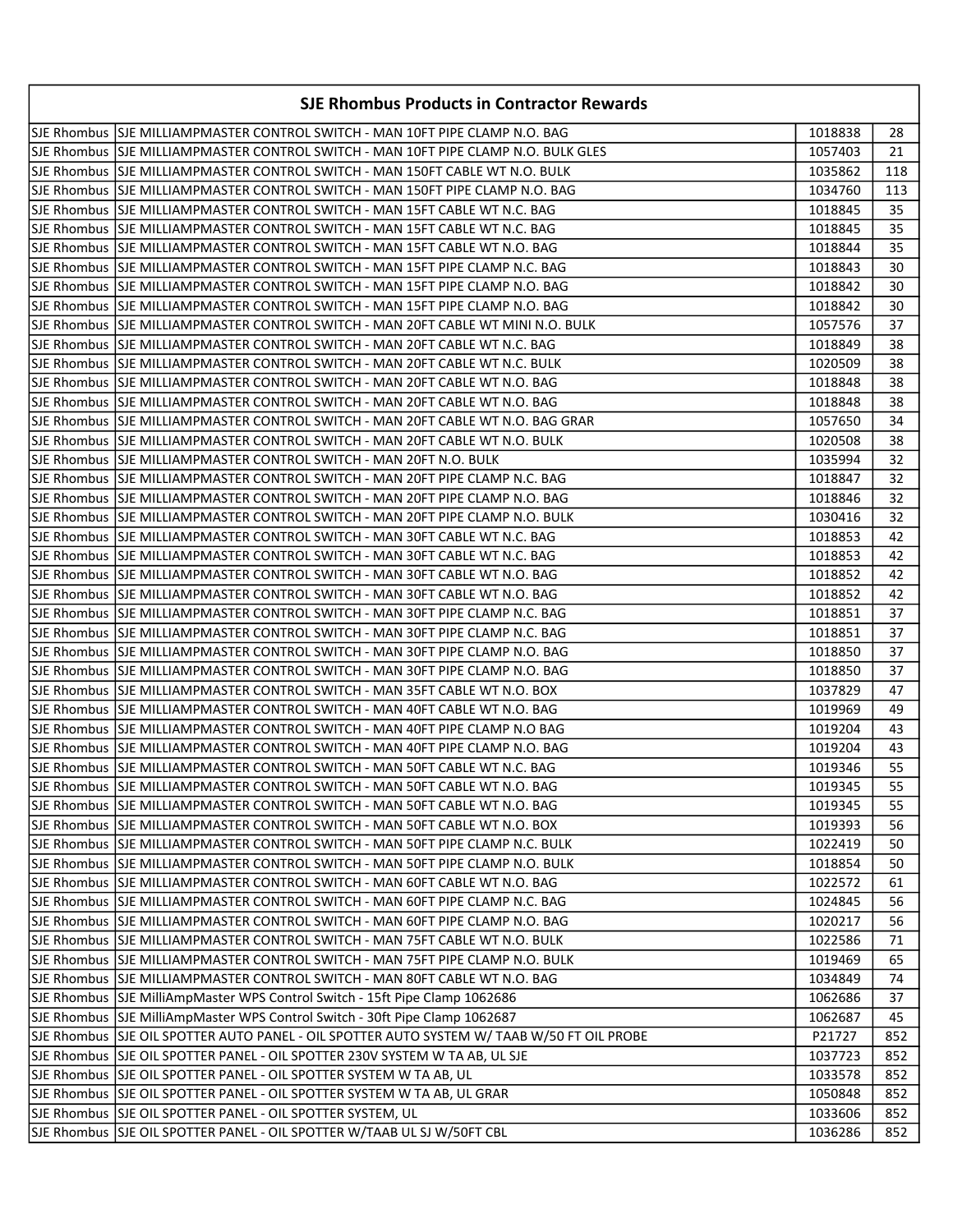| <b>SJE Rhombus Products in Contractor Rewards</b>                                           |         |       |
|---------------------------------------------------------------------------------------------|---------|-------|
| SJE Rhombus  SJE MILLIAMPMASTER CONTROL SWITCH - MAN 10FT PIPE CLAMP N.O. BAG               | 1018838 | 28    |
| SJE Rhombus  SJE MILLIAMPMASTER CONTROL SWITCH - MAN 10FT PIPE CLAMP N.O. BULK GLES         | 1057403 | 21    |
| SJE Rhombus  SJE MILLIAMPMASTER CONTROL SWITCH - MAN 150FT CABLE WT N.O. BULK               | 1035862 | 118   |
| ISJE Rhombus ISJE MILLIAMPMASTER CONTROL SWITCH - MAN 150FT PIPE CLAMP N.O. BAG             | 1034760 | 113   |
| SJE Rhombus  SJE MILLIAMPMASTER CONTROL SWITCH - MAN 15FT CABLE WT N.C. BAG                 | 1018845 | 35    |
| SJE Rhombus  SJE MILLIAMPMASTER CONTROL SWITCH - MAN 15FT CABLE WT N.C. BAG                 | 1018845 | 35    |
| lSJE Rhombus  SJE MILLIAMPMASTER CONTROL SWITCH - MAN 15FT CABLE WT N.O. BAG                | 1018844 | 35    |
| SJE Rhombus  SJE MILLIAMPMASTER CONTROL SWITCH - MAN 15FT PIPE CLAMP N.C. BAG               | 1018843 | 30    |
| SJE Rhombus  SJE MILLIAMPMASTER CONTROL SWITCH - MAN 15FT PIPE CLAMP N.O. BAG               | 1018842 | 30    |
| SJE Rhombus  SJE MILLIAMPMASTER CONTROL SWITCH - MAN 15FT PIPE CLAMP N.O. BAG               | 1018842 | 30    |
| lSJE Rhombus  SJE MILLIAMPMASTER CONTROL SWITCH - MAN 20FT CABLE WT MINI N.O. BULK          | 1057576 | 37    |
| SJE Rhombus  SJE MILLIAMPMASTER CONTROL SWITCH - MAN 20FT CABLE WT N.C. BAG                 | 1018849 | 38    |
| SJE Rhombus  SJE MILLIAMPMASTER CONTROL SWITCH - MAN 20FT CABLE WT N.C. BULK                | 1020509 | 38    |
| SJE Rhombus  SJE MILLIAMPMASTER CONTROL SWITCH - MAN 20FT CABLE WT N.O. BAG                 | 1018848 | 38    |
| SJE Rhombus  SJE MILLIAMPMASTER CONTROL SWITCH - MAN 20FT CABLE WT N.O. BAG                 | 1018848 | 38    |
| SJE Rhombus  SJE MILLIAMPMASTER CONTROL SWITCH - MAN 20FT CABLE WT N.O. BAG GRAR            | 1057650 | 34    |
| SJE Rhombus  SJE MILLIAMPMASTER CONTROL SWITCH - MAN 20FT CABLE WT N.O. BULK                | 1020508 | 38    |
| SJE Rhombus  SJE MILLIAMPMASTER CONTROL SWITCH - MAN 20FT N.O. BULK                         | 1035994 | 32    |
| SJE Rhombus  SJE MILLIAMPMASTER CONTROL SWITCH - MAN 20FT PIPE CLAMP N.C. BAG               | 1018847 | 32    |
| SJE Rhombus  SJE MILLIAMPMASTER CONTROL SWITCH - MAN 20FT PIPE CLAMP N.O. BAG               | 1018846 | 32    |
| ISJE Rhombus ISJE MILLIAMPMASTER CONTROL SWITCH - MAN 20FT PIPE CLAMP N.O. BULK             | 1030416 | 32    |
| SJE Rhombus  SJE MILLIAMPMASTER CONTROL SWITCH - MAN 30FT CABLE WT N.C. BAG                 | 1018853 | 42    |
| SJE Rhombus  SJE MILLIAMPMASTER CONTROL SWITCH - MAN 30FT CABLE WT N.C. BAG                 | 1018853 | 42    |
| SJE Rhombus  SJE MILLIAMPMASTER CONTROL SWITCH - MAN 30FT CABLE WT N.O. BAG                 | 1018852 | 42    |
| SJE Rhombus  SJE MILLIAMPMASTER CONTROL SWITCH - MAN 30FT CABLE WT N.O. BAG                 | 1018852 | 42    |
| SJE Rhombus  SJE MILLIAMPMASTER CONTROL SWITCH - MAN 30FT PIPE CLAMP N.C. BAG               | 1018851 | 37    |
| SJE Rhombus  SJE MILLIAMPMASTER CONTROL SWITCH - MAN 30FT PIPE CLAMP N.C. BAG               | 1018851 | 37    |
| SJE Rhombus  SJE MILLIAMPMASTER CONTROL SWITCH - MAN 30FT PIPE CLAMP N.O. BAG               | 1018850 | 37    |
| SJE Rhombus  SJE MILLIAMPMASTER CONTROL SWITCH - MAN 30FT PIPE CLAMP N.O. BAG               | 1018850 | 37    |
| SJE Rhombus SJE MILLIAMPMASTER CONTROL SWITCH - MAN 35FT CABLE WT N.O. BOX                  | 1037829 | 47    |
| SJE Rhombus  SJE MILLIAMPMASTER CONTROL SWITCH - MAN 40FT CABLE WT N.O. BAG                 | 1019969 | 49    |
| SJE Rhombus  SJE MILLIAMPMASTER CONTROL SWITCH - MAN 40FT PIPE CLAMP N.O BAG                | 1019204 | 43    |
| SJE Rhombus SJE MILLIAMPMASTER CONTROL SWITCH - MAN 40FT PIPE CLAMP N.O. BAG                | 1019204 | 43    |
| SJE Rhombus   SJE MILLIAMPMASTER CONTROL SWITCH - MAN 50FT CABLE WT N.C. BAG                | 1019346 | 55    |
| SJE Rhombus   SJE MILLIAMPMASTER CONTROL SWITCH - MAN 50FT CABLE WT N.O. BAG                | 1019345 | $-55$ |
| SJE Rhombus SJE MILLIAMPMASTER CONTROL SWITCH - MAN 50FT CABLE WT N.O. BAG                  | 1019345 | 55    |
| SJE Rhombus  SJE MILLIAMPMASTER CONTROL SWITCH - MAN 50FT CABLE WT N.O. BOX                 | 1019393 | 56    |
| SJE Rhombus  SJE MILLIAMPMASTER CONTROL SWITCH - MAN 50FT PIPE CLAMP N.C. BULK              | 1022419 | 50    |
| SJE Rhombus SJE MILLIAMPMASTER CONTROL SWITCH - MAN 50FT PIPE CLAMP N.O. BULK               | 1018854 | 50    |
| SJE Rhombus SJE MILLIAMPMASTER CONTROL SWITCH - MAN 60FT CABLE WT N.O. BAG                  | 1022572 | 61    |
| SJE Rhombus SJE MILLIAMPMASTER CONTROL SWITCH - MAN 60FT PIPE CLAMP N.C. BAG                | 1024845 | 56    |
| SJE Rhombus SJE MILLIAMPMASTER CONTROL SWITCH - MAN 60FT PIPE CLAMP N.O. BAG                | 1020217 | 56    |
| SJE Rhombus SJE MILLIAMPMASTER CONTROL SWITCH - MAN 75FT CABLE WT N.O. BULK                 | 1022586 | 71    |
| SJE Rhombus SJE MILLIAMPMASTER CONTROL SWITCH - MAN 75FT PIPE CLAMP N.O. BULK               | 1019469 | 65    |
| SJE Rhombus SJE MILLIAMPMASTER CONTROL SWITCH - MAN 80FT CABLE WT N.O. BAG                  | 1034849 | 74    |
| SJE Rhombus SJE MilliAmpMaster WPS Control Switch - 15ft Pipe Clamp 1062686                 | 1062686 | 37    |
| SJE Rhombus SJE MilliAmpMaster WPS Control Switch - 30ft Pipe Clamp 1062687                 | 1062687 | 45    |
| SJE Rhombus  SJE OIL SPOTTER AUTO PANEL - OIL SPOTTER AUTO SYSTEM W/ TAAB W/50 FT OIL PROBE | P21727  | 852   |
| SJE Rhombus  SJE OIL SPOTTER PANEL - OIL SPOTTER 230V SYSTEM W TA AB, UL SJE                | 1037723 | 852   |
| SJE Rhombus SJE OIL SPOTTER PANEL - OIL SPOTTER SYSTEM W TA AB, UL                          | 1033578 | 852   |
| SJE Rhombus SJE OIL SPOTTER PANEL - OIL SPOTTER SYSTEM W TA AB, UL GRAR                     | 1050848 | 852   |
| SJE Rhombus SJE OIL SPOTTER PANEL - OIL SPOTTER SYSTEM, UL                                  | 1033606 | 852   |
| SJE Rhombus   SJE OIL SPOTTER PANEL - OIL SPOTTER W/TAAB UL SJ W/50FT CBL                   | 1036286 | 852   |
|                                                                                             |         |       |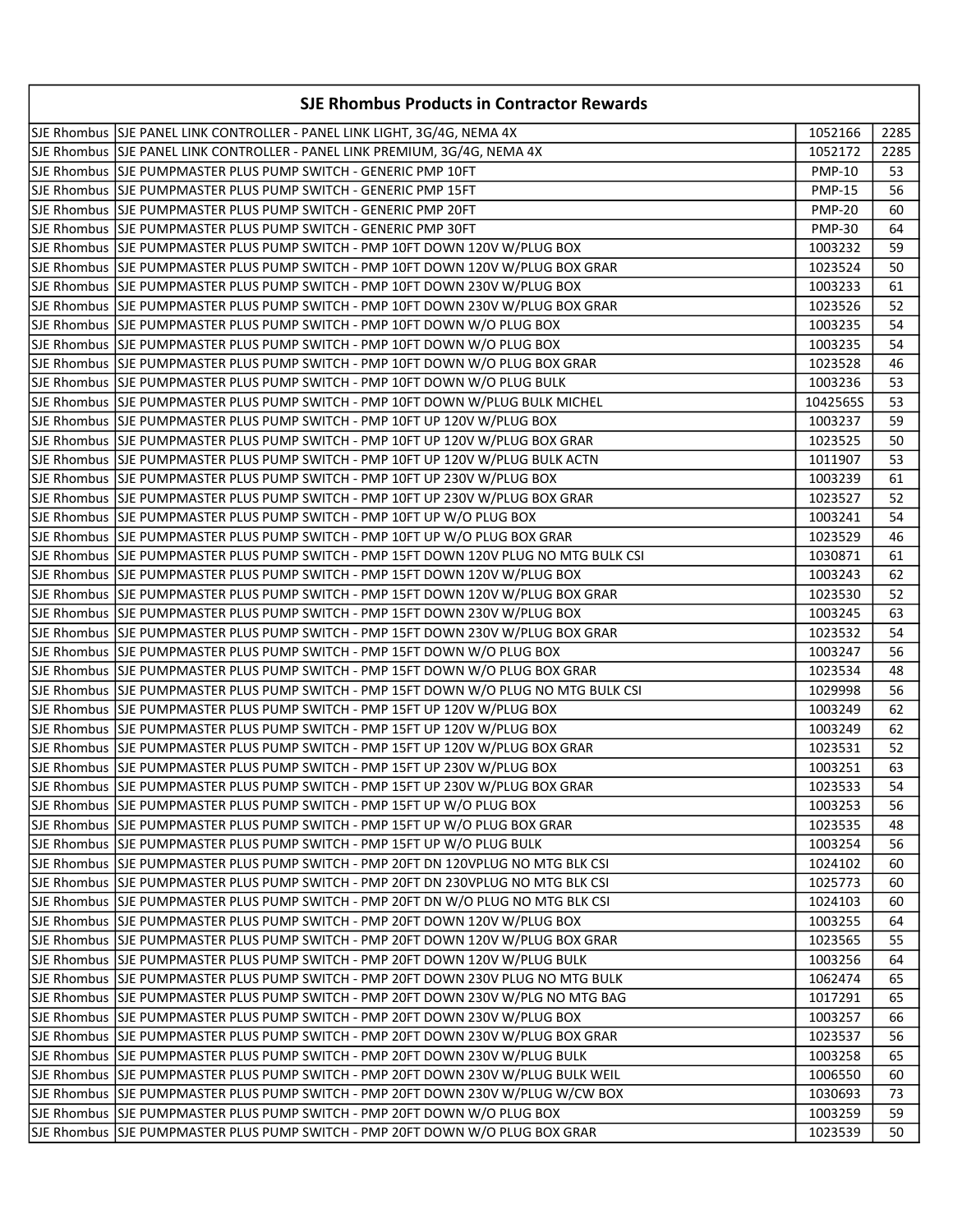| <b>SJE Rhombus Products in Contractor Rewards</b>                                     |               |      |
|---------------------------------------------------------------------------------------|---------------|------|
| SJE Rhombus SJE PANEL LINK CONTROLLER - PANEL LINK LIGHT, 3G/4G, NEMA 4X              | 1052166       | 2285 |
| SJE Rhombus SJE PANEL LINK CONTROLLER - PANEL LINK PREMIUM, 3G/4G, NEMA 4X            | 1052172       | 2285 |
|                                                                                       | <b>PMP-10</b> | 53   |
| SJE Rhombus  SJE PUMPMASTER PLUS PUMP SWITCH - GENERIC PMP 15FT                       | <b>PMP-15</b> | 56   |
| SJE Rhombus SJE PUMPMASTER PLUS PUMP SWITCH - GENERIC PMP 20FT                        | <b>PMP-20</b> | 60   |
|                                                                                       | <b>PMP-30</b> | 64   |
| SJE Rhombus  SJE PUMPMASTER PLUS PUMP SWITCH - PMP 10FT DOWN 120V W/PLUG BOX          | 1003232       | 59   |
| SJE Rhombus SJE PUMPMASTER PLUS PUMP SWITCH - PMP 10FT DOWN 120V W/PLUG BOX GRAR      | 1023524       | 50   |
| SJE Rhombus SJE PUMPMASTER PLUS PUMP SWITCH - PMP 10FT DOWN 230V W/PLUG BOX           | 1003233       | 61   |
| SJE Rhombus SJE PUMPMASTER PLUS PUMP SWITCH - PMP 10FT DOWN 230V W/PLUG BOX GRAR      | 1023526       | 52   |
| SJE Rhombus SJE PUMPMASTER PLUS PUMP SWITCH - PMP 10FT DOWN W/O PLUG BOX              | 1003235       | 54   |
| SJE Rhombus SJE PUMPMASTER PLUS PUMP SWITCH - PMP 10FT DOWN W/O PLUG BOX              | 1003235       | 54   |
| SJE Rhombus SJE PUMPMASTER PLUS PUMP SWITCH - PMP 10FT DOWN W/O PLUG BOX GRAR         | 1023528       | 46   |
| SJE Rhombus SJE PUMPMASTER PLUS PUMP SWITCH - PMP 10FT DOWN W/O PLUG BULK             | 1003236       | 53   |
| SJE Rhombus SJE PUMPMASTER PLUS PUMP SWITCH - PMP 10FT DOWN W/PLUG BULK MICHEL        | 1042565S      | 53   |
| SJE Rhombus SJE PUMPMASTER PLUS PUMP SWITCH - PMP 10FT UP 120V W/PLUG BOX             | 1003237       | 59   |
| SJE Rhombus SJJE PUMPMASTER PLUS PUMP SWITCH - PMP 10FT UP 120V W/PLUG BOX GRAR       | 1023525       | 50   |
| SJE Rhombus SJE PUMPMASTER PLUS PUMP SWITCH - PMP 10FT UP 120V W/PLUG BULK ACTN       | 1011907       | 53   |
| SJE Rhombus SJE PUMPMASTER PLUS PUMP SWITCH - PMP 10FT UP 230V W/PLUG BOX             | 1003239       | 61   |
| SJE Rhombus  SJE PUMPMASTER PLUS PUMP SWITCH - PMP 10FT UP 230V W/PLUG BOX GRAR       | 1023527       | 52   |
| SJE Rhombus SJE PUMPMASTER PLUS PUMP SWITCH - PMP 10FT UP W/O PLUG BOX                | 1003241       | 54   |
| SJE Rhombus SJE PUMPMASTER PLUS PUMP SWITCH - PMP 10FT UP W/O PLUG BOX GRAR           | 1023529       | 46   |
| SJE Rhombus SJE PUMPMASTER PLUS PUMP SWITCH - PMP 15FT DOWN 120V PLUG NO MTG BULK CSI | 1030871       | 61   |
| SJE Rhombus  SJE PUMPMASTER PLUS PUMP SWITCH - PMP 15FT DOWN 120V W/PLUG BOX          | 1003243       | 62   |
| SJE Rhombus SJE PUMPMASTER PLUS PUMP SWITCH - PMP 15FT DOWN 120V W/PLUG BOX GRAR      | 1023530       | 52   |
| SJE Rhombus SJE PUMPMASTER PLUS PUMP SWITCH - PMP 15FT DOWN 230V W/PLUG BOX           | 1003245       | 63   |
| SJE Rhombus SJE PUMPMASTER PLUS PUMP SWITCH - PMP 15FT DOWN 230V W/PLUG BOX GRAR      | 1023532       | 54   |
| SJE Rhombus SJE PUMPMASTER PLUS PUMP SWITCH - PMP 15FT DOWN W/O PLUG BOX              | 1003247       | 56   |
| SJE Rhombus SJE PUMPMASTER PLUS PUMP SWITCH - PMP 15FT DOWN W/O PLUG BOX GRAR         | 1023534       | 48   |
| SJE Rhombus SJE PUMPMASTER PLUS PUMP SWITCH - PMP 15FT DOWN W/O PLUG NO MTG BULK CSI  | 1029998       | 56   |
| SJE Rhombus SJE PUMPMASTER PLUS PUMP SWITCH - PMP 15FT UP 120V W/PLUG BOX             | 1003249       | 62   |
| SJE Rhombus SJE PUMPMASTER PLUS PUMP SWITCH - PMP 15FT UP 120V W/PLUG BOX             | 1003249       | 62   |
| SJE Rhombus SJE PUMPMASTER PLUS PUMP SWITCH - PMP 15FT UP 120V W/PLUG BOX GRAR        | 1023531       | 52   |
| SJE Rhombus SJE PUMPMASTER PLUS PUMP SWITCH - PMP 15FT UP 230V W/PLUG BOX             | 1003251       | 63   |
| SJE Rhombus SJE PUMPMASTER PLUS PUMP SWITCH - PMP 15FT UP 230V W/PLUG BOX GRAR        | 1023533       | 54   |
| SJE Rhombus SJE PUMPMASTER PLUS PUMP SWITCH - PMP 15FT UP W/O PLUG BOX                | 1003253       | 56   |
| SJE Rhombus SJE PUMPMASTER PLUS PUMP SWITCH - PMP 15FT UP W/O PLUG BOX GRAR           | 1023535       | 48   |
|                                                                                       | 1003254       | 56   |
| SJE Rhombus SJE PUMPMASTER PLUS PUMP SWITCH - PMP 20FT DN 120VPLUG NO MTG BLK CSI     | 1024102       | 60   |
| SJE Rhombus SJE PUMPMASTER PLUS PUMP SWITCH - PMP 20FT DN 230VPLUG NO MTG BLK CSI     | 1025773       | 60   |
| SJE Rhombus  SJE PUMPMASTER PLUS PUMP SWITCH - PMP 20FT DN W/O PLUG NO MTG BLK CSI    | 1024103       | 60   |
| SJE Rhombus SJE PUMPMASTER PLUS PUMP SWITCH - PMP 20FT DOWN 120V W/PLUG BOX           | 1003255       | 64   |
| SJE Rhombus SJE PUMPMASTER PLUS PUMP SWITCH - PMP 20FT DOWN 120V W/PLUG BOX GRAR      | 1023565       | 55   |
| SJE Rhombus SJE PUMPMASTER PLUS PUMP SWITCH - PMP 20FT DOWN 120V W/PLUG BULK          | 1003256       | 64   |
| SJE Rhombus SJE PUMPMASTER PLUS PUMP SWITCH - PMP 20FT DOWN 230V PLUG NO MTG BULK     | 1062474       | 65   |
| SJE Rhombus SJE PUMPMASTER PLUS PUMP SWITCH - PMP 20FT DOWN 230V W/PLG NO MTG BAG     | 1017291       | 65   |
| SJE Rhombus SJE PUMPMASTER PLUS PUMP SWITCH - PMP 20FT DOWN 230V W/PLUG BOX           | 1003257       | 66   |
| SJE Rhombus SJE PUMPMASTER PLUS PUMP SWITCH - PMP 20FT DOWN 230V W/PLUG BOX GRAR      | 1023537       | 56   |
| SJE Rhombus SJJE PUMPMASTER PLUS PUMP SWITCH - PMP 20FT DOWN 230V W/PLUG BULK         | 1003258       | 65   |
| SJE Rhombus SJE PUMPMASTER PLUS PUMP SWITCH - PMP 20FT DOWN 230V W/PLUG BULK WEIL     | 1006550       | 60   |
| SJE Rhombus SJE PUMPMASTER PLUS PUMP SWITCH - PMP 20FT DOWN 230V W/PLUG W/CW BOX      | 1030693       | 73   |
| SJE Rhombus SJE PUMPMASTER PLUS PUMP SWITCH - PMP 20FT DOWN W/O PLUG BOX              | 1003259       | 59   |
| SJE Rhombus SJE PUMPMASTER PLUS PUMP SWITCH - PMP 20FT DOWN W/O PLUG BOX GRAR         | 1023539       | 50   |
|                                                                                       |               |      |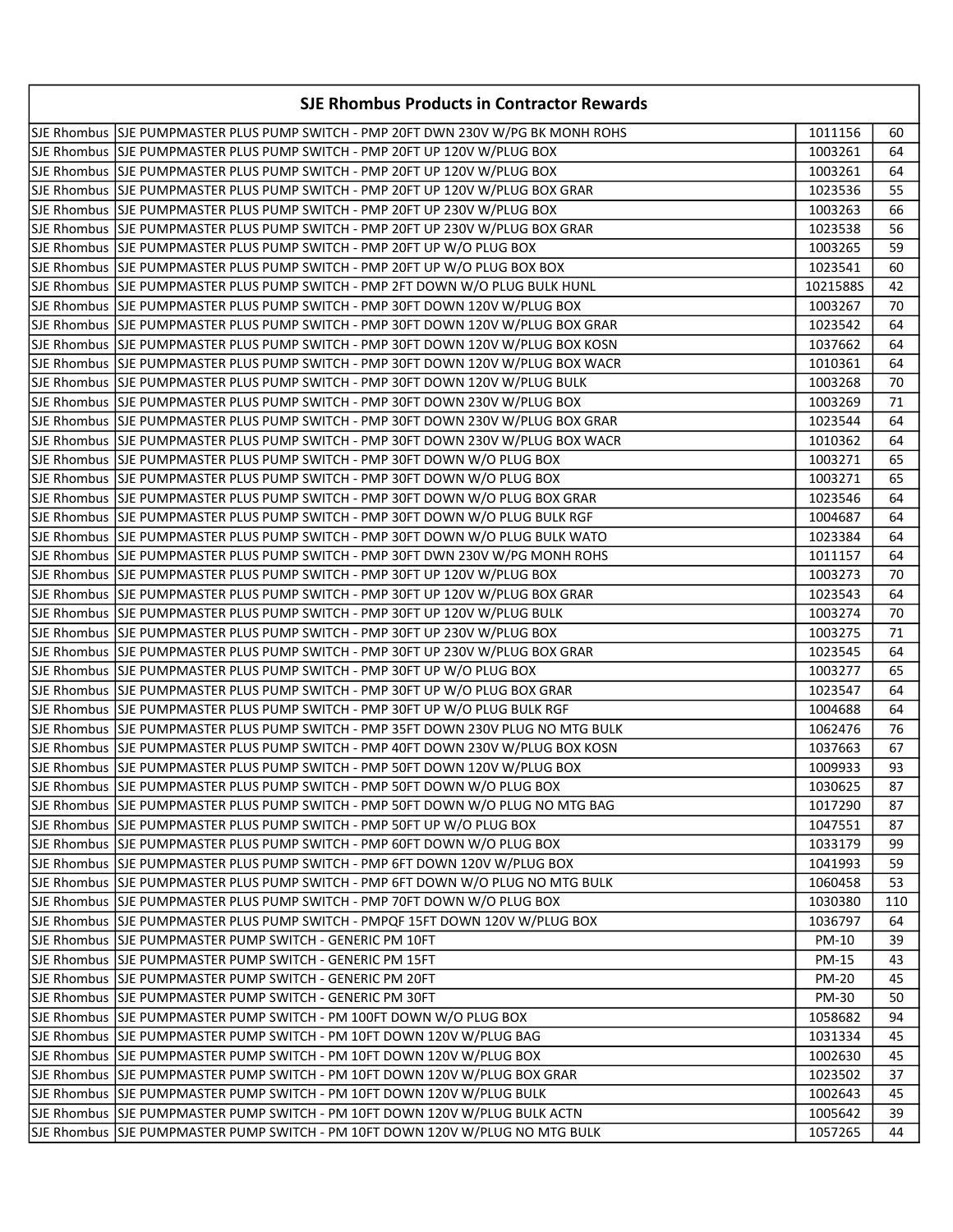| SJE Rhombus SJE PUMPMASTER PLUS PUMP SWITCH - PMP 20FT DWN 230V W/PG BK MONH ROHS<br>1011156<br>60<br>SJE Rhombus SJE PUMPMASTER PLUS PUMP SWITCH - PMP 20FT UP 120V W/PLUG BOX<br>1003261<br>64<br>SJE Rhombus SJE PUMPMASTER PLUS PUMP SWITCH - PMP 20FT UP 120V W/PLUG BOX<br>1003261<br>64<br>SJE Rhombus  SJE PUMPMASTER PLUS PUMP SWITCH - PMP 20FT UP 120V W/PLUG BOX GRAR<br>1023536<br>55<br>SJE Rhombus SJE PUMPMASTER PLUS PUMP SWITCH - PMP 20FT UP 230V W/PLUG BOX<br>1003263<br>66<br>SJE Rhombus SJE PUMPMASTER PLUS PUMP SWITCH - PMP 20FT UP 230V W/PLUG BOX GRAR<br>56<br>1023538<br>SJE Rhombus SJE PUMPMASTER PLUS PUMP SWITCH - PMP 20FT UP W/O PLUG BOX<br>59<br>1003265<br>SJE Rhombus SJE PUMPMASTER PLUS PUMP SWITCH - PMP 20FT UP W/O PLUG BOX BOX<br>60<br>1023541<br>SJE Rhombus SJE PUMPMASTER PLUS PUMP SWITCH - PMP 2FT DOWN W/O PLUG BULK HUNL<br>1021588S<br>42<br>SJE Rhombus SJE PUMPMASTER PLUS PUMP SWITCH - PMP 30FT DOWN 120V W/PLUG BOX<br>70<br>1003267<br>SJE Rhombus SJE PUMPMASTER PLUS PUMP SWITCH - PMP 30FT DOWN 120V W/PLUG BOX GRAR<br>64<br>1023542<br>SJE Rhombus SJE PUMPMASTER PLUS PUMP SWITCH - PMP 30FT DOWN 120V W/PLUG BOX KOSN<br>1037662<br>64<br>SJE Rhombus SJE PUMPMASTER PLUS PUMP SWITCH - PMP 30FT DOWN 120V W/PLUG BOX WACR<br>64<br>1010361<br>SJE Rhombus SJE PUMPMASTER PLUS PUMP SWITCH - PMP 30FT DOWN 120V W/PLUG BULK<br>70<br>1003268<br>71<br>SJE Rhombus SJE PUMPMASTER PLUS PUMP SWITCH - PMP 30FT DOWN 230V W/PLUG BOX<br>1003269<br>64<br>SJE Rhombus SJE PUMPMASTER PLUS PUMP SWITCH - PMP 30FT DOWN 230V W/PLUG BOX GRAR<br>1023544<br>SJE Rhombus SJE PUMPMASTER PLUS PUMP SWITCH - PMP 30FT DOWN 230V W/PLUG BOX WACR<br>1010362<br>64<br>SJE Rhombus SJE PUMPMASTER PLUS PUMP SWITCH - PMP 30FT DOWN W/O PLUG BOX<br>1003271<br>65<br>SJE Rhombus SJE PUMPMASTER PLUS PUMP SWITCH - PMP 30FT DOWN W/O PLUG BOX<br>65<br>1003271<br>SJE Rhombus SJE PUMPMASTER PLUS PUMP SWITCH - PMP 30FT DOWN W/O PLUG BOX GRAR<br>1023546<br>64<br>SJE Rhombus SJE PUMPMASTER PLUS PUMP SWITCH - PMP 30FT DOWN W/O PLUG BULK RGF<br>1004687<br>64<br>SJE Rhombus SJE PUMPMASTER PLUS PUMP SWITCH - PMP 30FT DOWN W/O PLUG BULK WATO<br>64<br>1023384<br>SJE Rhombus SJE PUMPMASTER PLUS PUMP SWITCH - PMP 30FT DWN 230V W/PG MONH ROHS<br>64<br>1011157<br>SJE Rhombus SJE PUMPMASTER PLUS PUMP SWITCH - PMP 30FT UP 120V W/PLUG BOX<br>70<br>1003273<br>SJE Rhombus SJE PUMPMASTER PLUS PUMP SWITCH - PMP 30FT UP 120V W/PLUG BOX GRAR<br>64<br>1023543<br>SJE Rhombus SJE PUMPMASTER PLUS PUMP SWITCH - PMP 30FT UP 120V W/PLUG BULK<br>1003274<br>70<br>SJE Rhombus SJE PUMPMASTER PLUS PUMP SWITCH - PMP 30FT UP 230V W/PLUG BOX<br>71<br>1003275<br>SJE Rhombus SJE PUMPMASTER PLUS PUMP SWITCH - PMP 30FT UP 230V W/PLUG BOX GRAR<br>1023545<br>64<br>SJE Rhombus SJE PUMPMASTER PLUS PUMP SWITCH - PMP 30FT UP W/O PLUG BOX<br>1003277<br>65<br>SJE Rhombus SJE PUMPMASTER PLUS PUMP SWITCH - PMP 30FT UP W/O PLUG BOX GRAR<br>1023547<br>64<br>SJE Rhombus SJE PUMPMASTER PLUS PUMP SWITCH - PMP 30FT UP W/O PLUG BULK RGF<br>64<br>1004688<br>SJE Rhombus SJE PUMPMASTER PLUS PUMP SWITCH - PMP 35FT DOWN 230V PLUG NO MTG BULK<br>1062476<br>76<br>SJE Rhombus SJE PUMPMASTER PLUS PUMP SWITCH - PMP 40FT DOWN 230V W/PLUG BOX KOSN<br>1037663<br>67<br>SJE Rhombus  SJE PUMPMASTER PLUS PUMP SWITCH - PMP 50FT DOWN 120V W/PLUG BOX<br>1009933<br>93<br>SJE Rhombus SJE PUMPMASTER PLUS PUMP SWITCH - PMP 50FT DOWN W/O PLUG BOX<br>1030625<br>87<br> SJE Rhombus  SJE PUMPMASTER PLUS PUMP SWITCH - PMP 50FT DOWN W/O PLUG NO MTG BAG<br>1017290<br>87<br>SJE Rhombus SJE PUMPMASTER PLUS PUMP SWITCH - PMP 50FT UP W/O PLUG BOX<br>1047551<br>87<br>SJE Rhombus SJE PUMPMASTER PLUS PUMP SWITCH - PMP 60FT DOWN W/O PLUG BOX<br>1033179<br>99<br>SJE Rhombus SJE PUMPMASTER PLUS PUMP SWITCH - PMP 6FT DOWN 120V W/PLUG BOX<br>59<br>1041993<br>SJE Rhombus SJJE PUMPMASTER PLUS PUMP SWITCH - PMP 6FT DOWN W/O PLUG NO MTG BULK<br>53<br>1060458<br>SJE Rhombus SJE PUMPMASTER PLUS PUMP SWITCH - PMP 70FT DOWN W/O PLUG BOX<br>1030380<br>110<br>SJE Rhombus SJE PUMPMASTER PLUS PUMP SWITCH - PMPQF 15FT DOWN 120V W/PLUG BOX<br>1036797<br>64<br>SJE Rhombus   SJE PUMPMASTER PUMP SWITCH - GENERIC PM 10FT<br>39<br>PM-10<br>SJE Rhombus SJE PUMPMASTER PUMP SWITCH - GENERIC PM 15FT<br>PM-15<br>43<br>SJE Rhombus SJE PUMPMASTER PUMP SWITCH - GENERIC PM 20FT<br><b>PM-20</b><br>45<br>SJE Rhombus   SJE PUMPMASTER PUMP SWITCH - GENERIC PM 30FT<br>PM-30<br>50<br>SJE Rhombus SJE PUMPMASTER PUMP SWITCH - PM 100FT DOWN W/O PLUG BOX<br>1058682<br>94<br>1031334<br>45<br>1002630<br>45<br>SJE Rhombus SJE PUMPMASTER PUMP SWITCH - PM 10FT DOWN 120V W/PLUG BOX GRAR<br>1023502<br>37<br>SJE Rhombus SJE PUMPMASTER PUMP SWITCH - PM 10FT DOWN 120V W/PLUG BULK<br>1002643<br>45<br>SJE Rhombus  SJE PUMPMASTER PUMP SWITCH - PM 10FT DOWN 120V W/PLUG BULK ACTN<br>1005642<br>39<br>SJE Rhombus SJE PUMPMASTER PUMP SWITCH - PM 10FT DOWN 120V W/PLUG NO MTG BULK<br>1057265<br>44 | <b>SJE Rhombus Products in Contractor Rewards</b> |  |
|-------------------------------------------------------------------------------------------------------------------------------------------------------------------------------------------------------------------------------------------------------------------------------------------------------------------------------------------------------------------------------------------------------------------------------------------------------------------------------------------------------------------------------------------------------------------------------------------------------------------------------------------------------------------------------------------------------------------------------------------------------------------------------------------------------------------------------------------------------------------------------------------------------------------------------------------------------------------------------------------------------------------------------------------------------------------------------------------------------------------------------------------------------------------------------------------------------------------------------------------------------------------------------------------------------------------------------------------------------------------------------------------------------------------------------------------------------------------------------------------------------------------------------------------------------------------------------------------------------------------------------------------------------------------------------------------------------------------------------------------------------------------------------------------------------------------------------------------------------------------------------------------------------------------------------------------------------------------------------------------------------------------------------------------------------------------------------------------------------------------------------------------------------------------------------------------------------------------------------------------------------------------------------------------------------------------------------------------------------------------------------------------------------------------------------------------------------------------------------------------------------------------------------------------------------------------------------------------------------------------------------------------------------------------------------------------------------------------------------------------------------------------------------------------------------------------------------------------------------------------------------------------------------------------------------------------------------------------------------------------------------------------------------------------------------------------------------------------------------------------------------------------------------------------------------------------------------------------------------------------------------------------------------------------------------------------------------------------------------------------------------------------------------------------------------------------------------------------------------------------------------------------------------------------------------------------------------------------------------------------------------------------------------------------------------------------------------------------------------------------------------------------------------------------------------------------------------------------------------------------------------------------------------------------------------------------------------------------------------------------------------------------------------------------------------------------------------------------------------------------------------------------------------------------------------------------------------------------------------------------------------------------------------------------------------------------------------------------------------------------------------------------------------------------------------------------------------------------------------------------------------------------------------------------------------------------------------------------------------------------------------------------------------------------------------------------------------------------------------------------------------------------------------------------------------------------------------------------------------------------------------------------------------------------------------------------------------------------------------------------------------------------------------------------------------------------------------------|---------------------------------------------------|--|
|                                                                                                                                                                                                                                                                                                                                                                                                                                                                                                                                                                                                                                                                                                                                                                                                                                                                                                                                                                                                                                                                                                                                                                                                                                                                                                                                                                                                                                                                                                                                                                                                                                                                                                                                                                                                                                                                                                                                                                                                                                                                                                                                                                                                                                                                                                                                                                                                                                                                                                                                                                                                                                                                                                                                                                                                                                                                                                                                                                                                                                                                                                                                                                                                                                                                                                                                                                                                                                                                                                                                                                                                                                                                                                                                                                                                                                                                                                                                                                                                                                                                                                                                                                                                                                                                                                                                                                                                                                                                                                                                                                                                                                                                                                                                                                                                                                                                                                                                                                                                                                                                                     |                                                   |  |
|                                                                                                                                                                                                                                                                                                                                                                                                                                                                                                                                                                                                                                                                                                                                                                                                                                                                                                                                                                                                                                                                                                                                                                                                                                                                                                                                                                                                                                                                                                                                                                                                                                                                                                                                                                                                                                                                                                                                                                                                                                                                                                                                                                                                                                                                                                                                                                                                                                                                                                                                                                                                                                                                                                                                                                                                                                                                                                                                                                                                                                                                                                                                                                                                                                                                                                                                                                                                                                                                                                                                                                                                                                                                                                                                                                                                                                                                                                                                                                                                                                                                                                                                                                                                                                                                                                                                                                                                                                                                                                                                                                                                                                                                                                                                                                                                                                                                                                                                                                                                                                                                                     |                                                   |  |
|                                                                                                                                                                                                                                                                                                                                                                                                                                                                                                                                                                                                                                                                                                                                                                                                                                                                                                                                                                                                                                                                                                                                                                                                                                                                                                                                                                                                                                                                                                                                                                                                                                                                                                                                                                                                                                                                                                                                                                                                                                                                                                                                                                                                                                                                                                                                                                                                                                                                                                                                                                                                                                                                                                                                                                                                                                                                                                                                                                                                                                                                                                                                                                                                                                                                                                                                                                                                                                                                                                                                                                                                                                                                                                                                                                                                                                                                                                                                                                                                                                                                                                                                                                                                                                                                                                                                                                                                                                                                                                                                                                                                                                                                                                                                                                                                                                                                                                                                                                                                                                                                                     |                                                   |  |
|                                                                                                                                                                                                                                                                                                                                                                                                                                                                                                                                                                                                                                                                                                                                                                                                                                                                                                                                                                                                                                                                                                                                                                                                                                                                                                                                                                                                                                                                                                                                                                                                                                                                                                                                                                                                                                                                                                                                                                                                                                                                                                                                                                                                                                                                                                                                                                                                                                                                                                                                                                                                                                                                                                                                                                                                                                                                                                                                                                                                                                                                                                                                                                                                                                                                                                                                                                                                                                                                                                                                                                                                                                                                                                                                                                                                                                                                                                                                                                                                                                                                                                                                                                                                                                                                                                                                                                                                                                                                                                                                                                                                                                                                                                                                                                                                                                                                                                                                                                                                                                                                                     |                                                   |  |
|                                                                                                                                                                                                                                                                                                                                                                                                                                                                                                                                                                                                                                                                                                                                                                                                                                                                                                                                                                                                                                                                                                                                                                                                                                                                                                                                                                                                                                                                                                                                                                                                                                                                                                                                                                                                                                                                                                                                                                                                                                                                                                                                                                                                                                                                                                                                                                                                                                                                                                                                                                                                                                                                                                                                                                                                                                                                                                                                                                                                                                                                                                                                                                                                                                                                                                                                                                                                                                                                                                                                                                                                                                                                                                                                                                                                                                                                                                                                                                                                                                                                                                                                                                                                                                                                                                                                                                                                                                                                                                                                                                                                                                                                                                                                                                                                                                                                                                                                                                                                                                                                                     |                                                   |  |
|                                                                                                                                                                                                                                                                                                                                                                                                                                                                                                                                                                                                                                                                                                                                                                                                                                                                                                                                                                                                                                                                                                                                                                                                                                                                                                                                                                                                                                                                                                                                                                                                                                                                                                                                                                                                                                                                                                                                                                                                                                                                                                                                                                                                                                                                                                                                                                                                                                                                                                                                                                                                                                                                                                                                                                                                                                                                                                                                                                                                                                                                                                                                                                                                                                                                                                                                                                                                                                                                                                                                                                                                                                                                                                                                                                                                                                                                                                                                                                                                                                                                                                                                                                                                                                                                                                                                                                                                                                                                                                                                                                                                                                                                                                                                                                                                                                                                                                                                                                                                                                                                                     |                                                   |  |
|                                                                                                                                                                                                                                                                                                                                                                                                                                                                                                                                                                                                                                                                                                                                                                                                                                                                                                                                                                                                                                                                                                                                                                                                                                                                                                                                                                                                                                                                                                                                                                                                                                                                                                                                                                                                                                                                                                                                                                                                                                                                                                                                                                                                                                                                                                                                                                                                                                                                                                                                                                                                                                                                                                                                                                                                                                                                                                                                                                                                                                                                                                                                                                                                                                                                                                                                                                                                                                                                                                                                                                                                                                                                                                                                                                                                                                                                                                                                                                                                                                                                                                                                                                                                                                                                                                                                                                                                                                                                                                                                                                                                                                                                                                                                                                                                                                                                                                                                                                                                                                                                                     |                                                   |  |
|                                                                                                                                                                                                                                                                                                                                                                                                                                                                                                                                                                                                                                                                                                                                                                                                                                                                                                                                                                                                                                                                                                                                                                                                                                                                                                                                                                                                                                                                                                                                                                                                                                                                                                                                                                                                                                                                                                                                                                                                                                                                                                                                                                                                                                                                                                                                                                                                                                                                                                                                                                                                                                                                                                                                                                                                                                                                                                                                                                                                                                                                                                                                                                                                                                                                                                                                                                                                                                                                                                                                                                                                                                                                                                                                                                                                                                                                                                                                                                                                                                                                                                                                                                                                                                                                                                                                                                                                                                                                                                                                                                                                                                                                                                                                                                                                                                                                                                                                                                                                                                                                                     |                                                   |  |
|                                                                                                                                                                                                                                                                                                                                                                                                                                                                                                                                                                                                                                                                                                                                                                                                                                                                                                                                                                                                                                                                                                                                                                                                                                                                                                                                                                                                                                                                                                                                                                                                                                                                                                                                                                                                                                                                                                                                                                                                                                                                                                                                                                                                                                                                                                                                                                                                                                                                                                                                                                                                                                                                                                                                                                                                                                                                                                                                                                                                                                                                                                                                                                                                                                                                                                                                                                                                                                                                                                                                                                                                                                                                                                                                                                                                                                                                                                                                                                                                                                                                                                                                                                                                                                                                                                                                                                                                                                                                                                                                                                                                                                                                                                                                                                                                                                                                                                                                                                                                                                                                                     |                                                   |  |
|                                                                                                                                                                                                                                                                                                                                                                                                                                                                                                                                                                                                                                                                                                                                                                                                                                                                                                                                                                                                                                                                                                                                                                                                                                                                                                                                                                                                                                                                                                                                                                                                                                                                                                                                                                                                                                                                                                                                                                                                                                                                                                                                                                                                                                                                                                                                                                                                                                                                                                                                                                                                                                                                                                                                                                                                                                                                                                                                                                                                                                                                                                                                                                                                                                                                                                                                                                                                                                                                                                                                                                                                                                                                                                                                                                                                                                                                                                                                                                                                                                                                                                                                                                                                                                                                                                                                                                                                                                                                                                                                                                                                                                                                                                                                                                                                                                                                                                                                                                                                                                                                                     |                                                   |  |
|                                                                                                                                                                                                                                                                                                                                                                                                                                                                                                                                                                                                                                                                                                                                                                                                                                                                                                                                                                                                                                                                                                                                                                                                                                                                                                                                                                                                                                                                                                                                                                                                                                                                                                                                                                                                                                                                                                                                                                                                                                                                                                                                                                                                                                                                                                                                                                                                                                                                                                                                                                                                                                                                                                                                                                                                                                                                                                                                                                                                                                                                                                                                                                                                                                                                                                                                                                                                                                                                                                                                                                                                                                                                                                                                                                                                                                                                                                                                                                                                                                                                                                                                                                                                                                                                                                                                                                                                                                                                                                                                                                                                                                                                                                                                                                                                                                                                                                                                                                                                                                                                                     |                                                   |  |
|                                                                                                                                                                                                                                                                                                                                                                                                                                                                                                                                                                                                                                                                                                                                                                                                                                                                                                                                                                                                                                                                                                                                                                                                                                                                                                                                                                                                                                                                                                                                                                                                                                                                                                                                                                                                                                                                                                                                                                                                                                                                                                                                                                                                                                                                                                                                                                                                                                                                                                                                                                                                                                                                                                                                                                                                                                                                                                                                                                                                                                                                                                                                                                                                                                                                                                                                                                                                                                                                                                                                                                                                                                                                                                                                                                                                                                                                                                                                                                                                                                                                                                                                                                                                                                                                                                                                                                                                                                                                                                                                                                                                                                                                                                                                                                                                                                                                                                                                                                                                                                                                                     |                                                   |  |
|                                                                                                                                                                                                                                                                                                                                                                                                                                                                                                                                                                                                                                                                                                                                                                                                                                                                                                                                                                                                                                                                                                                                                                                                                                                                                                                                                                                                                                                                                                                                                                                                                                                                                                                                                                                                                                                                                                                                                                                                                                                                                                                                                                                                                                                                                                                                                                                                                                                                                                                                                                                                                                                                                                                                                                                                                                                                                                                                                                                                                                                                                                                                                                                                                                                                                                                                                                                                                                                                                                                                                                                                                                                                                                                                                                                                                                                                                                                                                                                                                                                                                                                                                                                                                                                                                                                                                                                                                                                                                                                                                                                                                                                                                                                                                                                                                                                                                                                                                                                                                                                                                     |                                                   |  |
|                                                                                                                                                                                                                                                                                                                                                                                                                                                                                                                                                                                                                                                                                                                                                                                                                                                                                                                                                                                                                                                                                                                                                                                                                                                                                                                                                                                                                                                                                                                                                                                                                                                                                                                                                                                                                                                                                                                                                                                                                                                                                                                                                                                                                                                                                                                                                                                                                                                                                                                                                                                                                                                                                                                                                                                                                                                                                                                                                                                                                                                                                                                                                                                                                                                                                                                                                                                                                                                                                                                                                                                                                                                                                                                                                                                                                                                                                                                                                                                                                                                                                                                                                                                                                                                                                                                                                                                                                                                                                                                                                                                                                                                                                                                                                                                                                                                                                                                                                                                                                                                                                     |                                                   |  |
|                                                                                                                                                                                                                                                                                                                                                                                                                                                                                                                                                                                                                                                                                                                                                                                                                                                                                                                                                                                                                                                                                                                                                                                                                                                                                                                                                                                                                                                                                                                                                                                                                                                                                                                                                                                                                                                                                                                                                                                                                                                                                                                                                                                                                                                                                                                                                                                                                                                                                                                                                                                                                                                                                                                                                                                                                                                                                                                                                                                                                                                                                                                                                                                                                                                                                                                                                                                                                                                                                                                                                                                                                                                                                                                                                                                                                                                                                                                                                                                                                                                                                                                                                                                                                                                                                                                                                                                                                                                                                                                                                                                                                                                                                                                                                                                                                                                                                                                                                                                                                                                                                     |                                                   |  |
|                                                                                                                                                                                                                                                                                                                                                                                                                                                                                                                                                                                                                                                                                                                                                                                                                                                                                                                                                                                                                                                                                                                                                                                                                                                                                                                                                                                                                                                                                                                                                                                                                                                                                                                                                                                                                                                                                                                                                                                                                                                                                                                                                                                                                                                                                                                                                                                                                                                                                                                                                                                                                                                                                                                                                                                                                                                                                                                                                                                                                                                                                                                                                                                                                                                                                                                                                                                                                                                                                                                                                                                                                                                                                                                                                                                                                                                                                                                                                                                                                                                                                                                                                                                                                                                                                                                                                                                                                                                                                                                                                                                                                                                                                                                                                                                                                                                                                                                                                                                                                                                                                     |                                                   |  |
|                                                                                                                                                                                                                                                                                                                                                                                                                                                                                                                                                                                                                                                                                                                                                                                                                                                                                                                                                                                                                                                                                                                                                                                                                                                                                                                                                                                                                                                                                                                                                                                                                                                                                                                                                                                                                                                                                                                                                                                                                                                                                                                                                                                                                                                                                                                                                                                                                                                                                                                                                                                                                                                                                                                                                                                                                                                                                                                                                                                                                                                                                                                                                                                                                                                                                                                                                                                                                                                                                                                                                                                                                                                                                                                                                                                                                                                                                                                                                                                                                                                                                                                                                                                                                                                                                                                                                                                                                                                                                                                                                                                                                                                                                                                                                                                                                                                                                                                                                                                                                                                                                     |                                                   |  |
|                                                                                                                                                                                                                                                                                                                                                                                                                                                                                                                                                                                                                                                                                                                                                                                                                                                                                                                                                                                                                                                                                                                                                                                                                                                                                                                                                                                                                                                                                                                                                                                                                                                                                                                                                                                                                                                                                                                                                                                                                                                                                                                                                                                                                                                                                                                                                                                                                                                                                                                                                                                                                                                                                                                                                                                                                                                                                                                                                                                                                                                                                                                                                                                                                                                                                                                                                                                                                                                                                                                                                                                                                                                                                                                                                                                                                                                                                                                                                                                                                                                                                                                                                                                                                                                                                                                                                                                                                                                                                                                                                                                                                                                                                                                                                                                                                                                                                                                                                                                                                                                                                     |                                                   |  |
|                                                                                                                                                                                                                                                                                                                                                                                                                                                                                                                                                                                                                                                                                                                                                                                                                                                                                                                                                                                                                                                                                                                                                                                                                                                                                                                                                                                                                                                                                                                                                                                                                                                                                                                                                                                                                                                                                                                                                                                                                                                                                                                                                                                                                                                                                                                                                                                                                                                                                                                                                                                                                                                                                                                                                                                                                                                                                                                                                                                                                                                                                                                                                                                                                                                                                                                                                                                                                                                                                                                                                                                                                                                                                                                                                                                                                                                                                                                                                                                                                                                                                                                                                                                                                                                                                                                                                                                                                                                                                                                                                                                                                                                                                                                                                                                                                                                                                                                                                                                                                                                                                     |                                                   |  |
|                                                                                                                                                                                                                                                                                                                                                                                                                                                                                                                                                                                                                                                                                                                                                                                                                                                                                                                                                                                                                                                                                                                                                                                                                                                                                                                                                                                                                                                                                                                                                                                                                                                                                                                                                                                                                                                                                                                                                                                                                                                                                                                                                                                                                                                                                                                                                                                                                                                                                                                                                                                                                                                                                                                                                                                                                                                                                                                                                                                                                                                                                                                                                                                                                                                                                                                                                                                                                                                                                                                                                                                                                                                                                                                                                                                                                                                                                                                                                                                                                                                                                                                                                                                                                                                                                                                                                                                                                                                                                                                                                                                                                                                                                                                                                                                                                                                                                                                                                                                                                                                                                     |                                                   |  |
|                                                                                                                                                                                                                                                                                                                                                                                                                                                                                                                                                                                                                                                                                                                                                                                                                                                                                                                                                                                                                                                                                                                                                                                                                                                                                                                                                                                                                                                                                                                                                                                                                                                                                                                                                                                                                                                                                                                                                                                                                                                                                                                                                                                                                                                                                                                                                                                                                                                                                                                                                                                                                                                                                                                                                                                                                                                                                                                                                                                                                                                                                                                                                                                                                                                                                                                                                                                                                                                                                                                                                                                                                                                                                                                                                                                                                                                                                                                                                                                                                                                                                                                                                                                                                                                                                                                                                                                                                                                                                                                                                                                                                                                                                                                                                                                                                                                                                                                                                                                                                                                                                     |                                                   |  |
|                                                                                                                                                                                                                                                                                                                                                                                                                                                                                                                                                                                                                                                                                                                                                                                                                                                                                                                                                                                                                                                                                                                                                                                                                                                                                                                                                                                                                                                                                                                                                                                                                                                                                                                                                                                                                                                                                                                                                                                                                                                                                                                                                                                                                                                                                                                                                                                                                                                                                                                                                                                                                                                                                                                                                                                                                                                                                                                                                                                                                                                                                                                                                                                                                                                                                                                                                                                                                                                                                                                                                                                                                                                                                                                                                                                                                                                                                                                                                                                                                                                                                                                                                                                                                                                                                                                                                                                                                                                                                                                                                                                                                                                                                                                                                                                                                                                                                                                                                                                                                                                                                     |                                                   |  |
|                                                                                                                                                                                                                                                                                                                                                                                                                                                                                                                                                                                                                                                                                                                                                                                                                                                                                                                                                                                                                                                                                                                                                                                                                                                                                                                                                                                                                                                                                                                                                                                                                                                                                                                                                                                                                                                                                                                                                                                                                                                                                                                                                                                                                                                                                                                                                                                                                                                                                                                                                                                                                                                                                                                                                                                                                                                                                                                                                                                                                                                                                                                                                                                                                                                                                                                                                                                                                                                                                                                                                                                                                                                                                                                                                                                                                                                                                                                                                                                                                                                                                                                                                                                                                                                                                                                                                                                                                                                                                                                                                                                                                                                                                                                                                                                                                                                                                                                                                                                                                                                                                     |                                                   |  |
|                                                                                                                                                                                                                                                                                                                                                                                                                                                                                                                                                                                                                                                                                                                                                                                                                                                                                                                                                                                                                                                                                                                                                                                                                                                                                                                                                                                                                                                                                                                                                                                                                                                                                                                                                                                                                                                                                                                                                                                                                                                                                                                                                                                                                                                                                                                                                                                                                                                                                                                                                                                                                                                                                                                                                                                                                                                                                                                                                                                                                                                                                                                                                                                                                                                                                                                                                                                                                                                                                                                                                                                                                                                                                                                                                                                                                                                                                                                                                                                                                                                                                                                                                                                                                                                                                                                                                                                                                                                                                                                                                                                                                                                                                                                                                                                                                                                                                                                                                                                                                                                                                     |                                                   |  |
|                                                                                                                                                                                                                                                                                                                                                                                                                                                                                                                                                                                                                                                                                                                                                                                                                                                                                                                                                                                                                                                                                                                                                                                                                                                                                                                                                                                                                                                                                                                                                                                                                                                                                                                                                                                                                                                                                                                                                                                                                                                                                                                                                                                                                                                                                                                                                                                                                                                                                                                                                                                                                                                                                                                                                                                                                                                                                                                                                                                                                                                                                                                                                                                                                                                                                                                                                                                                                                                                                                                                                                                                                                                                                                                                                                                                                                                                                                                                                                                                                                                                                                                                                                                                                                                                                                                                                                                                                                                                                                                                                                                                                                                                                                                                                                                                                                                                                                                                                                                                                                                                                     |                                                   |  |
|                                                                                                                                                                                                                                                                                                                                                                                                                                                                                                                                                                                                                                                                                                                                                                                                                                                                                                                                                                                                                                                                                                                                                                                                                                                                                                                                                                                                                                                                                                                                                                                                                                                                                                                                                                                                                                                                                                                                                                                                                                                                                                                                                                                                                                                                                                                                                                                                                                                                                                                                                                                                                                                                                                                                                                                                                                                                                                                                                                                                                                                                                                                                                                                                                                                                                                                                                                                                                                                                                                                                                                                                                                                                                                                                                                                                                                                                                                                                                                                                                                                                                                                                                                                                                                                                                                                                                                                                                                                                                                                                                                                                                                                                                                                                                                                                                                                                                                                                                                                                                                                                                     |                                                   |  |
|                                                                                                                                                                                                                                                                                                                                                                                                                                                                                                                                                                                                                                                                                                                                                                                                                                                                                                                                                                                                                                                                                                                                                                                                                                                                                                                                                                                                                                                                                                                                                                                                                                                                                                                                                                                                                                                                                                                                                                                                                                                                                                                                                                                                                                                                                                                                                                                                                                                                                                                                                                                                                                                                                                                                                                                                                                                                                                                                                                                                                                                                                                                                                                                                                                                                                                                                                                                                                                                                                                                                                                                                                                                                                                                                                                                                                                                                                                                                                                                                                                                                                                                                                                                                                                                                                                                                                                                                                                                                                                                                                                                                                                                                                                                                                                                                                                                                                                                                                                                                                                                                                     |                                                   |  |
|                                                                                                                                                                                                                                                                                                                                                                                                                                                                                                                                                                                                                                                                                                                                                                                                                                                                                                                                                                                                                                                                                                                                                                                                                                                                                                                                                                                                                                                                                                                                                                                                                                                                                                                                                                                                                                                                                                                                                                                                                                                                                                                                                                                                                                                                                                                                                                                                                                                                                                                                                                                                                                                                                                                                                                                                                                                                                                                                                                                                                                                                                                                                                                                                                                                                                                                                                                                                                                                                                                                                                                                                                                                                                                                                                                                                                                                                                                                                                                                                                                                                                                                                                                                                                                                                                                                                                                                                                                                                                                                                                                                                                                                                                                                                                                                                                                                                                                                                                                                                                                                                                     |                                                   |  |
|                                                                                                                                                                                                                                                                                                                                                                                                                                                                                                                                                                                                                                                                                                                                                                                                                                                                                                                                                                                                                                                                                                                                                                                                                                                                                                                                                                                                                                                                                                                                                                                                                                                                                                                                                                                                                                                                                                                                                                                                                                                                                                                                                                                                                                                                                                                                                                                                                                                                                                                                                                                                                                                                                                                                                                                                                                                                                                                                                                                                                                                                                                                                                                                                                                                                                                                                                                                                                                                                                                                                                                                                                                                                                                                                                                                                                                                                                                                                                                                                                                                                                                                                                                                                                                                                                                                                                                                                                                                                                                                                                                                                                                                                                                                                                                                                                                                                                                                                                                                                                                                                                     |                                                   |  |
|                                                                                                                                                                                                                                                                                                                                                                                                                                                                                                                                                                                                                                                                                                                                                                                                                                                                                                                                                                                                                                                                                                                                                                                                                                                                                                                                                                                                                                                                                                                                                                                                                                                                                                                                                                                                                                                                                                                                                                                                                                                                                                                                                                                                                                                                                                                                                                                                                                                                                                                                                                                                                                                                                                                                                                                                                                                                                                                                                                                                                                                                                                                                                                                                                                                                                                                                                                                                                                                                                                                                                                                                                                                                                                                                                                                                                                                                                                                                                                                                                                                                                                                                                                                                                                                                                                                                                                                                                                                                                                                                                                                                                                                                                                                                                                                                                                                                                                                                                                                                                                                                                     |                                                   |  |
|                                                                                                                                                                                                                                                                                                                                                                                                                                                                                                                                                                                                                                                                                                                                                                                                                                                                                                                                                                                                                                                                                                                                                                                                                                                                                                                                                                                                                                                                                                                                                                                                                                                                                                                                                                                                                                                                                                                                                                                                                                                                                                                                                                                                                                                                                                                                                                                                                                                                                                                                                                                                                                                                                                                                                                                                                                                                                                                                                                                                                                                                                                                                                                                                                                                                                                                                                                                                                                                                                                                                                                                                                                                                                                                                                                                                                                                                                                                                                                                                                                                                                                                                                                                                                                                                                                                                                                                                                                                                                                                                                                                                                                                                                                                                                                                                                                                                                                                                                                                                                                                                                     |                                                   |  |
|                                                                                                                                                                                                                                                                                                                                                                                                                                                                                                                                                                                                                                                                                                                                                                                                                                                                                                                                                                                                                                                                                                                                                                                                                                                                                                                                                                                                                                                                                                                                                                                                                                                                                                                                                                                                                                                                                                                                                                                                                                                                                                                                                                                                                                                                                                                                                                                                                                                                                                                                                                                                                                                                                                                                                                                                                                                                                                                                                                                                                                                                                                                                                                                                                                                                                                                                                                                                                                                                                                                                                                                                                                                                                                                                                                                                                                                                                                                                                                                                                                                                                                                                                                                                                                                                                                                                                                                                                                                                                                                                                                                                                                                                                                                                                                                                                                                                                                                                                                                                                                                                                     |                                                   |  |
|                                                                                                                                                                                                                                                                                                                                                                                                                                                                                                                                                                                                                                                                                                                                                                                                                                                                                                                                                                                                                                                                                                                                                                                                                                                                                                                                                                                                                                                                                                                                                                                                                                                                                                                                                                                                                                                                                                                                                                                                                                                                                                                                                                                                                                                                                                                                                                                                                                                                                                                                                                                                                                                                                                                                                                                                                                                                                                                                                                                                                                                                                                                                                                                                                                                                                                                                                                                                                                                                                                                                                                                                                                                                                                                                                                                                                                                                                                                                                                                                                                                                                                                                                                                                                                                                                                                                                                                                                                                                                                                                                                                                                                                                                                                                                                                                                                                                                                                                                                                                                                                                                     |                                                   |  |
|                                                                                                                                                                                                                                                                                                                                                                                                                                                                                                                                                                                                                                                                                                                                                                                                                                                                                                                                                                                                                                                                                                                                                                                                                                                                                                                                                                                                                                                                                                                                                                                                                                                                                                                                                                                                                                                                                                                                                                                                                                                                                                                                                                                                                                                                                                                                                                                                                                                                                                                                                                                                                                                                                                                                                                                                                                                                                                                                                                                                                                                                                                                                                                                                                                                                                                                                                                                                                                                                                                                                                                                                                                                                                                                                                                                                                                                                                                                                                                                                                                                                                                                                                                                                                                                                                                                                                                                                                                                                                                                                                                                                                                                                                                                                                                                                                                                                                                                                                                                                                                                                                     |                                                   |  |
|                                                                                                                                                                                                                                                                                                                                                                                                                                                                                                                                                                                                                                                                                                                                                                                                                                                                                                                                                                                                                                                                                                                                                                                                                                                                                                                                                                                                                                                                                                                                                                                                                                                                                                                                                                                                                                                                                                                                                                                                                                                                                                                                                                                                                                                                                                                                                                                                                                                                                                                                                                                                                                                                                                                                                                                                                                                                                                                                                                                                                                                                                                                                                                                                                                                                                                                                                                                                                                                                                                                                                                                                                                                                                                                                                                                                                                                                                                                                                                                                                                                                                                                                                                                                                                                                                                                                                                                                                                                                                                                                                                                                                                                                                                                                                                                                                                                                                                                                                                                                                                                                                     |                                                   |  |
|                                                                                                                                                                                                                                                                                                                                                                                                                                                                                                                                                                                                                                                                                                                                                                                                                                                                                                                                                                                                                                                                                                                                                                                                                                                                                                                                                                                                                                                                                                                                                                                                                                                                                                                                                                                                                                                                                                                                                                                                                                                                                                                                                                                                                                                                                                                                                                                                                                                                                                                                                                                                                                                                                                                                                                                                                                                                                                                                                                                                                                                                                                                                                                                                                                                                                                                                                                                                                                                                                                                                                                                                                                                                                                                                                                                                                                                                                                                                                                                                                                                                                                                                                                                                                                                                                                                                                                                                                                                                                                                                                                                                                                                                                                                                                                                                                                                                                                                                                                                                                                                                                     |                                                   |  |
|                                                                                                                                                                                                                                                                                                                                                                                                                                                                                                                                                                                                                                                                                                                                                                                                                                                                                                                                                                                                                                                                                                                                                                                                                                                                                                                                                                                                                                                                                                                                                                                                                                                                                                                                                                                                                                                                                                                                                                                                                                                                                                                                                                                                                                                                                                                                                                                                                                                                                                                                                                                                                                                                                                                                                                                                                                                                                                                                                                                                                                                                                                                                                                                                                                                                                                                                                                                                                                                                                                                                                                                                                                                                                                                                                                                                                                                                                                                                                                                                                                                                                                                                                                                                                                                                                                                                                                                                                                                                                                                                                                                                                                                                                                                                                                                                                                                                                                                                                                                                                                                                                     |                                                   |  |
|                                                                                                                                                                                                                                                                                                                                                                                                                                                                                                                                                                                                                                                                                                                                                                                                                                                                                                                                                                                                                                                                                                                                                                                                                                                                                                                                                                                                                                                                                                                                                                                                                                                                                                                                                                                                                                                                                                                                                                                                                                                                                                                                                                                                                                                                                                                                                                                                                                                                                                                                                                                                                                                                                                                                                                                                                                                                                                                                                                                                                                                                                                                                                                                                                                                                                                                                                                                                                                                                                                                                                                                                                                                                                                                                                                                                                                                                                                                                                                                                                                                                                                                                                                                                                                                                                                                                                                                                                                                                                                                                                                                                                                                                                                                                                                                                                                                                                                                                                                                                                                                                                     |                                                   |  |
|                                                                                                                                                                                                                                                                                                                                                                                                                                                                                                                                                                                                                                                                                                                                                                                                                                                                                                                                                                                                                                                                                                                                                                                                                                                                                                                                                                                                                                                                                                                                                                                                                                                                                                                                                                                                                                                                                                                                                                                                                                                                                                                                                                                                                                                                                                                                                                                                                                                                                                                                                                                                                                                                                                                                                                                                                                                                                                                                                                                                                                                                                                                                                                                                                                                                                                                                                                                                                                                                                                                                                                                                                                                                                                                                                                                                                                                                                                                                                                                                                                                                                                                                                                                                                                                                                                                                                                                                                                                                                                                                                                                                                                                                                                                                                                                                                                                                                                                                                                                                                                                                                     |                                                   |  |
|                                                                                                                                                                                                                                                                                                                                                                                                                                                                                                                                                                                                                                                                                                                                                                                                                                                                                                                                                                                                                                                                                                                                                                                                                                                                                                                                                                                                                                                                                                                                                                                                                                                                                                                                                                                                                                                                                                                                                                                                                                                                                                                                                                                                                                                                                                                                                                                                                                                                                                                                                                                                                                                                                                                                                                                                                                                                                                                                                                                                                                                                                                                                                                                                                                                                                                                                                                                                                                                                                                                                                                                                                                                                                                                                                                                                                                                                                                                                                                                                                                                                                                                                                                                                                                                                                                                                                                                                                                                                                                                                                                                                                                                                                                                                                                                                                                                                                                                                                                                                                                                                                     |                                                   |  |
|                                                                                                                                                                                                                                                                                                                                                                                                                                                                                                                                                                                                                                                                                                                                                                                                                                                                                                                                                                                                                                                                                                                                                                                                                                                                                                                                                                                                                                                                                                                                                                                                                                                                                                                                                                                                                                                                                                                                                                                                                                                                                                                                                                                                                                                                                                                                                                                                                                                                                                                                                                                                                                                                                                                                                                                                                                                                                                                                                                                                                                                                                                                                                                                                                                                                                                                                                                                                                                                                                                                                                                                                                                                                                                                                                                                                                                                                                                                                                                                                                                                                                                                                                                                                                                                                                                                                                                                                                                                                                                                                                                                                                                                                                                                                                                                                                                                                                                                                                                                                                                                                                     |                                                   |  |
|                                                                                                                                                                                                                                                                                                                                                                                                                                                                                                                                                                                                                                                                                                                                                                                                                                                                                                                                                                                                                                                                                                                                                                                                                                                                                                                                                                                                                                                                                                                                                                                                                                                                                                                                                                                                                                                                                                                                                                                                                                                                                                                                                                                                                                                                                                                                                                                                                                                                                                                                                                                                                                                                                                                                                                                                                                                                                                                                                                                                                                                                                                                                                                                                                                                                                                                                                                                                                                                                                                                                                                                                                                                                                                                                                                                                                                                                                                                                                                                                                                                                                                                                                                                                                                                                                                                                                                                                                                                                                                                                                                                                                                                                                                                                                                                                                                                                                                                                                                                                                                                                                     |                                                   |  |
|                                                                                                                                                                                                                                                                                                                                                                                                                                                                                                                                                                                                                                                                                                                                                                                                                                                                                                                                                                                                                                                                                                                                                                                                                                                                                                                                                                                                                                                                                                                                                                                                                                                                                                                                                                                                                                                                                                                                                                                                                                                                                                                                                                                                                                                                                                                                                                                                                                                                                                                                                                                                                                                                                                                                                                                                                                                                                                                                                                                                                                                                                                                                                                                                                                                                                                                                                                                                                                                                                                                                                                                                                                                                                                                                                                                                                                                                                                                                                                                                                                                                                                                                                                                                                                                                                                                                                                                                                                                                                                                                                                                                                                                                                                                                                                                                                                                                                                                                                                                                                                                                                     |                                                   |  |
|                                                                                                                                                                                                                                                                                                                                                                                                                                                                                                                                                                                                                                                                                                                                                                                                                                                                                                                                                                                                                                                                                                                                                                                                                                                                                                                                                                                                                                                                                                                                                                                                                                                                                                                                                                                                                                                                                                                                                                                                                                                                                                                                                                                                                                                                                                                                                                                                                                                                                                                                                                                                                                                                                                                                                                                                                                                                                                                                                                                                                                                                                                                                                                                                                                                                                                                                                                                                                                                                                                                                                                                                                                                                                                                                                                                                                                                                                                                                                                                                                                                                                                                                                                                                                                                                                                                                                                                                                                                                                                                                                                                                                                                                                                                                                                                                                                                                                                                                                                                                                                                                                     |                                                   |  |
|                                                                                                                                                                                                                                                                                                                                                                                                                                                                                                                                                                                                                                                                                                                                                                                                                                                                                                                                                                                                                                                                                                                                                                                                                                                                                                                                                                                                                                                                                                                                                                                                                                                                                                                                                                                                                                                                                                                                                                                                                                                                                                                                                                                                                                                                                                                                                                                                                                                                                                                                                                                                                                                                                                                                                                                                                                                                                                                                                                                                                                                                                                                                                                                                                                                                                                                                                                                                                                                                                                                                                                                                                                                                                                                                                                                                                                                                                                                                                                                                                                                                                                                                                                                                                                                                                                                                                                                                                                                                                                                                                                                                                                                                                                                                                                                                                                                                                                                                                                                                                                                                                     |                                                   |  |
|                                                                                                                                                                                                                                                                                                                                                                                                                                                                                                                                                                                                                                                                                                                                                                                                                                                                                                                                                                                                                                                                                                                                                                                                                                                                                                                                                                                                                                                                                                                                                                                                                                                                                                                                                                                                                                                                                                                                                                                                                                                                                                                                                                                                                                                                                                                                                                                                                                                                                                                                                                                                                                                                                                                                                                                                                                                                                                                                                                                                                                                                                                                                                                                                                                                                                                                                                                                                                                                                                                                                                                                                                                                                                                                                                                                                                                                                                                                                                                                                                                                                                                                                                                                                                                                                                                                                                                                                                                                                                                                                                                                                                                                                                                                                                                                                                                                                                                                                                                                                                                                                                     |                                                   |  |
|                                                                                                                                                                                                                                                                                                                                                                                                                                                                                                                                                                                                                                                                                                                                                                                                                                                                                                                                                                                                                                                                                                                                                                                                                                                                                                                                                                                                                                                                                                                                                                                                                                                                                                                                                                                                                                                                                                                                                                                                                                                                                                                                                                                                                                                                                                                                                                                                                                                                                                                                                                                                                                                                                                                                                                                                                                                                                                                                                                                                                                                                                                                                                                                                                                                                                                                                                                                                                                                                                                                                                                                                                                                                                                                                                                                                                                                                                                                                                                                                                                                                                                                                                                                                                                                                                                                                                                                                                                                                                                                                                                                                                                                                                                                                                                                                                                                                                                                                                                                                                                                                                     |                                                   |  |
|                                                                                                                                                                                                                                                                                                                                                                                                                                                                                                                                                                                                                                                                                                                                                                                                                                                                                                                                                                                                                                                                                                                                                                                                                                                                                                                                                                                                                                                                                                                                                                                                                                                                                                                                                                                                                                                                                                                                                                                                                                                                                                                                                                                                                                                                                                                                                                                                                                                                                                                                                                                                                                                                                                                                                                                                                                                                                                                                                                                                                                                                                                                                                                                                                                                                                                                                                                                                                                                                                                                                                                                                                                                                                                                                                                                                                                                                                                                                                                                                                                                                                                                                                                                                                                                                                                                                                                                                                                                                                                                                                                                                                                                                                                                                                                                                                                                                                                                                                                                                                                                                                     |                                                   |  |
|                                                                                                                                                                                                                                                                                                                                                                                                                                                                                                                                                                                                                                                                                                                                                                                                                                                                                                                                                                                                                                                                                                                                                                                                                                                                                                                                                                                                                                                                                                                                                                                                                                                                                                                                                                                                                                                                                                                                                                                                                                                                                                                                                                                                                                                                                                                                                                                                                                                                                                                                                                                                                                                                                                                                                                                                                                                                                                                                                                                                                                                                                                                                                                                                                                                                                                                                                                                                                                                                                                                                                                                                                                                                                                                                                                                                                                                                                                                                                                                                                                                                                                                                                                                                                                                                                                                                                                                                                                                                                                                                                                                                                                                                                                                                                                                                                                                                                                                                                                                                                                                                                     |                                                   |  |
|                                                                                                                                                                                                                                                                                                                                                                                                                                                                                                                                                                                                                                                                                                                                                                                                                                                                                                                                                                                                                                                                                                                                                                                                                                                                                                                                                                                                                                                                                                                                                                                                                                                                                                                                                                                                                                                                                                                                                                                                                                                                                                                                                                                                                                                                                                                                                                                                                                                                                                                                                                                                                                                                                                                                                                                                                                                                                                                                                                                                                                                                                                                                                                                                                                                                                                                                                                                                                                                                                                                                                                                                                                                                                                                                                                                                                                                                                                                                                                                                                                                                                                                                                                                                                                                                                                                                                                                                                                                                                                                                                                                                                                                                                                                                                                                                                                                                                                                                                                                                                                                                                     |                                                   |  |
|                                                                                                                                                                                                                                                                                                                                                                                                                                                                                                                                                                                                                                                                                                                                                                                                                                                                                                                                                                                                                                                                                                                                                                                                                                                                                                                                                                                                                                                                                                                                                                                                                                                                                                                                                                                                                                                                                                                                                                                                                                                                                                                                                                                                                                                                                                                                                                                                                                                                                                                                                                                                                                                                                                                                                                                                                                                                                                                                                                                                                                                                                                                                                                                                                                                                                                                                                                                                                                                                                                                                                                                                                                                                                                                                                                                                                                                                                                                                                                                                                                                                                                                                                                                                                                                                                                                                                                                                                                                                                                                                                                                                                                                                                                                                                                                                                                                                                                                                                                                                                                                                                     |                                                   |  |
|                                                                                                                                                                                                                                                                                                                                                                                                                                                                                                                                                                                                                                                                                                                                                                                                                                                                                                                                                                                                                                                                                                                                                                                                                                                                                                                                                                                                                                                                                                                                                                                                                                                                                                                                                                                                                                                                                                                                                                                                                                                                                                                                                                                                                                                                                                                                                                                                                                                                                                                                                                                                                                                                                                                                                                                                                                                                                                                                                                                                                                                                                                                                                                                                                                                                                                                                                                                                                                                                                                                                                                                                                                                                                                                                                                                                                                                                                                                                                                                                                                                                                                                                                                                                                                                                                                                                                                                                                                                                                                                                                                                                                                                                                                                                                                                                                                                                                                                                                                                                                                                                                     |                                                   |  |
|                                                                                                                                                                                                                                                                                                                                                                                                                                                                                                                                                                                                                                                                                                                                                                                                                                                                                                                                                                                                                                                                                                                                                                                                                                                                                                                                                                                                                                                                                                                                                                                                                                                                                                                                                                                                                                                                                                                                                                                                                                                                                                                                                                                                                                                                                                                                                                                                                                                                                                                                                                                                                                                                                                                                                                                                                                                                                                                                                                                                                                                                                                                                                                                                                                                                                                                                                                                                                                                                                                                                                                                                                                                                                                                                                                                                                                                                                                                                                                                                                                                                                                                                                                                                                                                                                                                                                                                                                                                                                                                                                                                                                                                                                                                                                                                                                                                                                                                                                                                                                                                                                     |                                                   |  |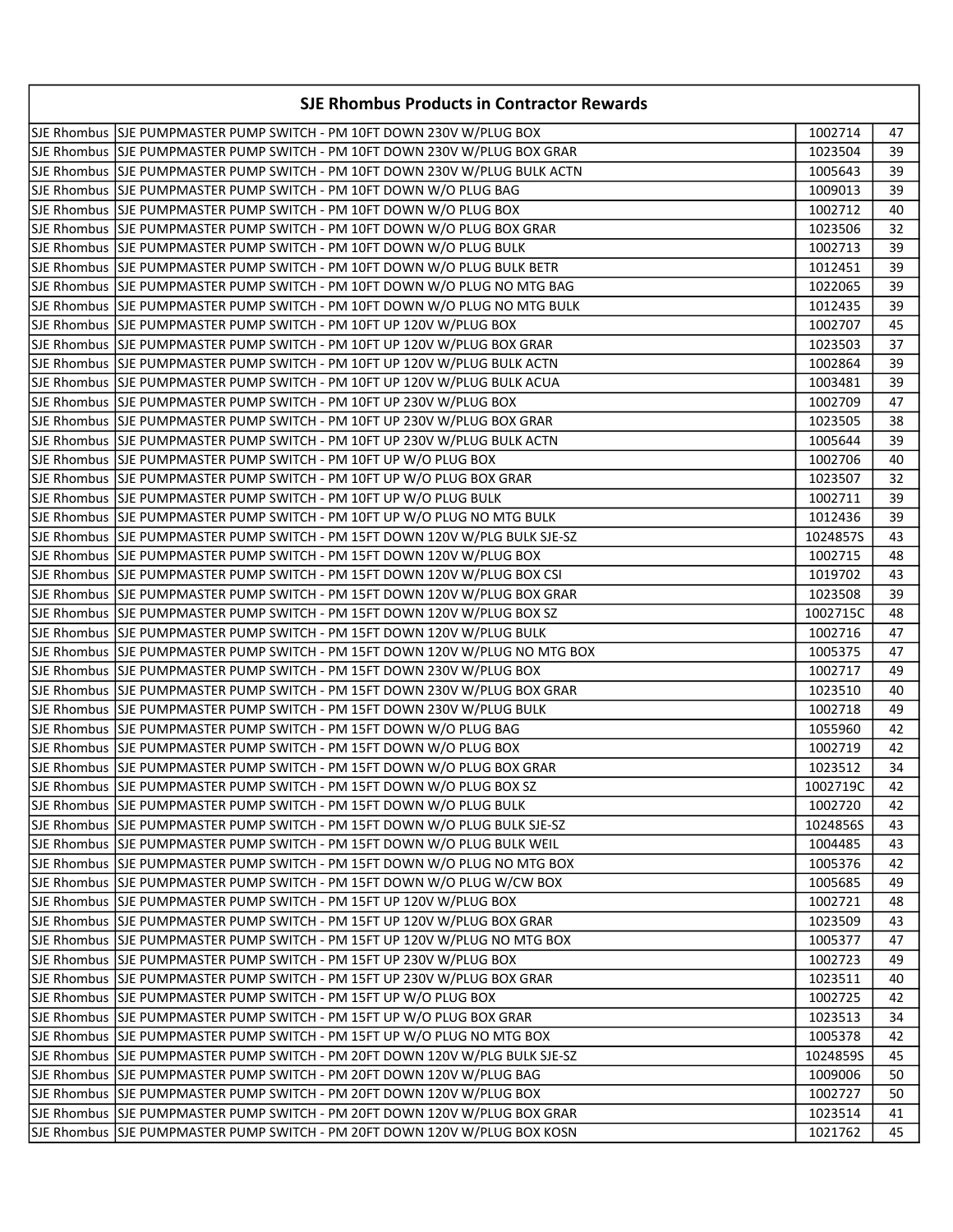| <b>SJE Rhombus Products in Contractor Rewards</b>                            |          |    |
|------------------------------------------------------------------------------|----------|----|
|                                                                              | 1002714  | 47 |
| SJE Rhombus  SJE PUMPMASTER PUMP SWITCH - PM 10FT DOWN 230V W/PLUG BOX GRAR  | 1023504  | 39 |
| SJE Rhombus  SJE PUMPMASTER PUMP SWITCH - PM 10FT DOWN 230V W/PLUG BULK ACTN | 1005643  | 39 |
|                                                                              | 1009013  | 39 |
| SJE Rhombus  SJE PUMPMASTER PUMP SWITCH - PM 10FT DOWN W/O PLUG BOX          | 1002712  | 40 |
| SJE Rhombus  SJE PUMPMASTER PUMP SWITCH - PM 10FT DOWN W/O PLUG BOX GRAR     | 1023506  | 32 |
|                                                                              | 1002713  | 39 |
| SJE Rhombus  SJE PUMPMASTER PUMP SWITCH - PM 10FT DOWN W/O PLUG BULK BETR    | 1012451  | 39 |
| SJE Rhombus SJE PUMPMASTER PUMP SWITCH - PM 10FT DOWN W/O PLUG NO MTG BAG    | 1022065  | 39 |
| SJE Rhombus SJE PUMPMASTER PUMP SWITCH - PM 10FT DOWN W/O PLUG NO MTG BULK   | 1012435  | 39 |
| SJE Rhombus SJE PUMPMASTER PUMP SWITCH - PM 10FT UP 120V W/PLUG BOX          | 1002707  | 45 |
| SJE Rhombus SJE PUMPMASTER PUMP SWITCH - PM 10FT UP 120V W/PLUG BOX GRAR     | 1023503  | 37 |
| SJE Rhombus SJE PUMPMASTER PUMP SWITCH - PM 10FT UP 120V W/PLUG BULK ACTN    | 1002864  | 39 |
| SJE Rhombus SJE PUMPMASTER PUMP SWITCH - PM 10FT UP 120V W/PLUG BULK ACUA    | 1003481  | 39 |
| SJE Rhombus SJE PUMPMASTER PUMP SWITCH - PM 10FT UP 230V W/PLUG BOX          | 1002709  | 47 |
| SJE Rhombus SJE PUMPMASTER PUMP SWITCH - PM 10FT UP 230V W/PLUG BOX GRAR     | 1023505  | 38 |
| SJE Rhombus SJE PUMPMASTER PUMP SWITCH - PM 10FT UP 230V W/PLUG BULK ACTN    | 1005644  | 39 |
| SJE Rhombus SJE PUMPMASTER PUMP SWITCH - PM 10FT UP W/O PLUG BOX             | 1002706  | 40 |
| SJE Rhombus SJE PUMPMASTER PUMP SWITCH - PM 10FT UP W/O PLUG BOX GRAR        | 1023507  | 32 |
|                                                                              | 1002711  | 39 |
| SJE Rhombus SJE PUMPMASTER PUMP SWITCH - PM 10FT UP W/O PLUG NO MTG BULK     | 1012436  | 39 |
| SJE Rhombus SJE PUMPMASTER PUMP SWITCH - PM 15FT DOWN 120V W/PLG BULK SJE-SZ | 1024857S | 43 |
| SJE Rhombus  SJE PUMPMASTER PUMP SWITCH - PM 15FT DOWN 120V W/PLUG BOX       | 1002715  | 48 |
| SJE Rhombus SJE PUMPMASTER PUMP SWITCH - PM 15FT DOWN 120V W/PLUG BOX CSI    | 1019702  | 43 |
| SJE Rhombus  SJE PUMPMASTER PUMP SWITCH - PM 15FT DOWN 120V W/PLUG BOX GRAR  | 1023508  | 39 |
| SJE Rhombus SJE PUMPMASTER PUMP SWITCH - PM 15FT DOWN 120V W/PLUG BOX SZ     | 1002715C | 48 |
| SJE Rhombus SJE PUMPMASTER PUMP SWITCH - PM 15FT DOWN 120V W/PLUG BULK       | 1002716  | 47 |
| SJE Rhombus SJE PUMPMASTER PUMP SWITCH - PM 15FT DOWN 120V W/PLUG NO MTG BOX | 1005375  | 47 |
| SJE Rhombus SJE PUMPMASTER PUMP SWITCH - PM 15FT DOWN 230V W/PLUG BOX        | 1002717  | 49 |
| SJE Rhombus SJE PUMPMASTER PUMP SWITCH - PM 15FT DOWN 230V W/PLUG BOX GRAR   | 1023510  | 40 |
|                                                                              | 1002718  | 49 |
| SJE Rhombus SJE PUMPMASTER PUMP SWITCH - PM 15FT DOWN W/O PLUG BAG           | 1055960  | 42 |
| SJE Rhombus SJE PUMPMASTER PUMP SWITCH - PM 15FT DOWN W/O PLUG BOX           | 1002719  | 42 |
| SJE Rhombus SJE PUMPMASTER PUMP SWITCH - PM 15FT DOWN W/O PLUG BOX GRAR      | 1023512  | 34 |
| SJE Rhombus SJE PUMPMASTER PUMP SWITCH - PM 15FT DOWN W/O PLUG BOX SZ        | 1002719C | 42 |
| SJE Rhombus  SJE PUMPMASTER PUMP SWITCH - PM 15FT DOWN W/O PLUG BULK         | 1002720  | 42 |
| SJE Rhombus  SJE PUMPMASTER PUMP SWITCH - PM 15FT DOWN W/O PLUG BULK SJE-SZ  | 1024856S | 43 |
| SJE Rhombus SJE PUMPMASTER PUMP SWITCH - PM 15FT DOWN W/O PLUG BULK WEIL     | 1004485  | 43 |
| SJE Rhombus SJE PUMPMASTER PUMP SWITCH - PM 15FT DOWN W/O PLUG NO MTG BOX    | 1005376  | 42 |
|                                                                              | 1005685  | 49 |
| SJE Rhombus   SJE PUMPMASTER PUMP SWITCH - PM 15FT UP 120V W/PLUG BOX        | 1002721  | 48 |
| SJE Rhombus SJE PUMPMASTER PUMP SWITCH - PM 15FT UP 120V W/PLUG BOX GRAR     | 1023509  | 43 |
| SJE Rhombus SJE PUMPMASTER PUMP SWITCH - PM 15FT UP 120V W/PLUG NO MTG BOX   | 1005377  | 47 |
| SJE Rhombus SJE PUMPMASTER PUMP SWITCH - PM 15FT UP 230V W/PLUG BOX          | 1002723  | 49 |
| SJE Rhombus SJE PUMPMASTER PUMP SWITCH - PM 15FT UP 230V W/PLUG BOX GRAR     | 1023511  | 40 |
| SJE Rhombus SJE PUMPMASTER PUMP SWITCH - PM 15FT UP W/O PLUG BOX             | 1002725  | 42 |
| SJE Rhombus  SJE PUMPMASTER PUMP SWITCH - PM 15FT UP W/O PLUG BOX GRAR       | 1023513  | 34 |
| SJE Rhombus SJE PUMPMASTER PUMP SWITCH - PM 15FT UP W/O PLUG NO MTG BOX      | 1005378  | 42 |
| SJE Rhombus SJE PUMPMASTER PUMP SWITCH - PM 20FT DOWN 120V W/PLG BULK SJE-SZ | 1024859S | 45 |
| SJE Rhombus SJE PUMPMASTER PUMP SWITCH - PM 20FT DOWN 120V W/PLUG BAG        | 1009006  | 50 |
| SJE Rhombus SJE PUMPMASTER PUMP SWITCH - PM 20FT DOWN 120V W/PLUG BOX        | 1002727  | 50 |
| SJE Rhombus SJE PUMPMASTER PUMP SWITCH - PM 20FT DOWN 120V W/PLUG BOX GRAR   | 1023514  | 41 |
| SJE Rhombus SJE PUMPMASTER PUMP SWITCH - PM 20FT DOWN 120V W/PLUG BOX KOSN   | 1021762  | 45 |
|                                                                              |          |    |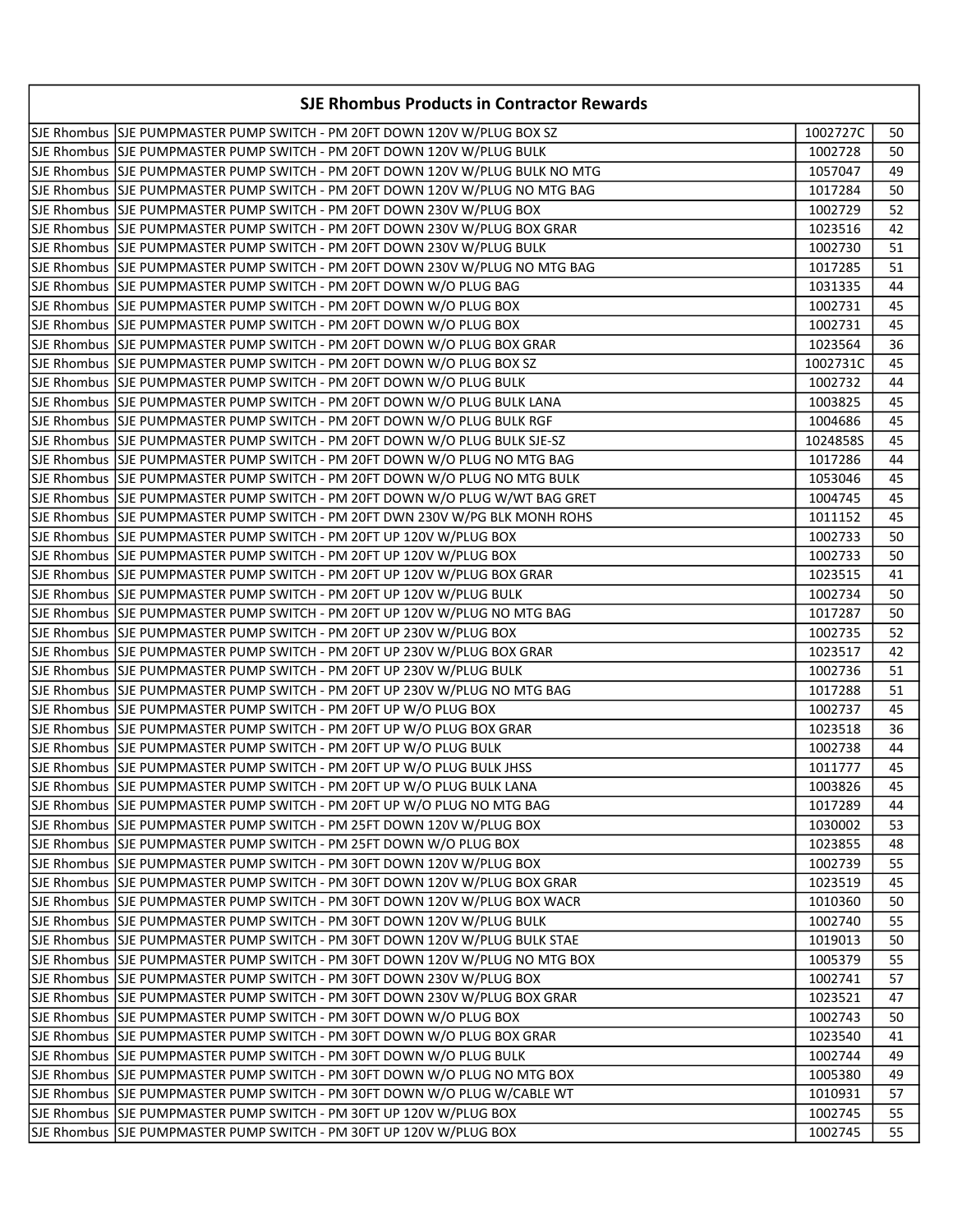| <b>SJE Rhombus Products in Contractor Rewards</b>                             |          |    |
|-------------------------------------------------------------------------------|----------|----|
| SJE Rhombus SJE PUMPMASTER PUMP SWITCH - PM 20FT DOWN 120V W/PLUG BOX SZ      | 1002727C | 50 |
|                                                                               | 1002728  | 50 |
| SJE Rhombus SJE PUMPMASTER PUMP SWITCH - PM 20FT DOWN 120V W/PLUG BULK NO MTG | 1057047  | 49 |
| SJE Rhombus SJJE PUMPMASTER PUMP SWITCH - PM 20FT DOWN 120V W/PLUG NO MTG BAG | 1017284  | 50 |
| SJE Rhombus SJE PUMPMASTER PUMP SWITCH - PM 20FT DOWN 230V W/PLUG BOX         | 1002729  | 52 |
| SJE Rhombus  SJE PUMPMASTER PUMP SWITCH - PM 20FT DOWN 230V W/PLUG BOX GRAR   | 1023516  | 42 |
| SJE Rhombus  SJE PUMPMASTER PUMP SWITCH - PM 20FT DOWN 230V W/PLUG BULK       | 1002730  | 51 |
| SJE Rhombus SJJE PUMPMASTER PUMP SWITCH - PM 20FT DOWN 230V W/PLUG NO MTG BAG | 1017285  | 51 |
|                                                                               | 1031335  | 44 |
| SJE Rhombus SJE PUMPMASTER PUMP SWITCH - PM 20FT DOWN W/O PLUG BOX            | 1002731  | 45 |
| SJE Rhombus SJE PUMPMASTER PUMP SWITCH - PM 20FT DOWN W/O PLUG BOX            | 1002731  | 45 |
| SJE Rhombus SJE PUMPMASTER PUMP SWITCH - PM 20FT DOWN W/O PLUG BOX GRAR       | 1023564  | 36 |
| SJE Rhombus SJE PUMPMASTER PUMP SWITCH - PM 20FT DOWN W/O PLUG BOX SZ         | 1002731C | 45 |
| SJE Rhombus SJE PUMPMASTER PUMP SWITCH - PM 20FT DOWN W/O PLUG BULK           | 1002732  | 44 |
| SJE Rhombus  SJE PUMPMASTER PUMP SWITCH - PM 20FT DOWN W/O PLUG BULK LANA     | 1003825  | 45 |
| SJE Rhombus SJE PUMPMASTER PUMP SWITCH - PM 20FT DOWN W/O PLUG BULK RGF       | 1004686  | 45 |
| SJE Rhombus SJE PUMPMASTER PUMP SWITCH - PM 20FT DOWN W/O PLUG BULK SJE-SZ    | 1024858S | 45 |
| SJE Rhombus SJE PUMPMASTER PUMP SWITCH - PM 20FT DOWN W/O PLUG NO MTG BAG     | 1017286  | 44 |
| SJE Rhombus SJE PUMPMASTER PUMP SWITCH - PM 20FT DOWN W/O PLUG NO MTG BULK    | 1053046  | 45 |
| SJE Rhombus SJJE PUMPMASTER PUMP SWITCH - PM 20FT DOWN W/O PLUG W/WT BAG GRET | 1004745  | 45 |
| SJE Rhombus SJJE PUMPMASTER PUMP SWITCH - PM 20FT DWN 230V W/PG BLK MONH ROHS | 1011152  | 45 |
| SJE Rhombus SJE PUMPMASTER PUMP SWITCH - PM 20FT UP 120V W/PLUG BOX           | 1002733  | 50 |
| SJE Rhombus SJE PUMPMASTER PUMP SWITCH - PM 20FT UP 120V W/PLUG BOX           | 1002733  | 50 |
| SJE Rhombus SJE PUMPMASTER PUMP SWITCH - PM 20FT UP 120V W/PLUG BOX GRAR      | 1023515  | 41 |
| SJE Rhombus SJE PUMPMASTER PUMP SWITCH - PM 20FT UP 120V W/PLUG BULK          | 1002734  | 50 |
| SJE Rhombus SJE PUMPMASTER PUMP SWITCH - PM 20FT UP 120V W/PLUG NO MTG BAG    | 1017287  | 50 |
| SJE Rhombus SJE PUMPMASTER PUMP SWITCH - PM 20FT UP 230V W/PLUG BOX           | 1002735  | 52 |
| SJE Rhombus SJE PUMPMASTER PUMP SWITCH - PM 20FT UP 230V W/PLUG BOX GRAR      | 1023517  | 42 |
| SJE Rhombus SJE PUMPMASTER PUMP SWITCH - PM 20FT UP 230V W/PLUG BULK          | 1002736  | 51 |
| SJE Rhombus SJE PUMPMASTER PUMP SWITCH - PM 20FT UP 230V W/PLUG NO MTG BAG    | 1017288  | 51 |
| SJE Rhombus SJE PUMPMASTER PUMP SWITCH - PM 20FT UP W/O PLUG BOX              | 1002737  | 45 |
| SJE Rhombus SJE PUMPMASTER PUMP SWITCH - PM 20FT UP W/O PLUG BOX GRAR         | 1023518  | 36 |
|                                                                               | 1002738  | 44 |
| SJE Rhombus SJE PUMPMASTER PUMP SWITCH - PM 20FT UP W/O PLUG BULK JHSS        | 1011777  | 45 |
| SJE Rhombus SJE PUMPMASTER PUMP SWITCH - PM 20FT UP W/O PLUG BULK LANA        | 1003826  | 45 |
| SJE Rhombus SJE PUMPMASTER PUMP SWITCH - PM 20FT UP W/O PLUG NO MTG BAG       | 1017289  | 44 |
| SJE Rhombus SJE PUMPMASTER PUMP SWITCH - PM 25FT DOWN 120V W/PLUG BOX         | 1030002  | 53 |
|                                                                               | 1023855  | 48 |
| SJE Rhombus SJE PUMPMASTER PUMP SWITCH - PM 30FT DOWN 120V W/PLUG BOX         | 1002739  | 55 |
| SJE Rhombus SJE PUMPMASTER PUMP SWITCH - PM 30FT DOWN 120V W/PLUG BOX GRAR    | 1023519  | 45 |
| SJE Rhombus  SJE PUMPMASTER PUMP SWITCH - PM 30FT DOWN 120V W/PLUG BOX WACR   | 1010360  | 50 |
| SJE Rhombus SJE PUMPMASTER PUMP SWITCH - PM 30FT DOWN 120V W/PLUG BULK        | 1002740  | 55 |
| SJE Rhombus  SJE PUMPMASTER PUMP SWITCH - PM 30FT DOWN 120V W/PLUG BULK STAE  | 1019013  | 50 |
| SJE Rhombus SJE PUMPMASTER PUMP SWITCH - PM 30FT DOWN 120V W/PLUG NO MTG BOX  | 1005379  | 55 |
| SJE Rhombus SJE PUMPMASTER PUMP SWITCH - PM 30FT DOWN 230V W/PLUG BOX         | 1002741  | 57 |
| SJE Rhombus SJE PUMPMASTER PUMP SWITCH - PM 30FT DOWN 230V W/PLUG BOX GRAR    | 1023521  | 47 |
|                                                                               | 1002743  | 50 |
| SJE Rhombus SJE PUMPMASTER PUMP SWITCH - PM 30FT DOWN W/O PLUG BOX GRAR       | 1023540  | 41 |
|                                                                               | 1002744  | 49 |
| SJE Rhombus SJE PUMPMASTER PUMP SWITCH - PM 30FT DOWN W/O PLUG NO MTG BOX     | 1005380  | 49 |
| SJE Rhombus  SJE PUMPMASTER PUMP SWITCH - PM 30FT DOWN W/O PLUG W/CABLE WT    | 1010931  | 57 |
| SJE Rhombus SJE PUMPMASTER PUMP SWITCH - PM 30FT UP 120V W/PLUG BOX           | 1002745  | 55 |
| SJE Rhombus SJE PUMPMASTER PUMP SWITCH - PM 30FT UP 120V W/PLUG BOX           | 1002745  | 55 |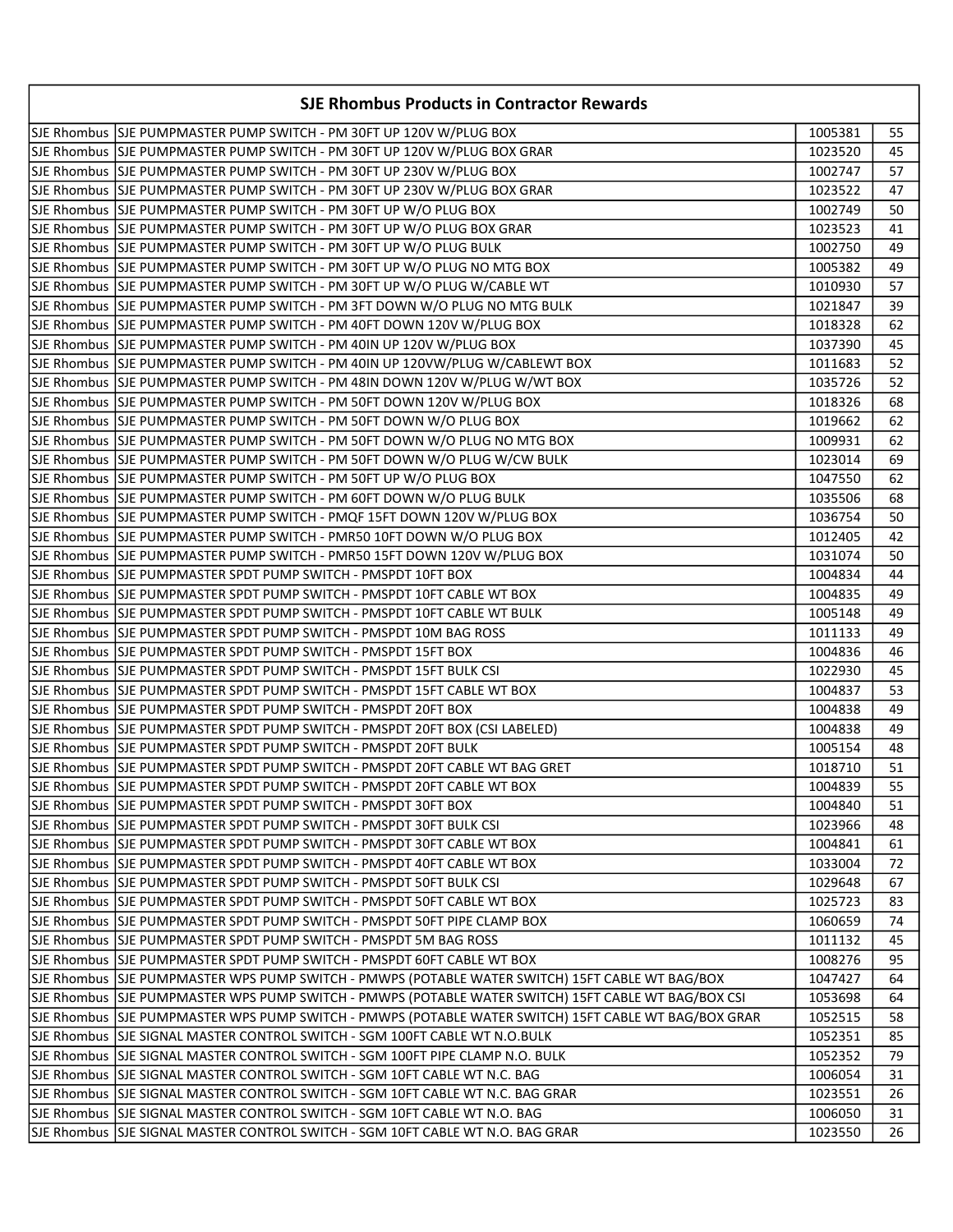|  | <b>SJE Rhombus Products in Contractor Rewards</b>                                                     |         |       |
|--|-------------------------------------------------------------------------------------------------------|---------|-------|
|  | SJE Rhombus SJE PUMPMASTER PUMP SWITCH - PM 30FT UP 120V W/PLUG BOX                                   | 1005381 | 55    |
|  | SJE Rhombus  SJE PUMPMASTER PUMP SWITCH - PM 30FT UP 120V W/PLUG BOX GRAR                             | 1023520 | 45    |
|  |                                                                                                       | 1002747 | 57    |
|  | SJE Rhombus SJE PUMPMASTER PUMP SWITCH - PM 30FT UP 230V W/PLUG BOX GRAR                              | 1023522 | 47    |
|  | SJE Rhombus SJE PUMPMASTER PUMP SWITCH - PM 30FT UP W/O PLUG BOX                                      | 1002749 | 50    |
|  | SJE Rhombus SJE PUMPMASTER PUMP SWITCH - PM 30FT UP W/O PLUG BOX GRAR                                 | 1023523 | 41    |
|  |                                                                                                       | 1002750 | 49    |
|  | SJE Rhombus SJE PUMPMASTER PUMP SWITCH - PM 30FT UP W/O PLUG NO MTG BOX                               | 1005382 | 49    |
|  | SJE Rhombus SJE PUMPMASTER PUMP SWITCH - PM 30FT UP W/O PLUG W/CABLE WT                               | 1010930 | 57    |
|  | SJE Rhombus SJE PUMPMASTER PUMP SWITCH - PM 3FT DOWN W/O PLUG NO MTG BULK                             | 1021847 | 39    |
|  | SJE Rhombus SJE PUMPMASTER PUMP SWITCH - PM 40FT DOWN 120V W/PLUG BOX                                 | 1018328 | 62    |
|  | SJE Rhombus SJE PUMPMASTER PUMP SWITCH - PM 40IN UP 120V W/PLUG BOX                                   | 1037390 | 45    |
|  | SJE Rhombus SJE PUMPMASTER PUMP SWITCH - PM 40IN UP 120VW/PLUG W/CABLEWT BOX                          | 1011683 | 52    |
|  | SJE Rhombus  SJE PUMPMASTER PUMP SWITCH - PM 48IN DOWN 120V W/PLUG W/WT BOX                           | 1035726 | 52    |
|  | SJE Rhombus SJE PUMPMASTER PUMP SWITCH - PM 50FT DOWN 120V W/PLUG BOX                                 | 1018326 | 68    |
|  | SJE Rhombus SJE PUMPMASTER PUMP SWITCH - PM 50FT DOWN W/O PLUG BOX                                    | 1019662 | 62    |
|  | SJE Rhombus SJE PUMPMASTER PUMP SWITCH - PM 50FT DOWN W/O PLUG NO MTG BOX                             | 1009931 | 62    |
|  | SJE Rhombus SJE PUMPMASTER PUMP SWITCH - PM 50FT DOWN W/O PLUG W/CW BULK                              | 1023014 | 69    |
|  | SJE Rhombus SJE PUMPMASTER PUMP SWITCH - PM 50FT UP W/O PLUG BOX                                      | 1047550 | 62    |
|  | SJE Rhombus SJE PUMPMASTER PUMP SWITCH - PM 60FT DOWN W/O PLUG BULK                                   | 1035506 | 68    |
|  | SJE Rhombus SJE PUMPMASTER PUMP SWITCH - PMQF 15FT DOWN 120V W/PLUG BOX                               | 1036754 | 50    |
|  | SJE Rhombus SJE PUMPMASTER PUMP SWITCH - PMR50 10FT DOWN W/O PLUG BOX                                 | 1012405 | 42    |
|  | SJE Rhombus SJE PUMPMASTER PUMP SWITCH - PMR50 15FT DOWN 120V W/PLUG BOX                              | 1031074 | 50    |
|  | SJE Rhombus  SJE PUMPMASTER SPDT PUMP SWITCH - PMSPDT 10FT BOX                                        | 1004834 | 44    |
|  | SJE Rhombus  SJE PUMPMASTER SPDT PUMP SWITCH - PMSPDT 10FT CABLE WT BOX                               | 1004835 | 49    |
|  | SJE Rhombus SJE PUMPMASTER SPDT PUMP SWITCH - PMSPDT 10FT CABLE WT BULK                               | 1005148 | 49    |
|  | SJE Rhombus SSJE PUMPMASTER SPDT PUMP SWITCH - PMSPDT 10M BAG ROSS                                    | 1011133 | 49    |
|  | SJE Rhombus  SJE PUMPMASTER SPDT PUMP SWITCH - PMSPDT 15FT BOX                                        | 1004836 | 46    |
|  | SJE Rhombus   SJE PUMPMASTER SPDT PUMP SWITCH - PMSPDT 15FT BULK CSI                                  | 1022930 | 45    |
|  | SJE Rhombus SJE PUMPMASTER SPDT PUMP SWITCH - PMSPDT 15FT CABLE WT BOX                                | 1004837 | 53    |
|  | lSJE Rhombus  SJE PUMPMASTER SPDT PUMP SWITCH - PMSPDT 20FT BOX                                       | 1004838 | 49    |
|  | SJE Rhombus SJE PUMPMASTER SPDT PUMP SWITCH - PMSPDT 20FT BOX (CSI LABELED)                           | 1004838 | 49    |
|  | SJE Rhombus SJE PUMPMASTER SPDT PUMP SWITCH - PMSPDT 20FT BULK                                        | 1005154 | 48    |
|  | SJE Rhombus SJE PUMPMASTER SPDT PUMP SWITCH - PMSPDT 20FT CABLE WT BAG GRET                           | 1018710 | 51    |
|  | SJE Rhombus SJE PUMPMASTER SPDT PUMP SWITCH - PMSPDT 20FT CABLE WT BOX                                | 1004839 | $-55$ |
|  | SJE Rhombus  SJE PUMPMASTER SPDT PUMP SWITCH - PMSPDT 30FT BOX                                        | 1004840 | 51    |
|  | SJE Rhombus  SJE PUMPMASTER SPDT PUMP SWITCH - PMSPDT 30FT BULK CSI                                   | 1023966 | 48    |
|  | SJE Rhombus SJE PUMPMASTER SPDT PUMP SWITCH - PMSPDT 30FT CABLE WT BOX                                | 1004841 | 61    |
|  |                                                                                                       | 1033004 | 72    |
|  | SJE Rhombus  SJE PUMPMASTER SPDT PUMP SWITCH - PMSPDT 50FT BULK CSI                                   | 1029648 | 67    |
|  | SJE Rhombus SJE PUMPMASTER SPDT PUMP SWITCH - PMSPDT 50FT CABLE WT BOX                                | 1025723 | 83    |
|  | SJE Rhombus SJE PUMPMASTER SPDT PUMP SWITCH - PMSPDT 50FT PIPE CLAMP BOX                              | 1060659 | 74    |
|  | SJE Rhombus SJE PUMPMASTER SPDT PUMP SWITCH - PMSPDT 5M BAG ROSS                                      | 1011132 | 45    |
|  | SJE Rhombus SJE PUMPMASTER SPDT PUMP SWITCH - PMSPDT 60FT CABLE WT BOX                                | 1008276 | 95    |
|  | SJE Rhombus  SJE PUMPMASTER WPS PUMP SWITCH - PMWPS (POTABLE WATER SWITCH) 15FT CABLE WT BAG/BOX      | 1047427 | 64    |
|  | SJE Rhombus  SJE PUMPMASTER WPS PUMP SWITCH - PMWPS (POTABLE WATER SWITCH) 15FT CABLE WT BAG/BOX CSI  | 1053698 | 64    |
|  | SJE Rhombus  SJE PUMPMASTER WPS PUMP SWITCH - PMWPS (POTABLE WATER SWITCH) 15FT CABLE WT BAG/BOX GRAR | 1052515 | 58    |
|  | SJE Rhombus  SJE SIGNAL MASTER CONTROL SWITCH - SGM 100FT CABLE WT N.O.BULK                           | 1052351 | 85    |
|  | SJE Rhombus  SJE SIGNAL MASTER CONTROL SWITCH - SGM 100FT PIPE CLAMP N.O. BULK                        | 1052352 | 79    |
|  | SJE Rhombus  SJE SIGNAL MASTER CONTROL SWITCH - SGM 10FT CABLE WT N.C. BAG                            | 1006054 | 31    |
|  | SJE Rhombus SJE SIGNAL MASTER CONTROL SWITCH - SGM 10FT CABLE WT N.C. BAG GRAR                        | 1023551 | 26    |
|  | SJE Rhombus SJE SIGNAL MASTER CONTROL SWITCH - SGM 10FT CABLE WT N.O. BAG                             | 1006050 | 31    |
|  | SJE Rhombus  SJE SIGNAL MASTER CONTROL SWITCH - SGM 10FT CABLE WT N.O. BAG GRAR                       | 1023550 | 26    |
|  |                                                                                                       |         |       |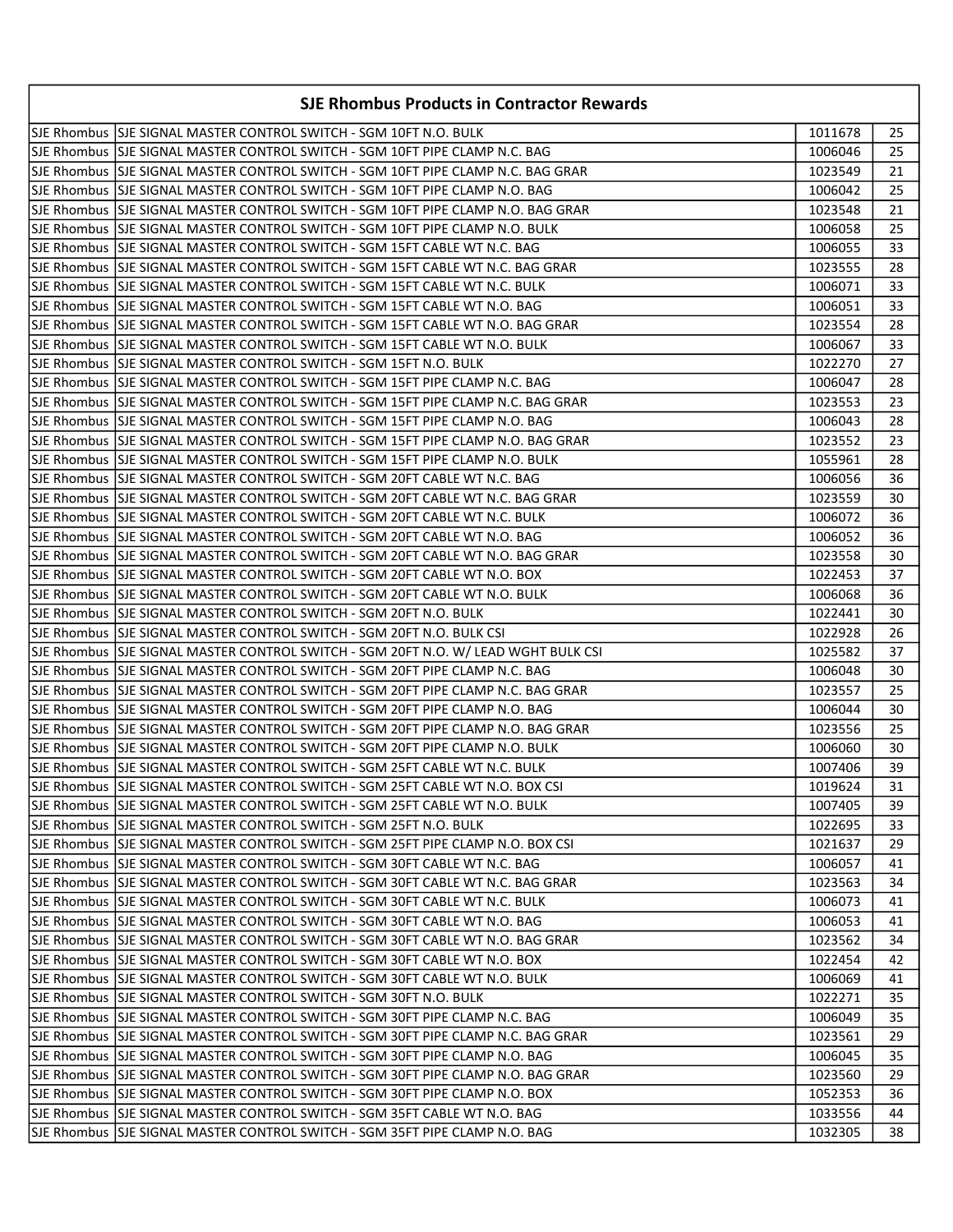| <b>SJE Rhombus Products in Contractor Rewards</b> |                                                                                     |         |    |
|---------------------------------------------------|-------------------------------------------------------------------------------------|---------|----|
|                                                   | SJE Rhombus  SJE SIGNAL MASTER CONTROL SWITCH - SGM 10FT N.O. BULK                  | 1011678 | 25 |
|                                                   | SJE Rhombus  SJE SIGNAL MASTER CONTROL SWITCH - SGM 10FT PIPE CLAMP N.C. BAG        | 1006046 | 25 |
|                                                   | SJE Rhombus SJE SIGNAL MASTER CONTROL SWITCH - SGM 10FT PIPE CLAMP N.C. BAG GRAR    | 1023549 | 21 |
|                                                   | SJE Rhombus  SJE SIGNAL MASTER CONTROL SWITCH - SGM 10FT PIPE CLAMP N.O. BAG        | 1006042 | 25 |
|                                                   | SJE Rhombus  SJE SIGNAL MASTER CONTROL SWITCH - SGM 10FT PIPE CLAMP N.O. BAG GRAR   | 1023548 | 21 |
|                                                   | SJE Rhombus  SJE SIGNAL MASTER CONTROL SWITCH - SGM 10FT PIPE CLAMP N.O. BULK       | 1006058 | 25 |
|                                                   | SJE Rhombus  SJE SIGNAL MASTER CONTROL SWITCH - SGM 15FT CABLE WT N.C. BAG          | 1006055 | 33 |
|                                                   | SJE Rhombus  SJE SIGNAL MASTER CONTROL SWITCH - SGM 15FT CABLE WT N.C. BAG GRAR     | 1023555 | 28 |
|                                                   | lSJE Rhombus  SJE SIGNAL MASTER CONTROL SWITCH - SGM 15FT CABLE WT N.C. BULK        | 1006071 | 33 |
|                                                   | SJE Rhombus  SJE SIGNAL MASTER CONTROL SWITCH - SGM 15FT CABLE WT N.O. BAG          | 1006051 | 33 |
|                                                   | SJE Rhombus  SJE SIGNAL MASTER CONTROL SWITCH - SGM 15FT CABLE WT N.O. BAG GRAR     | 1023554 | 28 |
|                                                   | SJE Rhombus SJE SIGNAL MASTER CONTROL SWITCH - SGM 15FT CABLE WT N.O. BULK          | 1006067 | 33 |
|                                                   | SJE Rhombus  SJE SIGNAL MASTER CONTROL SWITCH - SGM 15FT N.O. BULK                  | 1022270 | 27 |
|                                                   | SJE Rhombus  SJE SIGNAL MASTER CONTROL SWITCH - SGM 15FT PIPE CLAMP N.C. BAG        | 1006047 | 28 |
|                                                   | SJE Rhombus  SJE SIGNAL MASTER CONTROL SWITCH - SGM 15FT PIPE CLAMP N.C. BAG GRAR   | 1023553 | 23 |
|                                                   | lSJE Rhombus ISJE SIGNAL MASTER CONTROL SWITCH - SGM 15FT PIPE CLAMP N.O. BAG       | 1006043 | 28 |
|                                                   | SJE Rhombus  SJE SIGNAL MASTER CONTROL SWITCH - SGM 15FT PIPE CLAMP N.O. BAG GRAR   | 1023552 | 23 |
|                                                   | ISJE Rhombus ISJE SIGNAL MASTER CONTROL SWITCH - SGM 15FT PIPE CLAMP N.O. BULK      | 1055961 | 28 |
|                                                   | SJE Rhombus  SJE SIGNAL MASTER CONTROL SWITCH - SGM 20FT CABLE WT N.C. BAG          | 1006056 | 36 |
|                                                   | SJE Rhombus  SJE SIGNAL MASTER CONTROL SWITCH - SGM 20FT CABLE WT N.C. BAG GRAR     | 1023559 | 30 |
|                                                   | SJE Rhombus  SJE SIGNAL MASTER CONTROL SWITCH - SGM 20FT CABLE WT N.C. BULK         | 1006072 | 36 |
|                                                   | SJE Rhombus  SJE SIGNAL MASTER CONTROL SWITCH - SGM 20FT CABLE WT N.O. BAG          | 1006052 | 36 |
|                                                   | SJE Rhombus  SJE SIGNAL MASTER CONTROL SWITCH - SGM 20FT CABLE WT N.O. BAG GRAR     | 1023558 | 30 |
|                                                   | SJE Rhombus  SJE SIGNAL MASTER CONTROL SWITCH - SGM 20FT CABLE WT N.O. BOX          | 1022453 | 37 |
|                                                   | SJE Rhombus  SJE SIGNAL MASTER CONTROL SWITCH - SGM 20FT CABLE WT N.O. BULK         | 1006068 | 36 |
|                                                   | SJE Rhombus  SJE SIGNAL MASTER CONTROL SWITCH - SGM 20FT N.O. BULK                  | 1022441 | 30 |
|                                                   | SJE Rhombus SJJE SIGNAL MASTER CONTROL SWITCH - SGM 20FT N.O. BULK CSI              | 1022928 | 26 |
|                                                   | SJE Rhombus SSJE SIGNAL MASTER CONTROL SWITCH - SGM 20FT N.O. W/ LEAD WGHT BULK CSI | 1025582 | 37 |
|                                                   | SJE Rhombus SJE SIGNAL MASTER CONTROL SWITCH - SGM 20FT PIPE CLAMP N.C. BAG         | 1006048 | 30 |
|                                                   | SJE Rhombus SJE SIGNAL MASTER CONTROL SWITCH - SGM 20FT PIPE CLAMP N.C. BAG GRAR    | 1023557 | 25 |
|                                                   | ISJE Rhombus ISJE SIGNAL MASTER CONTROL SWITCH - SGM 20FT PIPE CLAMP N.O. BAG       | 1006044 | 30 |
|                                                   | SJE Rhombus  SJE SIGNAL MASTER CONTROL SWITCH - SGM 20FT PIPE CLAMP N.O. BAG GRAR   | 1023556 | 25 |
|                                                   | SJE Rhombus  SJE SIGNAL MASTER CONTROL SWITCH - SGM 20FT PIPE CLAMP N.O. BULK       | 1006060 | 30 |
|                                                   | SJE Rhombus  SJE SIGNAL MASTER CONTROL SWITCH - SGM 25FT CABLE WT N.C. BULK         | 1007406 | 39 |
|                                                   | SJE Rhombus SJE SIGNAL MASTER CONTROL SWITCH - SGM 25FT CABLE WT N.O. BOX CSI       | 1019624 | 31 |
|                                                   | SJE Rhombus  SJE SIGNAL MASTER CONTROL SWITCH - SGM 25FT CABLE WT N.O. BULK         | 1007405 | 39 |
|                                                   | SJE Rhombus SJE SIGNAL MASTER CONTROL SWITCH - SGM 25FT N.O. BULK                   | 1022695 | 33 |
|                                                   | SJE Rhombus SJE SIGNAL MASTER CONTROL SWITCH - SGM 25FT PIPE CLAMP N.O. BOX CSI     | 1021637 | 29 |
|                                                   | SJE Rhombus SJE SIGNAL MASTER CONTROL SWITCH - SGM 30FT CABLE WT N.C. BAG           | 1006057 | 41 |
|                                                   | SJE Rhombus SJE SIGNAL MASTER CONTROL SWITCH - SGM 30FT CABLE WT N.C. BAG GRAR      | 1023563 | 34 |
|                                                   | SJE Rhombus SJE SIGNAL MASTER CONTROL SWITCH - SGM 30FT CABLE WT N.C. BULK          | 1006073 | 41 |
|                                                   | SJE Rhombus SJE SIGNAL MASTER CONTROL SWITCH - SGM 30FT CABLE WT N.O. BAG           | 1006053 | 41 |
|                                                   | SJE Rhombus  SJE SIGNAL MASTER CONTROL SWITCH - SGM 30FT CABLE WT N.O. BAG GRAR     | 1023562 | 34 |
|                                                   | SJE Rhombus SJE SIGNAL MASTER CONTROL SWITCH - SGM 30FT CABLE WT N.O. BOX           | 1022454 | 42 |
|                                                   | SJE Rhombus SJE SIGNAL MASTER CONTROL SWITCH - SGM 30FT CABLE WT N.O. BULK          | 1006069 | 41 |
|                                                   | SJE Rhombus SJE SIGNAL MASTER CONTROL SWITCH - SGM 30FT N.O. BULK                   | 1022271 | 35 |
|                                                   | SJE Rhombus SJE SIGNAL MASTER CONTROL SWITCH - SGM 30FT PIPE CLAMP N.C. BAG         | 1006049 | 35 |
|                                                   | SJE Rhombus SJE SIGNAL MASTER CONTROL SWITCH - SGM 30FT PIPE CLAMP N.C. BAG GRAR    | 1023561 | 29 |
|                                                   | SJE Rhombus  SJE SIGNAL MASTER CONTROL SWITCH - SGM 30FT PIPE CLAMP N.O. BAG        | 1006045 | 35 |
|                                                   | SJE Rhombus  SJE SIGNAL MASTER CONTROL SWITCH - SGM 30FT PIPE CLAMP N.O. BAG GRAR   | 1023560 | 29 |
|                                                   | SJE Rhombus  SJE SIGNAL MASTER CONTROL SWITCH - SGM 30FT PIPE CLAMP N.O. BOX        | 1052353 | 36 |
|                                                   | SJE Rhombus  SJE SIGNAL MASTER CONTROL SWITCH - SGM 35FT CABLE WT N.O. BAG          | 1033556 | 44 |
|                                                   | SJE Rhombus   SJE SIGNAL MASTER CONTROL SWITCH - SGM 35FT PIPE CLAMP N.O. BAG       | 1032305 | 38 |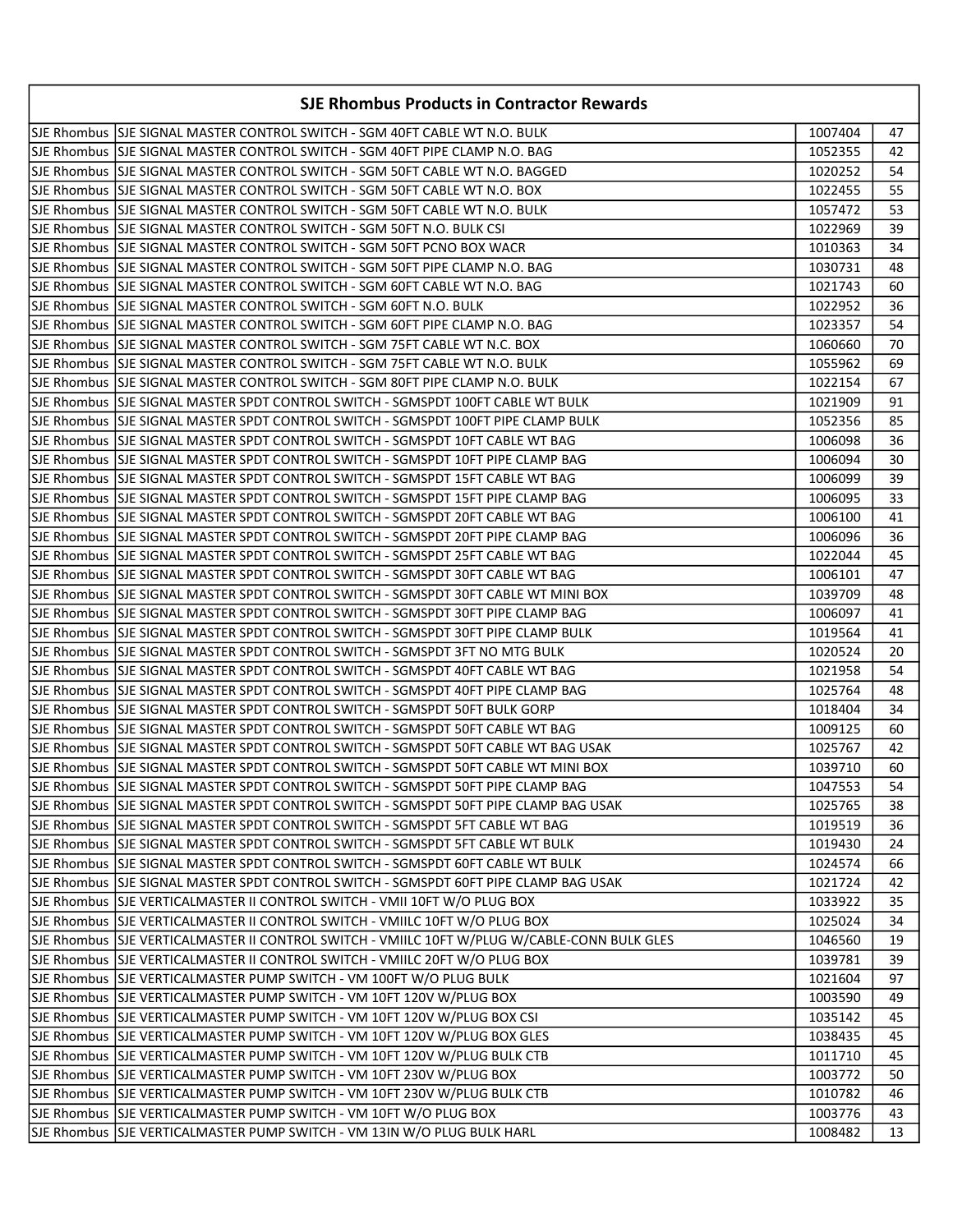| <b>SJE Rhombus Products in Contractor Rewards</b>                                            |         |    |
|----------------------------------------------------------------------------------------------|---------|----|
| SJE Rhombus  SJE SIGNAL MASTER CONTROL SWITCH - SGM 40FT CABLE WT N.O. BULK                  | 1007404 | 47 |
| SJE Rhombus  SJE SIGNAL MASTER CONTROL SWITCH - SGM 40FT PIPE CLAMP N.O. BAG                 | 1052355 | 42 |
| SJE Rhombus  SJE SIGNAL MASTER CONTROL SWITCH - SGM 50FT CABLE WT N.O. BAGGED                | 1020252 | 54 |
| SJE Rhombus  SJE SIGNAL MASTER CONTROL SWITCH - SGM 50FT CABLE WT N.O. BOX                   | 1022455 | 55 |
| SJE Rhombus  SJE SIGNAL MASTER CONTROL SWITCH - SGM 50FT CABLE WT N.O. BULK                  | 1057472 | 53 |
| SJE Rhombus  SJE SIGNAL MASTER CONTROL SWITCH - SGM 50FT N.O. BULK CSI                       | 1022969 | 39 |
| SJE Rhombus  SJE SIGNAL MASTER CONTROL SWITCH - SGM 50FT PCNO BOX WACR                       | 1010363 | 34 |
| SJE Rhombus  SJE SIGNAL MASTER CONTROL SWITCH - SGM 50FT PIPE CLAMP N.O. BAG                 | 1030731 | 48 |
| SJE Rhombus  SJE SIGNAL MASTER CONTROL SWITCH - SGM 60FT CABLE WT N.O. BAG                   | 1021743 | 60 |
| SJE Rhombus SJE SIGNAL MASTER CONTROL SWITCH - SGM 60FT N.O. BULK                            | 1022952 | 36 |
| SJE Rhombus SJE SIGNAL MASTER CONTROL SWITCH - SGM 60FT PIPE CLAMP N.O. BAG                  | 1023357 | 54 |
| SJE Rhombus SJE SIGNAL MASTER CONTROL SWITCH - SGM 75FT CABLE WT N.C. BOX                    | 1060660 | 70 |
| SJE Rhombus  SJE SIGNAL MASTER CONTROL SWITCH - SGM 75FT CABLE WT N.O. BULK                  | 1055962 | 69 |
| SJE Rhombus  SJE SIGNAL MASTER CONTROL SWITCH - SGM 80FT PIPE CLAMP N.O. BULK                | 1022154 | 67 |
| lSJE Rhombus  SJE SIGNAL MASTER SPDT CONTROL SWITCH - SGMSPDT 100FT CABLE WT BULK            | 1021909 | 91 |
| SJE Rhombus  SJE SIGNAL MASTER SPDT CONTROL SWITCH - SGMSPDT 100FT PIPE CLAMP BULK           | 1052356 | 85 |
| SJE Rhombus  SJE SIGNAL MASTER SPDT CONTROL SWITCH - SGMSPDT 10FT CABLE WT BAG               | 1006098 | 36 |
| SJE Rhombus  SJE SIGNAL MASTER SPDT CONTROL SWITCH - SGMSPDT 10FT PIPE CLAMP BAG             | 1006094 | 30 |
| SJE Rhombus  SJE SIGNAL MASTER SPDT CONTROL SWITCH - SGMSPDT 15FT CABLE WT BAG               | 1006099 | 39 |
| SJE Rhombus  SJE SIGNAL MASTER SPDT CONTROL SWITCH - SGMSPDT 15FT PIPE CLAMP BAG             | 1006095 | 33 |
| SJE Rhombus  SJE SIGNAL MASTER SPDT CONTROL SWITCH - SGMSPDT 20FT CABLE WT BAG               | 1006100 | 41 |
| SJE Rhombus SJE SIGNAL MASTER SPDT CONTROL SWITCH - SGMSPDT 20FT PIPE CLAMP BAG              | 1006096 | 36 |
| SJE Rhombus  SJE SIGNAL MASTER SPDT CONTROL SWITCH - SGMSPDT 25FT CABLE WT BAG               | 1022044 | 45 |
| SJE Rhombus  SJE SIGNAL MASTER SPDT CONTROL SWITCH - SGMSPDT 30FT CABLE WT BAG               | 1006101 | 47 |
| SJE Rhombus  SJE SIGNAL MASTER SPDT CONTROL SWITCH - SGMSPDT 30FT CABLE WT MINI BOX          | 1039709 | 48 |
| SJE Rhombus  SJE SIGNAL MASTER SPDT CONTROL SWITCH - SGMSPDT 30FT PIPE CLAMP BAG             | 1006097 | 41 |
| SJE Rhombus  SJE SIGNAL MASTER SPDT CONTROL SWITCH - SGMSPDT 30FT PIPE CLAMP BULK            | 1019564 | 41 |
| SJE Rhombus  SJE SIGNAL MASTER SPDT CONTROL SWITCH - SGMSPDT 3FT NO MTG BULK                 | 1020524 | 20 |
| SJE Rhombus  SJE SIGNAL MASTER SPDT CONTROL SWITCH - SGMSPDT 40FT CABLE WT BAG               | 1021958 | 54 |
| SJE Rhombus SSJE SIGNAL MASTER SPDT CONTROL SWITCH - SGMSPDT 40FT PIPE CLAMP BAG             | 1025764 | 48 |
| SJE Rhombus  SJE SIGNAL MASTER SPDT CONTROL SWITCH - SGMSPDT 50FT BULK GORP                  | 1018404 | 34 |
| SJE Rhombus  SJE SIGNAL MASTER SPDT CONTROL SWITCH - SGMSPDT 50FT CABLE WT BAG               | 1009125 | 60 |
| SJE Rhombus SJJE SIGNAL MASTER SPDT CONTROL SWITCH - SGMSPDT 50FT CABLE WT BAG USAK          | 1025767 | 42 |
| SJE Rhombus  SJE SIGNAL MASTER SPDT CONTROL SWITCH - SGMSPDT 50FT CABLE WT MINI BOX          | 1039710 | 60 |
| SJE Rhombus SJE SIGNAL MASTER SPDT CONTROL SWITCH - SGMSPDT 50FT PIPE CLAMP BAG              | 1047553 | 54 |
| SJE Rhombus SJJE SIGNAL MASTER SPDT CONTROL SWITCH - SGMSPDT 50FT PIPE CLAMP BAG USAK        | 1025765 | 38 |
| SJE Rhombus SJE SIGNAL MASTER SPDT CONTROL SWITCH - SGMSPDT 5FT CABLE WT BAG                 | 1019519 | 36 |
| SJE Rhombus SJE SIGNAL MASTER SPDT CONTROL SWITCH - SGMSPDT 5FT CABLE WT BULK                | 1019430 | 24 |
| SJE Rhombus SJE SIGNAL MASTER SPDT CONTROL SWITCH - SGMSPDT 60FT CABLE WT BULK               | 1024574 | 66 |
| SJE Rhombus SJE SIGNAL MASTER SPDT CONTROL SWITCH - SGMSPDT 60FT PIPE CLAMP BAG USAK         | 1021724 | 42 |
| SJE Rhombus SJE VERTICALMASTER II CONTROL SWITCH - VMII 10FT W/O PLUG BOX                    | 1033922 | 35 |
| SJE Rhombus SJE VERTICALMASTER II CONTROL SWITCH - VMIILC 10FT W/O PLUG BOX                  | 1025024 | 34 |
| SJE Rhombus SJE VERTICALMASTER II CONTROL SWITCH - VMIILC 10FT W/PLUG W/CABLE-CONN BULK GLES | 1046560 | 19 |
| SJE Rhombus SJE VERTICALMASTER II CONTROL SWITCH - VMIILC 20FT W/O PLUG BOX                  | 1039781 | 39 |
| SJE Rhombus SJE VERTICALMASTER PUMP SWITCH - VM 100FT W/O PLUG BULK                          | 1021604 | 97 |
| SJE Rhombus SJE VERTICALMASTER PUMP SWITCH - VM 10FT 120V W/PLUG BOX                         | 1003590 | 49 |
| SJE Rhombus SJE VERTICALMASTER PUMP SWITCH - VM 10FT 120V W/PLUG BOX CSI                     | 1035142 | 45 |
| SJE Rhombus SJE VERTICALMASTER PUMP SWITCH - VM 10FT 120V W/PLUG BOX GLES                    | 1038435 | 45 |
| SJE Rhombus SJE VERTICALMASTER PUMP SWITCH - VM 10FT 120V W/PLUG BULK CTB                    | 1011710 | 45 |
|                                                                                              | 1003772 | 50 |
| SJE Rhombus SJE VERTICALMASTER PUMP SWITCH - VM 10FT 230V W/PLUG BULK CTB                    | 1010782 | 46 |
| SJE Rhombus SJE VERTICALMASTER PUMP SWITCH - VM 10FT W/O PLUG BOX                            | 1003776 | 43 |
| SJE Rhombus  SJE VERTICALMASTER PUMP SWITCH - VM 13IN W/O PLUG BULK HARL                     | 1008482 | 13 |
|                                                                                              |         |    |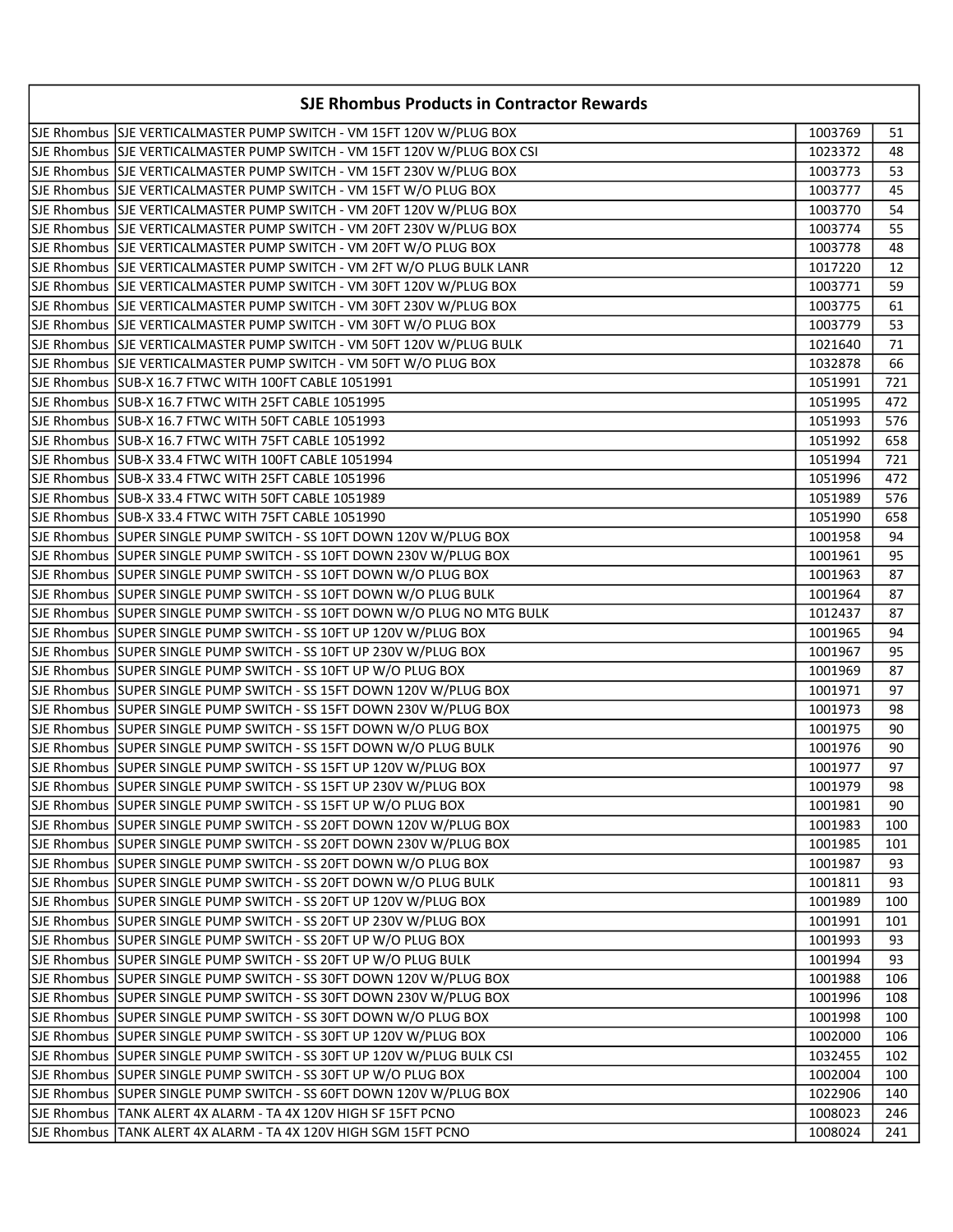| <b>SJE Rhombus Products in Contractor Rewards</b>                        |         |     |  |
|--------------------------------------------------------------------------|---------|-----|--|
| SJE Rhombus SJE VERTICALMASTER PUMP SWITCH - VM 15FT 120V W/PLUG BOX     | 1003769 | 51  |  |
| SJE Rhombus SJE VERTICALMASTER PUMP SWITCH - VM 15FT 120V W/PLUG BOX CSI | 1023372 | 48  |  |
| SJE Rhombus SJE VERTICALMASTER PUMP SWITCH - VM 15FT 230V W/PLUG BOX     | 1003773 | 53  |  |
| SJE Rhombus SJE VERTICALMASTER PUMP SWITCH - VM 15FT W/O PLUG BOX        | 1003777 | 45  |  |
| SJE Rhombus SJE VERTICALMASTER PUMP SWITCH - VM 20FT 120V W/PLUG BOX     | 1003770 | 54  |  |
| SJE Rhombus SJE VERTICALMASTER PUMP SWITCH - VM 20FT 230V W/PLUG BOX     | 1003774 | 55  |  |
| SJE Rhombus SJE VERTICALMASTER PUMP SWITCH - VM 20FT W/O PLUG BOX        | 1003778 | 48  |  |
| SJE Rhombus SJE VERTICALMASTER PUMP SWITCH - VM 2FT W/O PLUG BULK LANR   | 1017220 | 12  |  |
| SJE Rhombus SJE VERTICALMASTER PUMP SWITCH - VM 30FT 120V W/PLUG BOX     | 1003771 | 59  |  |
| SJE Rhombus SJE VERTICALMASTER PUMP SWITCH - VM 30FT 230V W/PLUG BOX     | 1003775 | 61  |  |
| SJE Rhombus SJE VERTICALMASTER PUMP SWITCH - VM 30FT W/O PLUG BOX        | 1003779 | 53  |  |
| SJE Rhombus   SJE VERTICALMASTER PUMP SWITCH - VM 50FT 120V W/PLUG BULK  | 1021640 | 71  |  |
| SJE Rhombus SJE VERTICALMASTER PUMP SWITCH - VM 50FT W/O PLUG BOX        | 1032878 | 66  |  |
| SJE Rhombus SUB-X 16.7 FTWC WITH 100FT CABLE 1051991                     | 1051991 | 721 |  |
| SJE Rhombus SUB-X 16.7 FTWC WITH 25FT CABLE 1051995                      | 1051995 | 472 |  |
| SJE Rhombus SUB-X 16.7 FTWC WITH 50FT CABLE 1051993                      | 1051993 | 576 |  |
| SJE Rhombus SUB-X 16.7 FTWC WITH 75FT CABLE 1051992                      | 1051992 | 658 |  |
| lSJE Rhombus  SUB-X 33.4 FTWC WITH 100FT CABLE 1051994                   | 1051994 | 721 |  |
| SJE Rhombus   SUB-X 33.4 FTWC WITH 25FT CABLE 1051996                    | 1051996 | 472 |  |
| SJE Rhombus SUB-X 33.4 FTWC WITH 50FT CABLE 1051989                      | 1051989 | 576 |  |
| SJE Rhombus SUB-X 33.4 FTWC WITH 75FT CABLE 1051990                      | 1051990 | 658 |  |
| SJE Rhombus SUPER SINGLE PUMP SWITCH - SS 10FT DOWN 120V W/PLUG BOX      | 1001958 | 94  |  |
| SJE Rhombus SUPER SINGLE PUMP SWITCH - SS 10FT DOWN 230V W/PLUG BOX      | 1001961 | 95  |  |
| SJE Rhombus SUPER SINGLE PUMP SWITCH - SS 10FT DOWN W/O PLUG BOX         | 1001963 | 87  |  |
| SJE Rhombus SUPER SINGLE PUMP SWITCH - SS 10FT DOWN W/O PLUG BULK        | 1001964 | 87  |  |
| SJE Rhombus SUPER SINGLE PUMP SWITCH - SS 10FT DOWN W/O PLUG NO MTG BULK | 1012437 | 87  |  |
| SJE Rhombus SUPER SINGLE PUMP SWITCH - SS 10FT UP 120V W/PLUG BOX        | 1001965 | 94  |  |
| SJE Rhombus SUPER SINGLE PUMP SWITCH - SS 10FT UP 230V W/PLUG BOX        | 1001967 | 95  |  |
| SJE Rhombus SUPER SINGLE PUMP SWITCH - SS 10FT UP W/O PLUG BOX           | 1001969 | 87  |  |
| SJE Rhombus SUPER SINGLE PUMP SWITCH - SS 15FT DOWN 120V W/PLUG BOX      | 1001971 | 97  |  |
| SJE Rhombus SUPER SINGLE PUMP SWITCH - SS 15FT DOWN 230V W/PLUG BOX      | 1001973 | 98  |  |
| SJE Rhombus SUPER SINGLE PUMP SWITCH - SS 15FT DOWN W/O PLUG BOX         | 1001975 | 90  |  |
| SJE Rhombus SUPER SINGLE PUMP SWITCH - SS 15FT DOWN W/O PLUG BULK        | 1001976 | 90  |  |
| SJE Rhombus SUPER SINGLE PUMP SWITCH - SS 15FT UP 120V W/PLUG BOX        | 1001977 | 97  |  |
| SJE Rhombus SUPER SINGLE PUMP SWITCH - SS 15FT UP 230V W/PLUG BOX        | 1001979 | 98  |  |
| SJE Rhombus  SUPER SINGLE PUMP SWITCH - SS 15FT UP W/O PLUG BOX          | 1001981 | 90  |  |
| SJE Rhombus SUPER SINGLE PUMP SWITCH - SS 20FT DOWN 120V W/PLUG BOX      | 1001983 | 100 |  |
| SJE Rhombus SUPER SINGLE PUMP SWITCH - SS 20FT DOWN 230V W/PLUG BOX      | 1001985 | 101 |  |
| SJE Rhombus SUPER SINGLE PUMP SWITCH - SS 20FT DOWN W/O PLUG BOX         | 1001987 | 93  |  |
| SJE Rhombus SUPER SINGLE PUMP SWITCH - SS 20FT DOWN W/O PLUG BULK        | 1001811 | 93  |  |
| SJE Rhombus SUPER SINGLE PUMP SWITCH - SS 20FT UP 120V W/PLUG BOX        | 1001989 | 100 |  |
| SJE Rhombus SUPER SINGLE PUMP SWITCH - SS 20FT UP 230V W/PLUG BOX        | 1001991 | 101 |  |
| SJE Rhombus SSUPER SINGLE PUMP SWITCH - SS 20FT UP W/O PLUG BOX          | 1001993 | 93  |  |
| SJE Rhombus SUPER SINGLE PUMP SWITCH - SS 20FT UP W/O PLUG BULK          | 1001994 | 93  |  |
| SJE Rhombus SUPER SINGLE PUMP SWITCH - SS 30FT DOWN 120V W/PLUG BOX      | 1001988 | 106 |  |
| SJE Rhombus SUPER SINGLE PUMP SWITCH - SS 30FT DOWN 230V W/PLUG BOX      | 1001996 | 108 |  |
| SJE Rhombus SUPER SINGLE PUMP SWITCH - SS 30FT DOWN W/O PLUG BOX         | 1001998 | 100 |  |
| SJE Rhombus SUPER SINGLE PUMP SWITCH - SS 30FT UP 120V W/PLUG BOX        | 1002000 | 106 |  |
| SJE Rhombus SUPER SINGLE PUMP SWITCH - SS 30FT UP 120V W/PLUG BULK CSI   | 1032455 | 102 |  |
| SJE Rhombus SUPER SINGLE PUMP SWITCH - SS 30FT UP W/O PLUG BOX           | 1002004 | 100 |  |
| SJE Rhombus SUPER SINGLE PUMP SWITCH - SS 60FT DOWN 120V W/PLUG BOX      | 1022906 | 140 |  |
| SJE Rhombus  TANK ALERT 4X ALARM - TA 4X 120V HIGH SF 15FT PCNO          | 1008023 | 246 |  |
| SJE Rhombus  TANK ALERT 4X ALARM - TA 4X 120V HIGH SGM 15FT PCNO         | 1008024 | 241 |  |
|                                                                          |         |     |  |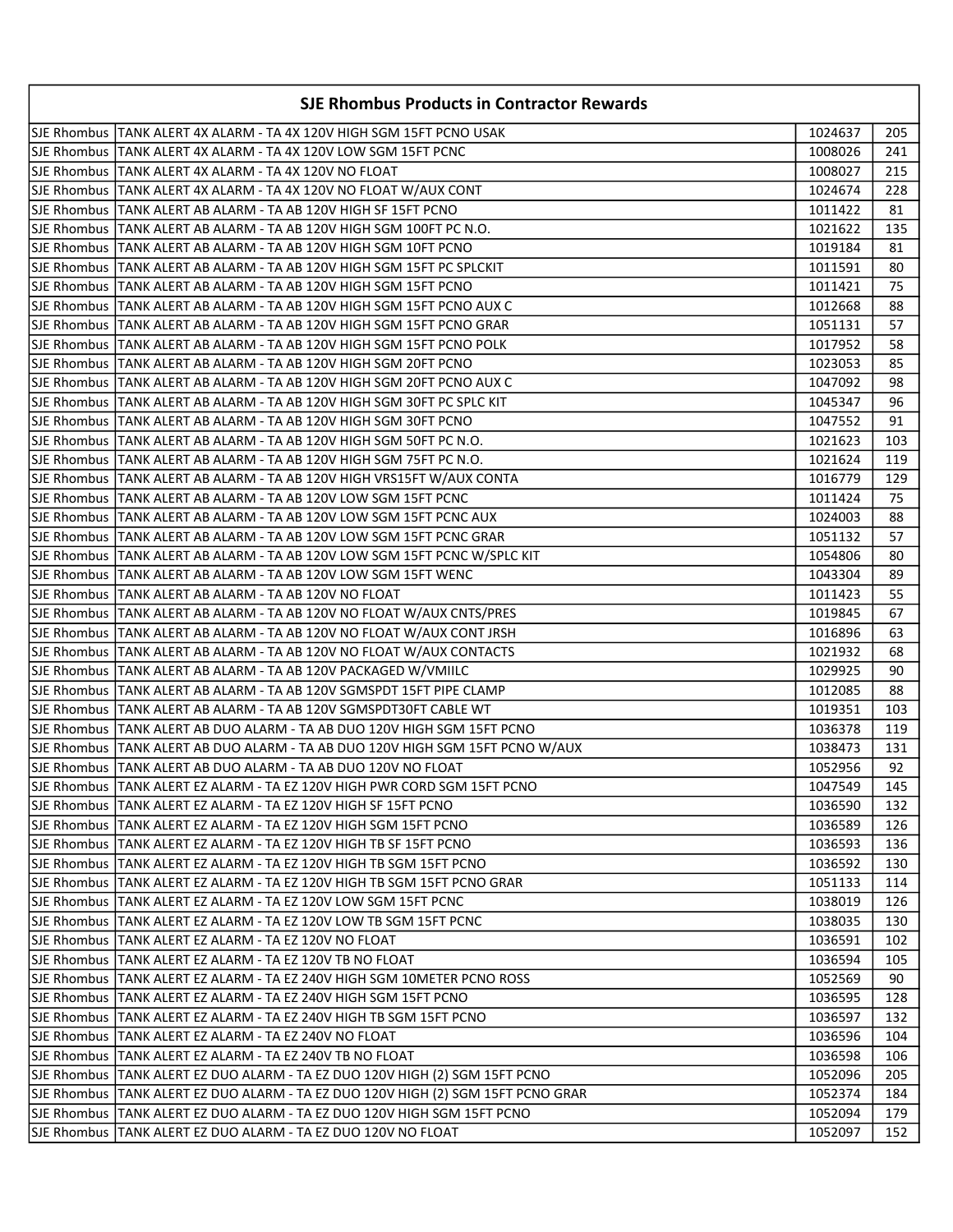| <b>SJE Rhombus Products in Contractor Rewards</b>                                |         |     |
|----------------------------------------------------------------------------------|---------|-----|
| ISJE Rhombus  TANK ALERT 4X ALARM - TA 4X 120V HIGH SGM 15FT PCNO USAK           | 1024637 | 205 |
| SJE Rhombus TANK ALERT 4X ALARM - TA 4X 120V LOW SGM 15FT PCNC                   | 1008026 | 241 |
| SJE Rhombus   TANK ALERT 4X ALARM - TA 4X 120V NO FLOAT                          | 1008027 | 215 |
| SJE Rhombus TANK ALERT 4X ALARM - TA 4X 120V NO FLOAT W/AUX CONT                 | 1024674 | 228 |
| SJE Rhombus  TANK ALERT AB ALARM - TA AB 120V HIGH SF 15FT PCNO                  | 1011422 | 81  |
| SJE Rhombus  TANK ALERT AB ALARM - TA AB 120V HIGH SGM 100FT PC N.O.             | 1021622 | 135 |
| SJE Rhombus  TANK ALERT AB ALARM - TA AB 120V HIGH SGM 10FT PCNO                 | 1019184 | 81  |
| SJE Rhombus  TANK ALERT AB ALARM - TA AB 120V HIGH SGM 15FT PC SPLCKIT           | 1011591 | 80  |
| lSJE Rhombus  TANK ALERT AB ALARM - TA AB 120V HIGH SGM 15FT PCNO                | 1011421 | 75  |
| SJE Rhombus  TANK ALERT AB ALARM - TA AB 120V HIGH SGM 15FT PCNO AUX C           | 1012668 | 88  |
| SJE Rhombus TANK ALERT AB ALARM - TA AB 120V HIGH SGM 15FT PCNO GRAR             | 1051131 | 57  |
| SJE Rhombus  TANK ALERT AB ALARM - TA AB 120V HIGH SGM 15FT PCNO POLK            | 1017952 | 58  |
| SJE Rhombus TANK ALERT AB ALARM - TA AB 120V HIGH SGM 20FT PCNO                  | 1023053 | 85  |
| SJE Rhombus TANK ALERT AB ALARM - TA AB 120V HIGH SGM 20FT PCNO AUX C            | 1047092 | 98  |
| SJE Rhombus TANK ALERT AB ALARM - TA AB 120V HIGH SGM 30FT PC SPLC KIT           | 1045347 | 96  |
| SJE Rhombus TANK ALERT AB ALARM - TA AB 120V HIGH SGM 30FT PCNO                  | 1047552 | 91  |
| SJE Rhombus   TANK ALERT AB ALARM - TA AB 120V HIGH SGM 50FT PC N.O.             | 1021623 | 103 |
| SJE Rhombus   TANK ALERT AB ALARM - TA AB 120V HIGH SGM 75FT PC N.O.             | 1021624 | 119 |
| SJE Rhombus   TANK ALERT AB ALARM - TA AB 120V HIGH VRS15FT W/AUX CONTA          | 1016779 | 129 |
| SJE Rhombus TANK ALERT AB ALARM - TA AB 120V LOW SGM 15FT PCNC                   | 1011424 | 75  |
| SJE Rhombus TANK ALERT AB ALARM - TA AB 120V LOW SGM 15FT PCNC AUX               | 1024003 | 88  |
| SJE Rhombus  TANK ALERT AB ALARM - TA AB 120V LOW SGM 15FT PCNC GRAR             | 1051132 | 57  |
| SJE Rhombus  TANK ALERT AB ALARM - TA AB 120V LOW SGM 15FT PCNC W/SPLC KIT       | 1054806 | 80  |
| SJE Rhombus  TANK ALERT AB ALARM - TA AB 120V LOW SGM 15FT WENC                  | 1043304 | 89  |
| SJE Rhombus  TANK ALERT AB ALARM - TA AB 120V NO FLOAT                           | 1011423 | 55  |
| SJE Rhombus  TANK ALERT AB ALARM - TA AB 120V NO FLOAT W/AUX CNTS/PRES           | 1019845 | 67  |
| SJE Rhombus  TANK ALERT AB ALARM - TA AB 120V NO FLOAT W/AUX CONT JRSH           | 1016896 | 63  |
| SJE Rhombus TANK ALERT AB ALARM - TA AB 120V NO FLOAT W/AUX CONTACTS             | 1021932 | 68  |
| SJE Rhombus   TANK ALERT AB ALARM - TA AB 120V PACKAGED W/VMIILC                 | 1029925 | 90  |
| SJE Rhombus   TANK ALERT AB ALARM - TA AB 120V SGMSPDT 15FT PIPE CLAMP           | 1012085 | 88  |
| SJE Rhombus   TANK ALERT AB ALARM - TA AB 120V SGMSPDT30FT CABLE WT              | 1019351 | 103 |
| SJE Rhombus TANK ALERT AB DUO ALARM - TA AB DUO 120V HIGH SGM 15FT PCNO          | 1036378 | 119 |
| SJE Rhombus TANK ALERT AB DUO ALARM - TA AB DUO 120V HIGH SGM 15FT PCNO W/AUX    | 1038473 | 131 |
| SJE Rhombus TANK ALERT AB DUO ALARM - TA AB DUO 120V NO FLOAT                    | 1052956 | 92  |
| SJE Rhombus TANK ALERT EZ ALARM - TA EZ 120V HIGH PWR CORD SGM 15FT PCNO         | 1047549 | 145 |
| SJE Rhombus  TANK ALERT EZ ALARM - TA EZ 120V HIGH SF 15FT PCNO                  | 1036590 | 132 |
| SJE Rhombus   TANK ALERT EZ ALARM - TA EZ 120V HIGH SGM 15FT PCNO                | 1036589 | 126 |
| SJE Rhombus   TANK ALERT EZ ALARM - TA EZ 120V HIGH TB SF 15FT PCNO              | 1036593 | 136 |
| SJE Rhombus TANK ALERT EZ ALARM - TA EZ 120V HIGH TB SGM 15FT PCNO               | 1036592 | 130 |
| SJE Rhombus TANK ALERT EZ ALARM - TA EZ 120V HIGH TB SGM 15FT PCNO GRAR          | 1051133 | 114 |
| SJE Rhombus   TANK ALERT EZ ALARM - TA EZ 120V LOW SGM 15FT PCNC                 | 1038019 | 126 |
| SJE Rhombus   TANK ALERT EZ ALARM - TA EZ 120V LOW TB SGM 15FT PCNC              | 1038035 | 130 |
| SJE Rhombus   TANK ALERT EZ ALARM - TA EZ 120V NO FLOAT                          | 1036591 | 102 |
| SJE Rhombus   TANK ALERT EZ ALARM - TA EZ 120V TB NO FLOAT                       | 1036594 | 105 |
| SJE Rhombus TANK ALERT EZ ALARM - TA EZ 240V HIGH SGM 10METER PCNO ROSS          | 1052569 | 90  |
| SJE Rhombus   TANK ALERT EZ ALARM - TA EZ 240V HIGH SGM 15FT PCNO                | 1036595 | 128 |
| SJE Rhombus TANK ALERT EZ ALARM - TA EZ 240V HIGH TB SGM 15FT PCNO               | 1036597 | 132 |
| SJE Rhombus   TANK ALERT EZ ALARM - TA EZ 240V NO FLOAT                          | 1036596 | 104 |
| SJE Rhombus   TANK ALERT EZ ALARM - TA EZ 240V TB NO FLOAT                       | 1036598 | 106 |
| SJE Rhombus   TANK ALERT EZ DUO ALARM - TA EZ DUO 120V HIGH (2) SGM 15FT PCNO    | 1052096 | 205 |
| SJE Rhombus TANK ALERT EZ DUO ALARM - TA EZ DUO 120V HIGH (2) SGM 15FT PCNO GRAR | 1052374 | 184 |
| SJE Rhombus TANK ALERT EZ DUO ALARM - TA EZ DUO 120V HIGH SGM 15FT PCNO          | 1052094 | 179 |
| SJE Rhombus   TANK ALERT EZ DUO ALARM - TA EZ DUO 120V NO FLOAT                  | 1052097 | 152 |
|                                                                                  |         |     |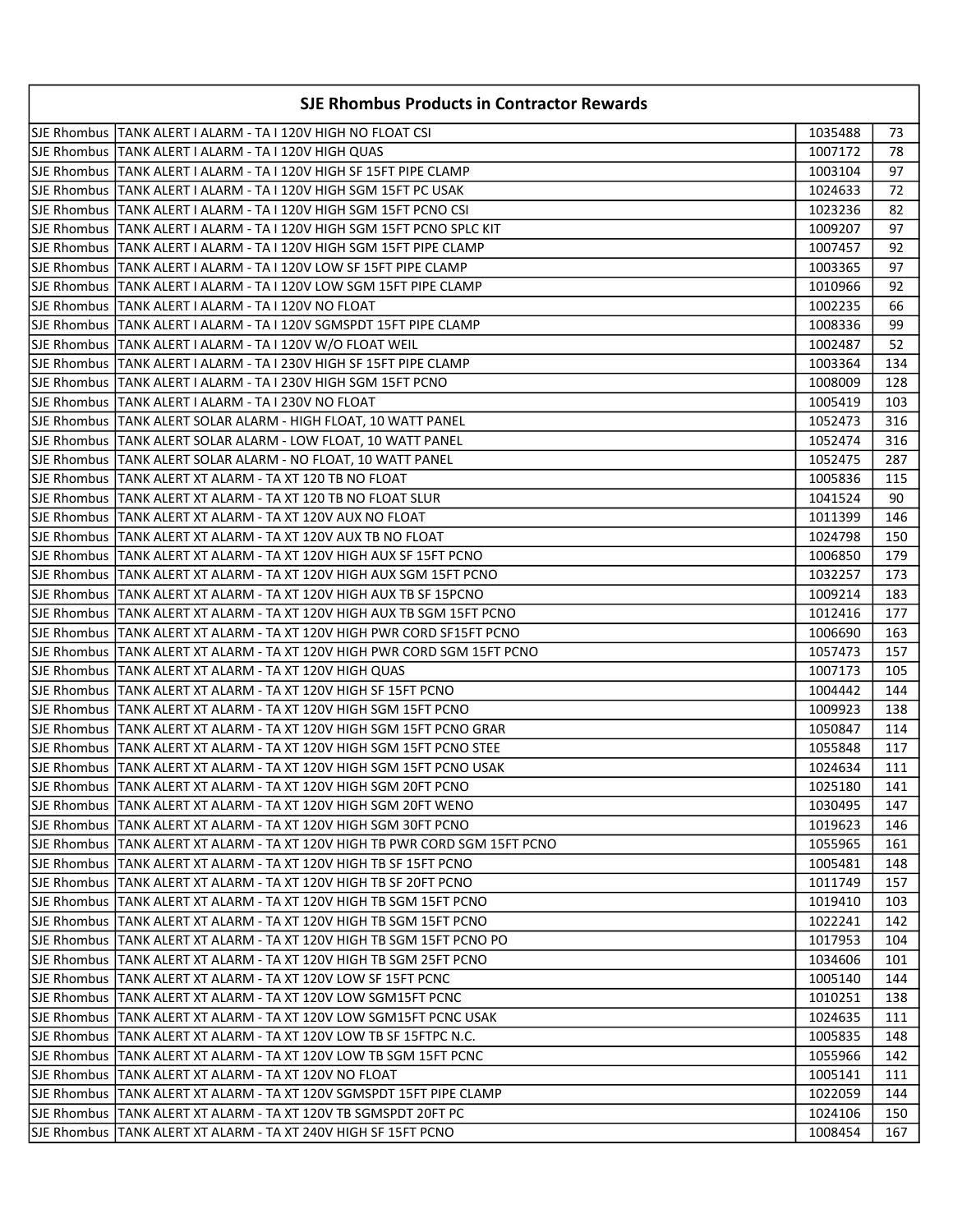| <b>SJE Rhombus Products in Contractor Rewards</b>                            |         |     |
|------------------------------------------------------------------------------|---------|-----|
| SJE Rhombus  TANK ALERT I ALARM - TA I 120V HIGH NO FLOAT CSI                | 1035488 | 73  |
| SJE Rhombus   TANK ALERT I ALARM - TA I 120V HIGH QUAS                       | 1007172 | 78  |
| SJE Rhombus   TANK ALERT I ALARM - TA I 120V HIGH SF 15FT PIPE CLAMP         | 1003104 | 97  |
| SJE Rhombus   TANK ALERT I ALARM - TA I 120V HIGH SGM 15FT PC USAK           | 1024633 | 72  |
| SJE Rhombus   TANK ALERT I ALARM - TA I 120V HIGH SGM 15FT PCNO CSI          | 1023236 | 82  |
| SJE Rhombus  TANK ALERT I ALARM - TA I 120V HIGH SGM 15FT PCNO SPLC KIT      | 1009207 | 97  |
| SJE Rhombus   TANK ALERT I ALARM - TA I 120V HIGH SGM 15FT PIPE CLAMP        | 1007457 | 92  |
| SJE Rhombus TANK ALERT I ALARM - TA I 120V LOW SF 15FT PIPE CLAMP            | 1003365 | 97  |
| SJE Rhombus TANK ALERT I ALARM - TA I 120V LOW SGM 15FT PIPE CLAMP           | 1010966 | 92  |
| SJE Rhombus   TANK ALERT I ALARM - TA I 120V NO FLOAT                        | 1002235 | 66  |
| SJE Rhombus   TANK ALERT I ALARM - TA I 120V SGMSPDT 15FT PIPE CLAMP         | 1008336 | 99  |
| SJE Rhombus   TANK ALERT I ALARM - TA I 120V W/O FLOAT WEIL                  | 1002487 | 52  |
| SJE Rhombus   TANK ALERT I ALARM - TA I 230V HIGH SF 15FT PIPE CLAMP         | 1003364 | 134 |
| SJE Rhombus   TANK ALERT I ALARM - TA I 230V HIGH SGM 15FT PCNO              | 1008009 | 128 |
| SJE Rhombus   TANK ALERT I ALARM - TA I 230V NO FLOAT                        | 1005419 | 103 |
| SJE Rhombus   TANK ALERT SOLAR ALARM - HIGH FLOAT, 10 WATT PANEL             | 1052473 | 316 |
| SJE Rhombus   TANK ALERT SOLAR ALARM - LOW FLOAT, 10 WATT PANEL              | 1052474 | 316 |
| SJE Rhombus   TANK ALERT SOLAR ALARM - NO FLOAT, 10 WATT PANEL               | 1052475 | 287 |
| SJE Rhombus   TANK ALERT XT ALARM - TA XT 120 TB NO FLOAT                    | 1005836 | 115 |
| SJE Rhombus  TANK ALERT XT ALARM - TA XT 120 TB NO FLOAT SLUR                | 1041524 | 90  |
| SJE Rhombus  TANK ALERT XT ALARM - TA XT 120V AUX NO FLOAT                   | 1011399 | 146 |
| SJE Rhombus  TANK ALERT XT ALARM - TA XT 120V AUX TB NO FLOAT                | 1024798 | 150 |
| SJE Rhombus  TANK ALERT XT ALARM - TA XT 120V HIGH AUX SF 15FT PCNO          | 1006850 | 179 |
| SJE Rhombus   TANK ALERT XT ALARM - TA XT 120V HIGH AUX SGM 15FT PCNO        | 1032257 | 173 |
| SJE Rhombus   TANK ALERT XT ALARM - TA XT 120V HIGH AUX TB SF 15PCNO         | 1009214 | 183 |
| SJE Rhombus   TANK ALERT XT ALARM - TA XT 120V HIGH AUX TB SGM 15FT PCNO     | 1012416 | 177 |
| SJE Rhombus  TANK ALERT XT ALARM - TA XT 120V HIGH PWR CORD SF15FT PCNO      | 1006690 | 163 |
| SJE Rhombus  TANK ALERT XT ALARM - TA XT 120V HIGH PWR CORD SGM 15FT PCNO    | 1057473 | 157 |
| SJE Rhombus   TANK ALERT XT ALARM - TA XT 120V HIGH QUAS                     | 1007173 | 105 |
| SJE Rhombus  TANK ALERT XT ALARM - TA XT 120V HIGH SF 15FT PCNO              | 1004442 | 144 |
| SJE Rhombus  TANK ALERT XT ALARM - TA XT 120V HIGH SGM 15FT PCNO             | 1009923 | 138 |
| SJE Rhombus   TANK ALERT XT ALARM - TA XT 120V HIGH SGM 15FT PCNO GRAR       | 1050847 | 114 |
| SJE Rhombus  TANK ALERT XT ALARM - TA XT 120V HIGH SGM 15FT PCNO STEE        | 1055848 | 117 |
| SJE Rhombus TANK ALERT XT ALARM - TA XT 120V HIGH SGM 15FT PCNO USAK         | 1024634 | 111 |
| SJE Rhombus  TANK ALERT XT ALARM - TA XT 120V HIGH SGM 20FT PCNO             | 1025180 | 141 |
| SJE Rhombus  TANK ALERT XT ALARM - TA XT 120V HIGH SGM 20FT WENO             | 1030495 | 147 |
| SJE Rhombus  TANK ALERT XT ALARM - TA XT 120V HIGH SGM 30FT PCNO             | 1019623 | 146 |
| SJE Rhombus  TANK ALERT XT ALARM - TA XT 120V HIGH TB PWR CORD SGM 15FT PCNO | 1055965 | 161 |
| SJE Rhombus  TANK ALERT XT ALARM - TA XT 120V HIGH TB SF 15FT PCNO           | 1005481 | 148 |
| lSJE Rhombus  TANK ALERT XT ALARM - TA XT 120V HIGH TB SF 20FT PCNO          | 1011749 | 157 |
| SJE Rhombus   TANK ALERT XT ALARM - TA XT 120V HIGH TB SGM 15FT PCNO         | 1019410 | 103 |
| SJE Rhombus   TANK ALERT XT ALARM - TA XT 120V HIGH TB SGM 15FT PCNO         | 1022241 | 142 |
| SJE Rhombus   TANK ALERT XT ALARM - TA XT 120V HIGH TB SGM 15FT PCNO PO      | 1017953 | 104 |
| SJE Rhombus  TANK ALERT XT ALARM - TA XT 120V HIGH TB SGM 25FT PCNO          | 1034606 | 101 |
| SJE Rhombus  TANK ALERT XT ALARM - TA XT 120V LOW SF 15FT PCNC               | 1005140 | 144 |
| SJE Rhombus  TANK ALERT XT ALARM - TA XT 120V LOW SGM15FT PCNC               | 1010251 | 138 |
| SJE Rhombus  TANK ALERT XT ALARM - TA XT 120V LOW SGM15FT PCNC USAK          | 1024635 | 111 |
| SJE Rhombus   TANK ALERT XT ALARM - TA XT 120V LOW TB SF 15FTPC N.C.         | 1005835 | 148 |
| SJE Rhombus  TANK ALERT XT ALARM - TA XT 120V LOW TB SGM 15FT PCNC           | 1055966 | 142 |
| SJE Rhombus   TANK ALERT XT ALARM - TA XT 120V NO FLOAT                      | 1005141 | 111 |
| SJE Rhombus  TANK ALERT XT ALARM - TA XT 120V SGMSPDT 15FT PIPE CLAMP        | 1022059 | 144 |
| SJE Rhombus   TANK ALERT XT ALARM - TA XT 120V TB SGMSPDT 20FT PC            | 1024106 | 150 |
| SJE Rhombus  TANK ALERT XT ALARM - TA XT 240V HIGH SF 15FT PCNO]             | 1008454 | 167 |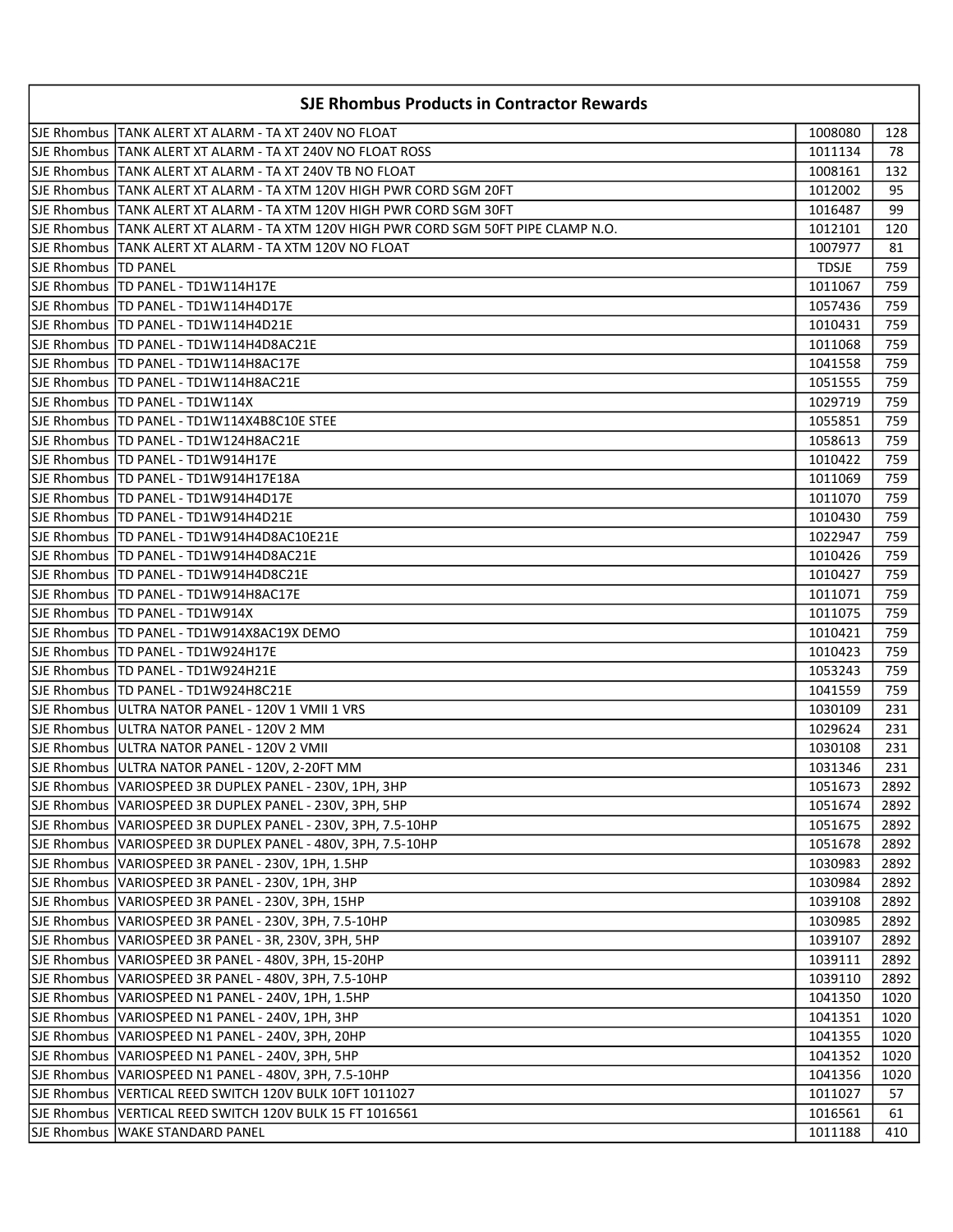| <b>SJE Rhombus Products in Contractor Rewards</b> |                                                                                       |              |      |
|---------------------------------------------------|---------------------------------------------------------------------------------------|--------------|------|
|                                                   | SJE Rhombus  TANK ALERT XT ALARM - TA XT 240V NO FLOAT                                | 1008080      | 128  |
|                                                   | SJE Rhombus   TANK ALERT XT ALARM - TA XT 240V NO FLOAT ROSS                          | 1011134      | 78   |
|                                                   | SJE Rhombus TANK ALERT XT ALARM - TA XT 240V TB NO FLOAT                              | 1008161      | 132  |
|                                                   | SJE Rhombus TANK ALERT XT ALARM - TA XTM 120V HIGH PWR CORD SGM 20FT                  | 1012002      | 95   |
|                                                   | SJE Rhombus TANK ALERT XT ALARM - TA XTM 120V HIGH PWR CORD SGM 30FT                  | 1016487      | 99   |
|                                                   | SJE Rhombus  TANK ALERT XT ALARM - TA XTM 120V HIGH PWR CORD SGM 50FT PIPE CLAMP N.O. | 1012101      | 120  |
|                                                   | SJE Rhombus  TANK ALERT XT ALARM - TA XTM 120V NO FLOAT                               | 1007977      | 81   |
| SJE Rhombus ITD PANEL                             |                                                                                       | <b>TDSJE</b> | 759  |
|                                                   | SJE Rhombus   TD PANEL - TD1W114H17E                                                  | 1011067      | 759  |
|                                                   | SJE Rhombus   TD PANEL - TD1W114H4D17E                                                | 1057436      | 759  |
|                                                   | SJE Rhombus   TD PANEL - TD1W114H4D21E                                                | 1010431      | 759  |
|                                                   | SJE Rhombus   TD PANEL - TD1W114H4D8AC21E                                             | 1011068      | 759  |
|                                                   | SJE Rhombus  TD PANEL - TD1W114H8AC17E                                                | 1041558      | 759  |
|                                                   | SJE Rhombus   TD PANEL - TD1W114H8AC21E                                               | 1051555      | 759  |
|                                                   | SJE Rhombus   TD PANEL - TD1W114X                                                     | 1029719      | 759  |
|                                                   | SJE Rhombus   TD PANEL - TD1W114X4B8C10E STEE                                         | 1055851      | 759  |
|                                                   | SJE Rhombus   TD PANEL - TD1W124H8AC21E                                               | 1058613      | 759  |
|                                                   | SJE Rhombus   TD PANEL - TD1W914H17E                                                  | 1010422      | 759  |
|                                                   | SJE Rhombus   TD PANEL - TD1W914H17E18A                                               | 1011069      | 759  |
|                                                   | SJE Rhombus   TD PANEL - TD1W914H4D17E                                                | 1011070      | 759  |
|                                                   | SJE Rhombus   TD PANEL - TD1W914H4D21E                                                | 1010430      | 759  |
|                                                   | SJE Rhombus   TD PANEL - TD1W914H4D8AC10E21E                                          | 1022947      | 759  |
|                                                   | SJE Rhombus   TD PANEL - TD1W914H4D8AC21E                                             | 1010426      | 759  |
|                                                   | SJE Rhombus   TD PANEL - TD1W914H4D8C21E                                              | 1010427      | 759  |
|                                                   | SJE Rhombus   TD PANEL - TD1W914H8AC17E                                               | 1011071      | 759  |
|                                                   | SJE Rhombus   TD PANEL - TD1W914X                                                     | 1011075      | 759  |
|                                                   | SJE Rhombus   TD PANEL - TD1W914X8AC19X DEMO                                          | 1010421      | 759  |
|                                                   | SJE Rhombus   TD PANEL - TD1W924H17E                                                  | 1010423      | 759  |
|                                                   | SJE Rhombus   TD PANEL - TD1W924H21E                                                  | 1053243      | 759  |
|                                                   | SJE Rhombus   TD PANEL - TD1W924H8C21E                                                | 1041559      | 759  |
|                                                   | SJE Rhombus ULTRA NATOR PANEL - 120V 1 VMII 1 VRS                                     | 1030109      | 231  |
|                                                   | SJE Rhombus ULTRA NATOR PANEL - 120V 2 MM                                             | 1029624      | 231  |
|                                                   | SJE Rhombus   ULTRA NATOR PANEL - 120V 2 VMII                                         | 1030108      | 231  |
|                                                   | SJE Rhombus ULTRA NATOR PANEL - 120V, 2-20FT MM                                       | 1031346      | 231  |
|                                                   | SJE Rhombus VARIOSPEED 3R DUPLEX PANEL - 230V, 1PH, 3HP                               | 1051673      | 2892 |
|                                                   | SJE Rhombus   VARIOSPEED 3R DUPLEX PANEL - 230V, 3PH, 5HP                             | 1051674      | 2892 |
|                                                   | SJE Rhombus  VARIOSPEED 3R DUPLEX PANEL - 230V, 3PH, 7.5-10HP                         | 1051675      | 2892 |
|                                                   | SJE Rhombus   VARIOSPEED 3R DUPLEX PANEL - 480V, 3PH, 7.5-10HP                        | 1051678      | 2892 |
|                                                   | SJE Rhombus   VARIOSPEED 3R PANEL - 230V, 1PH, 1.5HP                                  | 1030983      | 2892 |
|                                                   | SJE Rhombus   VARIOSPEED 3R PANEL - 230V, 1PH, 3HP                                    | 1030984      | 2892 |
|                                                   | SJE Rhombus VARIOSPEED 3R PANEL - 230V, 3PH, 15HP                                     | 1039108      | 2892 |
|                                                   | SJE Rhombus   VARIOSPEED 3R PANEL - 230V, 3PH, 7.5-10HP                               | 1030985      | 2892 |
|                                                   | SJE Rhombus   VARIOSPEED 3R PANEL - 3R, 230V, 3PH, 5HP                                | 1039107      | 2892 |
|                                                   | SJE Rhombus VARIOSPEED 3R PANEL - 480V, 3PH, 15-20HP                                  | 1039111      | 2892 |
|                                                   | SJE Rhombus   VARIOSPEED 3R PANEL - 480V, 3PH, 7.5-10HP                               | 1039110      | 2892 |
|                                                   | SJE Rhombus   VARIOSPEED N1 PANEL - 240V, 1PH, 1.5HP                                  | 1041350      | 1020 |
|                                                   | SJE Rhombus   VARIOSPEED N1 PANEL - 240V, 1PH, 3HP                                    | 1041351      | 1020 |
|                                                   | SJE Rhombus   VARIOSPEED N1 PANEL - 240V, 3PH, 20HP                                   | 1041355      | 1020 |
|                                                   | SJE Rhombus   VARIOSPEED N1 PANEL - 240V, 3PH, 5HP                                    | 1041352      | 1020 |
|                                                   | SJE Rhombus VARIOSPEED N1 PANEL - 480V, 3PH, 7.5-10HP                                 | 1041356      | 1020 |
|                                                   | SJE Rhombus VERTICAL REED SWITCH 120V BULK 10FT 1011027                               | 1011027      | 57   |
|                                                   | SJE Rhombus VERTICAL REED SWITCH 120V BULK 15 FT 1016561                              | 1016561      | 61   |
|                                                   | SJE Rhombus   WAKE STANDARD PANEL                                                     | 1011188      | 410  |
|                                                   |                                                                                       |              |      |